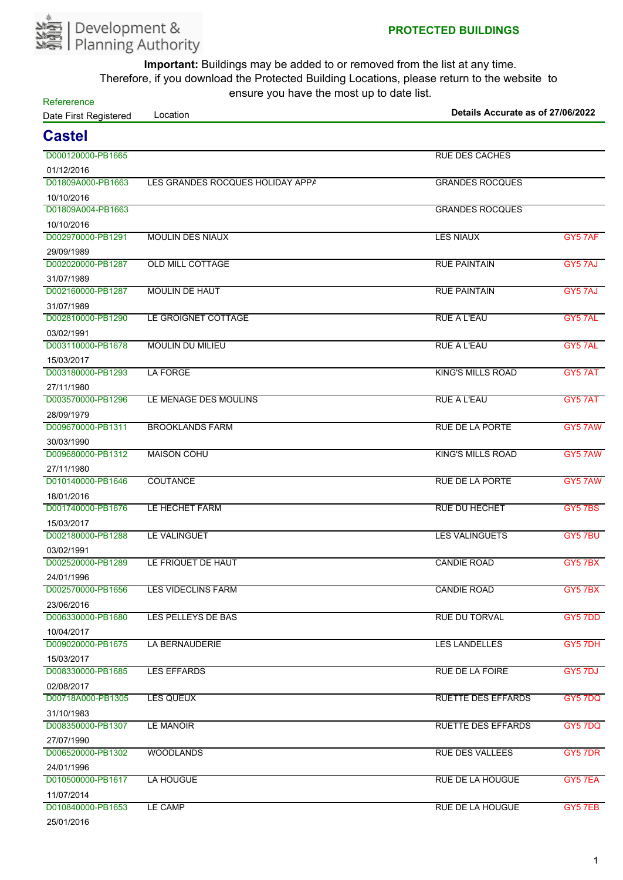

**Refererence** 

| Date First Registered           | Location                         | Details Accurate as of 27/06/2022 |                |  |
|---------------------------------|----------------------------------|-----------------------------------|----------------|--|
| <b>Castel</b>                   |                                  |                                   |                |  |
| D000120000-PB1665               |                                  | <b>RUE DES CACHES</b>             |                |  |
| 01/12/2016                      |                                  |                                   |                |  |
| D01809A000-PB1663               | LES GRANDES ROCQUES HOLIDAY APPA | <b>GRANDES ROCQUES</b>            |                |  |
| 10/10/2016                      |                                  |                                   |                |  |
| D01809A004-PB1663               |                                  | <b>GRANDES ROCQUES</b>            |                |  |
| 10/10/2016                      |                                  |                                   |                |  |
| D002970000-PB1291               | <b>MOULIN DES NIAUX</b>          | <b>LES NIAUX</b>                  | GY5 7AF        |  |
| 29/09/1989                      |                                  |                                   |                |  |
| D002020000-PB1287               | <b>OLD MILL COTTAGE</b>          | <b>RUE PAINTAIN</b>               | GY5 7AJ        |  |
| 31/07/1989                      |                                  |                                   |                |  |
| D002160000-PB1287               | <b>MOULIN DE HAUT</b>            | <b>RUE PAINTAIN</b>               | GY5 7AJ        |  |
| 31/07/1989                      |                                  |                                   |                |  |
| D002810000-PB1290               | LE GROIGNET COTTAGE              | <b>RUE A L'EAU</b>                | GY5 7AL        |  |
| 03/02/1991                      |                                  |                                   |                |  |
| D003110000-PB1678               | <b>MOULIN DU MILIEU</b>          | <b>RUE A L'EAU</b>                | GY5 7AL        |  |
| 15/03/2017                      |                                  |                                   |                |  |
| D003180000-PB1293               | <b>LA FORGE</b>                  | <b>KING'S MILLS ROAD</b>          | GY5 7AT        |  |
| 27/11/1980                      |                                  |                                   |                |  |
| D003570000-PB1296               | LE MENAGE DES MOULINS            | <b>RUE A L'EAU</b>                | GY5 7AT        |  |
| 28/09/1979                      |                                  |                                   |                |  |
| D009670000-PB1311               | <b>BROOKLANDS FARM</b>           | <b>RUE DE LA PORTE</b>            | GY5 7AW        |  |
| 30/03/1990                      |                                  |                                   |                |  |
| D009680000-PB1312               | <b>MAISON COHU</b>               | <b>KING'S MILLS ROAD</b>          | GY5 7AW        |  |
| 27/11/1980                      |                                  |                                   |                |  |
| D010140000-PB1646               | <b>COUTANCE</b>                  | <b>RUE DE LA PORTE</b>            | GY5 7AW        |  |
| 18/01/2016                      |                                  |                                   |                |  |
| D001740000-PB1676               | LE HECHET FARM                   | <b>RUE DU HECHET</b>              | <b>GY5 7BS</b> |  |
| 15/03/2017                      |                                  |                                   |                |  |
| D002180000-PB1288               | LE VALINGUET                     | <b>LES VALINGUETS</b>             | GY5 7BU        |  |
| 03/02/1991                      |                                  |                                   |                |  |
| D002520000-PB1289               | LE FRIQUET DE HAUT               | <b>CANDIE ROAD</b>                | GY5 7BX        |  |
| 24/01/1996                      |                                  |                                   |                |  |
| D002570000-PB1656               | <b>LES VIDECLINS FARM</b>        | <b>CANDIE ROAD</b>                | GY5 7BX        |  |
| 23/06/2016                      |                                  |                                   |                |  |
| D006330000-PB1680               | LES PELLEYS DE BAS               | <b>RUE DU TORVAL</b>              | GY5 7DD        |  |
| 10/04/2017                      |                                  |                                   |                |  |
| D009020000-PB1675               | LA BERNAUDERIE                   | <b>LES LANDELLES</b>              | GY5 7DH        |  |
| 15/03/2017                      |                                  |                                   |                |  |
| D008330000-PB1685               | <b>LES EFFARDS</b>               | <b>RUE DE LA FOIRE</b>            | GY5 7DJ        |  |
| 02/08/2017                      |                                  |                                   |                |  |
| D00718A000-PB1305               | LES QUEUX                        | <b>RUETTE DES EFFARDS</b>         | GY5 7DQ        |  |
| 31/10/1983                      |                                  |                                   |                |  |
| D008350000-PB1307               | <b>LE MANOIR</b>                 | <b>RUETTE DES EFFARDS</b>         | GY5 7DQ        |  |
| 27/07/1990                      |                                  |                                   |                |  |
| D006520000-PB1302               | <b>WOODLANDS</b>                 | <b>RUE DES VALLEES</b>            | GY5 7DR        |  |
| 24/01/1996                      |                                  |                                   |                |  |
| D010500000-PB1617               | LA HOUGUE                        | <b>RUE DE LA HOUGUE</b>           | GY5 7EA        |  |
| 11/07/2014<br>D010840000-PB1653 | LE CAMP                          | <b>RUE DE LA HOUGUE</b>           | GY5 7EB        |  |
|                                 |                                  |                                   |                |  |
| 25/01/2016                      |                                  |                                   |                |  |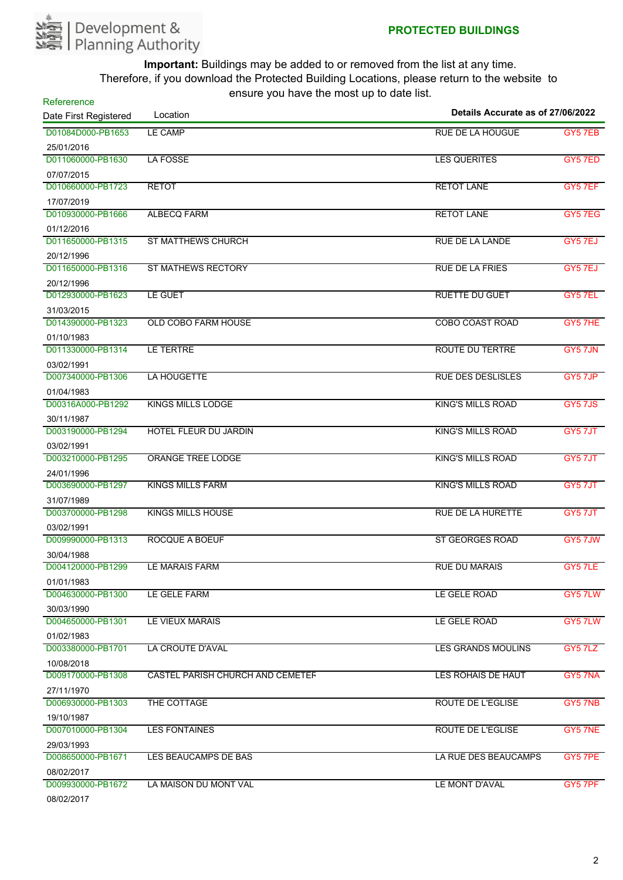

| Refererence           |                                         | Details Accurate as of 27/06/2022 |         |
|-----------------------|-----------------------------------------|-----------------------------------|---------|
| Date First Registered | Location                                |                                   |         |
| D01084D000-PB1653     | LE CAMP                                 | <b>RUE DE LA HOUGUE</b>           | GY5 7EB |
| 25/01/2016            |                                         |                                   |         |
| D011060000-PB1630     | <b>LA FOSSE</b>                         | <b>LES QUERITES</b>               | GY5 7ED |
| 07/07/2015            |                                         |                                   |         |
| D010660000-PB1723     | <b>RETOT</b>                            | <b>RETOT LANE</b>                 | GY5 7EF |
| 17/07/2019            |                                         |                                   |         |
| D010930000-PB1666     | <b>ALBECQ FARM</b>                      | <b>RETOT LANE</b>                 | GY5 7EG |
| 01/12/2016            |                                         |                                   |         |
| D011650000-PB1315     | <b>ST MATTHEWS CHURCH</b>               | RUE DE LA LANDE                   | GY5 7EJ |
| 20/12/1996            |                                         |                                   |         |
| D011650000-PB1316     | <b>ST MATHEWS RECTORY</b>               | <b>RUE DE LA FRIES</b>            | GY5 7EJ |
| 20/12/1996            |                                         |                                   |         |
| D012930000-PB1623     | <b>LE GUET</b>                          | <b>RUETTE DU GUET</b>             | GY5 7EL |
| 31/03/2015            |                                         |                                   |         |
| D014390000-PB1323     | <b>OLD COBO FARM HOUSE</b>              | <b>COBO COAST ROAD</b>            | GY5 7HE |
| 01/10/1983            |                                         |                                   |         |
| D011330000-PB1314     | LE TERTRE                               | <b>ROUTE DU TERTRE</b>            | GY5 7JN |
| 03/02/1991            |                                         |                                   |         |
| D007340000-PB1306     | LA HOUGETTE                             | <b>RUE DES DESLISLES</b>          | GY5 7JP |
| 01/04/1983            |                                         |                                   |         |
| D00316A000-PB1292     | <b>KINGS MILLS LODGE</b>                | <b>KING'S MILLS ROAD</b>          | GY5 7JS |
| 30/11/1987            |                                         |                                   |         |
| D003190000-PB1294     | <b>HOTEL FLEUR DU JARDIN</b>            | <b>KING'S MILLS ROAD</b>          | GY5 7JT |
| 03/02/1991            |                                         |                                   |         |
| D003210000-PB1295     | <b>ORANGE TREE LODGE</b>                | <b>KING'S MILLS ROAD</b>          | GY5 7JT |
| 24/01/1996            |                                         |                                   |         |
| D003690000-PB1297     | KINGS MILLS FARM                        | <b>KING'S MILLS ROAD</b>          | GY5 7JT |
| 31/07/1989            |                                         |                                   |         |
| D003700000-PB1298     | <b>KINGS MILLS HOUSE</b>                | <b>RUE DE LA HURETTE</b>          | GY5 7JT |
| 03/02/1991            |                                         |                                   |         |
| D009990000-PB1313     | <b>ROCQUE A BOEUF</b>                   | <b>ST GEORGES ROAD</b>            | GY5 7JW |
| 30/04/1988            |                                         |                                   |         |
| D004120000-PB1299     | LE MARAIS FARM                          | <b>RUE DU MARAIS</b>              | GY5 7LE |
| 01/01/1983            |                                         |                                   |         |
| D004630000-PB1300     | LE GELE FARM                            | LE GELE ROAD                      | GY5 7LW |
| 30/03/1990            |                                         |                                   |         |
| D004650000-PB1301     | LE VIEUX MARAIS                         | LE GELE ROAD                      | GY5 7LW |
| 01/02/1983            |                                         |                                   |         |
| D003380000-PB1701     | LA CROUTE D'AVAL                        | <b>LES GRANDS MOULINS</b>         | GY5 7LZ |
| 10/08/2018            |                                         |                                   |         |
| D009170000-PB1308     | <b>CASTEL PARISH CHURCH AND CEMETER</b> | LES ROHAIS DE HAUT                | GY5 7NA |
| 27/11/1970            |                                         |                                   |         |
| D006930000-PB1303     | THE COTTAGE                             | <b>ROUTE DE L'EGLISE</b>          | GY5 7NB |
| 19/10/1987            |                                         |                                   |         |
| D007010000-PB1304     | <b>LES FONTAINES</b>                    | <b>ROUTE DE L'EGLISE</b>          | GY5 7NE |
| 29/03/1993            |                                         |                                   |         |
| D008650000-PB1671     | LES BEAUCAMPS DE BAS                    | LA RUE DES BEAUCAMPS              | GY5 7PE |
| 08/02/2017            |                                         |                                   |         |
| D009930000-PB1672     | LA MAISON DU MONT VAL                   | LE MONT D'AVAL                    | GY5 7PF |
| 08/02/2017            |                                         |                                   |         |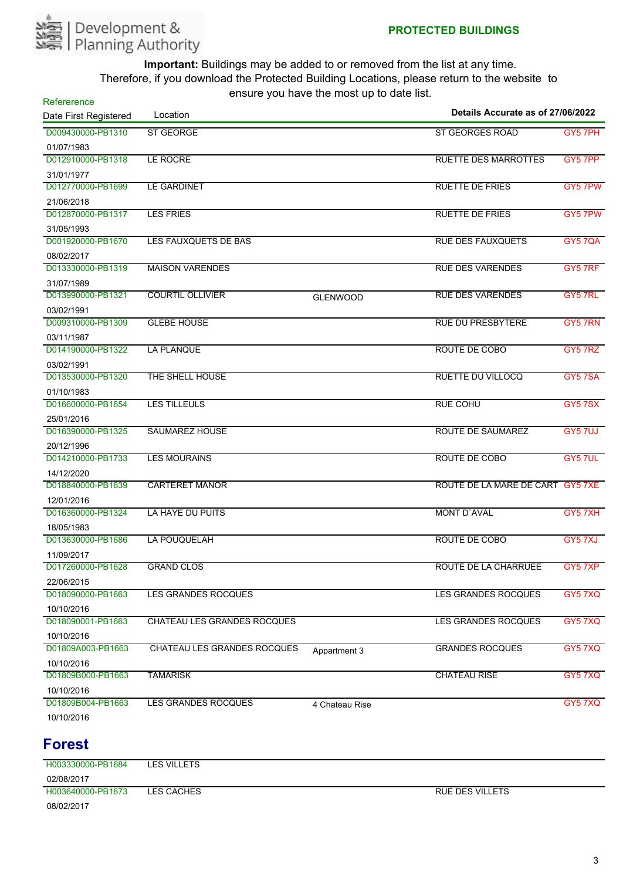

| Refererence           |                             | $30.3$ $\mu$ $\alpha$ $\mu$ $\alpha$ $\beta$ $\alpha$ $\beta$ $\alpha$ $\beta$ $\alpha$ |                                   |                |
|-----------------------|-----------------------------|-----------------------------------------------------------------------------------------|-----------------------------------|----------------|
| Date First Registered | Location                    |                                                                                         | Details Accurate as of 27/06/2022 |                |
| D009430000-PB1310     | ST GEORGE                   |                                                                                         | ST GEORGES ROAD                   | GY5 7PH        |
| 01/07/1983            |                             |                                                                                         |                                   |                |
| D012910000-PB1318     | <b>LE ROCRE</b>             |                                                                                         | <b>RUETTE DES MARROTTES</b>       | GY5 7PP        |
| 31/01/1977            |                             |                                                                                         |                                   |                |
| D012770000-PB1699     | <b>LE GARDINET</b>          |                                                                                         | <b>RUETTE DE FRIES</b>            | GY5 7PW        |
| 21/06/2018            |                             |                                                                                         |                                   |                |
| D012870000-PB1317     | <b>LES FRIES</b>            |                                                                                         | <b>RUETTE DE FRIES</b>            | GY5 7PW        |
| 31/05/1993            |                             |                                                                                         |                                   |                |
| D001920000-PB1670     | LES FAUXQUETS DE BAS        |                                                                                         | <b>RUE DES FAUXQUETS</b>          | <b>GY5 7QA</b> |
| 08/02/2017            |                             |                                                                                         |                                   |                |
| D013330000-PB1319     | <b>MAISON VARENDES</b>      |                                                                                         | <b>RUE DES VARENDES</b>           | GY5 7RF        |
| 31/07/1989            |                             |                                                                                         |                                   |                |
| D013990000-PB1321     | <b>COURTIL OLLIVIER</b>     | <b>GLENWOOD</b>                                                                         | <b>RUE DES VARENDES</b>           | GY5 7RL        |
| 03/02/1991            |                             |                                                                                         |                                   |                |
| D009310000-PB1309     | <b>GLEBE HOUSE</b>          |                                                                                         | <b>RUE DU PRESBYTERE</b>          | GY5 7RN        |
| 03/11/1987            |                             |                                                                                         |                                   |                |
| D014190000-PB1322     | <b>LA PLANQUE</b>           |                                                                                         | ROUTE DE COBO                     | GY5 7RZ        |
| 03/02/1991            |                             |                                                                                         |                                   |                |
| D013530000-PB1320     | THE SHELL HOUSE             |                                                                                         | <b>RUETTE DU VILLOCQ</b>          | GY57SA         |
| 01/10/1983            |                             |                                                                                         |                                   |                |
| D016600000-PB1654     | <b>LES TILLEULS</b>         |                                                                                         | <b>RUE COHU</b>                   | GY5 7SX        |
| 25/01/2016            |                             |                                                                                         |                                   |                |
| D016390000-PB1325     | <b>SAUMAREZ HOUSE</b>       |                                                                                         | ROUTE DE SAUMAREZ                 | GY5 7UJ        |
| 20/12/1996            |                             |                                                                                         |                                   |                |
| D014210000-PB1733     | <b>LES MOURAINS</b>         |                                                                                         | ROUTE DE COBO                     | GY5 7UL        |
| 14/12/2020            |                             |                                                                                         |                                   |                |
| D018840000-PB1639     | <b>CARTERET MANOR</b>       |                                                                                         | ROUTE DE LA MARE DE CART GY5 7XE  |                |
| 12/01/2016            |                             |                                                                                         |                                   |                |
| D016360000-PB1324     | LA HAYE DU PUITS            |                                                                                         | <b>MONT D'AVAL</b>                | GY57XH         |
| 18/05/1983            |                             |                                                                                         |                                   |                |
| D013630000-PB1686     | <b>LA POUQUELAH</b>         |                                                                                         | ROUTE DE COBO                     | GY57XJ         |
| 11/09/2017            |                             |                                                                                         |                                   |                |
| D017260000-PB1628     | <b>GRAND CLOS</b>           |                                                                                         | ROUTE DE LA CHARRUEE              | GY57XP         |
| 22/06/2015            |                             |                                                                                         |                                   |                |
| D018090000-PB1663     | <b>LES GRANDES ROCQUES</b>  |                                                                                         | <b>LES GRANDES ROCQUES</b>        | <b>GY57XQ</b>  |
| 10/10/2016            |                             |                                                                                         |                                   |                |
| D018090001-PB1663     | CHATEAU LES GRANDES ROCQUES |                                                                                         | <b>LES GRANDES ROCQUES</b>        | GY57XQ         |
| 10/10/2016            |                             |                                                                                         |                                   |                |
| D01809A003-PB1663     | CHATEAU LES GRANDES ROCQUES | Appartment 3                                                                            | <b>GRANDES ROCQUES</b>            | GY57XQ         |
| 10/10/2016            |                             |                                                                                         |                                   |                |
| D01809B000-PB1663     | <b>TAMARISK</b>             |                                                                                         | <b>CHATEAU RISE</b>               | GY5 7XQ        |
| 10/10/2016            |                             |                                                                                         |                                   |                |
| D01809B004-PB1663     | LES GRANDES ROCQUES         | 4 Chateau Rise                                                                          |                                   | GY57XQ         |
| 10/10/2016            |                             |                                                                                         |                                   |                |

## **Forest**

H003330000-PB1684 LES VILLETS 02/08/2017 H003640000-PB1673 LES CACHES RUE DES VILLETS 08/02/2017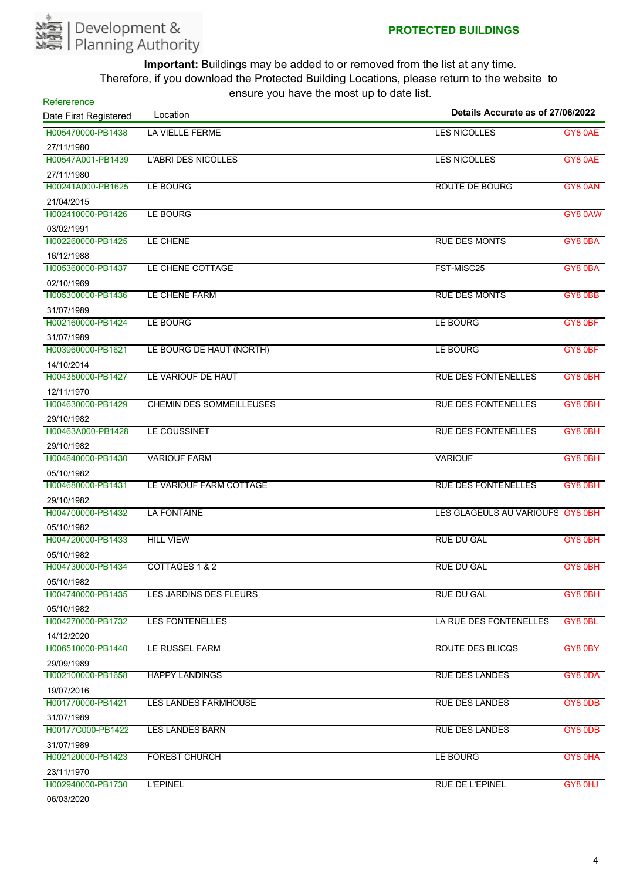

| Refererence           |                                 | $5 - 10 - 10 = 10$<br>Details Accurate as of 27/06/2022 |         |
|-----------------------|---------------------------------|---------------------------------------------------------|---------|
| Date First Registered | Location                        |                                                         |         |
| H005470000-PB1438     | LA VIELLE FERME                 | <b>LES NICOLLES</b>                                     | GY8 0AE |
| 27/11/1980            |                                 |                                                         |         |
| H00547A001-PB1439     | <b>L'ABRI DES NICOLLES</b>      | <b>LES NICOLLES</b>                                     | GY8 0AE |
| 27/11/1980            |                                 |                                                         |         |
| H00241A000-PB1625     | <b>LE BOURG</b>                 | <b>ROUTE DE BOURG</b>                                   | GY8 0AN |
| 21/04/2015            |                                 |                                                         |         |
| H002410000-PB1426     | LE BOURG                        |                                                         | GY8 0AW |
| 03/02/1991            |                                 |                                                         |         |
| H002260000-PB1425     | LE CHENE                        | <b>RUE DES MONTS</b>                                    | GY8 0BA |
| 16/12/1988            |                                 |                                                         |         |
| H005360000-PB1437     | LE CHENE COTTAGE                | FST-MISC25                                              | GY8 0BA |
| 02/10/1969            |                                 |                                                         |         |
| H005300000-PB1436     | LE CHENE FARM                   | <b>RUE DES MONTS</b>                                    | GY8 0BB |
| 31/07/1989            |                                 |                                                         |         |
| H002160000-PB1424     | LE BOURG                        | LE BOURG                                                | GY8 0BF |
| 31/07/1989            |                                 |                                                         |         |
| H003960000-PB1621     | LE BOURG DE HAUT (NORTH)        | LE BOURG                                                | GY8 0BF |
| 14/10/2014            |                                 |                                                         |         |
| H004350000-PB1427     | LE VARIOUF DE HAUT              | <b>RUE DES FONTENELLES</b>                              | GY8 0BH |
| 12/11/1970            |                                 |                                                         |         |
| H004630000-PB1429     | <b>CHEMIN DES SOMMEILLEUSES</b> | <b>RUE DES FONTENELLES</b>                              | GY8 0BH |
| 29/10/1982            |                                 |                                                         |         |
| H00463A000-PB1428     | LE COUSSINET                    | <b>RUE DES FONTENELLES</b>                              | GY8 0BH |
| 29/10/1982            |                                 |                                                         |         |
| H004640000-PB1430     | <b>VARIOUF FARM</b>             | <b>VARIOUF</b>                                          | GY8 0BH |
| 05/10/1982            |                                 |                                                         |         |
| H004680000-PB1431     | LE VARIOUF FARM COTTAGE         | <b>RUE DES FONTENELLES</b>                              | GY8 0BH |
| 29/10/1982            |                                 |                                                         |         |
| H004700000-PB1432     | <b>LA FONTAINE</b>              | LES GLAGEULS AU VARIOUFS GY8 0BH                        |         |
| 05/10/1982            |                                 |                                                         |         |
| H004720000-PB1433     | <b>HILL VIEW</b>                | <b>RUE DU GAL</b>                                       | GY8 0BH |
| 05/10/1982            |                                 |                                                         |         |
| H004730000-PB1434     | COTTAGES 1 & 2                  | <b>RUE DU GAL</b>                                       | GY8 0BH |
| 05/10/1982            |                                 |                                                         |         |
| H004740000-PB1435     | LES JARDINS DES FLEURS          | <b>RUE DU GAL</b>                                       | GY8 0BH |
| 05/10/1982            |                                 |                                                         |         |
| H004270000-PB1732     | <b>LES FONTENELLES</b>          | LA RUE DES FONTENELLES                                  | GY8 0BL |
| 14/12/2020            |                                 |                                                         |         |
| H006510000-PB1440     | LE RUSSEL FARM                  | ROUTE DES BLICQS                                        | GY8 0BY |
| 29/09/1989            |                                 |                                                         |         |
| H002100000-PB1658     | <b>HAPPY LANDINGS</b>           | <b>RUE DES LANDES</b>                                   | GY8 0DA |
| 19/07/2016            |                                 |                                                         |         |
| H001770000-PB1421     | <b>LES LANDES FARMHOUSE</b>     | <b>RUE DES LANDES</b>                                   | GY8 0DB |
| 31/07/1989            |                                 |                                                         |         |
| H00177C000-PB1422     | LES LANDES BARN                 | <b>RUE DES LANDES</b>                                   | GY8 0DB |
| 31/07/1989            |                                 |                                                         |         |
| H002120000-PB1423     | <b>FOREST CHURCH</b>            | LE BOURG                                                | GY8 0HA |
| 23/11/1970            |                                 |                                                         |         |
| H002940000-PB1730     | <b>L'EPINEL</b>                 | <b>RUE DE L'EPINEL</b>                                  | GY8 0HJ |
| 06/03/2020            |                                 |                                                         |         |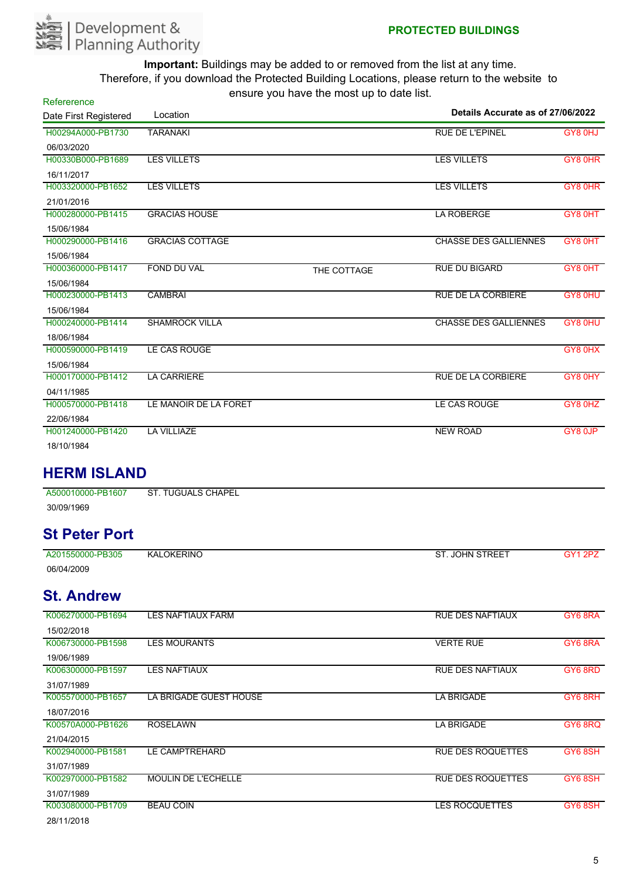

| Refererence           |                           |             |                                   |         |
|-----------------------|---------------------------|-------------|-----------------------------------|---------|
| Date First Registered | Location                  |             | Details Accurate as of 27/06/2022 |         |
| H00294A000-PB1730     | <b>TARANAKI</b>           |             | <b>RUE DE L'EPINEL</b>            | GY8 0HJ |
| 06/03/2020            |                           |             |                                   |         |
| H00330B000-PB1689     | <b>LES VILLETS</b>        |             | <b>LES VILLETS</b>                | GY8 0HR |
| 16/11/2017            |                           |             |                                   |         |
| H003320000-PB1652     | <b>LES VILLETS</b>        |             | <b>LES VILLETS</b>                | GY8 0HR |
| 21/01/2016            |                           |             |                                   |         |
| H000280000-PB1415     | <b>GRACIAS HOUSE</b>      |             | <b>LA ROBERGE</b>                 | GY8 0HT |
| 15/06/1984            |                           |             |                                   |         |
| H000290000-PB1416     | <b>GRACIAS COTTAGE</b>    |             | <b>CHASSE DES GALLIENNES</b>      | GY8 0HT |
| 15/06/1984            |                           |             |                                   |         |
| H000360000-PB1417     | <b>FOND DU VAL</b>        | THE COTTAGE | <b>RUE DU BIGARD</b>              | GY8 0HT |
| 15/06/1984            |                           |             |                                   |         |
| H000230000-PB1413     | <b>CAMBRAI</b>            |             | <b>RUE DE LA CORBIERE</b>         | GY8 0HU |
| 15/06/1984            |                           |             |                                   |         |
| H000240000-PB1414     | <b>SHAMROCK VILLA</b>     |             | <b>CHASSE DES GALLIENNES</b>      | GY8 0HU |
| 18/06/1984            |                           |             |                                   |         |
| H000590000-PB1419     | LE CAS ROUGE              |             |                                   | GY8 0HX |
| 15/06/1984            |                           |             |                                   |         |
| H000170000-PB1412     | <b>LA CARRIERE</b>        |             | RUE DE LA CORBIERE                | GY8 0HY |
| 04/11/1985            |                           |             |                                   |         |
| H000570000-PB1418     | LE MANOIR DE LA FORET     |             | LE CAS ROUGE                      | GY8 0HZ |
| 22/06/1984            |                           |             |                                   |         |
| H001240000-PB1420     | <b>LA VILLIAZE</b>        |             | <b>NEW ROAD</b>                   | GY8 0JP |
| 18/10/1984            |                           |             |                                   |         |
| <b>HERM ISLAND</b>    |                           |             |                                   |         |
| A500010000-PB1607     | <b>ST. TUGUALS CHAPEL</b> |             |                                   |         |

30/09/1969

## **St Peter Port**

| A201550000-PB305 | <b>KALOKERINO</b> | . JOHN STREET<br>ST. | へい |
|------------------|-------------------|----------------------|----|
| 06/04/2009       |                   |                      |    |

## **St. Andrew**

| K006270000-PB1694 | <b>LES NAFTIAUX FARM</b>   | <b>RUE DES NAFTIAUX</b>  | GY6 8RA |
|-------------------|----------------------------|--------------------------|---------|
| 15/02/2018        |                            |                          |         |
| K006730000-PB1598 | LES MOURANTS               | <b>VERTE RUE</b>         | GY6 8RA |
| 19/06/1989        |                            |                          |         |
| K006300000-PB1597 | <b>LES NAFTIAUX</b>        | <b>RUE DES NAFTIAUX</b>  | GY6 8RD |
| 31/07/1989        |                            |                          |         |
| K005570000-PB1657 | LA BRIGADE GUEST HOUSE     | <b>LA BRIGADE</b>        | GY6 8RH |
| 18/07/2016        |                            |                          |         |
| K00570A000-PB1626 | <b>ROSELAWN</b>            | <b>LA BRIGADE</b>        | GY68RQ  |
| 21/04/2015        |                            |                          |         |
| K002940000-PB1581 | LE CAMPTREHARD             | <b>RUE DES ROQUETTES</b> | GY6 8SH |
| 31/07/1989        |                            |                          |         |
| K002970000-PB1582 | <b>MOULIN DE L'ECHELLE</b> | <b>RUE DES ROQUETTES</b> | GY6 8SH |
| 31/07/1989        |                            |                          |         |
| K003080000-PB1709 | <b>BEAU COIN</b>           | <b>LES ROCQUETTES</b>    | GY6 8SH |
| 28/11/2018        |                            |                          |         |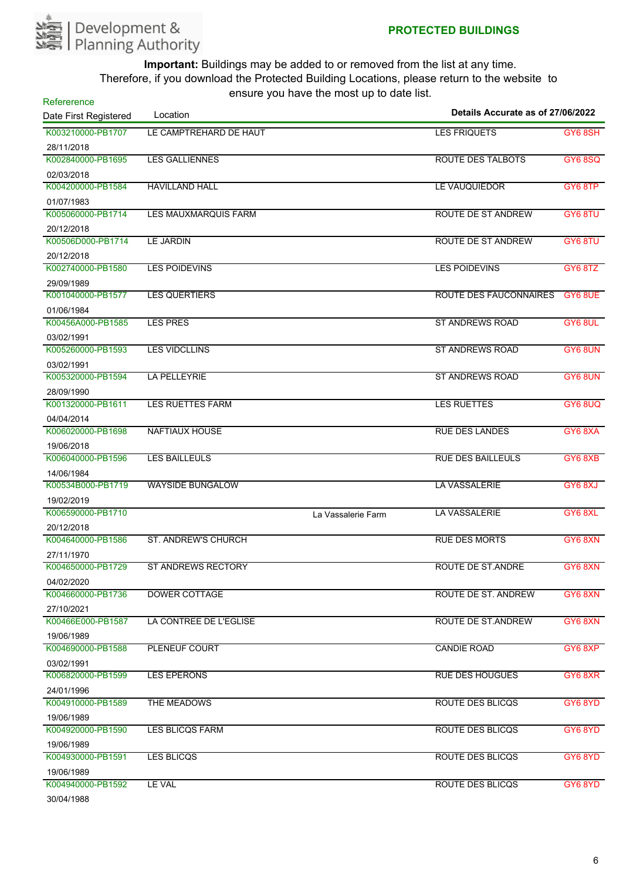

| Refererence           |                             | chodio you have the most up to date hot. |                                   |                |
|-----------------------|-----------------------------|------------------------------------------|-----------------------------------|----------------|
| Date First Registered | Location                    |                                          | Details Accurate as of 27/06/2022 |                |
| K003210000-PB1707     | LE CAMPTREHARD DE HAUT      |                                          | <b>LES FRIQUETS</b>               | GY6 8SH        |
| 28/11/2018            |                             |                                          |                                   |                |
| K002840000-PB1695     | <b>LES GALLIENNES</b>       |                                          | <b>ROUTE DES TALBOTS</b>          | <b>GY6 8SQ</b> |
| 02/03/2018            |                             |                                          |                                   |                |
| K004200000-PB1584     | <b>HAVILLAND HALL</b>       |                                          | LE VAUQUIEDOR                     | GY6 8TP        |
| 01/07/1983            |                             |                                          |                                   |                |
| K005060000-PB1714     | <b>LES MAUXMARQUIS FARM</b> |                                          | <b>ROUTE DE ST ANDREW</b>         | GY6 8TU        |
| 20/12/2018            |                             |                                          |                                   |                |
| K00506D000-PB1714     | <b>LE JARDIN</b>            |                                          | ROUTE DE ST ANDREW                | GY6 8TU        |
| 20/12/2018            |                             |                                          |                                   |                |
| K002740000-PB1580     | <b>LES POIDEVINS</b>        |                                          | <b>LES POIDEVINS</b>              | GY6 8TZ        |
| 29/09/1989            |                             |                                          |                                   |                |
| K001040000-PB1577     | <b>LES QUERTIERS</b>        |                                          | <b>ROUTE DES FAUCONNAIRES</b>     | GY6 8UE        |
| 01/06/1984            |                             |                                          |                                   |                |
| K00456A000-PB1585     | <b>LES PRES</b>             |                                          | <b>ST ANDREWS ROAD</b>            | GY6 8UL        |
| 03/02/1991            |                             |                                          |                                   |                |
| K005260000-PB1593     | <b>LES VIDCLLINS</b>        |                                          | <b>ST ANDREWS ROAD</b>            | GY6 8UN        |
| 03/02/1991            |                             |                                          |                                   |                |
| K005320000-PB1594     | <b>LA PELLEYRIE</b>         |                                          | <b>ST ANDREWS ROAD</b>            | GY6 8UN        |
| 28/09/1990            |                             |                                          |                                   |                |
| K001320000-PB1611     | <b>LES RUETTES FARM</b>     |                                          | <b>LES RUETTES</b>                | GY6 8UQ        |
| 04/04/2014            |                             |                                          |                                   |                |
| K006020000-PB1698     | <b>NAFTIAUX HOUSE</b>       |                                          | <b>RUE DES LANDES</b>             | GY6 8XA        |
| 19/06/2018            |                             |                                          |                                   |                |
| K006040000-PB1596     | <b>LES BAILLEULS</b>        |                                          | <b>RUE DES BAILLEULS</b>          | GY68XB         |
| 14/06/1984            |                             |                                          |                                   |                |
| K00534B000-PB1719     | <b>WAYSIDE BUNGALOW</b>     |                                          | LA VASSALERIE                     | GY6 8XJ        |
| 19/02/2019            |                             |                                          |                                   |                |
| K006590000-PB1710     |                             | La Vassalerie Farm                       | <b>LA VASSALERIE</b>              | GY6 8XL        |
| 20/12/2018            |                             |                                          |                                   |                |
| K004640000-PB1586     | <b>ST. ANDREW'S CHURCH</b>  |                                          | <b>RUE DES MORTS</b>              | GY68XN         |
| 27/11/1970            |                             |                                          |                                   |                |
| K004650000-PB1729     | <b>ST ANDREWS RECTORY</b>   |                                          | <b>ROUTE DE ST.ANDRE</b>          | GY6 8XN        |
| 04/02/2020            |                             |                                          |                                   |                |
| K004660000-PB1736     | <b>DOWER COTTAGE</b>        |                                          | ROUTE DE ST. ANDREW               | GY68XN         |
| 27/10/2021            |                             |                                          |                                   |                |
| K00466E000-PB1587     | LA CONTREE DE L'EGLISE      |                                          | ROUTE DE ST.ANDREW                | GY68XN         |
| 19/06/1989            |                             |                                          |                                   |                |
| K004690000-PB1588     | PLENEUF COURT               |                                          | <b>CANDIE ROAD</b>                | GY6 8XP        |
| 03/02/1991            |                             |                                          |                                   |                |
| K006820000-PB1599     | <b>LES EPERONS</b>          |                                          | <b>RUE DES HOUGUES</b>            | GY6 8XR        |
| 24/01/1996            |                             |                                          |                                   |                |
| K004910000-PB1589     | THE MEADOWS                 |                                          | <b>ROUTE DES BLICQS</b>           | GY6 8YD        |
| 19/06/1989            |                             |                                          |                                   |                |
| K004920000-PB1590     | LES BLICQS FARM             |                                          | <b>ROUTE DES BLICQS</b>           | GY6 8YD        |
| 19/06/1989            |                             |                                          |                                   |                |
| K004930000-PB1591     | <b>LES BLICQS</b>           |                                          | <b>ROUTE DES BLICQS</b>           | GY6 8YD        |
| 19/06/1989            |                             |                                          |                                   |                |
| K004940000-PB1592     | LE VAL                      |                                          | <b>ROUTE DES BLICQS</b>           | GY6 8YD        |
| 20/01/1000            |                             |                                          |                                   |                |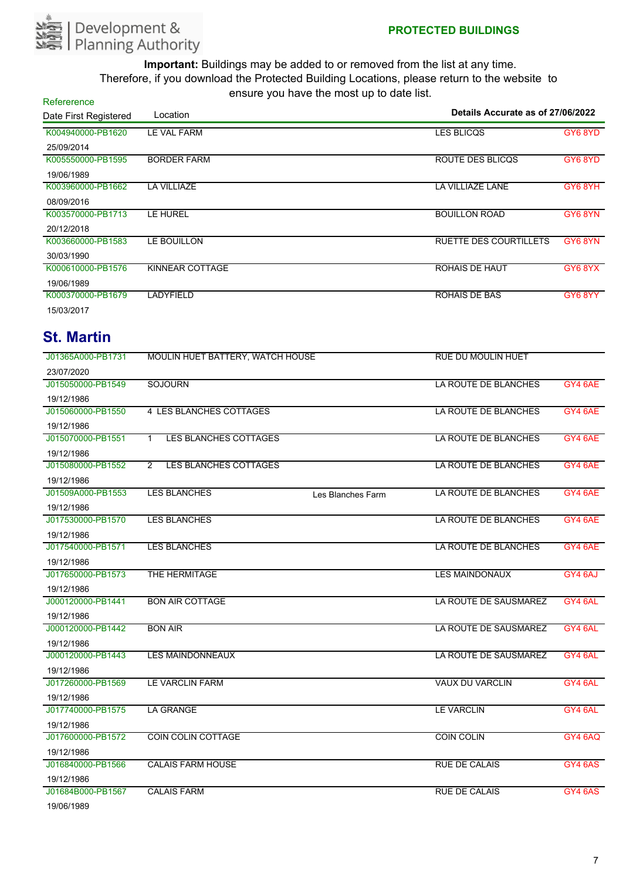

| Refererence           |                    | $\frac{1}{2}$ . The state is the state of the state in the state in the state in the state in the state in the state in the state in the state in the state in the state in the state in the state in the state in the state in t |                                   |         |
|-----------------------|--------------------|-----------------------------------------------------------------------------------------------------------------------------------------------------------------------------------------------------------------------------------|-----------------------------------|---------|
| Date First Registered | Location           |                                                                                                                                                                                                                                   | Details Accurate as of 27/06/2022 |         |
| K004940000-PB1620     | <b>LE VAL FARM</b> |                                                                                                                                                                                                                                   | <b>LES BLICQS</b>                 | GY6 8YD |
| 25/09/2014            |                    |                                                                                                                                                                                                                                   |                                   |         |
| K005550000-PB1595     | <b>BORDER FARM</b> |                                                                                                                                                                                                                                   | ROUTE DES BLICQS                  | GY6 8YD |
| 19/06/1989            |                    |                                                                                                                                                                                                                                   |                                   |         |
| K003960000-PB1662     | <b>LA VILLIAZE</b> |                                                                                                                                                                                                                                   | LA VILLIAZE LANE                  | GY6 8YH |
| 08/09/2016            |                    |                                                                                                                                                                                                                                   |                                   |         |
| K003570000-PB1713     | LE HUREL           |                                                                                                                                                                                                                                   | <b>BOUILLON ROAD</b>              | GY68YN  |
| 20/12/2018            |                    |                                                                                                                                                                                                                                   |                                   |         |
| K003660000-PB1583     | <b>LE BOUILLON</b> |                                                                                                                                                                                                                                   | <b>RUETTE DES COURTILLETS</b>     | GY68YN  |
| 30/03/1990            |                    |                                                                                                                                                                                                                                   |                                   |         |
| K000610000-PB1576     | KINNEAR COTTAGE    |                                                                                                                                                                                                                                   | ROHAIS DE HAUT                    | GY6 8YX |
| 19/06/1989            |                    |                                                                                                                                                                                                                                   |                                   |         |
| K000370000-PB1679     | LADYFIELD          |                                                                                                                                                                                                                                   | <b>ROHAIS DE BAS</b>              | GY6 8YY |
| 15/03/2017            |                    |                                                                                                                                                                                                                                   |                                   |         |

## **St. Martin**

| J01365A000-PB1731 | MOULIN HUET BATTERY, WATCH HOUSE               |                   | <b>RUE DU MOULIN HUET</b> |                |
|-------------------|------------------------------------------------|-------------------|---------------------------|----------------|
| 23/07/2020        |                                                |                   |                           |                |
| J015050000-PB1549 | <b>SOJOURN</b>                                 |                   | LA ROUTE DE BLANCHES      | GY4 6AE        |
| 19/12/1986        |                                                |                   |                           |                |
| J015060000-PB1550 | 4 LES BLANCHES COTTAGES                        |                   | LA ROUTE DE BLANCHES      | GY4 6AE        |
| 19/12/1986        |                                                |                   |                           |                |
| J015070000-PB1551 | LES BLANCHES COTTAGES<br>$\mathbf{1}$          |                   | LA ROUTE DE BLANCHES      | GY4 6AE        |
| 19/12/1986        |                                                |                   |                           |                |
| J015080000-PB1552 | <b>LES BLANCHES COTTAGES</b><br>$\overline{2}$ |                   | LA ROUTE DE BLANCHES      | GY4 6AE        |
| 19/12/1986        |                                                |                   |                           |                |
| J01509A000-PB1553 | <b>LES BLANCHES</b>                            | Les Blanches Farm | LA ROUTE DE BLANCHES      | GY4 6AE        |
| 19/12/1986        |                                                |                   |                           |                |
| J017530000-PB1570 | <b>LES BLANCHES</b>                            |                   | LA ROUTE DE BLANCHES      | GY4 6AE        |
| 19/12/1986        |                                                |                   |                           |                |
| J017540000-PB1571 | LES BLANCHES                                   |                   | LA ROUTE DE BLANCHES      | GY4 6AE        |
| 19/12/1986        |                                                |                   |                           |                |
| J017650000-PB1573 | THE HERMITAGE                                  |                   | <b>LES MAINDONAUX</b>     | GY4 6AJ        |
| 19/12/1986        |                                                |                   |                           |                |
| J000120000-PB1441 | <b>BON AIR COTTAGE</b>                         |                   | LA ROUTE DE SAUSMAREZ     | GY4 6AL        |
| 19/12/1986        |                                                |                   |                           |                |
| J000120000-PB1442 | <b>BON AIR</b>                                 |                   | LA ROUTE DE SAUSMAREZ     | GY4 6AL        |
| 19/12/1986        |                                                |                   |                           |                |
| J000120000-PB1443 | <b>LES MAINDONNEAUX</b>                        |                   | LA ROUTE DE SAUSMAREZ     | GY4 6AL        |
| 19/12/1986        |                                                |                   |                           |                |
| J017260000-PB1569 | <b>LE VARCLIN FARM</b>                         |                   | <b>VAUX DU VARCLIN</b>    | GY4 6AL        |
| 19/12/1986        |                                                |                   |                           |                |
| J017740000-PB1575 | <b>LA GRANGE</b>                               |                   | <b>LE VARCLIN</b>         | GY4 6AL        |
| 19/12/1986        |                                                |                   |                           |                |
| J017600000-PB1572 | <b>COIN COLIN COTTAGE</b>                      |                   | <b>COIN COLIN</b>         | GY4 6AQ        |
| 19/12/1986        |                                                |                   |                           |                |
| J016840000-PB1566 | <b>CALAIS FARM HOUSE</b>                       |                   | <b>RUE DE CALAIS</b>      | <b>GY4 6AS</b> |
| 19/12/1986        |                                                |                   |                           |                |
| J01684B000-PB1567 | <b>CALAIS FARM</b>                             |                   | <b>RUE DE CALAIS</b>      | GY4 6AS        |
| 19/06/1989        |                                                |                   |                           |                |

7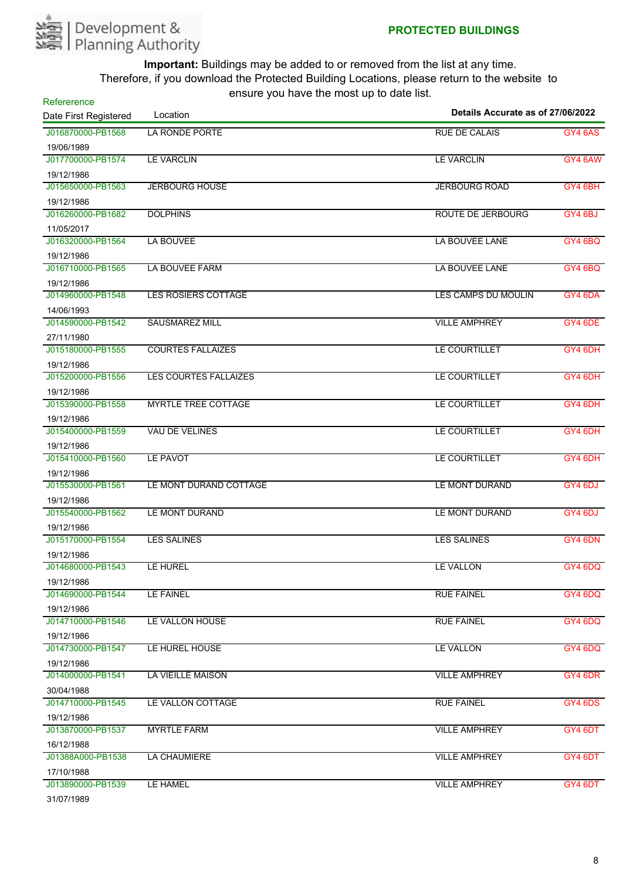

| Refererence           |                              |                                   |                |
|-----------------------|------------------------------|-----------------------------------|----------------|
| Date First Registered | Location                     | Details Accurate as of 27/06/2022 |                |
| J016870000-PB1568     | LA RONDE PORTE               | <b>RUE DE CALAIS</b>              | <b>GY4 6AS</b> |
| 19/06/1989            |                              |                                   |                |
| J017700000-PB1574     | <b>LE VARCLIN</b>            | <b>LE VARCLIN</b>                 | GY4 6AW        |
| 19/12/1986            |                              |                                   |                |
| J015650000-PB1563     | <b>JERBOURG HOUSE</b>        | <b>JERBOURG ROAD</b>              | GY4 6BH        |
| 19/12/1986            |                              |                                   |                |
| J016260000-PB1682     | <b>DOLPHINS</b>              | <b>ROUTE DE JERBOURG</b>          | GY4 6BJ        |
| 11/05/2017            |                              |                                   |                |
| J016320000-PB1564     | LA BOUVEE                    | LA BOUVEE LANE                    | GY4 6BQ        |
| 19/12/1986            |                              |                                   |                |
| J016710000-PB1565     | LA BOUVEE FARM               | LA BOUVEE LANE                    | <b>GY4 6BQ</b> |
| 19/12/1986            |                              |                                   |                |
| J014960000-PB1548     | <b>LES ROSIERS COTTAGE</b>   | LES CAMPS DU MOULIN               | GY4 6DA        |
| 14/06/1993            |                              |                                   |                |
| J014590000-PB1542     | <b>SAUSMAREZ MILL</b>        | <b>VILLE AMPHREY</b>              | GY4 6DE        |
| 27/11/1980            |                              |                                   |                |
| J015180000-PB1555     | <b>COURTES FALLAIZES</b>     | LE COURTILLET                     | GY4 6DH        |
| 19/12/1986            |                              |                                   |                |
| J015200000-PB1556     | <b>LES COURTES FALLAIZES</b> | LE COURTILLET                     | GY4 6DH        |
| 19/12/1986            |                              |                                   |                |
| J015390000-PB1558     | <b>MYRTLE TREE COTTAGE</b>   | LE COURTILLET                     | GY4 6DH        |
| 19/12/1986            |                              |                                   |                |
| J015400000-PB1559     | <b>VAU DE VELINES</b>        | LE COURTILLET                     | GY4 6DH        |
| 19/12/1986            |                              |                                   |                |
| J015410000-PB1560     | LE PAVOT                     | LE COURTILLET                     | GY4 6DH        |
| 19/12/1986            |                              |                                   |                |
| J015530000-PB1561     | LE MONT DURAND COTTAGE       | LE MONT DURAND                    | GY4 6DJ        |
| 19/12/1986            |                              |                                   |                |
| J015540000-PB1562     | LE MONT DURAND               | LE MONT DURAND                    | GY4 6DJ        |
| 19/12/1986            |                              |                                   |                |
| J015170000-PB1554     | <b>LES SALINES</b>           | <b>LES SALINES</b>                | GY4 6DN        |
| 19/12/1986            |                              |                                   |                |
| J014680000-PB1543     | LE HUREL                     | LE VALLON                         | GY4 6DQ        |
| 19/12/1986            |                              |                                   |                |
| J014690000-PB1544     | <b>LE FAINEL</b>             | <b>RUE FAINEL</b>                 | GY4 6DQ        |
| 19/12/1986            |                              |                                   |                |
| J014710000-PB1546     | LE VALLON HOUSE              | <b>RUE FAINEL</b>                 | GY4 6DQ        |
| 19/12/1986            |                              |                                   |                |
| J014730000-PB1547     | LE HUREL HOUSE               | LE VALLON                         | GY4 6DQ        |
| 19/12/1986            |                              |                                   |                |
| J014000000-PB1541     | <b>LA VIEILLE MAISON</b>     | <b>VILLE AMPHREY</b>              | GY4 6DR        |
| 30/04/1988            |                              |                                   |                |
| J014710000-PB1545     | LE VALLON COTTAGE            | <b>RUE FAINEL</b>                 | GY4 6DS        |
| 19/12/1986            |                              |                                   |                |
| J013870000-PB1537     | <b>MYRTLE FARM</b>           | <b>VILLE AMPHREY</b>              | GY4 6DT        |
| 16/12/1988            |                              |                                   |                |
| J01388A000-PB1538     | LA CHAUMIERE                 | <b>VILLE AMPHREY</b>              | GY4 6DT        |
| 17/10/1988            |                              |                                   |                |
| J013890000-PB1539     | LE HAMEL                     | <b>VILLE AMPHREY</b>              | GY4 6DT        |
| $2410714000$          |                              |                                   |                |

31/07/1989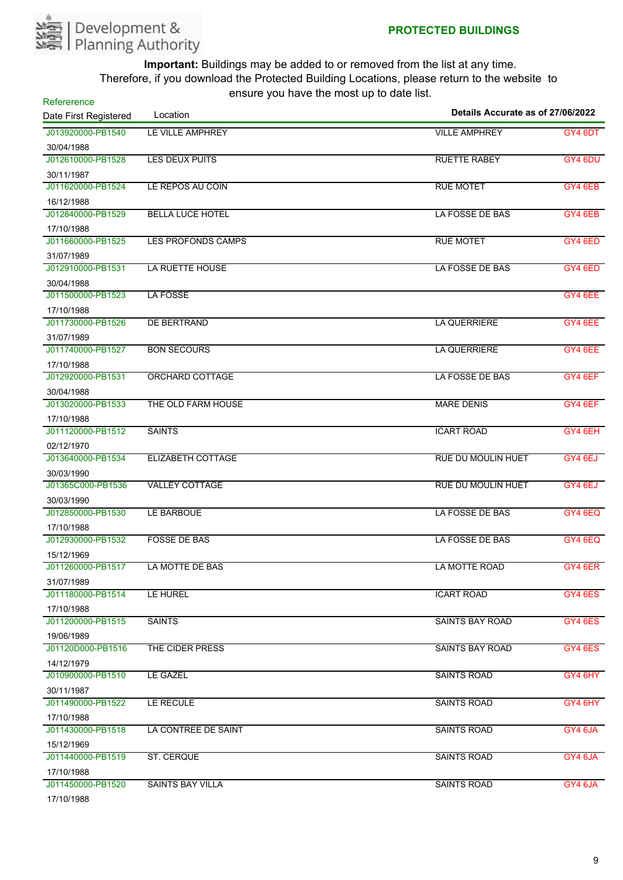

| Refererence           |                           |                                   |         |
|-----------------------|---------------------------|-----------------------------------|---------|
| Date First Registered | Location                  | Details Accurate as of 27/06/2022 |         |
| J013920000-PB1540     | LE VILLE AMPHREY          | <b>VILLE AMPHREY</b>              | GY4 6DT |
| 30/04/1988            |                           |                                   |         |
| J012610000-PB1528     | <b>LES DEUX PUITS</b>     | <b>RUETTE RABEY</b>               | GY4 6DU |
| 30/11/1987            |                           |                                   |         |
| J011620000-PB1524     | LE REPOS AU COIN          | <b>RUE MOTET</b>                  | GY4 6EB |
| 16/12/1988            |                           |                                   |         |
| J012840000-PB1529     | <b>BELLA LUCE HOTEL</b>   | LA FOSSE DE BAS                   | GY4 6EB |
| 17/10/1988            |                           |                                   |         |
| J011660000-PB1525     | <b>LES PROFONDS CAMPS</b> | <b>RUE MOTET</b>                  | GY4 6ED |
| 31/07/1989            |                           |                                   |         |
| J012910000-PB1531     | LA RUETTE HOUSE           | LA FOSSE DE BAS                   | GY4 6ED |
| 30/04/1988            |                           |                                   |         |
| J011500000-PB1523     | <b>LA FOSSE</b>           |                                   | GY4 6EE |
| 17/10/1988            |                           |                                   |         |
| J011730000-PB1526     | DE BERTRAND               | <b>LA QUERRIERE</b>               | GY4 6EE |
| 31/07/1989            |                           |                                   |         |
| J011740000-PB1527     | <b>BON SECOURS</b>        | LA QUERRIERE                      | GY4 6EE |
| 17/10/1988            |                           |                                   |         |
| J012920000-PB1531     | ORCHARD COTTAGE           | LA FOSSE DE BAS                   | GY4 6EF |
| 30/04/1988            |                           |                                   |         |
| J013020000-PB1533     | THE OLD FARM HOUSE        | <b>MARE DENIS</b>                 | GY4 6EF |
| 17/10/1988            |                           |                                   |         |
| J011120000-PB1512     | <b>SAINTS</b>             | <b>ICART ROAD</b>                 | GY4 6EH |
| 02/12/1970            |                           |                                   |         |
| J013640000-PB1534     | ELIZABETH COTTAGE         | <b>RUE DU MOULIN HUET</b>         | GY4 6EJ |
| 30/03/1990            |                           |                                   |         |
| J01365C000-PB1536     | <b>VALLEY COTTAGE</b>     | <b>RUE DU MOULIN HUET</b>         | GY4 6EJ |
| 30/03/1990            |                           |                                   |         |
| J012850000-PB1530     | LE BARBOUE                | LA FOSSE DE BAS                   | GY4 6EQ |
| 17/10/1988            |                           |                                   |         |
| J012930000-PB1532     | <b>FOSSE DE BAS</b>       | LA FOSSE DE BAS                   | GY4 6EQ |
| 15/12/1969            |                           |                                   |         |
| J011260000-PB1517     | LA MOTTE DE BAS           | LA MOTTE ROAD                     | GY4 6ER |
| 31/07/1989            |                           |                                   |         |
| J011180000-PB1514     | LE HUREL                  | <b>ICART ROAD</b>                 | GY4 6ES |
| 17/10/1988            |                           |                                   |         |
| J011200000-PB1515     | <b>SAINTS</b>             | <b>SAINTS BAY ROAD</b>            | GY4 6ES |
| 19/06/1989            |                           |                                   |         |
| J01120D000-PB1516     | THE CIDER PRESS           | <b>SAINTS BAY ROAD</b>            | GY4 6ES |
| 14/12/1979            |                           |                                   |         |
| J010900000-PB1510     | <b>LE GAZEL</b>           | <b>SAINTS ROAD</b>                | GY4 6HY |
| 30/11/1987            |                           |                                   |         |
| J011490000-PB1522     | LE RECULE                 | <b>SAINTS ROAD</b>                | GY4 6HY |
| 17/10/1988            |                           |                                   |         |
| J011430000-PB1518     | LA CONTREE DE SAINT       | <b>SAINTS ROAD</b>                | GY4 6JA |
| 15/12/1969            |                           |                                   |         |
| J011440000-PB1519     | ST. CERQUE                | <b>SAINTS ROAD</b>                | GY4 6JA |
| 17/10/1988            |                           |                                   |         |
| J011450000-PB1520     | <b>SAINTS BAY VILLA</b>   | <b>SAINTS ROAD</b>                | GY4 6JA |
| 17/10/1988            |                           |                                   |         |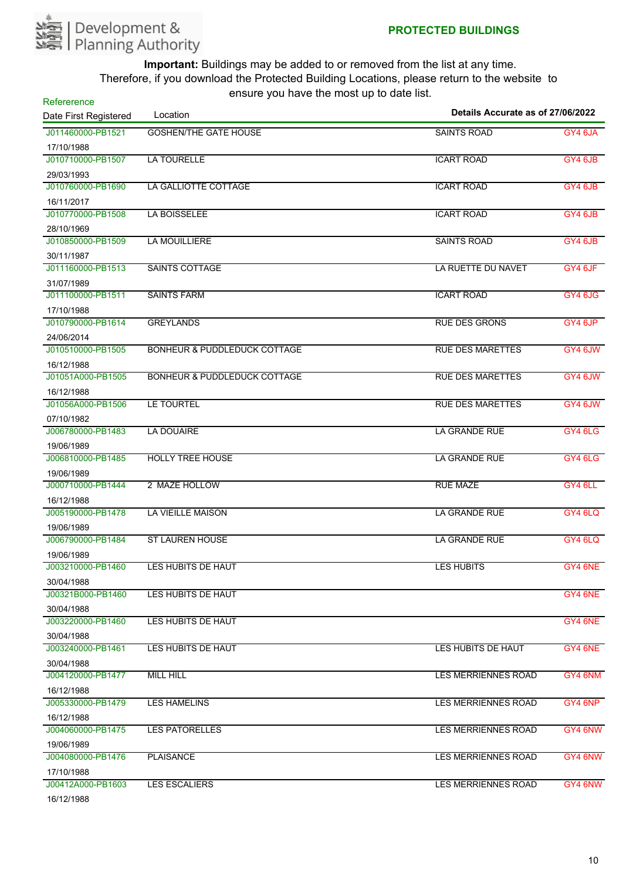

| Refererence                     | $10.91$ $\sigma$ $1.91$ $\sigma$ $1.1$ $\sigma$ $1.1$ $\sigma$ $\sigma$ $\sigma$ |                                   |         |
|---------------------------------|----------------------------------------------------------------------------------|-----------------------------------|---------|
| Date First Registered           | Location                                                                         | Details Accurate as of 27/06/2022 |         |
| J011460000-PB1521               | <b>GOSHEN/THE GATE HOUSE</b>                                                     | <b>SAINTS ROAD</b>                | GY4 6JA |
| 17/10/1988                      |                                                                                  |                                   |         |
| J010710000-PB1507               | <b>LA TOURELLE</b>                                                               | <b>ICART ROAD</b>                 | GY4 6JB |
| 29/03/1993                      |                                                                                  |                                   |         |
| J010760000-PB1690               | LA GALLIOTTE COTTAGE                                                             | <b>ICART ROAD</b>                 | GY4 6JB |
| 16/11/2017                      |                                                                                  |                                   |         |
| J010770000-PB1508               | <b>LA BOISSELEE</b>                                                              | <b>ICART ROAD</b>                 | GY4 6JB |
| 28/10/1969                      |                                                                                  |                                   |         |
| J010850000-PB1509               | <b>LA MOUILLIERE</b>                                                             | <b>SAINTS ROAD</b>                | GY4 6JB |
| 30/11/1987                      |                                                                                  |                                   |         |
| J011160000-PB1513               | <b>SAINTS COTTAGE</b>                                                            | LA RUETTE DU NAVET                | GY4 6JF |
| 31/07/1989                      |                                                                                  |                                   |         |
| J011100000-PB1511               | <b>SAINTS FARM</b>                                                               | <b>ICART ROAD</b>                 | GY4 6JG |
| 17/10/1988                      |                                                                                  |                                   |         |
| J010790000-PB1614               | <b>GREYLANDS</b>                                                                 | <b>RUE DES GRONS</b>              | GY4 6JP |
| 24/06/2014                      |                                                                                  |                                   |         |
| J010510000-PB1505               | <b>BONHEUR &amp; PUDDLEDUCK COTTAGE</b>                                          | <b>RUE DES MARETTES</b>           | GY4 6JW |
| 16/12/1988                      |                                                                                  |                                   |         |
| J01051A000-PB1505               | <b>BONHEUR &amp; PUDDLEDUCK COTTAGE</b>                                          | <b>RUE DES MARETTES</b>           | GY4 6JW |
| 16/12/1988                      |                                                                                  |                                   |         |
| J01056A000-PB1506               | LE TOURTEL                                                                       | <b>RUE DES MARETTES</b>           | GY4 6JW |
| 07/10/1982                      |                                                                                  |                                   |         |
| J006780000-PB1483               | <b>LA DOUAIRE</b>                                                                | <b>LA GRANDE RUE</b>              | GY4 6LG |
| 19/06/1989                      |                                                                                  |                                   |         |
| J006810000-PB1485               | <b>HOLLY TREE HOUSE</b>                                                          | LA GRANDE RUE                     | GY4 6LG |
| 19/06/1989                      |                                                                                  |                                   |         |
| J000710000-PB1444               | 2 MAZE HOLLOW                                                                    | <b>RUE MAZE</b>                   | GY4 6LL |
| 16/12/1988                      |                                                                                  |                                   |         |
| J005190000-PB1478               | <b>LA VIEILLE MAISON</b>                                                         | <b>LA GRANDE RUE</b>              | GY4 6LQ |
| 19/06/1989                      |                                                                                  |                                   |         |
| J006790000-PB1484               | <b>ST LAUREN HOUSE</b>                                                           | <b>LA GRANDE RUE</b>              | GY4 6LQ |
| 19/06/1989                      |                                                                                  |                                   |         |
| J003210000-PB1460               | LES HUBITS DE HAUT                                                               | <b>LES HUBITS</b>                 | GY4 6NE |
| 30/04/1988                      |                                                                                  |                                   |         |
| J00321B000-PB1460               | LES HUBITS DE HAUT                                                               |                                   | GY4 6NE |
| 30/04/1988                      |                                                                                  |                                   |         |
| J003220000-PB1460               | LES HUBITS DE HAUT                                                               |                                   | GY4 6NE |
| 30/04/1988                      |                                                                                  |                                   |         |
| J003240000-PB1461               | LES HUBITS DE HAUT                                                               | LES HUBITS DE HAUT                | GY4 6NE |
| 30/04/1988                      |                                                                                  |                                   |         |
| J004120000-PB1477               | <b>MILL HILL</b>                                                                 | <b>LES MERRIENNES ROAD</b>        | GY4 6NM |
| 16/12/1988                      |                                                                                  |                                   |         |
| J005330000-PB1479               | <b>LES HAMELINS</b>                                                              | <b>LES MERRIENNES ROAD</b>        | GY4 6NP |
| 16/12/1988                      |                                                                                  |                                   |         |
| J004060000-PB1475               | <b>LES PATORELLES</b>                                                            | LES MERRIENNES ROAD               | GY4 6NW |
| 19/06/1989                      |                                                                                  |                                   |         |
| J004080000-PB1476               | <b>PLAISANCE</b>                                                                 | <b>LES MERRIENNES ROAD</b>        | GY4 6NW |
| 17/10/1988                      |                                                                                  |                                   |         |
| J00412A000-PB1603<br>1011011000 | <b>LES ESCALIERS</b>                                                             | LES MERRIENNES ROAD               | GY4 6NW |

16/12/1988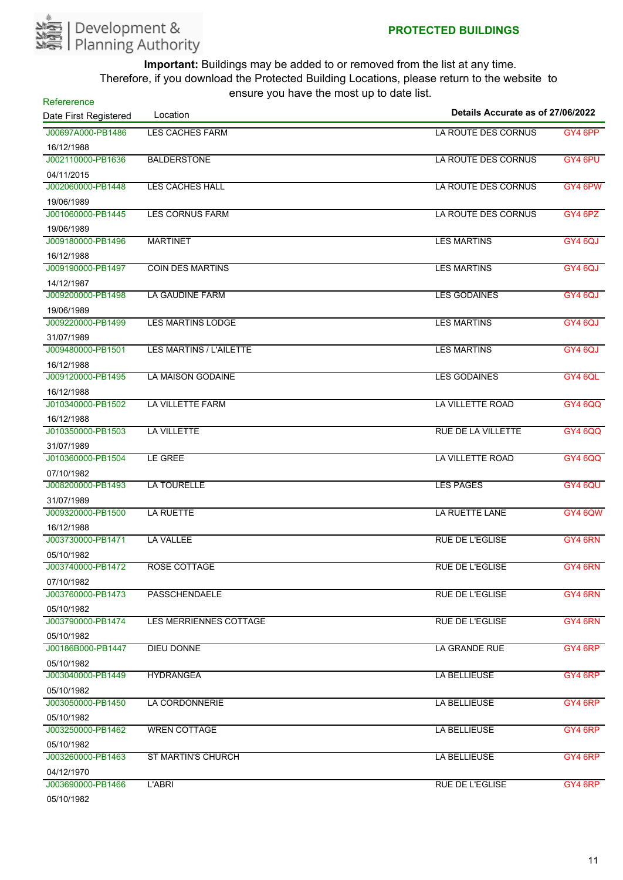

| Refererence           | $10.91$ $\sigma$ $1.91$ $\sigma$ $1.1$ $\sigma$ $1.1$ $\sigma$ $\sigma$ $\sigma$ | Details Accurate as of 27/06/2022 |                |
|-----------------------|----------------------------------------------------------------------------------|-----------------------------------|----------------|
| Date First Registered | Location                                                                         |                                   |                |
| J00697A000-PB1486     | <b>LES CACHES FARM</b>                                                           | LA ROUTE DES CORNUS               | GY4 6PP        |
| 16/12/1988            |                                                                                  |                                   |                |
| J002110000-PB1636     | <b>BALDERSTONE</b>                                                               | LA ROUTE DES CORNUS               | GY4 6PU        |
| 04/11/2015            |                                                                                  |                                   |                |
| J002060000-PB1448     | <b>LES CACHES HALL</b>                                                           | LA ROUTE DES CORNUS               | GY4 6PW        |
| 19/06/1989            |                                                                                  |                                   |                |
| J001060000-PB1445     | <b>LES CORNUS FARM</b>                                                           | LA ROUTE DES CORNUS               | GY4 6PZ        |
| 19/06/1989            |                                                                                  |                                   |                |
| J009180000-PB1496     | <b>MARTINET</b>                                                                  | <b>LES MARTINS</b>                | GY4 6QJ        |
| 16/12/1988            |                                                                                  |                                   |                |
| J009190000-PB1497     | <b>COIN DES MARTINS</b>                                                          | <b>LES MARTINS</b>                | GY4 6QJ        |
| 14/12/1987            |                                                                                  |                                   |                |
| J009200000-PB1498     | <b>LA GAUDINE FARM</b>                                                           | <b>LES GODAINES</b>               | GY4 6QJ        |
| 19/06/1989            |                                                                                  |                                   |                |
| J009220000-PB1499     | <b>LES MARTINS LODGE</b>                                                         | <b>LES MARTINS</b>                | GY4 6QJ        |
| 31/07/1989            |                                                                                  |                                   |                |
| J009480000-PB1501     | <b>LES MARTINS / L'AILETTE</b>                                                   | <b>LES MARTINS</b>                | GY4 6QJ        |
| 16/12/1988            |                                                                                  |                                   |                |
| J009120000-PB1495     | <b>LA MAISON GODAINE</b>                                                         | <b>LES GODAINES</b>               | GY4 6QL        |
| 16/12/1988            |                                                                                  |                                   |                |
| J010340000-PB1502     | LA VILLETTE FARM                                                                 | LA VILLETTE ROAD                  | <b>GY4 6QQ</b> |
| 16/12/1988            |                                                                                  |                                   |                |
| J010350000-PB1503     | <b>LA VILLETTE</b>                                                               | RUE DE LA VILLETTE                | <b>GY4 6QQ</b> |
| 31/07/1989            |                                                                                  |                                   |                |
| J010360000-PB1504     | LE GREE                                                                          | LA VILLETTE ROAD                  | <b>GY4 6QQ</b> |
| 07/10/1982            |                                                                                  |                                   |                |
| J008200000-PB1493     | LA TOURELLE                                                                      | <b>LES PAGES</b>                  | GY4 6QU        |
| 31/07/1989            |                                                                                  |                                   |                |
| J009320000-PB1500     | <b>LA RUETTE</b>                                                                 | LA RUETTE LANE                    | <b>GY4 6QW</b> |
| 16/12/1988            |                                                                                  |                                   |                |
| J003730000-PB1471     | <b>LA VALLEE</b>                                                                 | <b>RUE DE L'EGLISE</b>            | GY4 6RN        |
| 05/10/1982            |                                                                                  |                                   |                |
| J003740000-PB1472     | <b>ROSE COTTAGE</b>                                                              | <b>RUE DE L'EGLISE</b>            | GY4 6RN        |
| 07/10/1982            |                                                                                  |                                   |                |
| J003760000-PB1473     | <b>PASSCHENDAELE</b>                                                             | <b>RUE DE L'EGLISE</b>            | GY4 6RN        |
| 05/10/1982            |                                                                                  |                                   |                |
| J003790000-PB1474     | LES MERRIENNES COTTAGE                                                           | <b>RUE DE L'EGLISE</b>            | GY4 6RN        |
| 05/10/1982            |                                                                                  |                                   |                |
| J00186B000-PB1447     | DIEU DONNE                                                                       | LA GRANDE RUE                     | GY4 6RP        |
| 05/10/1982            |                                                                                  |                                   |                |
| J003040000-PB1449     | <b>HYDRANGEA</b>                                                                 | LA BELLIEUSE                      | GY4 6RP        |
| 05/10/1982            |                                                                                  |                                   |                |
| J003050000-PB1450     | LA CORDONNERIE                                                                   | LA BELLIEUSE                      | GY4 6RP        |
| 05/10/1982            |                                                                                  |                                   |                |
| J003250000-PB1462     | <b>WREN COTTAGE</b>                                                              | LA BELLIEUSE                      | GY4 6RP        |
| 05/10/1982            |                                                                                  |                                   |                |
| J003260000-PB1463     | <b>ST MARTIN'S CHURCH</b>                                                        | LA BELLIEUSE                      | GY4 6RP        |
| 04/12/1970            |                                                                                  |                                   |                |
| J003690000-PB1466     | L'ABRI                                                                           | <b>RUE DE L'EGLISE</b>            | GY4 6RP        |
| 05/10/1982            |                                                                                  |                                   |                |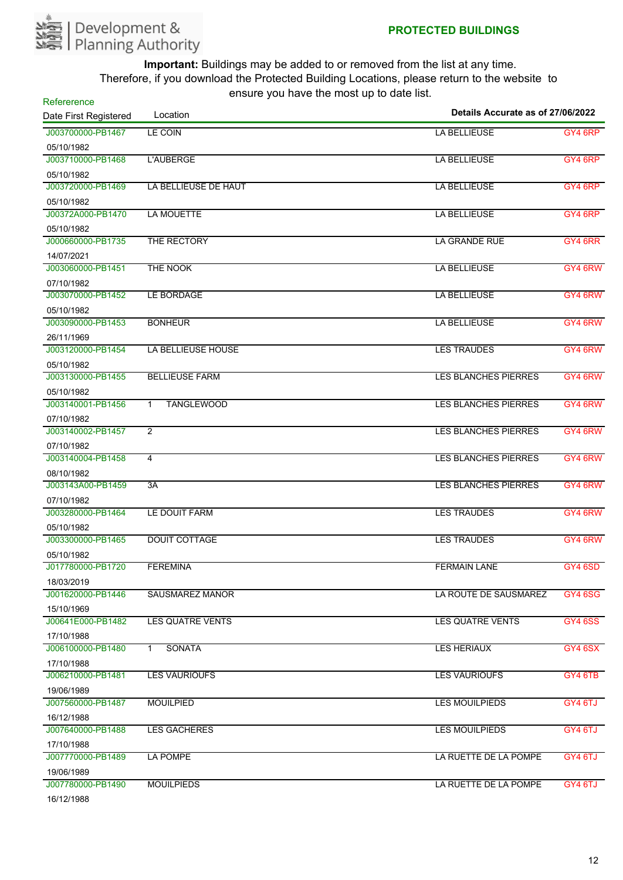

| Refererence           | --- - <i>--</i> ----- -- --- --- --- --- ---<br>Details Accurate as of 27/06/2022 |                             |                |
|-----------------------|-----------------------------------------------------------------------------------|-----------------------------|----------------|
| Date First Registered | Location                                                                          |                             |                |
| J003700000-PB1467     | <b>LE COIN</b>                                                                    | LA BELLIEUSE                | GY4 6RP        |
| 05/10/1982            |                                                                                   |                             |                |
| J003710000-PB1468     | L'AUBERGE                                                                         | <b>LA BELLIEUSE</b>         | GY4 6RP        |
| 05/10/1982            |                                                                                   |                             |                |
| J003720000-PB1469     | LA BELLIEUSE DE HAUT                                                              | <b>LA BELLIEUSE</b>         | GY4 6RP        |
| 05/10/1982            |                                                                                   |                             |                |
| J00372A000-PB1470     | <b>LA MOUETTE</b>                                                                 | <b>LA BELLIEUSE</b>         | GY4 6RP        |
| 05/10/1982            |                                                                                   |                             |                |
| J000660000-PB1735     | THE RECTORY                                                                       | LA GRANDE RUE               | GY4 6RR        |
| 14/07/2021            |                                                                                   |                             |                |
| J003060000-PB1451     | THE NOOK                                                                          | <b>LA BELLIEUSE</b>         | GY4 6RW        |
| 07/10/1982            |                                                                                   |                             |                |
| J003070000-PB1452     | LE BORDAGE                                                                        | <b>LA BELLIEUSE</b>         | GY4 6RW        |
| 05/10/1982            |                                                                                   |                             |                |
| J003090000-PB1453     | <b>BONHEUR</b>                                                                    | LA BELLIEUSE                | GY4 6RW        |
| 26/11/1969            |                                                                                   |                             |                |
| J003120000-PB1454     | LA BELLIEUSE HOUSE                                                                | <b>LES TRAUDES</b>          | GY4 6RW        |
| 05/10/1982            |                                                                                   |                             |                |
| J003130000-PB1455     | <b>BELLIEUSE FARM</b>                                                             | <b>LES BLANCHES PIERRES</b> | GY4 6RW        |
| 05/10/1982            |                                                                                   |                             |                |
| J003140001-PB1456     | <b>TANGLEWOOD</b><br>$\mathbf{1}$                                                 | <b>LES BLANCHES PIERRES</b> | GY4 6RW        |
| 07/10/1982            |                                                                                   |                             |                |
| J003140002-PB1457     | $\overline{2}$                                                                    | <b>LES BLANCHES PIERRES</b> | GY4 6RW        |
| 07/10/1982            |                                                                                   |                             |                |
| J003140004-PB1458     | 4                                                                                 | <b>LES BLANCHES PIERRES</b> | GY4 6RW        |
| 08/10/1982            |                                                                                   |                             |                |
| J003143A00-PB1459     | 3A                                                                                | <b>LES BLANCHES PIERRES</b> | GY4 6RW        |
| 07/10/1982            |                                                                                   |                             |                |
| J003280000-PB1464     | LE DOUIT FARM                                                                     | <b>LES TRAUDES</b>          | GY4 6RW        |
| 05/10/1982            |                                                                                   |                             |                |
| J003300000-PB1465     | <b>DOUIT COTTAGE</b>                                                              | <b>LES TRAUDES</b>          | GY4 6RW        |
| 05/10/1982            |                                                                                   |                             |                |
| J017780000-PB1720     | <b>FEREMINA</b>                                                                   | <b>FERMAIN LANE</b>         | GY4 6SD        |
| 18/03/2019            |                                                                                   |                             |                |
| J001620000-PB1446     | <b>SAUSMAREZ MANOR</b>                                                            | LA ROUTE DE SAUSMAREZ       | <b>GY4 6SG</b> |
| 15/10/1969            |                                                                                   |                             |                |
| J00641E000-PB1482     | LES QUATRE VENTS                                                                  | <b>LES QUATRE VENTS</b>     | <b>GY4 6SS</b> |
| 17/10/1988            |                                                                                   |                             |                |
| J006100000-PB1480     | <b>SONATA</b><br>$\mathbf{1}$                                                     | <b>LES HERIAUX</b>          | <b>GY4 6SX</b> |
| 17/10/1988            |                                                                                   |                             |                |
| J006210000-PB1481     | <b>LES VAURIOUFS</b>                                                              | <b>LES VAURIOUFS</b>        | GY4 6TB        |
| 19/06/1989            |                                                                                   |                             |                |
| J007560000-PB1487     | <b>MOUILPIED</b>                                                                  | <b>LES MOUILPIEDS</b>       | GY4 6TJ        |
| 16/12/1988            |                                                                                   |                             |                |
| J007640000-PB1488     | <b>LES GACHERES</b>                                                               | <b>LES MOUILPIEDS</b>       | GY4 6TJ        |
| 17/10/1988            |                                                                                   |                             |                |
| J007770000-PB1489     | LA POMPE                                                                          | LA RUETTE DE LA POMPE       | GY4 6TJ        |
| 19/06/1989            |                                                                                   |                             |                |
| J007780000-PB1490     | <b>MOUILPIEDS</b>                                                                 | LA RUETTE DE LA POMPE       | GY4 6TJ        |
| 1011011000            |                                                                                   |                             |                |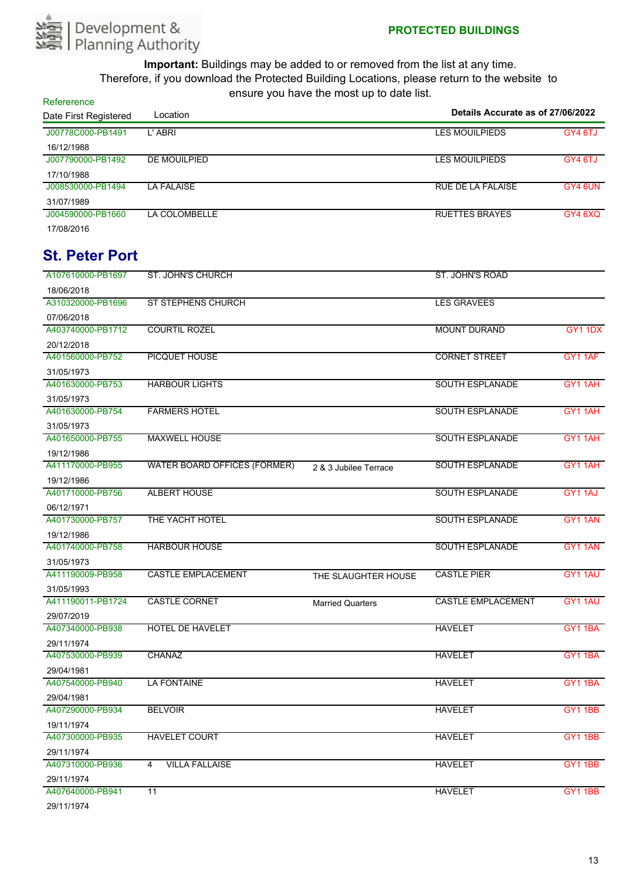

**Refererence** 

| Date First Registered          | Location                            |                         | Details Accurate as of 27/06/2022 |                |
|--------------------------------|-------------------------------------|-------------------------|-----------------------------------|----------------|
| J00778C000-PB1491              | L'ABRI                              |                         | <b>LES MOUILPIEDS</b>             | GY4 6TJ        |
| 16/12/1988                     |                                     |                         |                                   |                |
| J007790000-PB1492              | <b>DE MOUILPIED</b>                 |                         | <b>LES MOUILPIEDS</b>             | GY4 6TJ        |
| 17/10/1988                     |                                     |                         |                                   |                |
| J008530000-PB1494              | <b>LA FALAISE</b>                   |                         | <b>RUE DE LA FALAISE</b>          | GY4 6UN        |
| 31/07/1989                     |                                     |                         |                                   |                |
| J004590000-PB1660              | LA COLOMBELLE                       |                         | <b>RUETTES BRAYES</b>             | GY4 6XQ        |
| 17/08/2016                     |                                     |                         |                                   |                |
| <b>St. Peter Port</b>          |                                     |                         |                                   |                |
| A107610000-PB1697              | ST. JOHN'S CHURCH                   |                         | ST. JOHN'S ROAD                   |                |
| 18/06/2018                     |                                     |                         |                                   |                |
| A310320000-PB1696              | <b>ST STEPHENS CHURCH</b>           |                         | <b>LES GRAVEES</b>                |                |
| 07/06/2018                     |                                     |                         |                                   |                |
| A403740000-PB1712              | <b>COURTIL ROZEL</b>                |                         | <b>MOUNT DURAND</b>               | GY1 1DX        |
| 20/12/2018                     |                                     |                         |                                   |                |
| A401560000-PB752               | <b>PICQUET HOUSE</b>                |                         | <b>CORNET STREET</b>              | GY1 1AF        |
| 31/05/1973                     |                                     |                         |                                   |                |
| A401630000-PB753               | <b>HARBOUR LIGHTS</b>               |                         | <b>SOUTH ESPLANADE</b>            | GY11AH         |
| 31/05/1973                     |                                     |                         |                                   |                |
| A401630000-PB754               | <b>FARMERS HOTEL</b>                |                         | <b>SOUTH ESPLANADE</b>            | GY11AH         |
| 31/05/1973                     |                                     |                         |                                   |                |
| A401650000-PB755               | <b>MAXWELL HOUSE</b>                |                         | <b>SOUTH ESPLANADE</b>            | GY1 1AH        |
| 19/12/1986                     |                                     |                         |                                   |                |
| A411170000-PB955               | <b>WATER BOARD OFFICES (FORMER)</b> |                         | <b>SOUTH ESPLANADE</b>            | GY1 1AH        |
|                                |                                     | 2 & 3 Jubilee Terrace   |                                   |                |
| 19/12/1986<br>A401710000-PB756 | <b>ALBERT HOUSE</b>                 |                         | <b>SOUTH ESPLANADE</b>            | GY1 1AJ        |
| 06/12/1971                     |                                     |                         |                                   |                |
| A401730000-PB757               | THE YACHT HOTEL                     |                         | <b>SOUTH ESPLANADE</b>            | GY1 1AN        |
| 19/12/1986                     |                                     |                         |                                   |                |
| A401740000-PB758               | <b>HARBOUR HOUSE</b>                |                         | <b>SOUTH ESPLANADE</b>            | GY1 1AN        |
| 31/05/1973                     |                                     |                         |                                   |                |
| A411190009-PB958               | CASTLE EMPLACEMENT                  |                         | <b>CASTLE PIER</b>                | GY1 1AU        |
| 31/05/1993                     |                                     | THE SLAUGHTER HOUSE     |                                   |                |
| A411190011-PB1724              | <b>CASTLE CORNET</b>                |                         | <b>CASTLE EMPLACEMENT</b>         | GY1 1AU        |
| 29/07/2019                     |                                     | <b>Married Quarters</b> |                                   |                |
| A407340000-PB938               | HOTEL DE HAVELET                    |                         | <b>HAVELET</b>                    | <b>GY1 1BA</b> |
| 29/11/1974                     |                                     |                         |                                   |                |
| A407530000-PB939               | <b>CHANAZ</b>                       |                         | <b>HAVELET</b>                    | GY1 1BA        |
| 29/04/1981                     |                                     |                         |                                   |                |
| A407540000-PB940               | <b>LA FONTAINE</b>                  |                         | <b>HAVELET</b>                    | GY1 1BA        |
| 29/04/1981                     |                                     |                         |                                   |                |
| A407290000-PB934               | <b>BELVOIR</b>                      |                         | <b>HAVELET</b>                    | GY11BB         |
| 19/11/1974                     |                                     |                         |                                   |                |
| A407300000-PB935               | HAVELET COURT                       |                         | <b>HAVELET</b>                    | <b>GY1 1BB</b> |
|                                |                                     |                         |                                   |                |
| 29/11/1974<br>A407310000-PB936 | <b>VILLA FALLAISE</b><br>4          |                         | <b>HAVELET</b>                    | GY1 1BB        |
| 29/11/1974                     |                                     |                         |                                   |                |
| A407640000-PB941               | 11                                  |                         | <b>HAVELET</b>                    | <b>GY1 1BB</b> |
|                                |                                     |                         |                                   |                |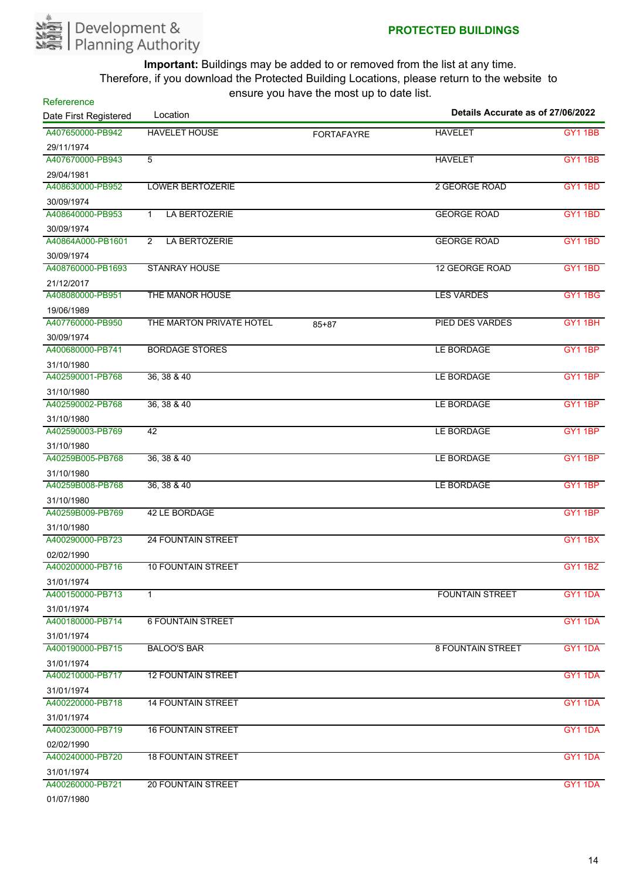

| Refererence           |                               |                   |                                   |                |
|-----------------------|-------------------------------|-------------------|-----------------------------------|----------------|
| Date First Registered | Location                      |                   | Details Accurate as of 27/06/2022 |                |
| A407650000-PB942      | <b>HAVELET HOUSE</b>          | <b>FORTAFAYRE</b> | <b>HAVELET</b>                    | <b>GY1 1BB</b> |
| 29/11/1974            |                               |                   |                                   |                |
| A407670000-PB943      | 5                             |                   | <b>HAVELET</b>                    | <b>GY1 1BB</b> |
| 29/04/1981            |                               |                   |                                   |                |
| A408630000-PB952      | <b>LOWER BERTOZERIE</b>       |                   | 2 GEORGE ROAD                     | <b>GY1 1BD</b> |
| 30/09/1974            |                               |                   |                                   |                |
| A408640000-PB953      | LA BERTOZERIE<br>$\mathbf{1}$ |                   | <b>GEORGE ROAD</b>                | <b>GY1 1BD</b> |
| 30/09/1974            |                               |                   |                                   |                |
| A40864A000-PB1601     | LA BERTOZERIE<br>2            |                   | <b>GEORGE ROAD</b>                | GY1 1BD        |
| 30/09/1974            |                               |                   |                                   |                |
| A408760000-PB1693     | <b>STANRAY HOUSE</b>          |                   | <b>12 GEORGE ROAD</b>             | <b>GY1 1BD</b> |
| 21/12/2017            |                               |                   |                                   |                |
| A408080000-PB951      | THE MANOR HOUSE               |                   | <b>LES VARDES</b>                 | <b>GY1 1BG</b> |
| 19/06/1989            |                               |                   |                                   |                |
| A407760000-PB950      | THE MARTON PRIVATE HOTEL      | $85 + 87$         | PIED DES VARDES                   | GY11BH         |
| 30/09/1974            |                               |                   |                                   |                |
| A400680000-PB741      | <b>BORDAGE STORES</b>         |                   | LE BORDAGE                        | GY1 1BP        |
| 31/10/1980            |                               |                   |                                   |                |
| A402590001-PB768      | 36, 38 & 40                   |                   | LE BORDAGE                        | GY11BP         |
| 31/10/1980            |                               |                   |                                   |                |
| A402590002-PB768      | 36, 38 & 40                   |                   | LE BORDAGE                        | GY1 1BP        |
| 31/10/1980            |                               |                   |                                   |                |
| A402590003-PB769      | 42                            |                   | LE BORDAGE                        | GY11BP         |
| 31/10/1980            |                               |                   |                                   |                |
| A40259B005-PB768      | 36, 38 & 40                   |                   | LE BORDAGE                        | GY1 1BP        |
| 31/10/1980            |                               |                   |                                   |                |
| A40259B008-PB768      | 36, 38 & 40                   |                   | LE BORDAGE                        | GY1 1BP        |
| 31/10/1980            |                               |                   |                                   |                |
| A40259B009-PB769      | 42 LE BORDAGE                 |                   |                                   | GY1 1BP        |
| 31/10/1980            |                               |                   |                                   |                |
| A400290000-PB723      | <b>24 FOUNTAIN STREET</b>     |                   |                                   | <b>GY1 1BX</b> |
| 02/02/1990            |                               |                   |                                   |                |
| A400200000-PB716      | <b>10 FOUNTAIN STREET</b>     |                   |                                   | <b>GY1 1BZ</b> |
| 31/01/1974            |                               |                   |                                   |                |
| A400150000-PB713      | 1                             |                   | <b>FOUNTAIN STREET</b>            | GY1 1DA        |
| 31/01/1974            |                               |                   |                                   |                |
| A400180000-PB714      | <b>6 FOUNTAIN STREET</b>      |                   |                                   | GY1 1DA        |
| 31/01/1974            |                               |                   |                                   |                |
| A400190000-PB715      | <b>BALOO'S BAR</b>            |                   | <b>8 FOUNTAIN STREET</b>          | GY1 1DA        |
| 31/01/1974            |                               |                   |                                   |                |
| A400210000-PB717      | <b>12 FOUNTAIN STREET</b>     |                   |                                   | GY1 1DA        |
| 31/01/1974            |                               |                   |                                   |                |
| A400220000-PB718      | <b>14 FOUNTAIN STREET</b>     |                   |                                   | GY1 1DA        |
| 31/01/1974            |                               |                   |                                   |                |
| A400230000-PB719      | <b>16 FOUNTAIN STREET</b>     |                   |                                   | GY1 1DA        |
| 02/02/1990            |                               |                   |                                   |                |
| A400240000-PB720      | <b>18 FOUNTAIN STREET</b>     |                   |                                   | GY1 1DA        |
| 31/01/1974            |                               |                   |                                   |                |
| A400260000-PB721      | <b>20 FOUNTAIN STREET</b>     |                   |                                   | GY1 1DA        |
| 0.410714000           |                               |                   |                                   |                |

01/07/1980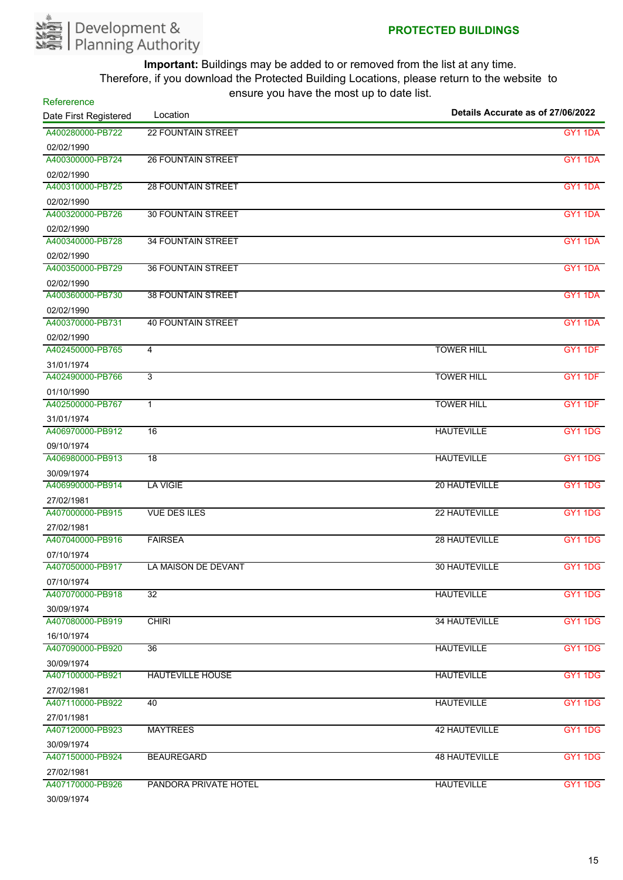

| Refererence           |                           |                                   |                     |  |
|-----------------------|---------------------------|-----------------------------------|---------------------|--|
| Date First Registered | Location                  | Details Accurate as of 27/06/2022 |                     |  |
| A400280000-PB722      | <b>22 FOUNTAIN STREET</b> |                                   | <b>GY1 1DA</b>      |  |
| 02/02/1990            |                           |                                   |                     |  |
| A400300000-PB724      | <b>26 FOUNTAIN STREET</b> |                                   | <b>GY1 1DA</b>      |  |
| 02/02/1990            |                           |                                   |                     |  |
| A400310000-PB725      | <b>28 FOUNTAIN STREET</b> |                                   | GY1 1DA             |  |
| 02/02/1990            |                           |                                   |                     |  |
| A400320000-PB726      | <b>30 FOUNTAIN STREET</b> |                                   | GY1 1DA             |  |
| 02/02/1990            |                           |                                   |                     |  |
| A400340000-PB728      | <b>34 FOUNTAIN STREET</b> |                                   | GY1 1DA             |  |
| 02/02/1990            |                           |                                   |                     |  |
| A400350000-PB729      | <b>36 FOUNTAIN STREET</b> |                                   | GY <sub>1</sub> 1DA |  |
| 02/02/1990            |                           |                                   |                     |  |
| A400360000-PB730      | <b>38 FOUNTAIN STREET</b> |                                   | <b>GY1 1DA</b>      |  |
| 02/02/1990            |                           |                                   |                     |  |
| A400370000-PB731      | <b>40 FOUNTAIN STREET</b> |                                   | GY1 1DA             |  |
| 02/02/1990            |                           |                                   |                     |  |
| A402450000-PB765      | 4                         | <b>TOWER HILL</b>                 | GY1 1DF             |  |
| 31/01/1974            |                           |                                   |                     |  |
| A402490000-PB766      | $\overline{3}$            | <b>TOWER HILL</b>                 | GY1 1DF             |  |
| 01/10/1990            |                           |                                   |                     |  |
| A402500000-PB767      | $\mathbf{1}$              | <b>TOWER HILL</b>                 | GY1 1DF             |  |
| 31/01/1974            |                           |                                   |                     |  |
| A406970000-PB912      | 16                        | <b>HAUTEVILLE</b>                 | <b>GY1 1DG</b>      |  |
| 09/10/1974            |                           |                                   |                     |  |
| A406980000-PB913      | $\overline{18}$           | <b>HAUTEVILLE</b>                 | <b>GY1 1DG</b>      |  |
| 30/09/1974            |                           |                                   |                     |  |
| A406990000-PB914      | <b>LA VIGIE</b>           | 20 HAUTEVILLE                     | <b>GY1 1DG</b>      |  |
| 27/02/1981            |                           |                                   |                     |  |
| A407000000-PB915      | <b>VUE DES ILES</b>       | 22 HAUTEVILLE                     | GY1 1DG             |  |
| 27/02/1981            |                           |                                   |                     |  |
| A407040000-PB916      | <b>FAIRSEA</b>            | 28 HAUTEVILLE                     | GY1 1DG             |  |
| 07/10/1974            |                           |                                   |                     |  |
| A407050000-PB917      | LA MAISON DE DEVANT       | 30 HAUTEVILLE                     | <b>GY1 1DG</b>      |  |
| 07/10/1974            |                           |                                   |                     |  |
| A407070000-PB918      | $\overline{32}$           | <b>HAUTEVILLE</b>                 | <b>GY1 1DG</b>      |  |
| 30/09/1974            |                           |                                   |                     |  |
| A407080000-PB919      | <b>CHIRI</b>              | 34 HAUTEVILLE                     | <b>GY1 1DG</b>      |  |
| 16/10/1974            |                           |                                   |                     |  |
| A407090000-PB920      | 36                        | <b>HAUTEVILLE</b>                 | <b>GY1 1DG</b>      |  |
| 30/09/1974            |                           |                                   |                     |  |
| A407100000-PB921      | <b>HAUTEVILLE HOUSE</b>   | <b>HAUTEVILLE</b>                 | <b>GY1 1DG</b>      |  |
| 27/02/1981            |                           |                                   |                     |  |
| A407110000-PB922      | 40                        | <b>HAUTEVILLE</b>                 | <b>GY1 1DG</b>      |  |
| 27/01/1981            |                           |                                   |                     |  |
| A407120000-PB923      | <b>MAYTREES</b>           | <b>42 HAUTEVILLE</b>              | <b>GY1 1DG</b>      |  |
| 30/09/1974            |                           |                                   |                     |  |
| A407150000-PB924      | <b>BEAUREGARD</b>         | <b>48 HAUTEVILLE</b>              | <b>GY1 1DG</b>      |  |
| 27/02/1981            |                           |                                   |                     |  |
| A407170000-PB926      | PANDORA PRIVATE HOTEL     | <b>HAUTEVILLE</b>                 | <b>GY1 1DG</b>      |  |
| 30/09/1974            |                           |                                   |                     |  |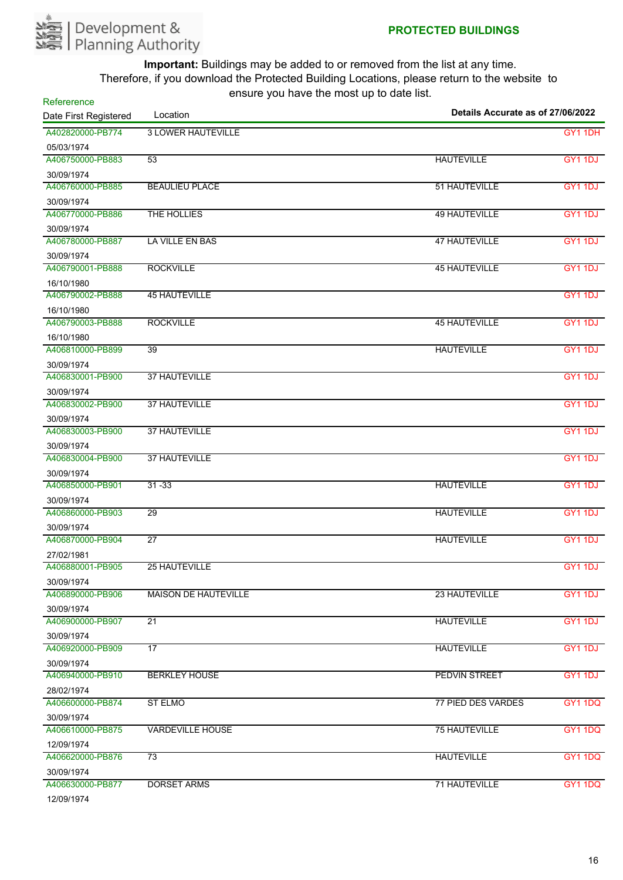

| Refererence           | Details Accurate as of 27/06/2022 |                           |                     |
|-----------------------|-----------------------------------|---------------------------|---------------------|
| Date First Registered | Location                          |                           |                     |
| A402820000-PB774      | <b>3 LOWER HAUTEVILLE</b>         |                           | GY1 1DH             |
| 05/03/1974            |                                   |                           |                     |
| A406750000-PB883      | $\overline{53}$                   | <b>HAUTEVILLE</b>         | <b>GY1 1DJ</b>      |
| 30/09/1974            |                                   |                           |                     |
| A406760000-PB885      | <b>BEAULIEU PLACE</b>             | 51 HAUTEVILLE             | GY1 1DJ             |
| 30/09/1974            |                                   |                           |                     |
| A406770000-PB886      | THE HOLLIES                       | <b>49 HAUTEVILLE</b>      | GY1 1DJ             |
| 30/09/1974            |                                   |                           |                     |
| A406780000-PB887      | LA VILLE EN BAS                   | <b>47 HAUTEVILLE</b>      | GY1 1DJ             |
| 30/09/1974            |                                   |                           |                     |
| A406790001-PB888      | <b>ROCKVILLE</b>                  | <b>45 HAUTEVILLE</b>      | GY <sub>1</sub> 1DJ |
| 16/10/1980            |                                   |                           |                     |
| A406790002-PB888      | <b>45 HAUTEVILLE</b>              |                           | <b>GY1 1DJ</b>      |
| 16/10/1980            |                                   |                           |                     |
| A406790003-PB888      | <b>ROCKVILLE</b>                  | <b>45 HAUTEVILLE</b>      | GY <sub>1</sub> 1DJ |
| 16/10/1980            |                                   |                           |                     |
| A406810000-PB899      | $\overline{39}$                   | <b>HAUTEVILLE</b>         | GY1 1DJ             |
| 30/09/1974            |                                   |                           |                     |
| A406830001-PB900      | <b>37 HAUTEVILLE</b>              |                           | <b>GY1 1DJ</b>      |
| 30/09/1974            |                                   |                           |                     |
| A406830002-PB900      | 37 HAUTEVILLE                     |                           | GY1 1DJ             |
| 30/09/1974            |                                   |                           |                     |
| A406830003-PB900      | <b>37 HAUTEVILLE</b>              |                           | <b>GY1 1DJ</b>      |
| 30/09/1974            |                                   |                           |                     |
| A406830004-PB900      | <b>37 HAUTEVILLE</b>              |                           | <b>GY1 1DJ</b>      |
| 30/09/1974            |                                   |                           |                     |
| A406850000-PB901      | $31 - 33$                         | <b>HAUTEVILLE</b>         | <b>GY1 1DJ</b>      |
| 30/09/1974            |                                   |                           |                     |
| A406860000-PB903      | 29                                | <b>HAUTEVILLE</b>         | <b>GY1 1DJ</b>      |
| 30/09/1974            |                                   |                           |                     |
| A406870000-PB904      | $\overline{27}$                   | <b>HAUTEVILLE</b>         | <b>GY1 1DJ</b>      |
| 27/02/1981            |                                   |                           |                     |
| A406880001-PB905      | 25 HAUTEVILLE                     |                           | GY1 1DJ             |
| 30/09/1974            |                                   |                           |                     |
| A406890000-PB906      | <b>MAISON DE HAUTEVILLE</b>       | 23 HAUTEVILLE             | GY1 1DJ             |
| 30/09/1974            |                                   |                           |                     |
| A406900000-PB907      | $\overline{21}$                   | <b>HAUTEVILLE</b>         | GY1 1DJ             |
| 30/09/1974            |                                   |                           |                     |
| A406920000-PB909      | $\overline{17}$                   | <b>HAUTEVILLE</b>         | GY1 1DJ             |
| 30/09/1974            |                                   |                           |                     |
| A406940000-PB910      | <b>BERKLEY HOUSE</b>              | <b>PEDVIN STREET</b>      | GY1 1DJ             |
| 28/02/1974            |                                   |                           |                     |
| A406600000-PB874      | <b>ST ELMO</b>                    | <b>77 PIED DES VARDES</b> | <b>GY1 1DQ</b>      |
| 30/09/1974            |                                   |                           |                     |
| A406610000-PB875      | <b>VARDEVILLE HOUSE</b>           | <b>75 HAUTEVILLE</b>      | <b>GY1 1DQ</b>      |
| 12/09/1974            |                                   |                           |                     |
| A406620000-PB876      | 73                                | <b>HAUTEVILLE</b>         | <b>GY1 1DQ</b>      |
| 30/09/1974            |                                   |                           |                     |
| A406630000-PB877      | <b>DORSET ARMS</b>                | 71 HAUTEVILLE             | <b>GY1 1DQ</b>      |
| 1010011071            |                                   |                           |                     |

12/09/1974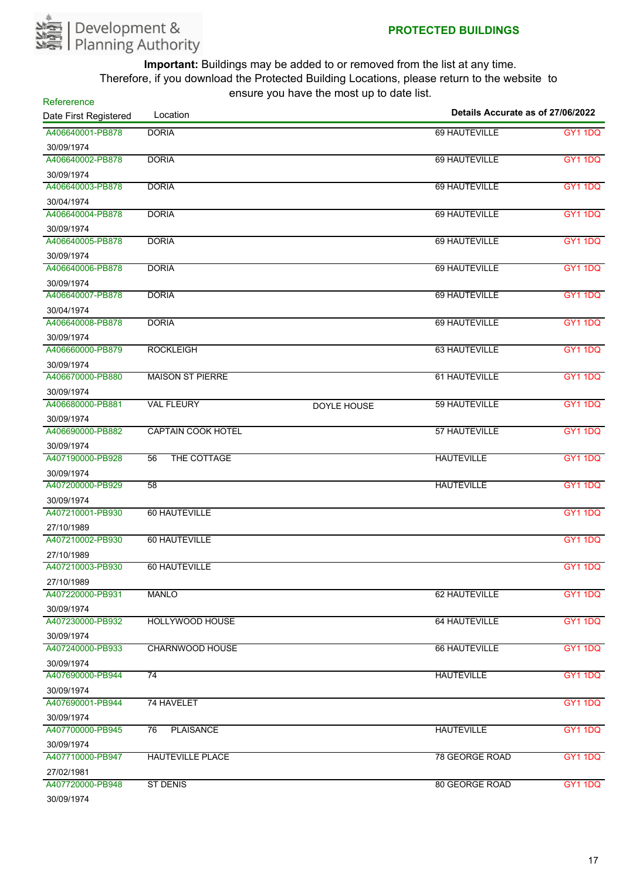

| Refererence           |                           | chodio you have the most up to date hot. |                                   |                |
|-----------------------|---------------------------|------------------------------------------|-----------------------------------|----------------|
| Date First Registered | Location                  |                                          | Details Accurate as of 27/06/2022 |                |
| A406640001-PB878      | <b>DORIA</b>              |                                          | 69 HAUTEVILLE                     | <b>GY1 1DQ</b> |
| 30/09/1974            |                           |                                          |                                   |                |
| A406640002-PB878      | <b>DORIA</b>              |                                          | 69 HAUTEVILLE                     | <b>GY1 1DQ</b> |
| 30/09/1974            |                           |                                          |                                   |                |
| A406640003-PB878      | <b>DORIA</b>              |                                          | 69 HAUTEVILLE                     | <b>GY1 1DQ</b> |
| 30/04/1974            |                           |                                          |                                   |                |
| A406640004-PB878      | <b>DORIA</b>              |                                          | 69 HAUTEVILLE                     | <b>GY1 1DQ</b> |
| 30/09/1974            |                           |                                          |                                   |                |
| A406640005-PB878      | <b>DORIA</b>              |                                          | 69 HAUTEVILLE                     | <b>GY1 1DQ</b> |
| 30/09/1974            |                           |                                          |                                   |                |
| A406640006-PB878      | <b>DORIA</b>              |                                          | 69 HAUTEVILLE                     | <b>GY1 1DQ</b> |
| 30/09/1974            |                           |                                          |                                   |                |
| A406640007-PB878      | <b>DORIA</b>              |                                          | 69 HAUTEVILLE                     | <b>GY1 1DQ</b> |
| 30/04/1974            |                           |                                          |                                   |                |
| A406640008-PB878      | <b>DORIA</b>              |                                          | 69 HAUTEVILLE                     | <b>GY1 1DQ</b> |
| 30/09/1974            |                           |                                          |                                   |                |
| A406660000-PB879      | <b>ROCKLEIGH</b>          |                                          | 63 HAUTEVILLE                     | <b>GY1 1DQ</b> |
| 30/09/1974            |                           |                                          |                                   |                |
| A406670000-PB880      | <b>MAISON ST PIERRE</b>   |                                          | 61 HAUTEVILLE                     | <b>GY1 1DQ</b> |
| 30/09/1974            |                           |                                          |                                   |                |
| A406680000-PB881      | <b>VAL FLEURY</b>         | DOYLE HOUSE                              | 59 HAUTEVILLE                     | <b>GY1 1DQ</b> |
| 30/09/1974            |                           |                                          |                                   |                |
| A406690000-PB882      | <b>CAPTAIN COOK HOTEL</b> |                                          | 57 HAUTEVILLE                     | <b>GY1 1DQ</b> |
| 30/09/1974            |                           |                                          |                                   |                |
| A407190000-PB928      | THE COTTAGE<br>56         |                                          | <b>HAUTEVILLE</b>                 | <b>GY1 1DQ</b> |
| 30/09/1974            |                           |                                          |                                   |                |
| A407200000-PB929      | 58                        |                                          | <b>HAUTEVILLE</b>                 | <b>GY1 1DQ</b> |
| 30/09/1974            |                           |                                          |                                   |                |
| A407210001-PB930      | 60 HAUTEVILLE             |                                          |                                   | <b>GY1 1DQ</b> |
| 27/10/1989            |                           |                                          |                                   |                |
| A407210002-PB930      | 60 HAUTEVILLE             |                                          |                                   | <b>GY1 1DQ</b> |
| 27/10/1989            |                           |                                          |                                   |                |
| A407210003-PB930      | 60 HAUTEVILLE             |                                          |                                   | GY1 1DQ        |
| 27/10/1989            |                           |                                          |                                   |                |
| A407220000-PB931      | <b>MANLO</b>              |                                          | 62 HAUTEVILLE                     | <b>GY1 1DQ</b> |
| 30/09/1974            |                           |                                          |                                   |                |
| A407230000-PB932      | HOLLYWOOD HOUSE           |                                          | 64 HAUTEVILLE                     | <b>GY1 1DQ</b> |
| 30/09/1974            |                           |                                          |                                   |                |
| A407240000-PB933      | <b>CHARNWOOD HOUSE</b>    |                                          | 66 HAUTEVILLE                     | <b>GY1 1DQ</b> |
| 30/09/1974            |                           |                                          |                                   |                |
| A407690000-PB944      | $\overline{74}$           |                                          | <b>HAUTEVILLE</b>                 | <b>GY1 1DQ</b> |
| 30/09/1974            |                           |                                          |                                   |                |
| A407690001-PB944      | 74 HAVELET                |                                          |                                   | <b>GY1 1DQ</b> |
| 30/09/1974            |                           |                                          |                                   |                |
| A407700000-PB945      | <b>PLAISANCE</b><br>76    |                                          | <b>HAUTEVILLE</b>                 | <b>GY1 1DQ</b> |
| 30/09/1974            |                           |                                          |                                   |                |
| A407710000-PB947      | <b>HAUTEVILLE PLACE</b>   |                                          | 78 GEORGE ROAD                    | <b>GY1 1DQ</b> |
| 27/02/1981            |                           |                                          |                                   |                |
| A407720000-PB948      | <b>ST DENIS</b>           |                                          | 80 GEORGE ROAD                    | <b>GY1 1DQ</b> |
| 30/09/1974            |                           |                                          |                                   |                |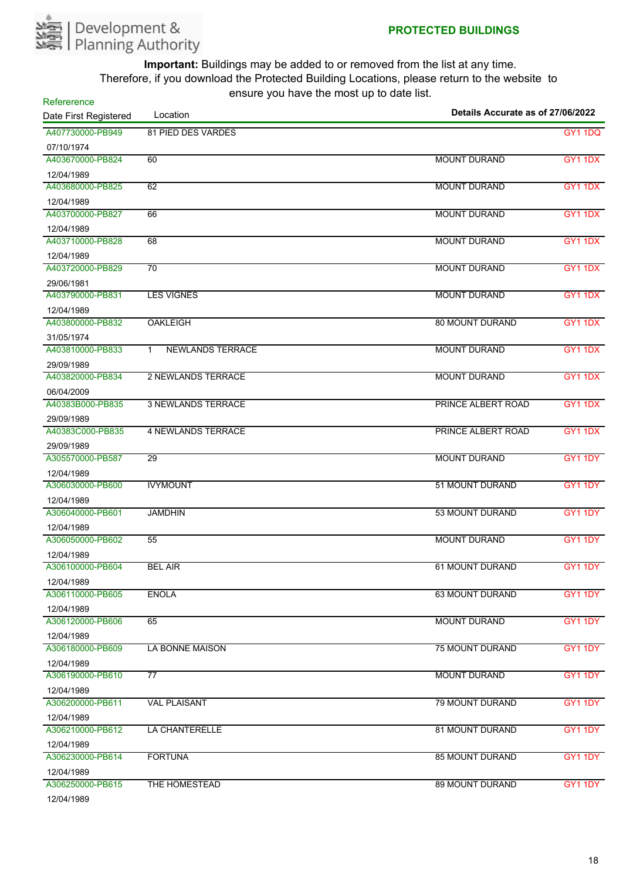

**Refererence** 

| Details Accurate as of 27/06/2022<br>Location<br>Date First Registered |                                         |                        |                |
|------------------------------------------------------------------------|-----------------------------------------|------------------------|----------------|
| A407730000-PB949                                                       | 81 PIED DES VARDES                      |                        | <b>GY1 1DQ</b> |
| 07/10/1974                                                             |                                         |                        |                |
| A403670000-PB824                                                       | 60                                      | <b>MOUNT DURAND</b>    | GY1 1DX        |
| 12/04/1989                                                             |                                         |                        |                |
| A403680000-PB825                                                       | 62                                      | <b>MOUNT DURAND</b>    | <b>GY1 1DX</b> |
| 12/04/1989                                                             |                                         |                        |                |
| A403700000-PB827                                                       | 66                                      | <b>MOUNT DURAND</b>    | GY1 1DX        |
| 12/04/1989                                                             |                                         |                        |                |
| A403710000-PB828                                                       | 68                                      | <b>MOUNT DURAND</b>    | <b>GY1 1DX</b> |
| 12/04/1989                                                             |                                         |                        |                |
| A403720000-PB829                                                       | 70                                      | <b>MOUNT DURAND</b>    | <b>GY1 1DX</b> |
| 29/06/1981                                                             |                                         |                        |                |
| A403790000-PB831                                                       | <b>LES VIGNES</b>                       | <b>MOUNT DURAND</b>    | GY1 1DX        |
| 12/04/1989                                                             |                                         |                        |                |
| A403800000-PB832                                                       | <b>OAKLEIGH</b>                         | <b>80 MOUNT DURAND</b> | <b>GY1 1DX</b> |
| 31/05/1974                                                             |                                         |                        |                |
| A403810000-PB833                                                       | <b>NEWLANDS TERRACE</b><br>$\mathbf{1}$ | <b>MOUNT DURAND</b>    | GY1 1DX        |
| 29/09/1989                                                             |                                         |                        |                |
| A403820000-PB834                                                       | <b>2 NEWLANDS TERRACE</b>               | <b>MOUNT DURAND</b>    | GY1 1DX        |
| 06/04/2009                                                             |                                         |                        |                |
| A40383B000-PB835                                                       | <b>3 NEWLANDS TERRACE</b>               | PRINCE ALBERT ROAD     | <b>GY1 1DX</b> |
| 29/09/1989                                                             |                                         |                        |                |
| A40383C000-PB835                                                       | <b>4 NEWLANDS TERRACE</b>               | PRINCE ALBERT ROAD     | <b>GY1 1DX</b> |
| 29/09/1989                                                             |                                         |                        |                |
| A305570000-PB587                                                       | 29                                      | <b>MOUNT DURAND</b>    | GY1 1DY        |
| 12/04/1989                                                             |                                         |                        |                |
| A306030000-PB600                                                       | <b>IVYMOUNT</b>                         | 51 MOUNT DURAND        | GY1 1DY        |
| 12/04/1989                                                             |                                         |                        |                |
| A306040000-PB601                                                       | <b>JAMDHIN</b>                          | 53 MOUNT DURAND        | GY1 1DY        |
| 12/04/1989                                                             |                                         |                        |                |
| A306050000-PB602                                                       | 55                                      | <b>MOUNT DURAND</b>    | <b>GY1 1DY</b> |
| 12/04/1989                                                             |                                         |                        |                |
| A306100000-PB604                                                       | <b>BEL AIR</b>                          | <b>61 MOUNT DURAND</b> | GY1 1DY        |
| 12/04/1989                                                             |                                         |                        |                |
| A306110000-PB605                                                       | <b>ENOLA</b>                            | 63 MOUNT DURAND        | GY1 1DY        |
| 12/04/1989                                                             |                                         |                        |                |
| A306120000-PB606                                                       | 65                                      | <b>MOUNT DURAND</b>    | GY1 1DY        |
| 12/04/1989                                                             |                                         |                        |                |
| A306180000-PB609                                                       | LA BONNE MAISON                         | <b>75 MOUNT DURAND</b> | GY1 1DY        |
| 12/04/1989                                                             |                                         |                        |                |
| A306190000-PB610                                                       | $\overline{77}$                         | <b>MOUNT DURAND</b>    | <b>GY1 1DY</b> |
| 12/04/1989                                                             |                                         |                        |                |
| A306200000-PB611                                                       | <b>VAL PLAISANT</b>                     | 79 MOUNT DURAND        | GY1 1DY        |
| 12/04/1989                                                             |                                         |                        |                |
| A306210000-PB612                                                       | LA CHANTERELLE                          | 81 MOUNT DURAND        | GY1 1DY        |
| 12/04/1989                                                             |                                         |                        |                |
| A306230000-PB614                                                       | <b>FORTUNA</b>                          | <b>85 MOUNT DURAND</b> | GY1 1DY        |
| 12/04/1989                                                             |                                         |                        |                |
| A306250000-PB615                                                       | THE HOMESTEAD                           | 89 MOUNT DURAND        | GY1 1DY        |
| 1010111000                                                             |                                         |                        |                |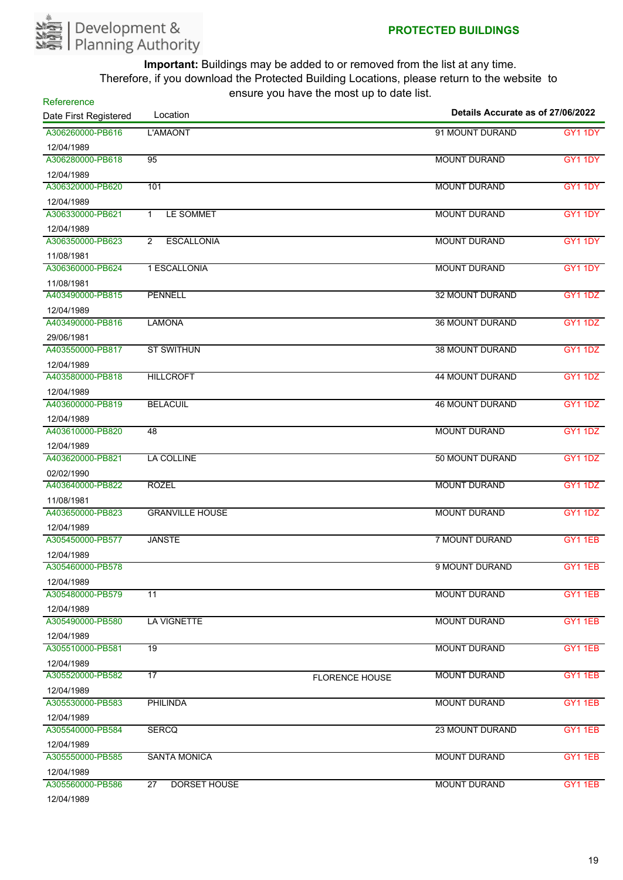

| Refererence           |                                        |                       |                                   |                |
|-----------------------|----------------------------------------|-----------------------|-----------------------------------|----------------|
| Date First Registered | Location                               |                       | Details Accurate as of 27/06/2022 |                |
| A306260000-PB616      | L'AMAONT                               |                       | 91 MOUNT DURAND                   | GY1 1DY        |
| 12/04/1989            |                                        |                       |                                   |                |
| A306280000-PB618      | 95                                     |                       | <b>MOUNT DURAND</b>               | GY1 1DY        |
| 12/04/1989            |                                        |                       |                                   |                |
| A306320000-PB620      | 101                                    |                       | <b>MOUNT DURAND</b>               | GY1 1DY        |
| 12/04/1989            |                                        |                       |                                   |                |
| A306330000-PB621      | LE SOMMET<br>$\mathbf{1}$              |                       | <b>MOUNT DURAND</b>               | GY1 1DY        |
| 12/04/1989            |                                        |                       |                                   |                |
| A306350000-PB623      | <b>ESCALLONIA</b><br>2                 |                       | <b>MOUNT DURAND</b>               | GY1 1DY        |
| 11/08/1981            |                                        |                       |                                   |                |
| A306360000-PB624      | 1 ESCALLONIA                           |                       | <b>MOUNT DURAND</b>               | GY1 1DY        |
| 11/08/1981            |                                        |                       |                                   |                |
| A403490000-PB815      | <b>PENNELL</b>                         |                       | <b>32 MOUNT DURAND</b>            | <b>GY1 1DZ</b> |
| 12/04/1989            |                                        |                       |                                   |                |
| A403490000-PB816      | <b>LAMONA</b>                          |                       | <b>36 MOUNT DURAND</b>            | GY1 1DZ        |
| 29/06/1981            |                                        |                       |                                   |                |
| A403550000-PB817      | <b>ST SWITHUN</b>                      |                       | <b>38 MOUNT DURAND</b>            | <b>GY1 1DZ</b> |
| 12/04/1989            |                                        |                       |                                   |                |
| A403580000-PB818      | <b>HILLCROFT</b>                       |                       | <b>44 MOUNT DURAND</b>            | GY1 1DZ        |
| 12/04/1989            |                                        |                       |                                   |                |
| A403600000-PB819      | <b>BELACUIL</b>                        |                       | <b>46 MOUNT DURAND</b>            | <b>GY1 1DZ</b> |
| 12/04/1989            |                                        |                       |                                   |                |
| A403610000-PB820      | 48                                     |                       | <b>MOUNT DURAND</b>               | <b>GY1 1DZ</b> |
| 12/04/1989            |                                        |                       |                                   |                |
| A403620000-PB821      | <b>LA COLLINE</b>                      |                       | 50 MOUNT DURAND                   | <b>GY1 1DZ</b> |
| 02/02/1990            |                                        |                       |                                   |                |
| A403640000-PB822      | <b>ROZEL</b>                           |                       | <b>MOUNT DURAND</b>               | GY1 1DZ        |
| 11/08/1981            |                                        |                       |                                   |                |
| A403650000-PB823      | <b>GRANVILLE HOUSE</b>                 |                       | <b>MOUNT DURAND</b>               | GY1 1DZ        |
| 12/04/1989            |                                        |                       |                                   |                |
| A305450000-PB577      | <b>JANSTE</b>                          |                       | <b>7 MOUNT DURAND</b>             | <b>GY11EB</b>  |
| 12/04/1989            |                                        |                       |                                   |                |
| A305460000-PB578      |                                        |                       | 9 MOUNT DURAND                    | GY1 1EB        |
| 12/04/1989            |                                        |                       |                                   |                |
| A305480000-PB579      | 11                                     |                       | <b>MOUNT DURAND</b>               | <b>GY11EB</b>  |
| 12/04/1989            |                                        |                       |                                   |                |
| A305490000-PB580      | <b>LA VIGNETTE</b>                     |                       | <b>MOUNT DURAND</b>               | <b>GY1 1EB</b> |
| 12/04/1989            |                                        |                       |                                   |                |
| A305510000-PB581      | $\overline{19}$                        |                       | <b>MOUNT DURAND</b>               | GY1 1EB        |
| 12/04/1989            |                                        |                       |                                   |                |
| A305520000-PB582      | $\overline{17}$                        | <b>FLORENCE HOUSE</b> | <b>MOUNT DURAND</b>               | GY1 1EB        |
| 12/04/1989            |                                        |                       |                                   |                |
| A305530000-PB583      | PHILINDA                               |                       | <b>MOUNT DURAND</b>               | GY11EB         |
| 12/04/1989            |                                        |                       |                                   |                |
| A305540000-PB584      | <b>SERCQ</b>                           |                       | <b>23 MOUNT DURAND</b>            | GY1 1EB        |
| 12/04/1989            |                                        |                       |                                   |                |
| A305550000-PB585      | <b>SANTA MONICA</b>                    |                       | <b>MOUNT DURAND</b>               | GY1 1EB        |
| 12/04/1989            |                                        |                       |                                   |                |
| A305560000-PB586      | $\overline{27}$<br><b>DORSET HOUSE</b> |                       | <b>MOUNT DURAND</b>               | GY1 1EB        |
| 1010111000            |                                        |                       |                                   |                |

12/04/1989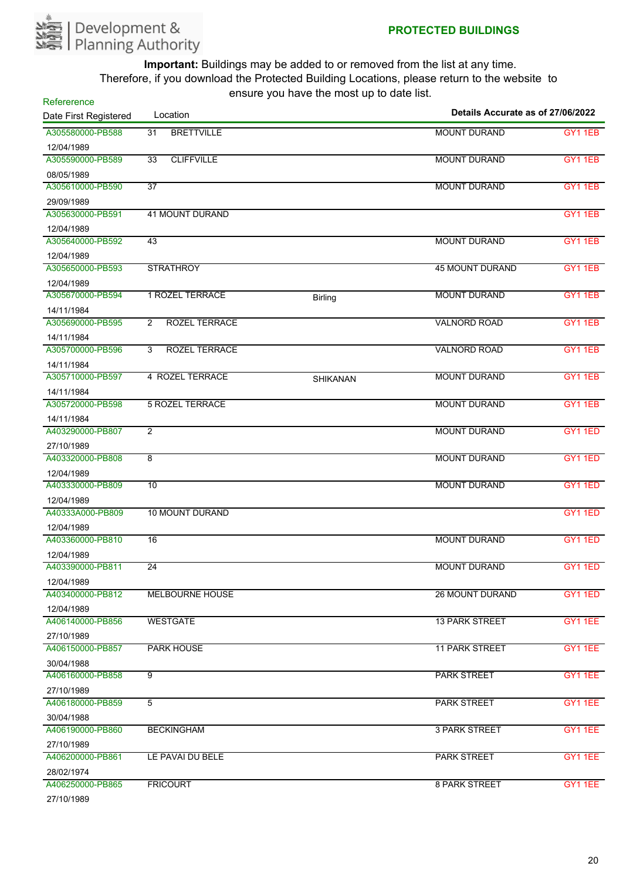

| Refererence<br>Date First Registered | Location                             | 0110ar0 you have the moot up to aato hot. | Details Accurate as of 27/06/2022 |                |
|--------------------------------------|--------------------------------------|-------------------------------------------|-----------------------------------|----------------|
| A305580000-PB588                     | $\overline{31}$<br><b>BRETTVILLE</b> |                                           | <b>MOUNT DURAND</b>               | GY1 1EB        |
| 12/04/1989                           |                                      |                                           |                                   |                |
| A305590000-PB589                     | <b>CLIFFVILLE</b><br>$\overline{33}$ |                                           | <b>MOUNT DURAND</b>               | GY1 1EB        |
| 08/05/1989                           |                                      |                                           |                                   |                |
| A305610000-PB590                     | 37                                   |                                           | <b>MOUNT DURAND</b>               | GY1 1EB        |
| 29/09/1989                           |                                      |                                           |                                   |                |
| A305630000-PB591                     | <b>41 MOUNT DURAND</b>               |                                           |                                   | GY11EB         |
| 12/04/1989                           |                                      |                                           |                                   |                |
| A305640000-PB592                     | 43                                   |                                           | <b>MOUNT DURAND</b>               | GY1 1EB        |
| 12/04/1989                           |                                      |                                           |                                   |                |
| A305650000-PB593                     | <b>STRATHROY</b>                     |                                           | <b>45 MOUNT DURAND</b>            | <b>GY1 1EB</b> |
| 12/04/1989                           |                                      |                                           |                                   |                |
| A305670000-PB594                     | <b>1 ROZEL TERRACE</b>               | <b>Birling</b>                            | <b>MOUNT DURAND</b>               | <b>GY1 1EB</b> |
| 14/11/1984                           |                                      |                                           |                                   |                |
| A305690000-PB595                     | ROZEL TERRACE<br>$\overline{2}$      |                                           | <b>VALNORD ROAD</b>               | GY11EB         |
| 14/11/1984                           |                                      |                                           |                                   |                |
| A305700000-PB596                     | <b>ROZEL TERRACE</b><br>3            |                                           | <b>VALNORD ROAD</b>               | GY11EB         |
| 14/11/1984                           |                                      |                                           |                                   |                |
| A305710000-PB597                     | <b>4 ROZEL TERRACE</b>               | SHIKANAN                                  | <b>MOUNT DURAND</b>               | GY1 1EB        |
| 14/11/1984                           |                                      |                                           |                                   |                |
| A305720000-PB598                     | <b>5 ROZEL TERRACE</b>               |                                           | <b>MOUNT DURAND</b>               | GY11EB         |
| 14/11/1984                           |                                      |                                           |                                   |                |
| A403290000-PB807                     | $\overline{2}$                       |                                           | <b>MOUNT DURAND</b>               | GY1 1ED        |
| 27/10/1989                           |                                      |                                           |                                   |                |
| A403320000-PB808                     | 8                                    |                                           | <b>MOUNT DURAND</b>               | GY1 1ED        |
| 12/04/1989                           |                                      |                                           |                                   |                |
| A403330000-PB809                     | 10                                   |                                           | <b>MOUNT DURAND</b>               | GY1 1ED        |
| 12/04/1989                           |                                      |                                           |                                   |                |
| A40333A000-PB809                     | <b>10 MOUNT DURAND</b>               |                                           |                                   | GY1 1ED        |
| 12/04/1989                           |                                      |                                           |                                   |                |
| A403360000-PB810                     | $\overline{16}$                      |                                           | <b>MOUNT DURAND</b>               | GY11ED         |
| 12/04/1989                           |                                      |                                           |                                   |                |
| A403390000-PB811                     | 24                                   |                                           | <b>MOUNT DURAND</b>               | GY11ED         |
| 12/04/1989                           |                                      |                                           |                                   |                |
| A403400000-PB812                     | <b>MELBOURNE HOUSE</b>               |                                           | <b>26 MOUNT DURAND</b>            | GY1 1ED        |
| 12/04/1989                           |                                      |                                           |                                   |                |
| A406140000-PB856                     | <b>WESTGATE</b>                      |                                           | <b>13 PARK STREET</b>             | GY1 1EE        |
| 27/10/1989                           |                                      |                                           |                                   |                |
| A406150000-PB857                     | <b>PARK HOUSE</b>                    |                                           | <b>11 PARK STREET</b>             | GY1 1EE        |
| 30/04/1988                           |                                      |                                           |                                   |                |
| A406160000-PB858                     | 9                                    |                                           | <b>PARK STREET</b>                | GY1 1EE        |
| 27/10/1989                           |                                      |                                           |                                   |                |
| A406180000-PB859                     | 5                                    |                                           | <b>PARK STREET</b>                | GY1 1EE        |
| 30/04/1988                           |                                      |                                           |                                   |                |
| A406190000-PB860                     | <b>BECKINGHAM</b>                    |                                           | <b>3 PARK STREET</b>              | GY1 1EE        |
| 27/10/1989                           |                                      |                                           |                                   |                |
| A406200000-PB861                     | LE PAVAI DU BELE                     |                                           | <b>PARK STREET</b>                | GY1 1EE        |
| 28/02/1974                           |                                      |                                           |                                   |                |
| A406250000-PB865                     | <b>FRICOURT</b>                      |                                           | <b>8 PARK STREET</b>              | GY1 1EE        |
| 27/10/1000                           |                                      |                                           |                                   |                |

27/10/1989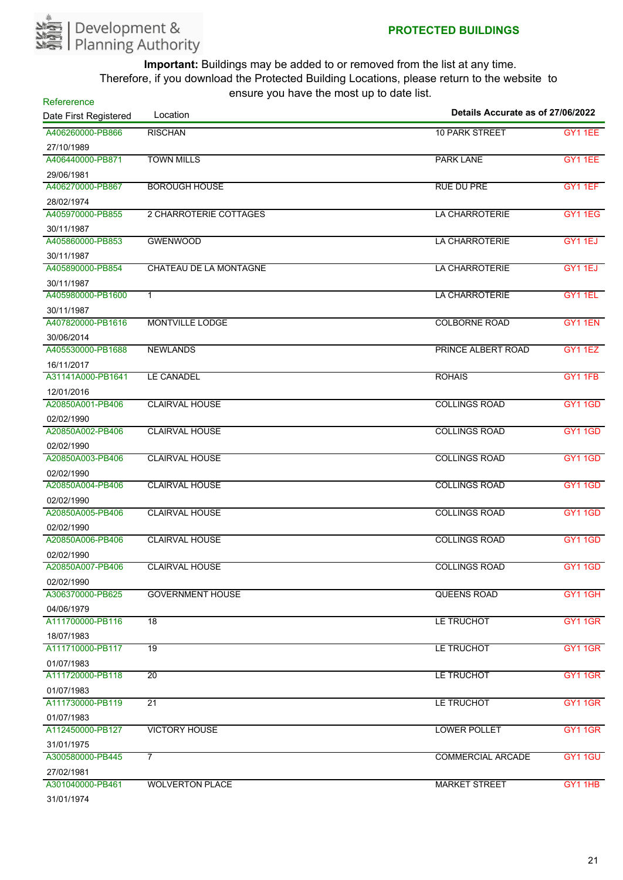

| Refererence                     | $30.3$ , $30.4$ , $10.3$ , $10.5$ , $11.5$ $30.5$ $10.5$<br>Location | Details Accurate as of 27/06/2022 |                |
|---------------------------------|----------------------------------------------------------------------|-----------------------------------|----------------|
| Date First Registered           |                                                                      |                                   |                |
| A406260000-PB866                | <b>RISCHAN</b>                                                       | <b>10 PARK STREET</b>             | <b>GY1 1EE</b> |
| 27/10/1989                      |                                                                      |                                   |                |
| A406440000-PB871                | <b>TOWN MILLS</b>                                                    | <b>PARK LANE</b>                  | GY1 1EE        |
| 29/06/1981<br>A406270000-PB867  |                                                                      |                                   |                |
|                                 | <b>BOROUGH HOUSE</b>                                                 | <b>RUE DU PRE</b>                 | GY11EF         |
| 28/02/1974<br>A405970000-PB855  | 2 CHARROTERIE COTTAGES                                               | LA CHARROTERIE                    | GY11EG         |
|                                 |                                                                      |                                   |                |
| 30/11/1987<br>A405860000-PB853  | <b>GWENWOOD</b>                                                      | LA CHARROTERIE                    | GY11EJ         |
|                                 |                                                                      |                                   |                |
| 30/11/1987<br>A405890000-PB854  | CHATEAU DE LA MONTAGNE                                               | <b>LA CHARROTERIE</b>             | GY1 1EJ        |
|                                 |                                                                      |                                   |                |
| 30/11/1987<br>A405980000-PB1600 | $\mathbf{1}$                                                         | <b>LA CHARROTERIE</b>             | GY1 1EL        |
|                                 |                                                                      |                                   |                |
| 30/11/1987<br>A407820000-PB1616 | <b>MONTVILLE LODGE</b>                                               | <b>COLBORNE ROAD</b>              | GY1 1EN        |
| 30/06/2014                      |                                                                      |                                   |                |
| A405530000-PB1688               | <b>NEWLANDS</b>                                                      | PRINCE ALBERT ROAD                | <b>GY1 1EZ</b> |
| 16/11/2017                      |                                                                      |                                   |                |
| A31141A000-PB1641               | <b>LE CANADEL</b>                                                    | <b>ROHAIS</b>                     | <b>GY1 1FB</b> |
| 12/01/2016                      |                                                                      |                                   |                |
| A20850A001-PB406                | <b>CLAIRVAL HOUSE</b>                                                | <b>COLLINGS ROAD</b>              | <b>GY1 1GD</b> |
| 02/02/1990                      |                                                                      |                                   |                |
| A20850A002-PB406                | <b>CLAIRVAL HOUSE</b>                                                | <b>COLLINGS ROAD</b>              | <b>GY11GD</b>  |
| 02/02/1990                      |                                                                      |                                   |                |
| A20850A003-PB406                | <b>CLAIRVAL HOUSE</b>                                                | <b>COLLINGS ROAD</b>              | <b>GY11GD</b>  |
| 02/02/1990                      |                                                                      |                                   |                |
| A20850A004-PB406                | <b>CLAIRVAL HOUSE</b>                                                | <b>COLLINGS ROAD</b>              | <b>GY1 1GD</b> |
| 02/02/1990                      |                                                                      |                                   |                |
| A20850A005-PB406                | <b>CLAIRVAL HOUSE</b>                                                | <b>COLLINGS ROAD</b>              | <b>GY11GD</b>  |
| 02/02/1990                      |                                                                      |                                   |                |
| A20850A006-PB406                | <b>CLAIRVAL HOUSE</b>                                                | <b>COLLINGS ROAD</b>              | <b>GY11GD</b>  |
| 02/02/1990                      |                                                                      |                                   |                |
| A20850A007-PB406                | <b>CLAIRVAL HOUSE</b>                                                | <b>COLLINGS ROAD</b>              | <b>GY1 1GD</b> |
| 02/02/1990                      |                                                                      |                                   |                |
| A306370000-PB625                | <b>GOVERNMENT HOUSE</b>                                              | QUEENS ROAD                       | GY11GH         |
| 04/06/1979                      |                                                                      |                                   |                |
| A111700000-PB116                | $\overline{18}$                                                      | LE TRUCHOT                        | <b>GY1 1GR</b> |
| 18/07/1983                      |                                                                      |                                   |                |
| A111710000-PB117                | $\overline{19}$                                                      | LE TRUCHOT                        | <b>GY11GR</b>  |
| 01/07/1983                      |                                                                      |                                   |                |
| A111720000-PB118                | 20                                                                   | LE TRUCHOT                        | GY1 1GR        |
| 01/07/1983                      |                                                                      |                                   |                |
| A111730000-PB119                | 21                                                                   | LE TRUCHOT                        | <b>GY11GR</b>  |
| 01/07/1983                      |                                                                      |                                   |                |
| A112450000-PB127                | <b>VICTORY HOUSE</b>                                                 | <b>LOWER POLLET</b>               | <b>GY1 1GR</b> |
| 31/01/1975                      |                                                                      |                                   |                |
| A300580000-PB445                | $\overline{7}$                                                       | <b>COMMERCIAL ARCADE</b>          | GY1 1GU        |
| 27/02/1981                      |                                                                      |                                   |                |
| A301040000-PB461                | <b>WOLVERTON PLACE</b>                                               | <b>MARKET STREET</b>              | GY1 1HB        |
| 31/01/1974                      |                                                                      |                                   |                |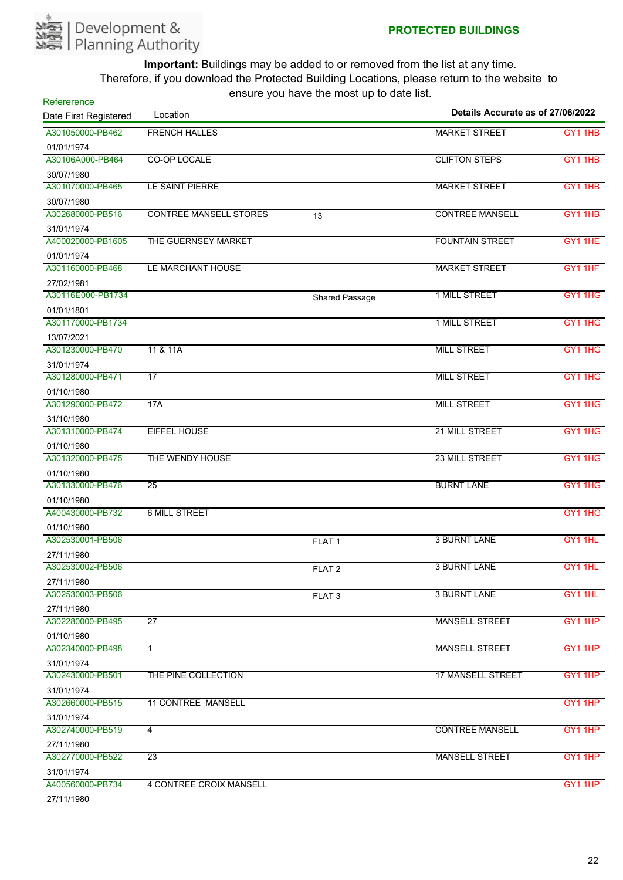

| Refererence           |                               |                       | Details Accurate as of 27/06/2022 |                                 |
|-----------------------|-------------------------------|-----------------------|-----------------------------------|---------------------------------|
| Date First Registered | Location                      |                       |                                   |                                 |
| A301050000-PB462      | <b>FRENCH HALLES</b>          |                       | <b>MARKET STREET</b>              | GY1 1HB                         |
| 01/01/1974            |                               |                       |                                   |                                 |
| A30106A000-PB464      | CO-OP LOCALE                  |                       | <b>CLIFTON STEPS</b>              | GY1 1HB                         |
| 30/07/1980            |                               |                       |                                   |                                 |
| A301070000-PB465      | LE SAINT PIERRE               |                       | <b>MARKET STREET</b>              | GY1 1HB                         |
| 30/07/1980            |                               |                       |                                   |                                 |
| A302680000-PB516      | <b>CONTREE MANSELL STORES</b> | 13                    | <b>CONTREE MANSELL</b>            | GY <sub>1</sub> 1H <sub>B</sub> |
| 31/01/1974            |                               |                       |                                   |                                 |
| A400020000-PB1605     | THE GUERNSEY MARKET           |                       | <b>FOUNTAIN STREET</b>            | GY1 1HE                         |
| 01/01/1974            |                               |                       |                                   |                                 |
| A301160000-PB468      | LE MARCHANT HOUSE             |                       | <b>MARKET STREET</b>              | GY1 1HF                         |
| 27/02/1981            |                               |                       |                                   |                                 |
| A30116E000-PB1734     |                               | <b>Shared Passage</b> | <b>1 MILL STREET</b>              | GY1 1HG                         |
| 01/01/1801            |                               |                       |                                   |                                 |
| A301170000-PB1734     |                               |                       | 1 MILL STREET                     | GY1 1HG                         |
| 13/07/2021            |                               |                       |                                   |                                 |
| A301230000-PB470      | 11 & 11A                      |                       | <b>MILL STREET</b>                | GY1 1HG                         |
| 31/01/1974            |                               |                       |                                   |                                 |
| A301280000-PB471      | $\overline{17}$               |                       | <b>MILL STREET</b>                | GY1 1HG                         |
| 01/10/1980            |                               |                       |                                   |                                 |
| A301290000-PB472      | 17A                           |                       | <b>MILL STREET</b>                | GY1 1HG                         |
| 31/10/1980            |                               |                       |                                   |                                 |
| A301310000-PB474      | <b>EIFFEL HOUSE</b>           |                       | 21 MILL STREET                    | GY1 1HG                         |
| 01/10/1980            |                               |                       |                                   |                                 |
| A301320000-PB475      | THE WENDY HOUSE               |                       | 23 MILL STREET                    | GY1 1HG                         |
| 01/10/1980            |                               |                       |                                   |                                 |
| A301330000-PB476      | $\overline{25}$               |                       | <b>BURNT LANE</b>                 | GY1 1HG                         |
| 01/10/1980            |                               |                       |                                   |                                 |
| A400430000-PB732      | <b>6 MILL STREET</b>          |                       |                                   | GY1 1HG                         |
| 01/10/1980            |                               |                       |                                   |                                 |
| A302530001-PB506      |                               | FLAT <sub>1</sub>     | <b>3 BURNT LANE</b>               | GY1 1HL                         |
| 27/11/1980            |                               |                       |                                   |                                 |
| A302530002-PB506      |                               | FLAT <sub>2</sub>     | <b>3 BURNT LANE</b>               | GY1 1HL                         |
| 27/11/1980            |                               |                       |                                   |                                 |
| A302530003-PB506      |                               | FLAT <sub>3</sub>     | <b>3 BURNT LANE</b>               | GY1 1HL                         |
| 27/11/1980            |                               |                       |                                   |                                 |
| A302280000-PB495      | $\overline{27}$               |                       | <b>MANSELL STREET</b>             | GY1 1HP                         |
| 01/10/1980            |                               |                       |                                   |                                 |
| A302340000-PB498      | $\mathbf{1}$                  |                       | <b>MANSELL STREET</b>             | GY1 1HP                         |
| 31/01/1974            |                               |                       |                                   |                                 |
| A302430000-PB501      | THE PINE COLLECTION           |                       | <b>17 MANSELL STREET</b>          | GY1 1HP                         |
| 31/01/1974            |                               |                       |                                   |                                 |
| A302660000-PB515      | <b>11 CONTREE MANSELL</b>     |                       |                                   | GY1 1HP                         |
| 31/01/1974            |                               |                       |                                   |                                 |
| A302740000-PB519      | 4                             |                       | <b>CONTREE MANSELL</b>            | GY1 1HP                         |
| 27/11/1980            |                               |                       |                                   |                                 |
| A302770000-PB522      | 23                            |                       | <b>MANSELL STREET</b>             | GY1 1HP                         |
| 31/01/1974            |                               |                       |                                   |                                 |
| A400560000-PB734      | 4 CONTREE CROIX MANSELL       |                       |                                   | GY1 1HP                         |
| 071111000             |                               |                       |                                   |                                 |

27/11/1980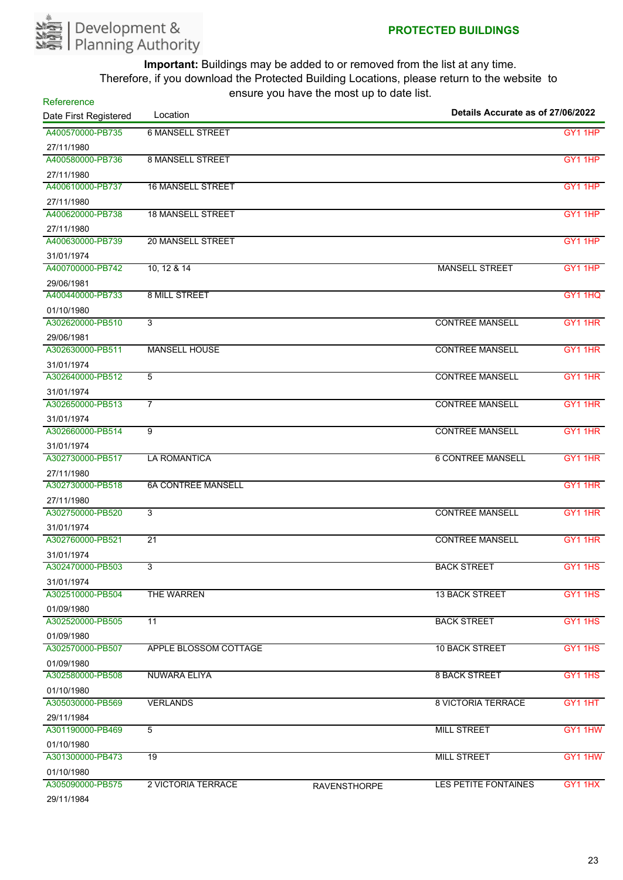

| Refererence                    | Location                  | --- - <i>--</i> ------ - ---- --- --- --- -- | Details Accurate as of 27/06/2022 |                |
|--------------------------------|---------------------------|----------------------------------------------|-----------------------------------|----------------|
| Date First Registered          |                           |                                              |                                   |                |
| A400570000-PB735               | <b>6 MANSELL STREET</b>   |                                              |                                   | GY1 1HP        |
| 27/11/1980                     |                           |                                              |                                   |                |
| A400580000-PB736               | <b>8 MANSELL STREET</b>   |                                              |                                   | GY1 1HP        |
| 27/11/1980                     |                           |                                              |                                   |                |
| A400610000-PB737               | <b>16 MANSELL STREET</b>  |                                              |                                   | GY1 1HP        |
| 27/11/1980<br>A400620000-PB738 | <b>18 MANSELL STREET</b>  |                                              |                                   | GY1 1HP        |
|                                |                           |                                              |                                   |                |
| 27/11/1980<br>A400630000-PB739 | <b>20 MANSELL STREET</b>  |                                              |                                   | GY1 1HP        |
|                                |                           |                                              |                                   |                |
| 31/01/1974<br>A400700000-PB742 | 10, 12 & 14               |                                              | <b>MANSELL STREET</b>             | GY1 1HP        |
| 29/06/1981                     |                           |                                              |                                   |                |
| A400440000-PB733               | <b>8 MILL STREET</b>      |                                              |                                   | GY1 1HQ        |
| 01/10/1980                     |                           |                                              |                                   |                |
| A302620000-PB510               | 3                         |                                              | <b>CONTREE MANSELL</b>            | <b>GY1 1HR</b> |
| 29/06/1981                     |                           |                                              |                                   |                |
| A302630000-PB511               | <b>MANSELL HOUSE</b>      |                                              | <b>CONTREE MANSELL</b>            | GY1 1HR        |
| 31/01/1974                     |                           |                                              |                                   |                |
| A302640000-PB512               | 5                         |                                              | <b>CONTREE MANSELL</b>            | GY1 1HR        |
| 31/01/1974                     |                           |                                              |                                   |                |
| A302650000-PB513               | $\overline{7}$            |                                              | <b>CONTREE MANSELL</b>            | GY1 1HR        |
| 31/01/1974                     |                           |                                              |                                   |                |
| A302660000-PB514               | 9                         |                                              | <b>CONTREE MANSELL</b>            | <b>GY1 1HR</b> |
| 31/01/1974                     |                           |                                              |                                   |                |
| A302730000-PB517               | <b>LA ROMANTICA</b>       |                                              | <b>6 CONTREE MANSELL</b>          | GY1 1HR        |
| 27/11/1980                     |                           |                                              |                                   |                |
| A302730000-PB518               | <b>6A CONTREE MANSELL</b> |                                              |                                   | GY1 1HR        |
| 27/11/1980                     |                           |                                              |                                   |                |
| A302750000-PB520               | $\overline{3}$            |                                              | <b>CONTREE MANSELL</b>            | GY1 1HR        |
| 31/01/1974                     |                           |                                              |                                   |                |
| A302760000-PB521               | $\overline{21}$           |                                              | <b>CONTREE MANSELL</b>            | <b>GY1 1HR</b> |
| 31/01/1974                     |                           |                                              |                                   |                |
| A302470000-PB503               | 3                         |                                              | <b>BACK STREET</b>                | GY1 1HS        |
| 31/01/1974                     |                           |                                              |                                   |                |
| A302510000-PB504               | THE WARREN                |                                              | <b>13 BACK STREET</b>             | GY1 1HS        |
| 01/09/1980                     |                           |                                              |                                   |                |
| A302520000-PB505               | $\overline{11}$           |                                              | <b>BACK STREET</b>                | GY1 1HS        |
| 01/09/1980                     |                           |                                              |                                   |                |
| A302570000-PB507               | APPLE BLOSSOM COTTAGE     |                                              | <b>10 BACK STREET</b>             | GY1 1HS        |
| 01/09/1980                     |                           |                                              | <b>8 BACK STREET</b>              |                |
| A302580000-PB508               | <b>NUWARA ELIYA</b>       |                                              |                                   | GY1 1HS        |
| 01/10/1980<br>A305030000-PB569 | <b>VERLANDS</b>           |                                              | <b>8 VICTORIA TERRACE</b>         |                |
|                                |                           |                                              |                                   | GY1 1HT        |
| 29/11/1984<br>A301190000-PB469 | 5                         |                                              | <b>MILL STREET</b>                | GY1 1HW        |
|                                |                           |                                              |                                   |                |
| 01/10/1980<br>A301300000-PB473 | 19                        |                                              | <b>MILL STREET</b>                | GY1 1HW        |
|                                |                           |                                              |                                   |                |
| 01/10/1980<br>A305090000-PB575 | 2 VICTORIA TERRACE        | <b>RAVENSTHORPE</b>                          | LES PETITE FONTAINES              | GY1 1HX        |
| 29/11/1984                     |                           |                                              |                                   |                |
|                                |                           |                                              |                                   |                |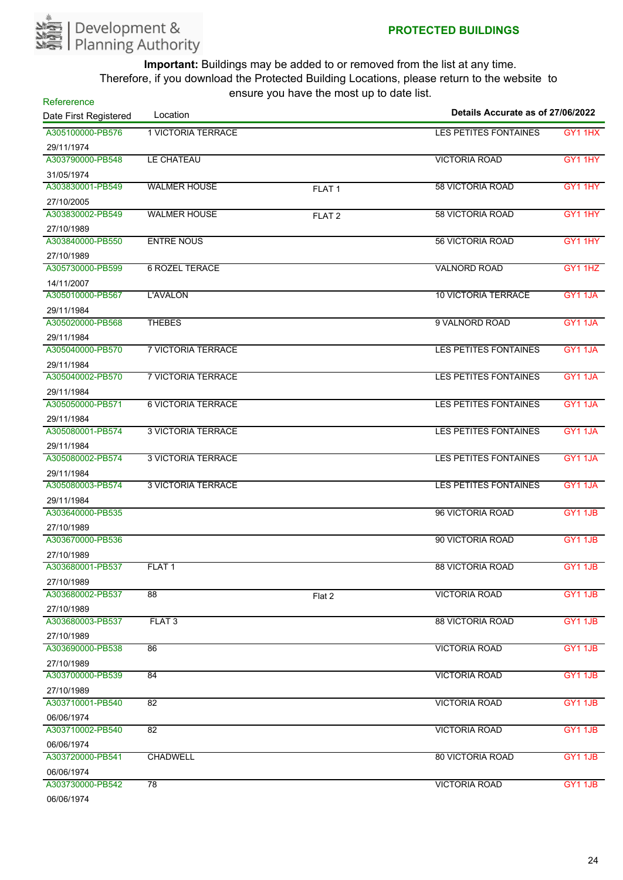

| <b>1 VICTORIA TERRACE</b><br>GY1 1HX<br><b>LES PETITES FONTAINES</b><br>29/11/1974<br>A303790000-PB548<br>LE CHATEAU<br><b>VICTORIA ROAD</b><br>GY1 1HY<br>31/05/1974<br><b>58 VICTORIA ROAD</b><br>GY1 1HY<br><b>WALMER HOUSE</b><br>FLAT <sub>1</sub><br>27/10/2005<br><b>WALMER HOUSE</b><br><b>58 VICTORIA ROAD</b><br>GY1 1HY<br>FLAT <sub>2</sub><br>27/10/1989<br><b>ENTRE NOUS</b><br><b>56 VICTORIA ROAD</b><br>GY1 1HY<br>A303840000-PB550<br>27/10/1989<br><b>6 ROZEL TERACE</b><br>A305730000-PB599<br><b>VALNORD ROAD</b><br>GY1 1HZ<br>14/11/2007<br>L'AVALON<br><b>10 VICTORIA TERRACE</b><br>GY1 1JA<br>29/11/1984<br><b>THEBES</b><br>9 VALNORD ROAD<br><b>GY1 1JA</b><br>29/11/1984<br><b>7 VICTORIA TERRACE</b><br>LES PETITES FONTAINES<br>GY11JA<br>29/11/1984<br><b>7 VICTORIA TERRACE</b><br><b>LES PETITES FONTAINES</b><br>GY1 1JA<br>29/11/1984<br><b>6 VICTORIA TERRACE</b><br><b>LES PETITES FONTAINES</b><br>GY1 1JA<br>29/11/1984<br>A305080001-PB574<br>GY1 1JA<br><b>3 VICTORIA TERRACE</b><br>LES PETITES FONTAINES<br>29/11/1984<br><b>3 VICTORIA TERRACE</b><br><b>LES PETITES FONTAINES</b><br>GY11JA<br>A305080002-PB574<br>29/11/1984<br><b>LES PETITES FONTAINES</b><br>GY1 1JA<br>A305080003-PB574<br><b>3 VICTORIA TERRACE</b><br>29/11/1984<br>A303640000-PB535<br>96 VICTORIA ROAD<br>GY1 1JB<br>27/10/1989<br>A303670000-PB536<br>90 VICTORIA ROAD<br>GY1 1JB<br>27/10/1989<br>A303680001-PB537<br><b>88 VICTORIA ROAD</b><br>FLAT <sub>1</sub><br>GY1 1JB<br>27/10/1989<br>A303680002-PB537<br>$\overline{88}$<br><b>VICTORIA ROAD</b><br>GY1 1JB<br>Flat 2<br>27/10/1989<br>A303680003-PB537<br>FLAT <sub>3</sub><br><b>88 VICTORIA ROAD</b><br><b>GY1 1JB</b><br>27/10/1989<br>A303690000-PB538<br>86<br><b>VICTORIA ROAD</b><br>GY1 1JB<br>27/10/1989<br>A303700000-PB539<br>84<br><b>VICTORIA ROAD</b><br><b>GY1 1JB</b><br>27/10/1989<br>A303710001-PB540<br>$\overline{82}$<br><b>VICTORIA ROAD</b><br><b>GY1 1JB</b><br>06/06/1974<br>A303710002-PB540<br>$\overline{82}$<br><b>VICTORIA ROAD</b><br>GY1 1JB<br>06/06/1974<br>A303720000-PB541<br><b>CHADWELL</b><br><b>80 VICTORIA ROAD</b><br><b>GY1 1JB</b><br>06/06/1974<br>78<br>A303730000-PB542<br><b>VICTORIA ROAD</b><br>GY1 1JB | Refererence<br>Date First Registered | Location | 0110ar0 you have the moot up to aato hot. | Details Accurate as of 27/06/2022 |  |
|-----------------------------------------------------------------------------------------------------------------------------------------------------------------------------------------------------------------------------------------------------------------------------------------------------------------------------------------------------------------------------------------------------------------------------------------------------------------------------------------------------------------------------------------------------------------------------------------------------------------------------------------------------------------------------------------------------------------------------------------------------------------------------------------------------------------------------------------------------------------------------------------------------------------------------------------------------------------------------------------------------------------------------------------------------------------------------------------------------------------------------------------------------------------------------------------------------------------------------------------------------------------------------------------------------------------------------------------------------------------------------------------------------------------------------------------------------------------------------------------------------------------------------------------------------------------------------------------------------------------------------------------------------------------------------------------------------------------------------------------------------------------------------------------------------------------------------------------------------------------------------------------------------------------------------------------------------------------------------------------------------------------------------------------------------------------------------------------------------------------------------------------------------------------------------------------------------------------------------------------------|--------------------------------------|----------|-------------------------------------------|-----------------------------------|--|
|                                                                                                                                                                                                                                                                                                                                                                                                                                                                                                                                                                                                                                                                                                                                                                                                                                                                                                                                                                                                                                                                                                                                                                                                                                                                                                                                                                                                                                                                                                                                                                                                                                                                                                                                                                                                                                                                                                                                                                                                                                                                                                                                                                                                                                               | A305100000-PB576                     |          |                                           |                                   |  |
|                                                                                                                                                                                                                                                                                                                                                                                                                                                                                                                                                                                                                                                                                                                                                                                                                                                                                                                                                                                                                                                                                                                                                                                                                                                                                                                                                                                                                                                                                                                                                                                                                                                                                                                                                                                                                                                                                                                                                                                                                                                                                                                                                                                                                                               |                                      |          |                                           |                                   |  |
|                                                                                                                                                                                                                                                                                                                                                                                                                                                                                                                                                                                                                                                                                                                                                                                                                                                                                                                                                                                                                                                                                                                                                                                                                                                                                                                                                                                                                                                                                                                                                                                                                                                                                                                                                                                                                                                                                                                                                                                                                                                                                                                                                                                                                                               |                                      |          |                                           |                                   |  |
|                                                                                                                                                                                                                                                                                                                                                                                                                                                                                                                                                                                                                                                                                                                                                                                                                                                                                                                                                                                                                                                                                                                                                                                                                                                                                                                                                                                                                                                                                                                                                                                                                                                                                                                                                                                                                                                                                                                                                                                                                                                                                                                                                                                                                                               |                                      |          |                                           |                                   |  |
|                                                                                                                                                                                                                                                                                                                                                                                                                                                                                                                                                                                                                                                                                                                                                                                                                                                                                                                                                                                                                                                                                                                                                                                                                                                                                                                                                                                                                                                                                                                                                                                                                                                                                                                                                                                                                                                                                                                                                                                                                                                                                                                                                                                                                                               | A303830001-PB549                     |          |                                           |                                   |  |
|                                                                                                                                                                                                                                                                                                                                                                                                                                                                                                                                                                                                                                                                                                                                                                                                                                                                                                                                                                                                                                                                                                                                                                                                                                                                                                                                                                                                                                                                                                                                                                                                                                                                                                                                                                                                                                                                                                                                                                                                                                                                                                                                                                                                                                               |                                      |          |                                           |                                   |  |
|                                                                                                                                                                                                                                                                                                                                                                                                                                                                                                                                                                                                                                                                                                                                                                                                                                                                                                                                                                                                                                                                                                                                                                                                                                                                                                                                                                                                                                                                                                                                                                                                                                                                                                                                                                                                                                                                                                                                                                                                                                                                                                                                                                                                                                               | A303830002-PB549                     |          |                                           |                                   |  |
|                                                                                                                                                                                                                                                                                                                                                                                                                                                                                                                                                                                                                                                                                                                                                                                                                                                                                                                                                                                                                                                                                                                                                                                                                                                                                                                                                                                                                                                                                                                                                                                                                                                                                                                                                                                                                                                                                                                                                                                                                                                                                                                                                                                                                                               |                                      |          |                                           |                                   |  |
|                                                                                                                                                                                                                                                                                                                                                                                                                                                                                                                                                                                                                                                                                                                                                                                                                                                                                                                                                                                                                                                                                                                                                                                                                                                                                                                                                                                                                                                                                                                                                                                                                                                                                                                                                                                                                                                                                                                                                                                                                                                                                                                                                                                                                                               |                                      |          |                                           |                                   |  |
|                                                                                                                                                                                                                                                                                                                                                                                                                                                                                                                                                                                                                                                                                                                                                                                                                                                                                                                                                                                                                                                                                                                                                                                                                                                                                                                                                                                                                                                                                                                                                                                                                                                                                                                                                                                                                                                                                                                                                                                                                                                                                                                                                                                                                                               |                                      |          |                                           |                                   |  |
|                                                                                                                                                                                                                                                                                                                                                                                                                                                                                                                                                                                                                                                                                                                                                                                                                                                                                                                                                                                                                                                                                                                                                                                                                                                                                                                                                                                                                                                                                                                                                                                                                                                                                                                                                                                                                                                                                                                                                                                                                                                                                                                                                                                                                                               |                                      |          |                                           |                                   |  |
|                                                                                                                                                                                                                                                                                                                                                                                                                                                                                                                                                                                                                                                                                                                                                                                                                                                                                                                                                                                                                                                                                                                                                                                                                                                                                                                                                                                                                                                                                                                                                                                                                                                                                                                                                                                                                                                                                                                                                                                                                                                                                                                                                                                                                                               |                                      |          |                                           |                                   |  |
|                                                                                                                                                                                                                                                                                                                                                                                                                                                                                                                                                                                                                                                                                                                                                                                                                                                                                                                                                                                                                                                                                                                                                                                                                                                                                                                                                                                                                                                                                                                                                                                                                                                                                                                                                                                                                                                                                                                                                                                                                                                                                                                                                                                                                                               | A305010000-PB567                     |          |                                           |                                   |  |
|                                                                                                                                                                                                                                                                                                                                                                                                                                                                                                                                                                                                                                                                                                                                                                                                                                                                                                                                                                                                                                                                                                                                                                                                                                                                                                                                                                                                                                                                                                                                                                                                                                                                                                                                                                                                                                                                                                                                                                                                                                                                                                                                                                                                                                               |                                      |          |                                           |                                   |  |
|                                                                                                                                                                                                                                                                                                                                                                                                                                                                                                                                                                                                                                                                                                                                                                                                                                                                                                                                                                                                                                                                                                                                                                                                                                                                                                                                                                                                                                                                                                                                                                                                                                                                                                                                                                                                                                                                                                                                                                                                                                                                                                                                                                                                                                               | A305020000-PB568                     |          |                                           |                                   |  |
|                                                                                                                                                                                                                                                                                                                                                                                                                                                                                                                                                                                                                                                                                                                                                                                                                                                                                                                                                                                                                                                                                                                                                                                                                                                                                                                                                                                                                                                                                                                                                                                                                                                                                                                                                                                                                                                                                                                                                                                                                                                                                                                                                                                                                                               |                                      |          |                                           |                                   |  |
|                                                                                                                                                                                                                                                                                                                                                                                                                                                                                                                                                                                                                                                                                                                                                                                                                                                                                                                                                                                                                                                                                                                                                                                                                                                                                                                                                                                                                                                                                                                                                                                                                                                                                                                                                                                                                                                                                                                                                                                                                                                                                                                                                                                                                                               | A305040000-PB570                     |          |                                           |                                   |  |
|                                                                                                                                                                                                                                                                                                                                                                                                                                                                                                                                                                                                                                                                                                                                                                                                                                                                                                                                                                                                                                                                                                                                                                                                                                                                                                                                                                                                                                                                                                                                                                                                                                                                                                                                                                                                                                                                                                                                                                                                                                                                                                                                                                                                                                               |                                      |          |                                           |                                   |  |
|                                                                                                                                                                                                                                                                                                                                                                                                                                                                                                                                                                                                                                                                                                                                                                                                                                                                                                                                                                                                                                                                                                                                                                                                                                                                                                                                                                                                                                                                                                                                                                                                                                                                                                                                                                                                                                                                                                                                                                                                                                                                                                                                                                                                                                               | A305040002-PB570                     |          |                                           |                                   |  |
|                                                                                                                                                                                                                                                                                                                                                                                                                                                                                                                                                                                                                                                                                                                                                                                                                                                                                                                                                                                                                                                                                                                                                                                                                                                                                                                                                                                                                                                                                                                                                                                                                                                                                                                                                                                                                                                                                                                                                                                                                                                                                                                                                                                                                                               |                                      |          |                                           |                                   |  |
|                                                                                                                                                                                                                                                                                                                                                                                                                                                                                                                                                                                                                                                                                                                                                                                                                                                                                                                                                                                                                                                                                                                                                                                                                                                                                                                                                                                                                                                                                                                                                                                                                                                                                                                                                                                                                                                                                                                                                                                                                                                                                                                                                                                                                                               | A305050000-PB571                     |          |                                           |                                   |  |
|                                                                                                                                                                                                                                                                                                                                                                                                                                                                                                                                                                                                                                                                                                                                                                                                                                                                                                                                                                                                                                                                                                                                                                                                                                                                                                                                                                                                                                                                                                                                                                                                                                                                                                                                                                                                                                                                                                                                                                                                                                                                                                                                                                                                                                               |                                      |          |                                           |                                   |  |
|                                                                                                                                                                                                                                                                                                                                                                                                                                                                                                                                                                                                                                                                                                                                                                                                                                                                                                                                                                                                                                                                                                                                                                                                                                                                                                                                                                                                                                                                                                                                                                                                                                                                                                                                                                                                                                                                                                                                                                                                                                                                                                                                                                                                                                               |                                      |          |                                           |                                   |  |
|                                                                                                                                                                                                                                                                                                                                                                                                                                                                                                                                                                                                                                                                                                                                                                                                                                                                                                                                                                                                                                                                                                                                                                                                                                                                                                                                                                                                                                                                                                                                                                                                                                                                                                                                                                                                                                                                                                                                                                                                                                                                                                                                                                                                                                               |                                      |          |                                           |                                   |  |
|                                                                                                                                                                                                                                                                                                                                                                                                                                                                                                                                                                                                                                                                                                                                                                                                                                                                                                                                                                                                                                                                                                                                                                                                                                                                                                                                                                                                                                                                                                                                                                                                                                                                                                                                                                                                                                                                                                                                                                                                                                                                                                                                                                                                                                               |                                      |          |                                           |                                   |  |
|                                                                                                                                                                                                                                                                                                                                                                                                                                                                                                                                                                                                                                                                                                                                                                                                                                                                                                                                                                                                                                                                                                                                                                                                                                                                                                                                                                                                                                                                                                                                                                                                                                                                                                                                                                                                                                                                                                                                                                                                                                                                                                                                                                                                                                               |                                      |          |                                           |                                   |  |
|                                                                                                                                                                                                                                                                                                                                                                                                                                                                                                                                                                                                                                                                                                                                                                                                                                                                                                                                                                                                                                                                                                                                                                                                                                                                                                                                                                                                                                                                                                                                                                                                                                                                                                                                                                                                                                                                                                                                                                                                                                                                                                                                                                                                                                               |                                      |          |                                           |                                   |  |
|                                                                                                                                                                                                                                                                                                                                                                                                                                                                                                                                                                                                                                                                                                                                                                                                                                                                                                                                                                                                                                                                                                                                                                                                                                                                                                                                                                                                                                                                                                                                                                                                                                                                                                                                                                                                                                                                                                                                                                                                                                                                                                                                                                                                                                               |                                      |          |                                           |                                   |  |
|                                                                                                                                                                                                                                                                                                                                                                                                                                                                                                                                                                                                                                                                                                                                                                                                                                                                                                                                                                                                                                                                                                                                                                                                                                                                                                                                                                                                                                                                                                                                                                                                                                                                                                                                                                                                                                                                                                                                                                                                                                                                                                                                                                                                                                               |                                      |          |                                           |                                   |  |
|                                                                                                                                                                                                                                                                                                                                                                                                                                                                                                                                                                                                                                                                                                                                                                                                                                                                                                                                                                                                                                                                                                                                                                                                                                                                                                                                                                                                                                                                                                                                                                                                                                                                                                                                                                                                                                                                                                                                                                                                                                                                                                                                                                                                                                               |                                      |          |                                           |                                   |  |
|                                                                                                                                                                                                                                                                                                                                                                                                                                                                                                                                                                                                                                                                                                                                                                                                                                                                                                                                                                                                                                                                                                                                                                                                                                                                                                                                                                                                                                                                                                                                                                                                                                                                                                                                                                                                                                                                                                                                                                                                                                                                                                                                                                                                                                               |                                      |          |                                           |                                   |  |
|                                                                                                                                                                                                                                                                                                                                                                                                                                                                                                                                                                                                                                                                                                                                                                                                                                                                                                                                                                                                                                                                                                                                                                                                                                                                                                                                                                                                                                                                                                                                                                                                                                                                                                                                                                                                                                                                                                                                                                                                                                                                                                                                                                                                                                               |                                      |          |                                           |                                   |  |
|                                                                                                                                                                                                                                                                                                                                                                                                                                                                                                                                                                                                                                                                                                                                                                                                                                                                                                                                                                                                                                                                                                                                                                                                                                                                                                                                                                                                                                                                                                                                                                                                                                                                                                                                                                                                                                                                                                                                                                                                                                                                                                                                                                                                                                               |                                      |          |                                           |                                   |  |
|                                                                                                                                                                                                                                                                                                                                                                                                                                                                                                                                                                                                                                                                                                                                                                                                                                                                                                                                                                                                                                                                                                                                                                                                                                                                                                                                                                                                                                                                                                                                                                                                                                                                                                                                                                                                                                                                                                                                                                                                                                                                                                                                                                                                                                               |                                      |          |                                           |                                   |  |
|                                                                                                                                                                                                                                                                                                                                                                                                                                                                                                                                                                                                                                                                                                                                                                                                                                                                                                                                                                                                                                                                                                                                                                                                                                                                                                                                                                                                                                                                                                                                                                                                                                                                                                                                                                                                                                                                                                                                                                                                                                                                                                                                                                                                                                               |                                      |          |                                           |                                   |  |
|                                                                                                                                                                                                                                                                                                                                                                                                                                                                                                                                                                                                                                                                                                                                                                                                                                                                                                                                                                                                                                                                                                                                                                                                                                                                                                                                                                                                                                                                                                                                                                                                                                                                                                                                                                                                                                                                                                                                                                                                                                                                                                                                                                                                                                               |                                      |          |                                           |                                   |  |
|                                                                                                                                                                                                                                                                                                                                                                                                                                                                                                                                                                                                                                                                                                                                                                                                                                                                                                                                                                                                                                                                                                                                                                                                                                                                                                                                                                                                                                                                                                                                                                                                                                                                                                                                                                                                                                                                                                                                                                                                                                                                                                                                                                                                                                               |                                      |          |                                           |                                   |  |
|                                                                                                                                                                                                                                                                                                                                                                                                                                                                                                                                                                                                                                                                                                                                                                                                                                                                                                                                                                                                                                                                                                                                                                                                                                                                                                                                                                                                                                                                                                                                                                                                                                                                                                                                                                                                                                                                                                                                                                                                                                                                                                                                                                                                                                               |                                      |          |                                           |                                   |  |
|                                                                                                                                                                                                                                                                                                                                                                                                                                                                                                                                                                                                                                                                                                                                                                                                                                                                                                                                                                                                                                                                                                                                                                                                                                                                                                                                                                                                                                                                                                                                                                                                                                                                                                                                                                                                                                                                                                                                                                                                                                                                                                                                                                                                                                               |                                      |          |                                           |                                   |  |
|                                                                                                                                                                                                                                                                                                                                                                                                                                                                                                                                                                                                                                                                                                                                                                                                                                                                                                                                                                                                                                                                                                                                                                                                                                                                                                                                                                                                                                                                                                                                                                                                                                                                                                                                                                                                                                                                                                                                                                                                                                                                                                                                                                                                                                               |                                      |          |                                           |                                   |  |
|                                                                                                                                                                                                                                                                                                                                                                                                                                                                                                                                                                                                                                                                                                                                                                                                                                                                                                                                                                                                                                                                                                                                                                                                                                                                                                                                                                                                                                                                                                                                                                                                                                                                                                                                                                                                                                                                                                                                                                                                                                                                                                                                                                                                                                               |                                      |          |                                           |                                   |  |
|                                                                                                                                                                                                                                                                                                                                                                                                                                                                                                                                                                                                                                                                                                                                                                                                                                                                                                                                                                                                                                                                                                                                                                                                                                                                                                                                                                                                                                                                                                                                                                                                                                                                                                                                                                                                                                                                                                                                                                                                                                                                                                                                                                                                                                               |                                      |          |                                           |                                   |  |
|                                                                                                                                                                                                                                                                                                                                                                                                                                                                                                                                                                                                                                                                                                                                                                                                                                                                                                                                                                                                                                                                                                                                                                                                                                                                                                                                                                                                                                                                                                                                                                                                                                                                                                                                                                                                                                                                                                                                                                                                                                                                                                                                                                                                                                               |                                      |          |                                           |                                   |  |
|                                                                                                                                                                                                                                                                                                                                                                                                                                                                                                                                                                                                                                                                                                                                                                                                                                                                                                                                                                                                                                                                                                                                                                                                                                                                                                                                                                                                                                                                                                                                                                                                                                                                                                                                                                                                                                                                                                                                                                                                                                                                                                                                                                                                                                               |                                      |          |                                           |                                   |  |
|                                                                                                                                                                                                                                                                                                                                                                                                                                                                                                                                                                                                                                                                                                                                                                                                                                                                                                                                                                                                                                                                                                                                                                                                                                                                                                                                                                                                                                                                                                                                                                                                                                                                                                                                                                                                                                                                                                                                                                                                                                                                                                                                                                                                                                               |                                      |          |                                           |                                   |  |
|                                                                                                                                                                                                                                                                                                                                                                                                                                                                                                                                                                                                                                                                                                                                                                                                                                                                                                                                                                                                                                                                                                                                                                                                                                                                                                                                                                                                                                                                                                                                                                                                                                                                                                                                                                                                                                                                                                                                                                                                                                                                                                                                                                                                                                               |                                      |          |                                           |                                   |  |
|                                                                                                                                                                                                                                                                                                                                                                                                                                                                                                                                                                                                                                                                                                                                                                                                                                                                                                                                                                                                                                                                                                                                                                                                                                                                                                                                                                                                                                                                                                                                                                                                                                                                                                                                                                                                                                                                                                                                                                                                                                                                                                                                                                                                                                               |                                      |          |                                           |                                   |  |
|                                                                                                                                                                                                                                                                                                                                                                                                                                                                                                                                                                                                                                                                                                                                                                                                                                                                                                                                                                                                                                                                                                                                                                                                                                                                                                                                                                                                                                                                                                                                                                                                                                                                                                                                                                                                                                                                                                                                                                                                                                                                                                                                                                                                                                               |                                      |          |                                           |                                   |  |
|                                                                                                                                                                                                                                                                                                                                                                                                                                                                                                                                                                                                                                                                                                                                                                                                                                                                                                                                                                                                                                                                                                                                                                                                                                                                                                                                                                                                                                                                                                                                                                                                                                                                                                                                                                                                                                                                                                                                                                                                                                                                                                                                                                                                                                               | 06/06/1974                           |          |                                           |                                   |  |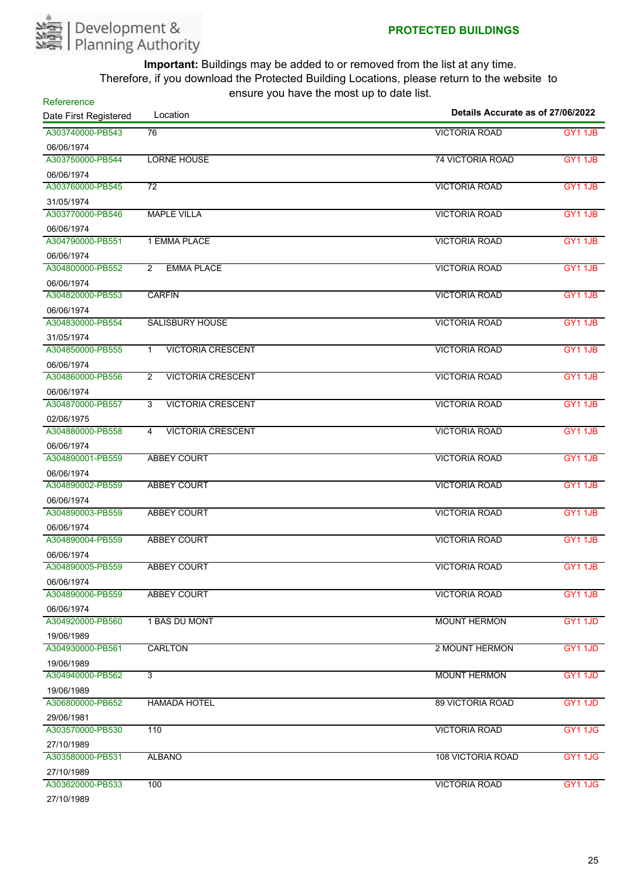

| Refererence           | shourd you have the most up to date not. |                                   |                     |
|-----------------------|------------------------------------------|-----------------------------------|---------------------|
| Date First Registered | Location                                 | Details Accurate as of 27/06/2022 |                     |
| A303740000-PB543      | 76                                       | <b>VICTORIA ROAD</b>              | <b>GY1 1JB</b>      |
| 06/06/1974            |                                          |                                   |                     |
| A303750000-PB544      | <b>LORNE HOUSE</b>                       | <b>74 VICTORIA ROAD</b>           | GY1 1JB             |
| 06/06/1974            |                                          |                                   |                     |
| A303760000-PB545      | $\overline{72}$                          | <b>VICTORIA ROAD</b>              | GY1 1JB             |
| 31/05/1974            |                                          |                                   |                     |
| A303770000-PB546      | <b>MAPLE VILLA</b>                       | <b>VICTORIA ROAD</b>              | <b>GY1 1JB</b>      |
| 06/06/1974            |                                          |                                   |                     |
| A304790000-PB551      | 1 EMMA PLACE                             | <b>VICTORIA ROAD</b>              | <b>GY1 1JB</b>      |
| 06/06/1974            |                                          |                                   |                     |
| A304800000-PB552      | <b>EMMA PLACE</b><br>$\overline{2}$      | <b>VICTORIA ROAD</b>              | GY1 1JB             |
| 06/06/1974            |                                          |                                   |                     |
| A304820000-PB553      | <b>CARFIN</b>                            | <b>VICTORIA ROAD</b>              | <b>GY1 1JB</b>      |
| 06/06/1974            |                                          |                                   |                     |
| A304830000-PB554      | <b>SALISBURY HOUSE</b>                   | <b>VICTORIA ROAD</b>              | <b>GY1 1JB</b>      |
| 31/05/1974            |                                          |                                   |                     |
| A304850000-PB555      | <b>VICTORIA CRESCENT</b><br>$\mathbf{1}$ | <b>VICTORIA ROAD</b>              | GY1 1JB             |
| 06/06/1974            |                                          |                                   |                     |
| A304860000-PB556      | <b>VICTORIA CRESCENT</b><br>2            | <b>VICTORIA ROAD</b>              | GY1 1JB             |
| 06/06/1974            |                                          |                                   |                     |
| A304870000-PB557      | <b>VICTORIA CRESCENT</b><br>3            | <b>VICTORIA ROAD</b>              | <b>GY1 1JB</b>      |
| 02/06/1975            |                                          |                                   |                     |
| A304880000-PB558      | <b>VICTORIA CRESCENT</b><br>4            | <b>VICTORIA ROAD</b>              | GY1 1JB             |
| 06/06/1974            |                                          |                                   |                     |
| A304890001-PB559      | <b>ABBEY COURT</b>                       | <b>VICTORIA ROAD</b>              | <b>GY1 1JB</b>      |
| 06/06/1974            |                                          |                                   |                     |
| A304890002-PB559      | <b>ABBEY COURT</b>                       | <b>VICTORIA ROAD</b>              | GY1 1JB             |
| 06/06/1974            |                                          |                                   |                     |
| A304890003-PB559      | <b>ABBEY COURT</b>                       | <b>VICTORIA ROAD</b>              | <b>GY1 1JB</b>      |
| 06/06/1974            |                                          |                                   |                     |
| A304890004-PB559      | <b>ABBEY COURT</b>                       | <b>VICTORIA ROAD</b>              | GY <sub>1</sub> 1JB |
| 06/06/1974            |                                          |                                   |                     |
| A304890005-PB559      | <b>ABBEY COURT</b>                       | <b>VICTORIA ROAD</b>              | GY1 1JB             |
| 06/06/1974            |                                          |                                   |                     |
| A304890006-PB559      | <b>ABBEY COURT</b>                       | <b>VICTORIA ROAD</b>              | GY1 1JB             |
| 06/06/1974            |                                          |                                   |                     |
| A304920000-PB560      | 1 BAS DU MONT                            | <b>MOUNT HERMON</b>               | GY1 1JD             |
| 19/06/1989            |                                          |                                   |                     |
| A304930000-PB561      | <b>CARLTON</b>                           | 2 MOUNT HERMON                    | GY1 1JD             |
| 19/06/1989            |                                          |                                   |                     |
| A304940000-PB562      | 3                                        | <b>MOUNT HERMON</b>               | <b>GY1 1JD</b>      |
| 19/06/1989            |                                          |                                   |                     |
| A306800000-PB652      | <b>HAMADA HOTEL</b>                      | <b>89 VICTORIA ROAD</b>           | <b>GY1 1JD</b>      |
| 29/06/1981            |                                          |                                   |                     |
| A303570000-PB530      | 110                                      | <b>VICTORIA ROAD</b>              | GY1 1JG             |
| 27/10/1989            |                                          |                                   |                     |
| A303580000-PB531      | <b>ALBANO</b>                            | <b>108 VICTORIA ROAD</b>          | GY1 1JG             |
| 27/10/1989            |                                          |                                   |                     |
| A303620000-PB533      | 100                                      | <b>VICTORIA ROAD</b>              | GY1 1JG             |
| 0711011000            |                                          |                                   |                     |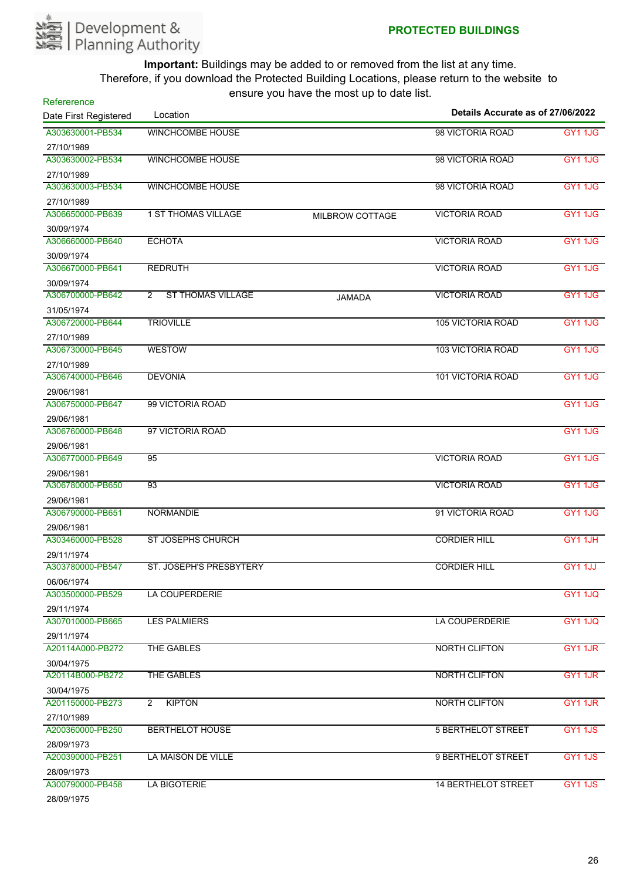

| Refererence           | Location                        | noard you have the most ap to date hot. | Details Accurate as of 27/06/2022 |                |
|-----------------------|---------------------------------|-----------------------------------------|-----------------------------------|----------------|
| Date First Registered |                                 |                                         |                                   |                |
| A303630001-PB534      | <b>WINCHCOMBE HOUSE</b>         |                                         | 98 VICTORIA ROAD                  | <b>GY1 1JG</b> |
| 27/10/1989            |                                 |                                         |                                   |                |
| A303630002-PB534      | <b>WINCHCOMBE HOUSE</b>         |                                         | 98 VICTORIA ROAD                  | <b>GY11JG</b>  |
| 27/10/1989            |                                 |                                         |                                   |                |
| A303630003-PB534      | <b>WINCHCOMBE HOUSE</b>         |                                         | 98 VICTORIA ROAD                  | <b>GY11JG</b>  |
| 27/10/1989            |                                 |                                         |                                   |                |
| A306650000-PB639      | <b>1 ST THOMAS VILLAGE</b>      | <b>MILBROW COTTAGE</b>                  | <b>VICTORIA ROAD</b>              | <b>GY1 1JG</b> |
| 30/09/1974            |                                 |                                         |                                   |                |
| A306660000-PB640      | <b>ECHOTA</b>                   |                                         | <b>VICTORIA ROAD</b>              | GY1 1JG        |
| 30/09/1974            |                                 |                                         |                                   |                |
| A306670000-PB641      | <b>REDRUTH</b>                  |                                         | <b>VICTORIA ROAD</b>              | <b>GY1 1JG</b> |
| 30/09/1974            |                                 |                                         |                                   |                |
| A306700000-PB642      | <b>ST THOMAS VILLAGE</b><br>2   | <b>JAMADA</b>                           | <b>VICTORIA ROAD</b>              | <b>GY1 1JG</b> |
| 31/05/1974            |                                 |                                         |                                   |                |
| A306720000-PB644      | <b>TRIOVILLE</b>                |                                         | <b>105 VICTORIA ROAD</b>          | <b>GY1 1JG</b> |
| 27/10/1989            |                                 |                                         |                                   |                |
| A306730000-PB645      | <b>WESTOW</b>                   |                                         | <b>103 VICTORIA ROAD</b>          | <b>GY11JG</b>  |
| 27/10/1989            |                                 |                                         |                                   |                |
| A306740000-PB646      | <b>DEVONIA</b>                  |                                         | <b>101 VICTORIA ROAD</b>          | <b>GY1 1JG</b> |
| 29/06/1981            |                                 |                                         |                                   |                |
| A306750000-PB647      | 99 VICTORIA ROAD                |                                         |                                   | <b>GY1 1JG</b> |
| 29/06/1981            |                                 |                                         |                                   |                |
| A306760000-PB648      | 97 VICTORIA ROAD                |                                         |                                   | <b>GY11JG</b>  |
| 29/06/1981            |                                 |                                         |                                   |                |
| A306770000-PB649      | 95                              |                                         | <b>VICTORIA ROAD</b>              | GY11JG         |
| 29/06/1981            |                                 |                                         |                                   |                |
| A306780000-PB650      | 93                              |                                         | <b>VICTORIA ROAD</b>              | <b>GY11JG</b>  |
| 29/06/1981            |                                 |                                         |                                   |                |
| A306790000-PB651      | <b>NORMANDIE</b>                |                                         | 91 VICTORIA ROAD                  | <b>GY1 1JG</b> |
| 29/06/1981            |                                 |                                         |                                   |                |
| A303460000-PB528      | <b>ST JOSEPHS CHURCH</b>        |                                         | <b>CORDIER HILL</b>               | GY1 1JH        |
| 29/11/1974            |                                 |                                         |                                   |                |
| A303780000-PB547      | <b>ST. JOSEPH'S PRESBYTERY</b>  |                                         | <b>CORDIER HILL</b>               | GY1 1JJ        |
| 06/06/1974            |                                 |                                         |                                   |                |
| A303500000-PB529      | <b>LA COUPERDERIE</b>           |                                         |                                   | <b>GY1 1JQ</b> |
| 29/11/1974            |                                 |                                         |                                   |                |
| A307010000-PB665      | <b>LES PALMIERS</b>             |                                         | LA COUPERDERIE                    | <b>GY1 1JQ</b> |
| 29/11/1974            |                                 |                                         |                                   |                |
| A20114A000-PB272      | THE GABLES                      |                                         | <b>NORTH CLIFTON</b>              | GY1 1JR        |
| 30/04/1975            |                                 |                                         |                                   |                |
| A20114B000-PB272      | THE GABLES                      |                                         | <b>NORTH CLIFTON</b>              | GY1 1JR        |
| 30/04/1975            |                                 |                                         |                                   |                |
| A201150000-PB273      | <b>KIPTON</b><br>$\overline{2}$ |                                         | <b>NORTH CLIFTON</b>              | GY1 1JR        |
| 27/10/1989            |                                 |                                         |                                   |                |
| A200360000-PB250      | <b>BERTHELOT HOUSE</b>          |                                         | <b>5 BERTHELOT STREET</b>         | GY1 1JS        |
| 28/09/1973            |                                 |                                         |                                   |                |
| A200390000-PB251      | LA MAISON DE VILLE              |                                         | 9 BERTHELOT STREET                | GY1 1JS        |
| 28/09/1973            |                                 |                                         |                                   |                |
| A300790000-PB458      | <b>LA BIGOTERIE</b>             |                                         | <b>14 BERTHELOT STREET</b>        | GY1 1JS        |
| <b>201001407E</b>     |                                 |                                         |                                   |                |

28/09/1975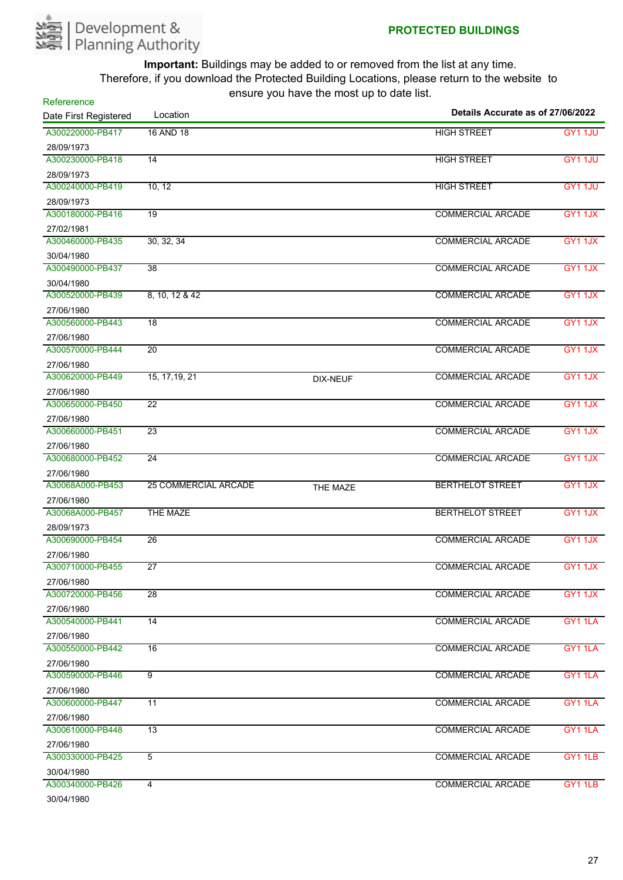

| Refererence           |                             |                 | Details Accurate as of 27/06/2022 |                |
|-----------------------|-----------------------------|-----------------|-----------------------------------|----------------|
| Date First Registered | Location                    |                 |                                   |                |
| A300220000-PB417      | 16 AND 18                   |                 | <b>HIGH STREET</b>                | GY1 1JU        |
| 28/09/1973            |                             |                 |                                   |                |
| A300230000-PB418      | $\overline{14}$             |                 | <b>HIGH STREET</b>                | GY1 1JU        |
| 28/09/1973            |                             |                 |                                   |                |
| A300240000-PB419      | 10, 12                      |                 | <b>HIGH STREET</b>                | <b>GY1 1JU</b> |
| 28/09/1973            |                             |                 |                                   |                |
| A300180000-PB416      | 19                          |                 | <b>COMMERCIAL ARCADE</b>          | GY1 1JX        |
| 27/02/1981            |                             |                 |                                   |                |
| A300460000-PB435      | 30, 32, 34                  |                 | <b>COMMERCIAL ARCADE</b>          | GY1 1JX        |
| 30/04/1980            |                             |                 |                                   |                |
| A300490000-PB437      | 38                          |                 | <b>COMMERCIAL ARCADE</b>          | GY1 1JX        |
| 30/04/1980            |                             |                 |                                   |                |
| A300520000-PB439      | 8, 10, 12 & 42              |                 | <b>COMMERCIAL ARCADE</b>          | GY1 1JX        |
| 27/06/1980            |                             |                 |                                   |                |
| A300560000-PB443      | $\overline{18}$             |                 | <b>COMMERCIAL ARCADE</b>          | GY1 1JX        |
| 27/06/1980            |                             |                 |                                   |                |
| A300570000-PB444      | $\overline{20}$             |                 | <b>COMMERCIAL ARCADE</b>          | GY1 1JX        |
| 27/06/1980            |                             |                 |                                   |                |
| A300620000-PB449      | 15, 17, 19, 21              | <b>DIX-NEUF</b> | <b>COMMERCIAL ARCADE</b>          | GY1 1JX        |
| 27/06/1980            |                             |                 |                                   |                |
| A300650000-PB450      | $\overline{22}$             |                 | <b>COMMERCIAL ARCADE</b>          | GY1 1JX        |
| 27/06/1980            |                             |                 |                                   |                |
| A300660000-PB451      | $\overline{23}$             |                 | <b>COMMERCIAL ARCADE</b>          | GY1 1JX        |
| 27/06/1980            |                             |                 |                                   |                |
| A300680000-PB452      | 24                          |                 | <b>COMMERCIAL ARCADE</b>          | GY11JX         |
| 27/06/1980            |                             |                 |                                   |                |
| A30068A000-PB453      | <b>25 COMMERCIAL ARCADE</b> | THE MAZE        | <b>BERTHELOT STREET</b>           | GY1 1JX        |
| 27/06/1980            |                             |                 |                                   |                |
| A30068A000-PB457      | THE MAZE                    |                 | <b>BERTHELOT STREET</b>           | GY1 1JX        |
| 28/09/1973            |                             |                 |                                   |                |
| A300690000-PB454      | $\overline{26}$             |                 | <b>COMMERCIAL ARCADE</b>          | GY1 1JX        |
| 27/06/1980            |                             |                 |                                   |                |
| A300710000-PB455      | $\overline{27}$             |                 | <b>COMMERCIAL ARCADE</b>          | GY11JX         |
| 27/06/1980            |                             |                 |                                   |                |
| A300720000-PB456      | 28                          |                 | <b>COMMERCIAL ARCADE</b>          | GY1 1JX        |
| 27/06/1980            |                             |                 |                                   |                |
| A300540000-PB441      | $\overline{14}$             |                 | <b>COMMERCIAL ARCADE</b>          | GY1 1LA        |
| 27/06/1980            |                             |                 |                                   |                |
| A300550000-PB442      | $\overline{16}$             |                 | <b>COMMERCIAL ARCADE</b>          | GY1 1LA        |
| 27/06/1980            |                             |                 |                                   |                |
| A300590000-PB446      | $\overline{9}$              |                 | <b>COMMERCIAL ARCADE</b>          | GY1 1LA        |
| 27/06/1980            |                             |                 |                                   |                |
| A300600000-PB447      | 11                          |                 | <b>COMMERCIAL ARCADE</b>          | GY1 1LA        |
| 27/06/1980            |                             |                 |                                   |                |
| A300610000-PB448      | 13                          |                 | <b>COMMERCIAL ARCADE</b>          | GY1 1LA        |
| 27/06/1980            |                             |                 |                                   |                |
| A300330000-PB425      | $\overline{5}$              |                 | <b>COMMERCIAL ARCADE</b>          | GY1 1LB        |
| 30/04/1980            |                             |                 |                                   |                |
| A300340000-PB426      | $\overline{4}$              |                 | <b>COMMERCIAL ARCADE</b>          | GY1 1LB        |
| 30/04/1980            |                             |                 |                                   |                |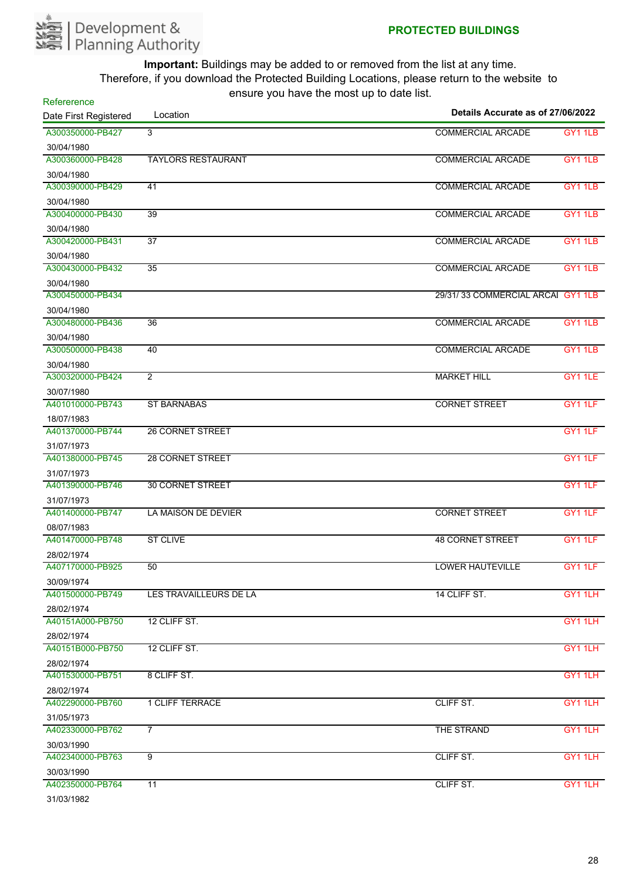

| $10.91$ $\sigma$ $1.91$ $\sigma$ $1.1$ $\sigma$ $1.1$ $\sigma$ $\sigma$ $1.91$<br>Refererence<br>Details Accurate as of 27/06/2022 |                           |                                   |                |
|------------------------------------------------------------------------------------------------------------------------------------|---------------------------|-----------------------------------|----------------|
| Date First Registered                                                                                                              | Location                  |                                   |                |
| A300350000-PB427                                                                                                                   | 3                         | <b>COMMERCIAL ARCADE</b>          | <b>GY1 1LB</b> |
| 30/04/1980                                                                                                                         |                           |                                   |                |
| A300360000-PB428                                                                                                                   | <b>TAYLORS RESTAURANT</b> | <b>COMMERCIAL ARCADE</b>          | GY1 1LB        |
| 30/04/1980                                                                                                                         |                           |                                   |                |
| A300390000-PB429                                                                                                                   | 41                        | <b>COMMERCIAL ARCADE</b>          | GY1 1LB        |
| 30/04/1980                                                                                                                         |                           |                                   |                |
| A300400000-PB430                                                                                                                   | $\overline{39}$           | <b>COMMERCIAL ARCADE</b>          | <b>GY1 1LB</b> |
| 30/04/1980                                                                                                                         |                           |                                   |                |
| A300420000-PB431                                                                                                                   | 37                        | <b>COMMERCIAL ARCADE</b>          | GY1 1LB        |
| 30/04/1980                                                                                                                         |                           |                                   |                |
| A300430000-PB432                                                                                                                   | $\overline{35}$           | <b>COMMERCIAL ARCADE</b>          | <b>GY1 1LB</b> |
| 30/04/1980                                                                                                                         |                           |                                   |                |
| A300450000-PB434                                                                                                                   |                           | 29/31/33 COMMERCIAL ARCAI GY1 1LB |                |
| 30/04/1980                                                                                                                         |                           |                                   |                |
| A300480000-PB436                                                                                                                   | $\overline{36}$           | <b>COMMERCIAL ARCADE</b>          | <b>GY1 1LB</b> |
| 30/04/1980                                                                                                                         |                           |                                   |                |
| A300500000-PB438                                                                                                                   | 40                        | <b>COMMERCIAL ARCADE</b>          | <b>GY1 1LB</b> |
| 30/04/1980                                                                                                                         |                           |                                   |                |
| A300320000-PB424                                                                                                                   | $\overline{2}$            | <b>MARKET HILL</b>                | GY1 1LE        |
| 30/07/1980                                                                                                                         |                           |                                   |                |
| A401010000-PB743                                                                                                                   | <b>ST BARNABAS</b>        | <b>CORNET STREET</b>              | GY1 1LF        |
| 18/07/1983                                                                                                                         |                           |                                   |                |
| A401370000-PB744                                                                                                                   | <b>26 CORNET STREET</b>   |                                   | GY1 1LF        |
| 31/07/1973                                                                                                                         |                           |                                   |                |
| A401380000-PB745                                                                                                                   | <b>28 CORNET STREET</b>   |                                   | GY1 1LF        |
| 31/07/1973                                                                                                                         |                           |                                   |                |
| A401390000-PB746                                                                                                                   | <b>30 CORNET STREET</b>   |                                   | GY1 1LF        |
| 31/07/1973                                                                                                                         |                           |                                   |                |
| A401400000-PB747                                                                                                                   | LA MAISON DE DEVIER       | <b>CORNET STREET</b>              | GY1 1LF        |
| 08/07/1983                                                                                                                         |                           |                                   |                |
| A401470000-PB748                                                                                                                   | <b>ST CLIVE</b>           | <b>48 CORNET STREET</b>           | GY1 1LF        |
| 28/02/1974                                                                                                                         |                           |                                   |                |
| A407170000-PB925                                                                                                                   | 50                        | LOWER HAUTEVILLE                  | GY1 1LF        |
| 30/09/1974                                                                                                                         |                           |                                   |                |
| A401500000-PB749                                                                                                                   | LES TRAVAILLEURS DE LA    | 14 CLIFF ST.                      | GY1 1LH        |
| 28/02/1974                                                                                                                         |                           |                                   |                |
| A40151A000-PB750                                                                                                                   | 12 CLIFF ST.              |                                   | GY1 1LH        |
| 28/02/1974                                                                                                                         |                           |                                   |                |
| A40151B000-PB750                                                                                                                   | 12 CLIFF ST.              |                                   | GY1 1LH        |
| 28/02/1974                                                                                                                         |                           |                                   |                |
| A401530000-PB751                                                                                                                   | 8 CLIFF ST.               |                                   | GY1 1LH        |
| 28/02/1974                                                                                                                         |                           |                                   |                |
| A402290000-PB760                                                                                                                   | <b>1 CLIFF TERRACE</b>    | CLIFF ST.                         | GY1 1LH        |
| 31/05/1973                                                                                                                         |                           |                                   |                |
| A402330000-PB762                                                                                                                   | $\overline{7}$            | THE STRAND                        | GY1 1LH        |
| 30/03/1990                                                                                                                         |                           |                                   |                |
| A402340000-PB763                                                                                                                   | 9                         | CLIFF ST.                         | GY1 1LH        |
| 30/03/1990                                                                                                                         |                           |                                   |                |
| A402350000-PB764                                                                                                                   | 11                        | CLIFF ST.                         | GY1 1LH        |
| 31/03/1982                                                                                                                         |                           |                                   |                |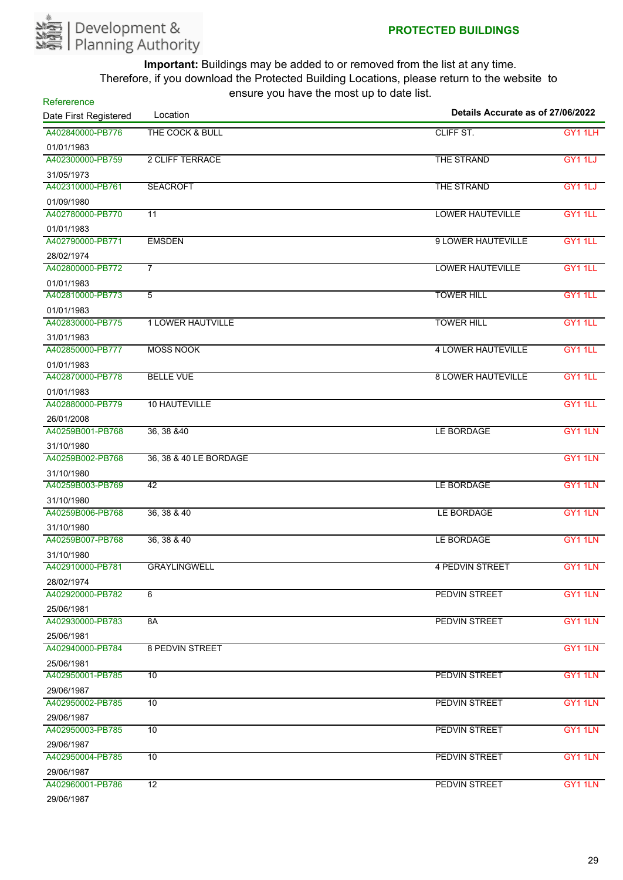

| Refererence<br>Location |                          | Details Accurate as of 27/06/2022 |                     |
|-------------------------|--------------------------|-----------------------------------|---------------------|
| Date First Registered   |                          |                                   |                     |
| A402840000-PB776        | THE COCK & BULL          | CLIFF ST.                         | GY1 1LH             |
| 01/01/1983              |                          |                                   |                     |
| A402300000-PB759        | 2 CLIFF TERRACE          | THE STRAND                        | GY1 1LJ             |
| 31/05/1973              |                          |                                   |                     |
| A402310000-PB761        | <b>SEACROFT</b>          | THE STRAND                        | GY1 1LJ             |
| 01/09/1980              |                          |                                   |                     |
| A402780000-PB770        | $\overline{11}$          | <b>LOWER HAUTEVILLE</b>           | GY1 1LL             |
| 01/01/1983              |                          |                                   |                     |
| A402790000-PB771        | <b>EMSDEN</b>            | 9 LOWER HAUTEVILLE                | GY1 1LL             |
| 28/02/1974              |                          |                                   |                     |
| A402800000-PB772        | $\overline{7}$           | <b>LOWER HAUTEVILLE</b>           | GY1 1LL             |
| 01/01/1983              |                          |                                   |                     |
| A402810000-PB773        | $\overline{5}$           | <b>TOWER HILL</b>                 | GY1 1LL             |
| 01/01/1983              |                          |                                   |                     |
| A402830000-PB775        | <b>1 LOWER HAUTVILLE</b> | <b>TOWER HILL</b>                 | <b>GY1 1LL</b>      |
| 31/01/1983              |                          |                                   |                     |
| A402850000-PB777        | <b>MOSS NOOK</b>         | <b>4 LOWER HAUTEVILLE</b>         | GY1 1LL             |
| 01/01/1983              |                          |                                   |                     |
| A402870000-PB778        | <b>BELLE VUE</b>         | <b>8 LOWER HAUTEVILLE</b>         | GY1 1LL             |
| 01/01/1983              |                          |                                   |                     |
| A402880000-PB779        | <b>10 HAUTEVILLE</b>     |                                   | GY1 1LL             |
| 26/01/2008              |                          |                                   |                     |
| A40259B001-PB768        | 36, 38 & 40              | LE BORDAGE                        | GY1 1LN             |
| 31/10/1980              |                          |                                   |                     |
| A40259B002-PB768        | 36, 38 & 40 LE BORDAGE   |                                   | GY1 1LN             |
| 31/10/1980              |                          |                                   |                     |
| A40259B003-PB769        | 42                       | LE BORDAGE                        | GY1 1LN             |
| 31/10/1980              |                          |                                   |                     |
| A40259B006-PB768        | 36, 38 & 40              | LE BORDAGE                        | GY1 1LN             |
| 31/10/1980              |                          |                                   |                     |
| A40259B007-PB768        | 36, 38 & 40              | LE BORDAGE                        | GY1 1LN             |
| 31/10/1980              |                          |                                   |                     |
| A402910000-PB781        | <b>GRAYLINGWELL</b>      | 4 PEDVIN STREET                   | GY1 1LN             |
| 28/02/1974              |                          |                                   |                     |
| A402920000-PB782        | 6                        | <b>PEDVIN STREET</b>              | GY1 1LN             |
| 25/06/1981              |                          |                                   |                     |
| A402930000-PB783        | 8A                       | <b>PEDVIN STREET</b>              | GY1 1LN             |
| 25/06/1981              |                          |                                   |                     |
| A402940000-PB784        | <b>8 PEDVIN STREET</b>   |                                   | GY1 1LN             |
| 25/06/1981              |                          |                                   |                     |
| A402950001-PB785        | 10                       | <b>PEDVIN STREET</b>              | GY <sub>1</sub> 1LN |
| 29/06/1987              |                          |                                   |                     |
| A402950002-PB785        | 10                       | PEDVIN STREET                     | GY1 1LN             |
| 29/06/1987              |                          |                                   |                     |
| A402950003-PB785        | 10                       | <b>PEDVIN STREET</b>              | GY1 1LN             |
| 29/06/1987              |                          |                                   |                     |
| A402950004-PB785        | 10                       | PEDVIN STREET                     | GY1 1LN             |
| 29/06/1987              |                          |                                   |                     |
| A402960001-PB786        | $\overline{12}$          | <b>PEDVIN STREET</b>              | GY1 1LN             |
| 29/06/1987              |                          |                                   |                     |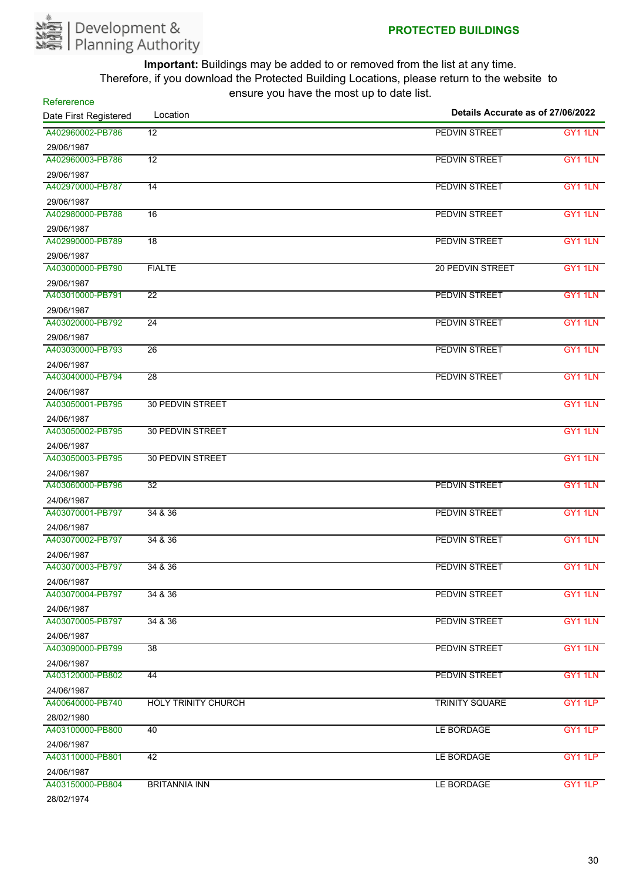

| ------------------<br>Refererence<br>Location |                            |                         | Details Accurate as of 27/06/2022 |  |
|-----------------------------------------------|----------------------------|-------------------------|-----------------------------------|--|
| Date First Registered                         |                            |                         |                                   |  |
| A402960002-PB786                              | $\overline{12}$            | <b>PEDVIN STREET</b>    | GY1 1LN                           |  |
| 29/06/1987                                    |                            |                         |                                   |  |
| A402960003-PB786                              | $\overline{12}$            | <b>PEDVIN STREET</b>    | GY1 1LN                           |  |
| 29/06/1987                                    |                            |                         |                                   |  |
| A402970000-PB787                              | $\overline{14}$            | <b>PEDVIN STREET</b>    | GY1 1LN                           |  |
| 29/06/1987                                    |                            |                         |                                   |  |
| A402980000-PB788                              | 16                         | <b>PEDVIN STREET</b>    | GY <sub>1</sub> 1LN               |  |
| 29/06/1987                                    |                            |                         |                                   |  |
| A402990000-PB789                              | 18                         | PEDVIN STREET           | GY <sub>1</sub> 1LN               |  |
| 29/06/1987                                    |                            |                         |                                   |  |
| A403000000-PB790                              | <b>FIALTE</b>              | <b>20 PEDVIN STREET</b> | GY1 1LN                           |  |
| 29/06/1987                                    |                            |                         |                                   |  |
| A403010000-PB791                              | 22                         | <b>PEDVIN STREET</b>    | GY1 1LN                           |  |
| 29/06/1987                                    |                            |                         |                                   |  |
| A403020000-PB792                              | $\overline{24}$            | PEDVIN STREET           | GY1 1LN                           |  |
| 29/06/1987                                    |                            |                         |                                   |  |
| A403030000-PB793                              | $\overline{26}$            | PEDVIN STREET           | GY1 1LN                           |  |
| 24/06/1987                                    |                            |                         |                                   |  |
| A403040000-PB794                              | 28                         | <b>PEDVIN STREET</b>    | GY1 1LN                           |  |
| 24/06/1987                                    |                            |                         |                                   |  |
| A403050001-PB795                              | <b>30 PEDVIN STREET</b>    |                         | GY1 1LN                           |  |
| 24/06/1987                                    |                            |                         |                                   |  |
| A403050002-PB795                              | <b>30 PEDVIN STREET</b>    |                         | GY1 1LN                           |  |
| 24/06/1987                                    |                            |                         |                                   |  |
| A403050003-PB795                              | <b>30 PEDVIN STREET</b>    |                         | GY1 1LN                           |  |
| 24/06/1987                                    |                            |                         |                                   |  |
| A403060000-PB796                              | $\overline{32}$            | PEDVIN STREET           | GY1 1LN                           |  |
| 24/06/1987                                    |                            |                         |                                   |  |
| A403070001-PB797                              | 34 & 36                    | <b>PEDVIN STREET</b>    | GY1 1LN                           |  |
| 24/06/1987                                    |                            |                         |                                   |  |
| A403070002-PB797                              | 34 & 36                    | <b>PEDVIN STREET</b>    | GY1 1LN                           |  |
| 24/06/1987                                    |                            |                         |                                   |  |
| A403070003-PB797                              | 34 & 36                    | <b>PEDVIN STREET</b>    | GY1 1LN                           |  |
| 24/06/1987                                    |                            |                         |                                   |  |
| A403070004-PB797                              | 34 & 36                    | PEDVIN STREET           | GY1 1LN                           |  |
| 24/06/1987                                    |                            |                         |                                   |  |
| A403070005-PB797                              | 34 & 36                    | PEDVIN STREET           | GY1 1LN                           |  |
| 24/06/1987                                    |                            |                         |                                   |  |
| A403090000-PB799                              | $\overline{38}$            | <b>PEDVIN STREET</b>    | GY1 1LN                           |  |
| 24/06/1987                                    |                            |                         |                                   |  |
| A403120000-PB802                              | 44                         | PEDVIN STREET           | GY1 1LN                           |  |
| 24/06/1987                                    |                            |                         |                                   |  |
| A400640000-PB740                              | <b>HOLY TRINITY CHURCH</b> | <b>TRINITY SQUARE</b>   | GY1 1LP                           |  |
| 28/02/1980                                    |                            |                         |                                   |  |
| A403100000-PB800                              | 40                         | LE BORDAGE              | GY1 1LP                           |  |
| 24/06/1987                                    |                            |                         |                                   |  |
| A403110000-PB801                              | 42                         | LE BORDAGE              | GY1 1LP                           |  |
| 24/06/1987                                    |                            |                         |                                   |  |
| A403150000-PB804                              | <b>BRITANNIA INN</b>       | LE BORDAGE              | GY1 1LP                           |  |
| 28/02/1974                                    |                            |                         |                                   |  |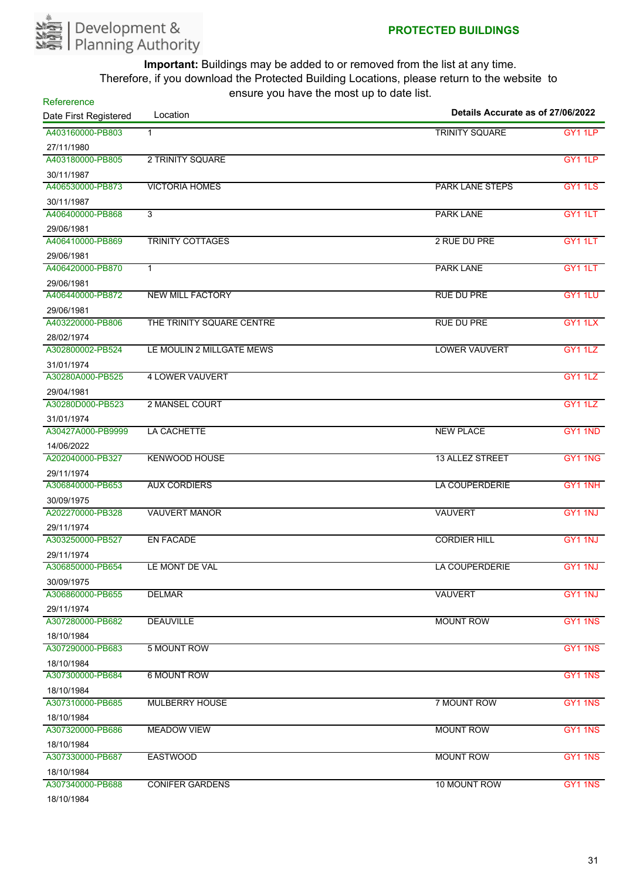

| Refererence           | chodio you have the most up to date hot. |                                   |                |
|-----------------------|------------------------------------------|-----------------------------------|----------------|
| Date First Registered | Location                                 | Details Accurate as of 27/06/2022 |                |
| A403160000-PB803      | $\mathbf{1}$                             | <b>TRINITY SQUARE</b>             | GY1 1LP        |
| 27/11/1980            |                                          |                                   |                |
| A403180000-PB805      | 2 TRINITY SQUARE                         |                                   | GY1 1LP        |
| 30/11/1987            |                                          |                                   |                |
| A406530000-PB873      | <b>VICTORIA HOMES</b>                    | <b>PARK LANE STEPS</b>            | GY1 1LS        |
| 30/11/1987            |                                          |                                   |                |
| A406400000-PB868      | 3                                        | <b>PARK LANE</b>                  | GY1 1LT        |
| 29/06/1981            |                                          |                                   |                |
| A406410000-PB869      | TRINITY COTTAGES                         | 2 RUE DU PRE                      | GY1 1LT        |
| 29/06/1981            |                                          |                                   |                |
| A406420000-PB870      | $\mathbf{1}$                             | <b>PARK LANE</b>                  | GY1 1LT        |
| 29/06/1981            |                                          |                                   |                |
| A406440000-PB872      | <b>NEW MILL FACTORY</b>                  | <b>RUE DU PRE</b>                 | GY1 1LU        |
| 29/06/1981            |                                          |                                   |                |
| A403220000-PB806      | THE TRINITY SQUARE CENTRE                | <b>RUE DU PRE</b>                 | GY1 1LX        |
| 28/02/1974            |                                          |                                   |                |
| A302800002-PB524      | LE MOULIN 2 MILLGATE MEWS                | <b>LOWER VAUVERT</b>              | GY1 1LZ        |
| 31/01/1974            |                                          |                                   |                |
| A30280A000-PB525      | <b>4 LOWER VAUVERT</b>                   |                                   | <b>GY1 1LZ</b> |
| 29/04/1981            |                                          |                                   |                |
| A30280D000-PB523      | 2 MANSEL COURT                           |                                   | <b>GY1 1LZ</b> |
| 31/01/1974            |                                          |                                   |                |
| A30427A000-PB9999     | LA CACHETTE                              | <b>NEW PLACE</b>                  | GY1 1ND        |
| 14/06/2022            |                                          |                                   |                |
| A202040000-PB327      | <b>KENWOOD HOUSE</b>                     | 13 ALLEZ STREET                   | GY1 1NG        |
| 29/11/1974            |                                          |                                   |                |
| A306840000-PB653      | <b>AUX CORDIERS</b>                      | LA COUPERDERIE                    | GY1 1NH        |
| 30/09/1975            |                                          |                                   |                |
| A202270000-PB328      | <b>VAUVERT MANOR</b>                     | <b>VAUVERT</b>                    | GY1 1NJ        |
| 29/11/1974            |                                          |                                   |                |
| A303250000-PB527      | <b>EN FACADE</b>                         | <b>CORDIER HILL</b>               | GY1 1NJ        |
| 29/11/1974            |                                          |                                   |                |
| A306850000-PB654      | LE MONT DE VAL                           | LA COUPERDERIE                    | GY1 1NJ        |
| 30/09/1975            |                                          |                                   |                |
| A306860000-PB655      | <b>DELMAR</b>                            | <b>VAUVERT</b>                    | GY1 1NJ        |
| 29/11/1974            |                                          |                                   |                |
| A307280000-PB682      | <b>DEAUVILLE</b>                         | <b>MOUNT ROW</b>                  | GY1 1NS        |
| 18/10/1984            |                                          |                                   |                |
| A307290000-PB683      | 5 MOUNT ROW                              |                                   | GY1 1NS        |
| 18/10/1984            |                                          |                                   |                |
| A307300000-PB684      | <b>6 MOUNT ROW</b>                       |                                   | GY1 1NS        |
| 18/10/1984            |                                          |                                   |                |
| A307310000-PB685      | <b>MULBERRY HOUSE</b>                    | 7 MOUNT ROW                       | GY1 1NS        |
| 18/10/1984            |                                          |                                   |                |
| A307320000-PB686      | <b>MEADOW VIEW</b>                       | <b>MOUNT ROW</b>                  | GY1 1NS        |
| 18/10/1984            |                                          |                                   |                |
| A307330000-PB687      | <b>EASTWOOD</b>                          | <b>MOUNT ROW</b>                  | GY1 1NS        |
| 18/10/1984            |                                          |                                   |                |
| A307340000-PB688      | <b>CONIFER GARDENS</b>                   | 10 MOUNT ROW                      | GY1 1NS        |
| 1011011001            |                                          |                                   |                |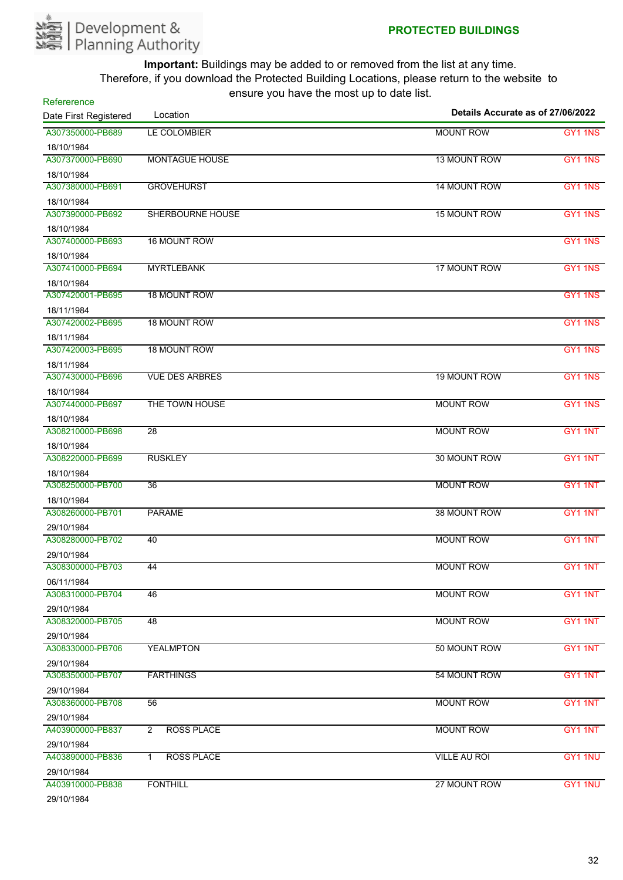

| Refererence           |                                     |                                   |         |
|-----------------------|-------------------------------------|-----------------------------------|---------|
| Date First Registered | Location                            | Details Accurate as of 27/06/2022 |         |
| A307350000-PB689      | LE COLOMBIER                        | <b>MOUNT ROW</b>                  | GY1 1NS |
| 18/10/1984            |                                     |                                   |         |
| A307370000-PB690      | <b>MONTAGUE HOUSE</b>               | 13 MOUNT ROW                      | GY1 1NS |
| 18/10/1984            |                                     |                                   |         |
| A307380000-PB691      | <b>GROVEHURST</b>                   | 14 MOUNT ROW                      | GY1 1NS |
| 18/10/1984            |                                     |                                   |         |
| A307390000-PB692      | <b>SHERBOURNE HOUSE</b>             | 15 MOUNT ROW                      | GY1 1NS |
| 18/10/1984            |                                     |                                   |         |
| A307400000-PB693      | 16 MOUNT ROW                        |                                   | GY1 1NS |
| 18/10/1984            |                                     |                                   |         |
| A307410000-PB694      | <b>MYRTLEBANK</b>                   | 17 MOUNT ROW                      | GY1 1NS |
| 18/10/1984            |                                     |                                   |         |
| A307420001-PB695      | <b>18 MOUNT ROW</b>                 |                                   | GY1 1NS |
| 18/11/1984            |                                     |                                   |         |
| A307420002-PB695      | <b>18 MOUNT ROW</b>                 |                                   | GY1 1NS |
| 18/11/1984            |                                     |                                   |         |
| A307420003-PB695      | 18 MOUNT ROW                        |                                   | GY1 1NS |
| 18/11/1984            |                                     |                                   |         |
| A307430000-PB696      | <b>VUE DES ARBRES</b>               | <b>19 MOUNT ROW</b>               | GY1 1NS |
| 18/10/1984            |                                     |                                   |         |
| A307440000-PB697      | THE TOWN HOUSE                      | <b>MOUNT ROW</b>                  | GY1 1NS |
| 18/10/1984            |                                     |                                   |         |
| A308210000-PB698      | $\overline{28}$                     | <b>MOUNT ROW</b>                  | GY1 1NT |
| 18/10/1984            |                                     |                                   |         |
| A308220000-PB699      | <b>RUSKLEY</b>                      | 30 MOUNT ROW                      | GY1 1NT |
| 18/10/1984            |                                     |                                   |         |
| A308250000-PB700      | 36                                  | <b>MOUNT ROW</b>                  | GY1 1NT |
| 18/10/1984            |                                     |                                   |         |
| A308260000-PB701      | <b>PARAME</b>                       | 38 MOUNT ROW                      | GY1 1NT |
| 29/10/1984            |                                     |                                   |         |
| A308280000-PB702      | 40                                  | <b>MOUNT ROW</b>                  | GY1 1NT |
| 29/10/1984            |                                     |                                   |         |
| A308300000-PB703      | 44                                  | <b>MOUNT ROW</b>                  | GY1 1NT |
| 06/11/1984            |                                     |                                   |         |
| A308310000-PB704      | 46                                  | <b>MOUNT ROW</b>                  | GY1 1NT |
| 29/10/1984            |                                     |                                   |         |
| A308320000-PB705      | 48                                  | <b>MOUNT ROW</b>                  | GY1 1NT |
| 29/10/1984            |                                     |                                   |         |
| A308330000-PB706      | <b>YEALMPTON</b>                    | 50 MOUNT ROW                      | GY1 1NT |
| 29/10/1984            |                                     |                                   |         |
| A308350000-PB707      | <b>FARTHINGS</b>                    | 54 MOUNT ROW                      | GY1 1NT |
| 29/10/1984            |                                     |                                   |         |
| A308360000-PB708      | 56                                  | <b>MOUNT ROW</b>                  | GY1 1NT |
| 29/10/1984            |                                     |                                   |         |
| A403900000-PB837      | <b>ROSS PLACE</b><br>$\overline{2}$ | <b>MOUNT ROW</b>                  | GY1 1NT |
| 29/10/1984            |                                     |                                   |         |
| A403890000-PB836      | <b>ROSS PLACE</b><br>$\mathbf{1}$   | <b>VILLE AU ROI</b>               | GY1 1NU |
| 29/10/1984            |                                     |                                   |         |
| A403910000-PB838      | <b>FONTHILL</b>                     | 27 MOUNT ROW                      | GY1 1NU |
| 0014014004            |                                     |                                   |         |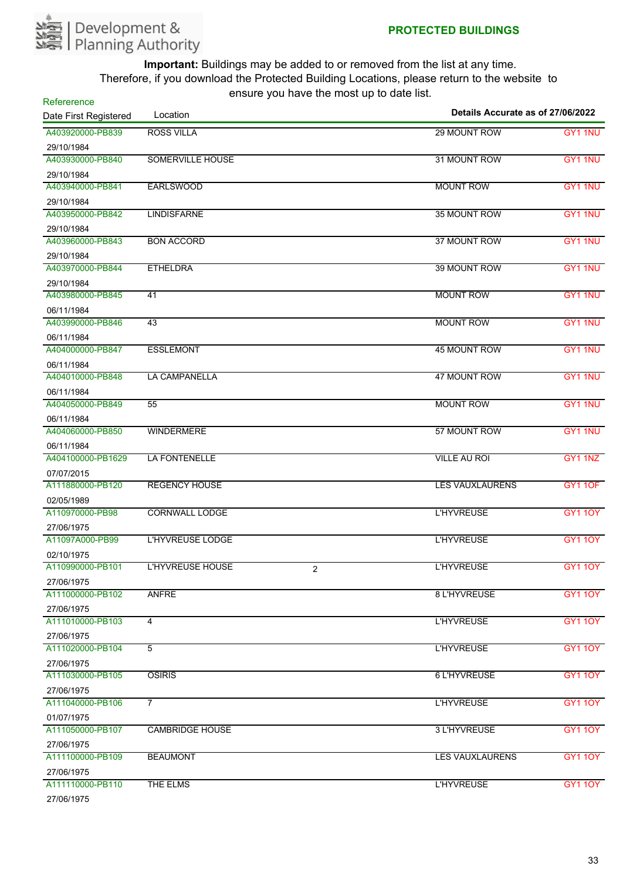

| sars you have the most ap-<br>Refererence |                              | Details Accurate as of 27/06/2022 |                |
|-------------------------------------------|------------------------------|-----------------------------------|----------------|
| Date First Registered                     | Location                     |                                   |                |
| A403920000-PB839                          | <b>ROSS VILLA</b>            | 29 MOUNT ROW                      | GY1 1NU        |
| 29/10/1984                                |                              |                                   |                |
| A403930000-PB840                          | <b>SOMERVILLE HOUSE</b>      | 31 MOUNT ROW                      | GY1 1NU        |
| 29/10/1984                                |                              |                                   |                |
| A403940000-PB841                          | <b>EARLSWOOD</b>             | <b>MOUNT ROW</b>                  | GY1 1NU        |
| 29/10/1984                                |                              |                                   |                |
| A403950000-PB842                          | <b>LINDISFARNE</b>           | 35 MOUNT ROW                      | GY1 1NU        |
| 29/10/1984                                |                              |                                   |                |
| A403960000-PB843                          | <b>BON ACCORD</b>            | 37 MOUNT ROW                      | GY1 1NU        |
| 29/10/1984<br>A403970000-PB844            | <b>ETHELDRA</b>              | 39 MOUNT ROW                      | GY1 1NU        |
|                                           |                              |                                   |                |
| 29/10/1984<br>A403980000-PB845            | 41                           | <b>MOUNT ROW</b>                  | GY1 1NU        |
|                                           |                              |                                   |                |
| 06/11/1984<br>A403990000-PB846            | 43                           | <b>MOUNT ROW</b>                  | GY1 1NU        |
|                                           |                              |                                   |                |
| 06/11/1984<br>A404000000-PB847            | <b>ESSLEMONT</b>             | <b>45 MOUNT ROW</b>               | GY1 1NU        |
|                                           |                              |                                   |                |
| 06/11/1984<br>A404010000-PB848            | LA CAMPANELLA                | 47 MOUNT ROW                      | GY1 1NU        |
| 06/11/1984                                |                              |                                   |                |
| A404050000-PB849                          | 55                           | <b>MOUNT ROW</b>                  | GY1 1NU        |
| 06/11/1984                                |                              |                                   |                |
| A404060000-PB850                          | <b>WINDERMERE</b>            | 57 MOUNT ROW                      | GY1 1NU        |
| 06/11/1984                                |                              |                                   |                |
| A404100000-PB1629                         | LA FONTENELLE                | <b>VILLE AU ROI</b>               | GY1 1NZ        |
| 07/07/2015                                |                              |                                   |                |
| A111880000-PB120                          | <b>REGENCY HOUSE</b>         | <b>LES VAUXLAURENS</b>            | <b>GY1 10F</b> |
| 02/05/1989                                |                              |                                   |                |
| A110970000-PB98                           | <b>CORNWALL LODGE</b>        | <b>L'HYVREUSE</b>                 | <b>GY110Y</b>  |
| 27/06/1975                                |                              |                                   |                |
| A11097A000-PB99                           | <b>L'HYVREUSE LODGE</b>      | <b>L'HYVREUSE</b>                 | GY1 10Y        |
| 02/10/1975                                |                              |                                   |                |
| A110990000-PB101                          | <b>L'HYVREUSE HOUSE</b><br>2 | <b>L'HYVREUSE</b>                 | <b>GY1 10Y</b> |
| 27/06/1975                                |                              |                                   |                |
| A111000000-PB102                          | <b>ANFRE</b>                 | 8 L'HYVREUSE                      | <b>GY110Y</b>  |
| 27/06/1975                                |                              |                                   |                |
| A111010000-PB103                          | 4                            | <b>L'HYVREUSE</b>                 | <b>GY110Y</b>  |
| 27/06/1975                                |                              |                                   |                |
| A111020000-PB104                          | $\overline{5}$               | <b>L'HYVREUSE</b>                 | <b>GY1 10Y</b> |
| 27/06/1975                                |                              |                                   |                |
| A111030000-PB105                          | <b>OSIRIS</b>                | 6 L'HYVREUSE                      | <b>GY110Y</b>  |
| 27/06/1975                                |                              |                                   |                |
| A111040000-PB106                          | $\overline{7}$               | <b>L'HYVREUSE</b>                 | <b>GY110Y</b>  |
| 01/07/1975                                |                              |                                   |                |
| A111050000-PB107                          | <b>CAMBRIDGE HOUSE</b>       | 3 L'HYVREUSE                      | <b>GY110Y</b>  |
| 27/06/1975                                |                              |                                   |                |
| A111100000-PB109                          | <b>BEAUMONT</b>              | <b>LES VAUXLAURENS</b>            | <b>GY1 10Y</b> |
| 27/06/1975                                |                              |                                   |                |
| A111110000-PB110                          | <b>THE ELMS</b>              | <b>L'HYVREUSE</b>                 | <b>GY1 10Y</b> |
| 27/06/1975                                |                              |                                   |                |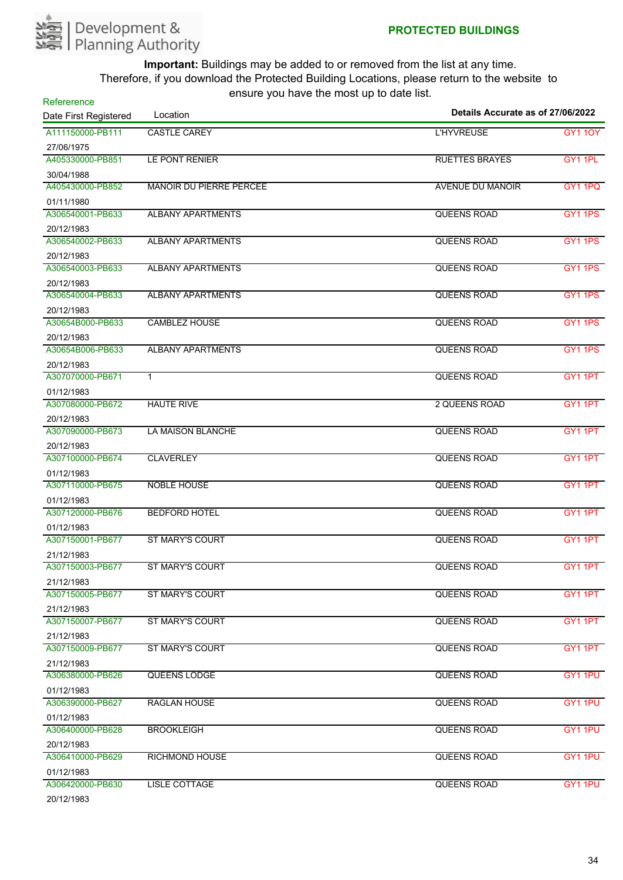

| Refererence<br>Date First Registered | Location                       | Details Accurate as of 27/06/2022 |                     |
|--------------------------------------|--------------------------------|-----------------------------------|---------------------|
| A111150000-PB111                     | <b>CASTLE CAREY</b>            | <b>L'HYVREUSE</b>                 | <b>GY1 10Y</b>      |
| 27/06/1975                           |                                |                                   |                     |
| A405330000-PB851                     | LE PONT RENIER                 | <b>RUETTES BRAYES</b>             | GY1 1PL             |
| 30/04/1988                           |                                |                                   |                     |
| A405430000-PB852                     | <b>MANOIR DU PIERRE PERCEE</b> | <b>AVENUE DU MANOIR</b>           | <b>GY1 1PQ</b>      |
| 01/11/1980                           |                                |                                   |                     |
| A306540001-PB633                     | <b>ALBANY APARTMENTS</b>       | QUEENS ROAD                       | GY1 1PS             |
| 20/12/1983                           |                                |                                   |                     |
| A306540002-PB633                     | <b>ALBANY APARTMENTS</b>       | QUEENS ROAD                       | GY1 1PS             |
| 20/12/1983                           |                                |                                   |                     |
| A306540003-PB633                     | <b>ALBANY APARTMENTS</b>       | QUEENS ROAD                       | GY <sub>1</sub> 1PS |
| 20/12/1983                           |                                |                                   |                     |
| A306540004-PB633                     | <b>ALBANY APARTMENTS</b>       | QUEENS ROAD                       | <b>GY1 1PS</b>      |
| 20/12/1983                           |                                |                                   |                     |
| A30654B000-PB633                     | <b>CAMBLEZ HOUSE</b>           | QUEENS ROAD                       | <b>GY1 1PS</b>      |
| 20/12/1983                           |                                |                                   |                     |
| A30654B006-PB633                     | <b>ALBANY APARTMENTS</b>       | <b>QUEENS ROAD</b>                | GY1 1PS             |
| 20/12/1983                           |                                |                                   |                     |
| A307070000-PB671                     | $\mathbf{1}$                   | <b>QUEENS ROAD</b>                | GY1 1PT             |
| 01/12/1983                           |                                |                                   |                     |
| A307080000-PB672                     | <b>HAUTE RIVE</b>              | <b>2 QUEENS ROAD</b>              | GY1 1PT             |
| 20/12/1983                           |                                |                                   |                     |
| A307090000-PB673                     | <b>LA MAISON BLANCHE</b>       | QUEENS ROAD                       | GY1 1PT             |
| 20/12/1983<br>A307100000-PB674       |                                |                                   |                     |
|                                      | <b>CLAVERLEY</b>               | QUEENS ROAD                       | GY1 1PT             |
| 01/12/1983<br>A307110000-PB675       | NOBLE HOUSE                    | <b>QUEENS ROAD</b>                | GY1 1PT             |
|                                      |                                |                                   |                     |
| 01/12/1983<br>A307120000-PB676       | <b>BEDFORD HOTEL</b>           | <b>QUEENS ROAD</b>                | GY1 1PT             |
| 01/12/1983                           |                                |                                   |                     |
| A307150001-PB677                     | <b>ST MARY'S COURT</b>         | <b>QUEENS ROAD</b>                | GY <sub>1</sub> 1PT |
| 21/12/1983                           |                                |                                   |                     |
| A307150003-PB677                     | ST MARY'S COURT                | <b>QUEENS ROAD</b>                | GY1 1PT             |
| 21/12/1983                           |                                |                                   |                     |
| A307150005-PB677                     | <b>ST MARY'S COURT</b>         | QUEENS ROAD                       | GY1 1PT             |
| 21/12/1983                           |                                |                                   |                     |
| A307150007-PB677                     | <b>ST MARY'S COURT</b>         | QUEENS ROAD                       | GY1 1PT             |
| 21/12/1983                           |                                |                                   |                     |
| A307150009-PB677                     | <b>ST MARY'S COURT</b>         | <b>QUEENS ROAD</b>                | GY1 1PT             |
| 21/12/1983                           |                                |                                   |                     |
| A306380000-PB626                     | QUEENS LODGE                   | <b>QUEENS ROAD</b>                | GY1 1PU             |
| 01/12/1983                           |                                |                                   |                     |
| A306390000-PB627                     | <b>RAGLAN HOUSE</b>            | QUEENS ROAD                       | GY1 1PU             |
| 01/12/1983                           |                                |                                   |                     |
| A306400000-PB628                     | <b>BROOKLEIGH</b>              | QUEENS ROAD                       | GY1 1PU             |
| 20/12/1983                           |                                |                                   |                     |
| A306410000-PB629                     | <b>RICHMOND HOUSE</b>          | QUEENS ROAD                       | GY1 1PU             |
| 01/12/1983                           |                                |                                   |                     |
| A306420000-PB630                     | <b>LISLE COTTAGE</b>           | QUEENS ROAD                       | GY1 1PU             |
| 20/12/1983                           |                                |                                   |                     |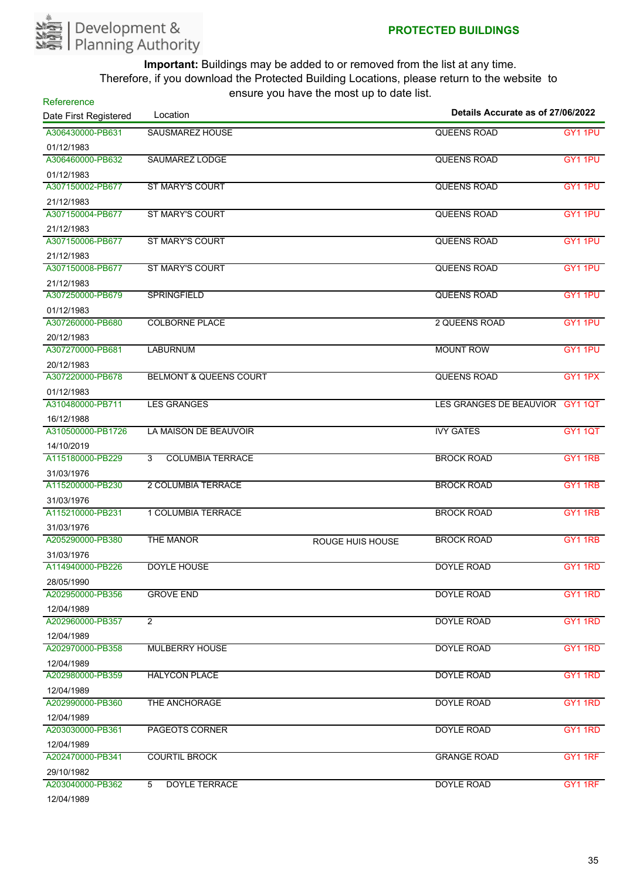

| Refererence           |                                   |                  | Details Accurate as of 27/06/2022 |                |
|-----------------------|-----------------------------------|------------------|-----------------------------------|----------------|
| Date First Registered | Location                          |                  |                                   |                |
| A306430000-PB631      | <b>SAUSMAREZ HOUSE</b>            |                  | <b>QUEENS ROAD</b>                | GY1 1PU        |
| 01/12/1983            |                                   |                  |                                   |                |
| A306460000-PB632      | SAUMAREZ LODGE                    |                  | <b>QUEENS ROAD</b>                | GY1 1PU        |
| 01/12/1983            |                                   |                  |                                   |                |
| A307150002-PB677      | <b>ST MARY'S COURT</b>            |                  | <b>QUEENS ROAD</b>                | GY1 1PU        |
| 21/12/1983            |                                   |                  |                                   |                |
| A307150004-PB677      | <b>ST MARY'S COURT</b>            |                  | QUEENS ROAD                       | GY1 1PU        |
| 21/12/1983            |                                   |                  |                                   |                |
| A307150006-PB677      | <b>ST MARY'S COURT</b>            |                  | QUEENS ROAD                       | GY1 1PU        |
| 21/12/1983            |                                   |                  |                                   |                |
| A307150008-PB677      | <b>ST MARY'S COURT</b>            |                  | <b>QUEENS ROAD</b>                | GY1 1PU        |
| 21/12/1983            |                                   |                  |                                   |                |
| A307250000-PB679      | <b>SPRINGFIELD</b>                |                  | <b>QUEENS ROAD</b>                | GY1 1PU        |
| 01/12/1983            |                                   |                  |                                   |                |
| A307260000-PB680      | <b>COLBORNE PLACE</b>             |                  | <b>2 QUEENS ROAD</b>              | GY1 1PU        |
| 20/12/1983            |                                   |                  |                                   |                |
| A307270000-PB681      | <b>LABURNUM</b>                   |                  | <b>MOUNT ROW</b>                  | GY1 1PU        |
| 20/12/1983            |                                   |                  |                                   |                |
| A307220000-PB678      | <b>BELMONT &amp; QUEENS COURT</b> |                  | QUEENS ROAD                       | GY1 1PX        |
| 01/12/1983            |                                   |                  |                                   |                |
| A310480000-PB711      | <b>LES GRANGES</b>                |                  | LES GRANGES DE BEAUVIOR GY1 1QT   |                |
| 16/12/1988            |                                   |                  |                                   |                |
| A310500000-PB1726     | LA MAISON DE BEAUVOIR             |                  | <b>IVY GATES</b>                  | GY1 1QT        |
| 14/10/2019            |                                   |                  |                                   |                |
| A115180000-PB229      | <b>COLUMBIA TERRACE</b><br>3      |                  | <b>BROCK ROAD</b>                 | GY1 1RB        |
| 31/03/1976            |                                   |                  |                                   |                |
| A115200000-PB230      | 2 COLUMBIA TERRACE                |                  | <b>BROCK ROAD</b>                 | GY1 1RB        |
| 31/03/1976            |                                   |                  |                                   |                |
| A115210000-PB231      | 1 COLUMBIA TERRACE                |                  | <b>BROCK ROAD</b>                 | GY1 1RB        |
| 31/03/1976            |                                   |                  |                                   |                |
| A205290000-PB380      | THE MANOR                         | ROUGE HUIS HOUSE | <b>BROCK ROAD</b>                 | <b>GY1 1RB</b> |
| 31/03/1976            |                                   |                  |                                   |                |
| A114940000-PB226      | <b>DOYLE HOUSE</b>                |                  | <b>DOYLE ROAD</b>                 | GY1 1RD        |
| 28/05/1990            |                                   |                  |                                   |                |
| A202950000-PB356      | <b>GROVE END</b>                  |                  | <b>DOYLE ROAD</b>                 | GY1 1RD        |
| 12/04/1989            |                                   |                  |                                   |                |
| A202960000-PB357      | $\overline{2}$                    |                  | DOYLE ROAD                        | GY1 1RD        |
| 12/04/1989            |                                   |                  |                                   |                |
| A202970000-PB358      | <b>MULBERRY HOUSE</b>             |                  | <b>DOYLE ROAD</b>                 | GY1 1RD        |
| 12/04/1989            |                                   |                  |                                   |                |
| A202980000-PB359      | <b>HALYCON PLACE</b>              |                  | <b>DOYLE ROAD</b>                 | GY1 1RD        |
| 12/04/1989            |                                   |                  |                                   |                |
| A202990000-PB360      | <b>THE ANCHORAGE</b>              |                  | <b>DOYLE ROAD</b>                 | GY1 1RD        |
| 12/04/1989            |                                   |                  |                                   |                |
| A203030000-PB361      | <b>PAGEOTS CORNER</b>             |                  | <b>DOYLE ROAD</b>                 | GY1 1RD        |
| 12/04/1989            |                                   |                  |                                   |                |
| A202470000-PB341      | <b>COURTIL BROCK</b>              |                  | <b>GRANGE ROAD</b>                | GY1 1RF        |
| 29/10/1982            |                                   |                  |                                   |                |
| A203040000-PB362      | <b>DOYLE TERRACE</b><br>5         |                  | <b>DOYLE ROAD</b>                 | GY1 1RF        |
| 12/04/1989            |                                   |                  |                                   |                |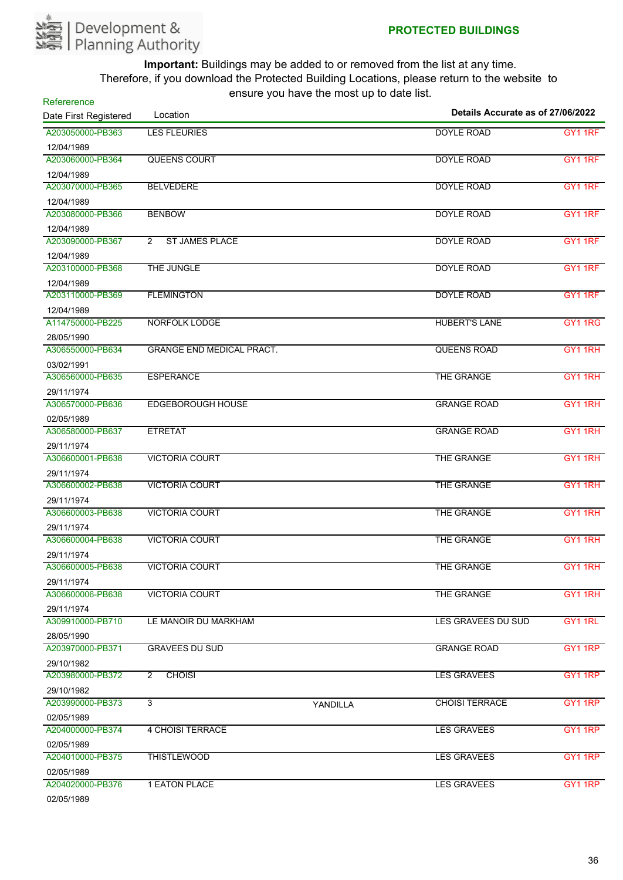

| Refererence           |                                         |          | Details Accurate as of 27/06/2022 |         |  |
|-----------------------|-----------------------------------------|----------|-----------------------------------|---------|--|
| Date First Registered | Location                                |          |                                   |         |  |
| A203050000-PB363      | <b>LES FLEURIES</b>                     |          | <b>DOYLE ROAD</b>                 | GY1 1RF |  |
| 12/04/1989            |                                         |          |                                   |         |  |
| A203060000-PB364      | <b>QUEENS COURT</b>                     |          | <b>DOYLE ROAD</b>                 | GY1 1RF |  |
| 12/04/1989            |                                         |          |                                   |         |  |
| A203070000-PB365      | <b>BELVEDERE</b>                        |          | <b>DOYLE ROAD</b>                 | GY1 1RF |  |
| 12/04/1989            |                                         |          |                                   |         |  |
| A203080000-PB366      | <b>BENBOW</b>                           |          | <b>DOYLE ROAD</b>                 | GY1 1RF |  |
| 12/04/1989            |                                         |          |                                   |         |  |
| A203090000-PB367      | <b>ST JAMES PLACE</b><br>$\overline{2}$ |          | <b>DOYLE ROAD</b>                 | GY1 1RF |  |
| 12/04/1989            |                                         |          |                                   |         |  |
| A203100000-PB368      | THE JUNGLE                              |          | <b>DOYLE ROAD</b>                 | GY1 1RF |  |
| 12/04/1989            |                                         |          |                                   |         |  |
| A203110000-PB369      | <b>FLEMINGTON</b>                       |          | <b>DOYLE ROAD</b>                 | GY1 1RF |  |
| 12/04/1989            |                                         |          |                                   |         |  |
| A114750000-PB225      | <b>NORFOLK LODGE</b>                    |          | <b>HUBERT'S LANE</b>              | GY1 1RG |  |
| 28/05/1990            |                                         |          |                                   |         |  |
| A306550000-PB634      | <b>GRANGE END MEDICAL PRACT.</b>        |          | <b>QUEENS ROAD</b>                | GY1 1RH |  |
| 03/02/1991            |                                         |          |                                   |         |  |
| A306560000-PB635      | <b>ESPERANCE</b>                        |          | THE GRANGE                        | GY1 1RH |  |
| 29/11/1974            |                                         |          |                                   |         |  |
| A306570000-PB636      | <b>EDGEBOROUGH HOUSE</b>                |          | <b>GRANGE ROAD</b>                | GY1 1RH |  |
| 02/05/1989            |                                         |          |                                   |         |  |
| A306580000-PB637      | <b>ETRETAT</b>                          |          | <b>GRANGE ROAD</b>                | GY1 1RH |  |
| 29/11/1974            |                                         |          |                                   |         |  |
| A306600001-PB638      | <b>VICTORIA COURT</b>                   |          | THE GRANGE                        | GY1 1RH |  |
| 29/11/1974            |                                         |          |                                   |         |  |
| A306600002-PB638      | <b>VICTORIA COURT</b>                   |          | THE GRANGE                        | GY1 1RH |  |
| 29/11/1974            |                                         |          |                                   |         |  |
| A306600003-PB638      | <b>VICTORIA COURT</b>                   |          | THE GRANGE                        | GY1 1RH |  |
| 29/11/1974            |                                         |          |                                   |         |  |
| A306600004-PB638      | <b>VICTORIA COURT</b>                   |          | THE GRANGE                        | GY11RH  |  |
| 29/11/1974            |                                         |          |                                   |         |  |
| A306600005-PB638      | <b>VICTORIA COURT</b>                   |          | <b>THE GRANGE</b>                 | GY1 1RH |  |
| 29/11/1974            |                                         |          |                                   |         |  |
| A306600006-PB638      | <b>VICTORIA COURT</b>                   |          | THE GRANGE                        | GY1 1RH |  |
| 29/11/1974            |                                         |          |                                   |         |  |
| A309910000-PB710      | LE MANOIR DU MARKHAM                    |          | LES GRAVEES DU SUD                | GY1 1RL |  |
| 28/05/1990            |                                         |          |                                   |         |  |
| A203970000-PB371      | <b>GRAVEES DU SUD</b>                   |          | <b>GRANGE ROAD</b>                | GY1 1RP |  |
| 29/10/1982            |                                         |          |                                   |         |  |
| A203980000-PB372      | $\overline{2}$<br><b>CHOISI</b>         |          | <b>LES GRAVEES</b>                | GY1 1RP |  |
| 29/10/1982            |                                         |          |                                   |         |  |
| A203990000-PB373      | 3                                       | YANDILLA | <b>CHOISI TERRACE</b>             | GY1 1RP |  |
| 02/05/1989            |                                         |          |                                   |         |  |
| A204000000-PB374      | <b>4 CHOISI TERRACE</b>                 |          | <b>LES GRAVEES</b>                | GY1 1RP |  |
| 02/05/1989            |                                         |          |                                   |         |  |
| A204010000-PB375      | <b>THISTLEWOOD</b>                      |          | <b>LES GRAVEES</b>                | GY1 1RP |  |
| 02/05/1989            |                                         |          |                                   |         |  |
| A204020000-PB376      | <b>1 EATON PLACE</b>                    |          | <b>LES GRAVEES</b>                | GY1 1RP |  |
| 02/05/1989            |                                         |          |                                   |         |  |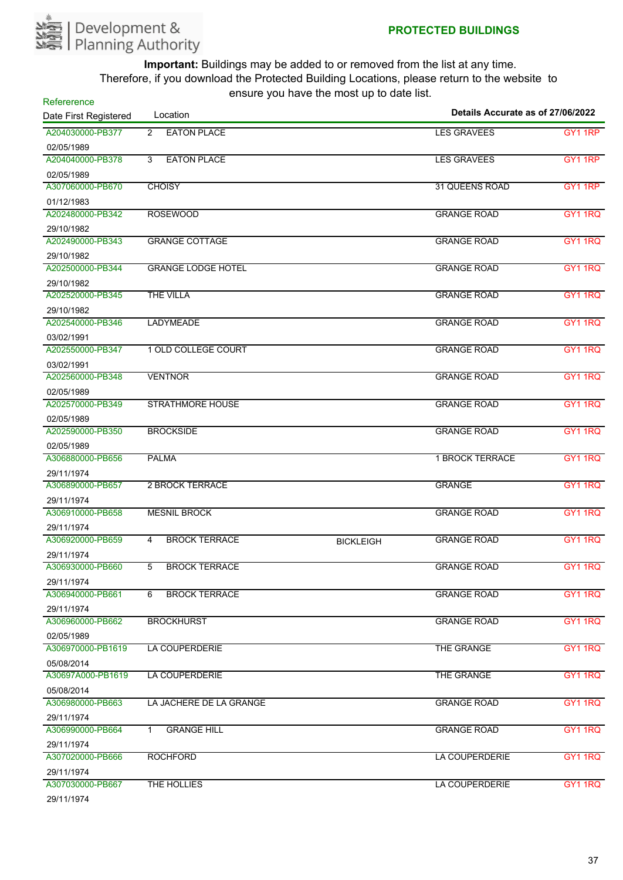

| Refererence<br>Date First Registered | Location                  | $30.3$ , $30.4$ , $10.3$ , $10.5$ , $11.5$ $30.5$ $10.5$ | Details Accurate as of 27/06/2022 |                |
|--------------------------------------|---------------------------|----------------------------------------------------------|-----------------------------------|----------------|
| A204030000-PB377                     | <b>EATON PLACE</b><br>2   |                                                          | <b>LES GRAVEES</b>                | GY1 1RP        |
| 02/05/1989                           |                           |                                                          |                                   |                |
| A204040000-PB378                     | <b>EATON PLACE</b><br>3   |                                                          | <b>LES GRAVEES</b>                | GY1 1RP        |
| 02/05/1989                           |                           |                                                          |                                   |                |
| A307060000-PB670                     | <b>CHOISY</b>             |                                                          | 31 QUEENS ROAD                    | GY1 1RP        |
| 01/12/1983                           |                           |                                                          |                                   |                |
| A202480000-PB342                     | <b>ROSEWOOD</b>           |                                                          | <b>GRANGE ROAD</b>                | GY1 1RQ        |
| 29/10/1982                           |                           |                                                          |                                   |                |
| A202490000-PB343                     | <b>GRANGE COTTAGE</b>     |                                                          | <b>GRANGE ROAD</b>                | GY1 1RQ        |
| 29/10/1982                           |                           |                                                          |                                   |                |
| A202500000-PB344                     | <b>GRANGE LODGE HOTEL</b> |                                                          | <b>GRANGE ROAD</b>                | GY1 1RQ        |
| 29/10/1982                           |                           |                                                          |                                   |                |
| A202520000-PB345                     | <b>THE VILLA</b>          |                                                          | <b>GRANGE ROAD</b>                | GY1 1RQ        |
| 29/10/1982                           |                           |                                                          |                                   |                |
| A202540000-PB346                     | <b>LADYMEADE</b>          |                                                          | <b>GRANGE ROAD</b>                | GY1 1RQ        |
| 03/02/1991                           |                           |                                                          |                                   |                |
| A202550000-PB347                     | 1 OLD COLLEGE COURT       |                                                          | <b>GRANGE ROAD</b>                | GY1 1RQ        |
| 03/02/1991                           |                           |                                                          |                                   |                |
| A202560000-PB348                     | <b>VENTNOR</b>            |                                                          | <b>GRANGE ROAD</b>                | GY1 1RQ        |
| 02/05/1989                           |                           |                                                          |                                   |                |
| A202570000-PB349                     | <b>STRATHMORE HOUSE</b>   |                                                          | <b>GRANGE ROAD</b>                | GY1 1RQ        |
| 02/05/1989                           |                           |                                                          |                                   |                |
| A202590000-PB350                     | <b>BROCKSIDE</b>          |                                                          | <b>GRANGE ROAD</b>                | GY1 1RQ        |
| 02/05/1989                           |                           |                                                          |                                   |                |
| A306880000-PB656                     | <b>PALMA</b>              |                                                          | <b>1 BROCK TERRACE</b>            | GY1 1RQ        |
| 29/11/1974                           |                           |                                                          |                                   |                |
| A306890000-PB657                     | <b>2 BROCK TERRACE</b>    |                                                          | <b>GRANGE</b>                     | GY1 1RQ        |
| 29/11/1974                           |                           |                                                          |                                   |                |
| A306910000-PB658                     | <b>MESNIL BROCK</b>       |                                                          | <b>GRANGE ROAD</b>                | GY1 1RQ        |
| 29/11/1974                           |                           |                                                          |                                   |                |
| A306920000-PB659                     | <b>BROCK TERRACE</b><br>4 | <b>BICKLEIGH</b>                                         | <b>GRANGE ROAD</b>                | GY1 1RQ        |
| 29/11/1974                           |                           |                                                          |                                   |                |
| A306930000-PB660                     | <b>BROCK TERRACE</b>      |                                                          | <b>GRANGE ROAD</b>                | GY1 1RQ        |
| 29/11/1974                           |                           |                                                          |                                   |                |
| A306940000-PB661                     | <b>BROCK TERRACE</b><br>6 |                                                          | <b>GRANGE ROAD</b>                | GY1 1RQ        |
| 29/11/1974                           |                           |                                                          |                                   |                |
| A306960000-PB662                     | <b>BROCKHURST</b>         |                                                          | <b>GRANGE ROAD</b>                | <b>GY1 1RQ</b> |
| 02/05/1989                           |                           |                                                          |                                   |                |
| A306970000-PB1619                    | LA COUPERDERIE            |                                                          | THE GRANGE                        | <b>GY1 1RQ</b> |
| 05/08/2014                           |                           |                                                          |                                   |                |
| A30697A000-PB1619                    | LA COUPERDERIE            |                                                          | THE GRANGE                        | GY1 1RQ        |
| 05/08/2014                           |                           |                                                          |                                   |                |
| A306980000-PB663                     | LA JACHERE DE LA GRANGE   |                                                          | <b>GRANGE ROAD</b>                | <b>GY1 1RQ</b> |
| 29/11/1974                           |                           |                                                          |                                   |                |
| A306990000-PB664                     | <b>GRANGE HILL</b><br>1   |                                                          | <b>GRANGE ROAD</b>                | GY1 1RQ        |
| 29/11/1974                           |                           |                                                          |                                   |                |
| A307020000-PB666                     | <b>ROCHFORD</b>           |                                                          | LA COUPERDERIE                    | <b>GY1 1RQ</b> |
| 29/11/1974                           |                           |                                                          |                                   |                |
| A307030000-PB667<br>00/11/1071       | THE HOLLIES               |                                                          | LA COUPERDERIE                    | <b>GY1 1RQ</b> |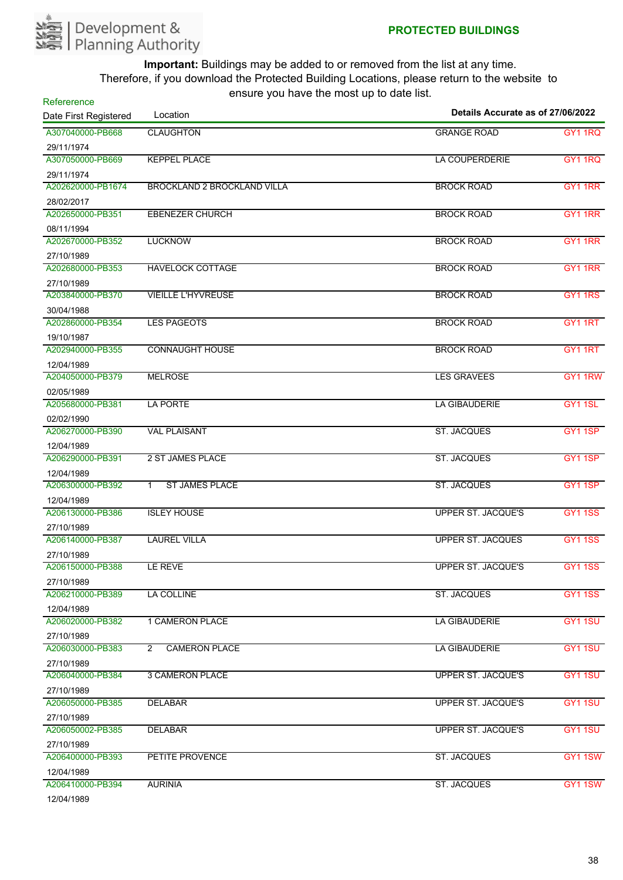

| Refererence<br>Date First Registered | are year nave the meet ap<br>Location        | Details Accurate as of 27/06/2022 |                     |
|--------------------------------------|----------------------------------------------|-----------------------------------|---------------------|
| A307040000-PB668                     | <b>CLAUGHTON</b>                             | <b>GRANGE ROAD</b>                | <b>GY1 1RQ</b>      |
| 29/11/1974                           |                                              |                                   |                     |
| A307050000-PB669                     | <b>KEPPEL PLACE</b>                          | <b>LA COUPERDERIE</b>             | GY1 1RQ             |
| 29/11/1974                           |                                              |                                   |                     |
| A202620000-PB1674                    | <b>BROCKLAND 2 BROCKLAND VILLA</b>           | <b>BROCK ROAD</b>                 | GY1 1RR             |
| 28/02/2017                           |                                              |                                   |                     |
| A202650000-PB351                     | <b>EBENEZER CHURCH</b>                       | <b>BROCK ROAD</b>                 | GY1 1RR             |
| 08/11/1994                           |                                              |                                   |                     |
| A202670000-PB352                     | <b>LUCKNOW</b>                               | <b>BROCK ROAD</b>                 | GY1 1RR             |
| 27/10/1989                           |                                              |                                   |                     |
| A202680000-PB353                     | <b>HAVELOCK COTTAGE</b>                      | <b>BROCK ROAD</b>                 | GY1 1RR             |
| 27/10/1989                           |                                              |                                   |                     |
| A203840000-PB370                     | <b>VIEILLE L'HYVREUSE</b>                    | <b>BROCK ROAD</b>                 | <b>GY1 1RS</b>      |
| 30/04/1988                           |                                              |                                   |                     |
| A202860000-PB354                     | <b>LES PAGEOTS</b>                           | <b>BROCK ROAD</b>                 | GY1 1RT             |
| 19/10/1987                           |                                              |                                   |                     |
| A202940000-PB355                     | <b>CONNAUGHT HOUSE</b>                       | <b>BROCK ROAD</b>                 | GY1 1RT             |
| 12/04/1989                           |                                              |                                   |                     |
| A204050000-PB379                     | <b>MELROSE</b>                               | <b>LES GRAVEES</b>                | GY1 1RW             |
| 02/05/1989                           |                                              |                                   |                     |
| A205680000-PB381                     | <b>LA PORTE</b>                              | <b>LA GIBAUDERIE</b>              | GY <sub>1</sub> 1SL |
| 02/02/1990                           |                                              |                                   |                     |
| A206270000-PB390                     | <b>VAL PLAISANT</b>                          | <b>ST. JACQUES</b>                | GY11SP              |
| 12/04/1989                           |                                              |                                   |                     |
| A206290000-PB391                     | 2 ST JAMES PLACE                             | <b>ST. JACQUES</b>                | GY <sub>1</sub> 1SP |
| 12/04/1989                           |                                              |                                   |                     |
| A206300000-PB392                     | <b>ST JAMES PLACE</b><br>$\mathbf{1}$        | <b>ST. JACQUES</b>                | GY1 1SP             |
| 12/04/1989                           |                                              |                                   |                     |
| A206130000-PB386                     | <b>ISLEY HOUSE</b>                           | <b>UPPER ST. JACQUE'S</b>         | <b>GY11SS</b>       |
| 27/10/1989                           |                                              |                                   |                     |
| A206140000-PB387                     | <b>LAUREL VILLA</b>                          | <b>UPPER ST. JACQUES</b>          | <b>GY11SS</b>       |
| 27/10/1989                           |                                              |                                   |                     |
| A206150000-PB388                     | LE REVE                                      | <b>UPPER ST. JACQUE'S</b>         | <b>GY11SS</b>       |
| 27/10/1989                           |                                              |                                   |                     |
| A206210000-PB389                     | LA COLLINE                                   | <b>ST. JACQUES</b>                | <b>GY11SS</b>       |
| 12/04/1989                           |                                              |                                   |                     |
| A206020000-PB382                     | 1 CAMERON PLACE                              | <b>LA GIBAUDERIE</b>              | <b>GY1 1SU</b>      |
| 27/10/1989                           |                                              |                                   |                     |
| A206030000-PB383                     | $\mathbf{2}^{\circ}$<br><b>CAMERON PLACE</b> | <b>LA GIBAUDERIE</b>              | GY1 1SU             |
| 27/10/1989                           |                                              |                                   |                     |
| A206040000-PB384                     | <b>3 CAMERON PLACE</b>                       | <b>UPPER ST. JACQUE'S</b>         | GY1 1SU             |
| 27/10/1989                           |                                              |                                   |                     |
| A206050000-PB385                     | <b>DELABAR</b>                               | <b>UPPER ST. JACQUE'S</b>         | GY1 1SU             |
| 27/10/1989                           |                                              |                                   |                     |
| A206050002-PB385                     | <b>DELABAR</b>                               | <b>UPPER ST. JACQUE'S</b>         | GY1 1SU             |
| 27/10/1989                           |                                              |                                   |                     |
| A206400000-PB393                     | PETITE PROVENCE                              | <b>ST. JACQUES</b>                | <b>GY1 1SW</b>      |
| 12/04/1989                           |                                              |                                   |                     |
| A206410000-PB394<br>1010111000       | <b>AURINIA</b>                               | <b>ST. JACQUES</b>                | <b>GY11SW</b>       |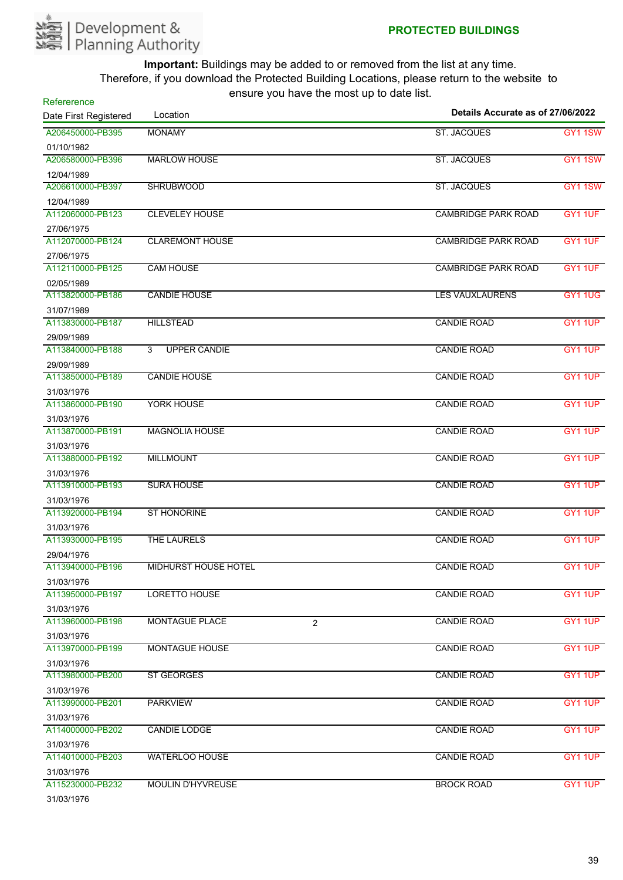

| Refererence<br>Date First Registered | $5 - 10 - 10 = 11$<br>Location          | Details Accurate as of 27/06/2022 |                |
|--------------------------------------|-----------------------------------------|-----------------------------------|----------------|
| A206450000-PB395                     | <b>MONAMY</b>                           | <b>ST. JACQUES</b>                | <b>GY11SW</b>  |
| 01/10/1982                           |                                         |                                   |                |
| A206580000-PB396                     | <b>MARLOW HOUSE</b>                     | <b>ST. JACQUES</b>                | GY1 1SW        |
| 12/04/1989                           |                                         |                                   |                |
| A206610000-PB397                     | <b>SHRUBWOOD</b>                        | <b>ST. JACQUES</b>                | <b>GY11SW</b>  |
| 12/04/1989                           |                                         |                                   |                |
| A112060000-PB123                     | <b>CLEVELEY HOUSE</b>                   | <b>CAMBRIDGE PARK ROAD</b>        | GY1 1UF        |
| 27/06/1975                           |                                         |                                   |                |
| A112070000-PB124                     | <b>CLAREMONT HOUSE</b>                  | <b>CAMBRIDGE PARK ROAD</b>        | GY1 1UF        |
| 27/06/1975                           |                                         |                                   |                |
| A112110000-PB125                     | <b>CAM HOUSE</b>                        | <b>CAMBRIDGE PARK ROAD</b>        | GY1 1UF        |
| 02/05/1989                           |                                         |                                   |                |
| A113820000-PB186                     | <b>CANDIE HOUSE</b>                     | <b>LES VAUXLAURENS</b>            | <b>GY1 1UG</b> |
| 31/07/1989                           |                                         |                                   |                |
| A113830000-PB187                     | <b>HILLSTEAD</b>                        | <b>CANDIE ROAD</b>                | GY1 1UP        |
| 29/09/1989                           |                                         |                                   |                |
| A113840000-PB188                     | 3<br><b>UPPER CANDIE</b>                | <b>CANDIE ROAD</b>                | GY1 1UP        |
| 29/09/1989                           |                                         |                                   |                |
| A113850000-PB189                     | <b>CANDIE HOUSE</b>                     | <b>CANDIE ROAD</b>                | GY1 1UP        |
| 31/03/1976                           |                                         |                                   |                |
| A113860000-PB190                     | YORK HOUSE                              | <b>CANDIE ROAD</b>                | GY1 1UP        |
| 31/03/1976                           |                                         |                                   |                |
| A113870000-PB191                     | <b>MAGNOLIA HOUSE</b>                   | <b>CANDIE ROAD</b>                | GY1 1UP        |
| 31/03/1976                           |                                         |                                   |                |
| A113880000-PB192                     | <b>MILLMOUNT</b>                        | <b>CANDIE ROAD</b>                | GY1 1UP        |
| 31/03/1976                           |                                         |                                   |                |
| A113910000-PB193                     | <b>SURA HOUSE</b>                       | <b>CANDIE ROAD</b>                | GY1 1UP        |
| 31/03/1976                           |                                         |                                   |                |
| A113920000-PB194                     | <b>ST HONORINE</b>                      | <b>CANDIE ROAD</b>                | GY1 1UP        |
| 31/03/1976                           |                                         |                                   |                |
| A113930000-PB195                     | THE LAURELS                             | <b>CANDIE ROAD</b>                | GY1 1UP        |
| 29/04/1976                           |                                         |                                   |                |
| A113940000-PB196                     | <b>MIDHURST HOUSE HOTEL</b>             | <b>CANDIE ROAD</b>                | GY1 1UP        |
| 31/03/1976                           |                                         |                                   |                |
| A113950000-PB197                     | LORETTO HOUSE                           | <b>CANDIE ROAD</b>                | GY1 1UP        |
| 31/03/1976                           |                                         |                                   |                |
| A113960000-PB198                     | <b>MONTAGUE PLACE</b><br>$\overline{2}$ | <b>CANDIE ROAD</b>                | GY1 1UP        |
| 31/03/1976                           |                                         |                                   |                |
| A113970000-PB199                     | <b>MONTAGUE HOUSE</b>                   | <b>CANDIE ROAD</b>                | GY1 1UP        |
| 31/03/1976                           |                                         |                                   |                |
| A113980000-PB200                     | <b>ST GEORGES</b>                       | <b>CANDIE ROAD</b>                | GY1 1UP        |
| 31/03/1976                           |                                         |                                   |                |
| A113990000-PB201                     | <b>PARKVIEW</b>                         | <b>CANDIE ROAD</b>                | GY1 1UP        |
| 31/03/1976                           |                                         |                                   |                |
| A114000000-PB202                     | <b>CANDIE LODGE</b>                     | <b>CANDIE ROAD</b>                | GY1 1UP        |
| 31/03/1976                           |                                         |                                   |                |
| A114010000-PB203                     | <b>WATERLOO HOUSE</b>                   | <b>CANDIE ROAD</b>                | GY1 1UP        |
| 31/03/1976                           |                                         |                                   |                |
| A115230000-PB232                     | <b>MOULIN D'HYVREUSE</b>                | <b>BROCK ROAD</b>                 | GY1 1UP        |
| 31/03/1976                           |                                         |                                   |                |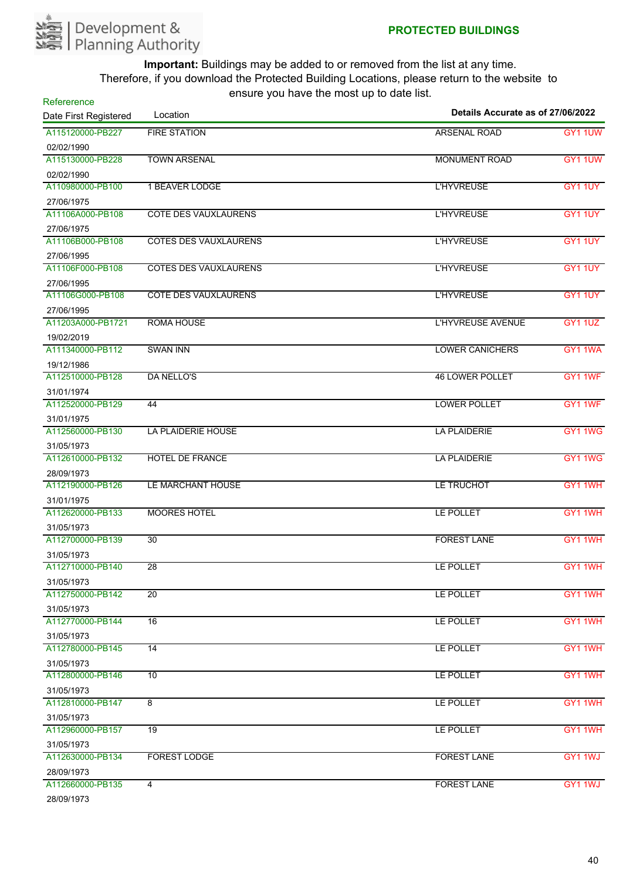

| Refererence<br>Date First Registered | $3.3$ , $3.4$ , $1.4$ , $3.1$ , $1.3$ , $1.3$ , $1.4$ , $1.5$<br>Location | Details Accurate as of 27/06/2022 |                |
|--------------------------------------|---------------------------------------------------------------------------|-----------------------------------|----------------|
| A115120000-PB227                     | <b>FIRE STATION</b>                                                       | <b>ARSENAL ROAD</b>               | GY1 1UW        |
| 02/02/1990                           |                                                                           |                                   |                |
| A115130000-PB228                     | <b>TOWN ARSENAL</b>                                                       | <b>MONUMENT ROAD</b>              | GY1 1UW        |
| 02/02/1990                           |                                                                           |                                   |                |
| A110980000-PB100                     | <b>1 BEAVER LODGE</b>                                                     | <b>L'HYVREUSE</b>                 | GY1 1UY        |
| 27/06/1975                           |                                                                           |                                   |                |
| A11106A000-PB108                     | <b>COTE DES VAUXLAURENS</b>                                               | <b>L'HYVREUSE</b>                 | GY1 1UY        |
| 27/06/1975                           |                                                                           |                                   |                |
| A11106B000-PB108                     | <b>COTES DES VAUXLAURENS</b>                                              | <b>L'HYVREUSE</b>                 | GY1 1UY        |
| 27/06/1995                           |                                                                           |                                   |                |
| A11106F000-PB108                     | <b>COTES DES VAUXLAURENS</b>                                              | <b>L'HYVREUSE</b>                 | GY1 1UY        |
| 27/06/1995                           |                                                                           |                                   |                |
| A11106G000-PB108                     | <b>COTE DES VAUXLAURENS</b>                                               | <b>L'HYVREUSE</b>                 | GY1 1UY        |
| 27/06/1995                           |                                                                           |                                   |                |
| A11203A000-PB1721                    | <b>ROMA HOUSE</b>                                                         | <b>L'HYVREUSE AVENUE</b>          | <b>GY1 1UZ</b> |
| 19/02/2019                           |                                                                           |                                   |                |
| A111340000-PB112                     | <b>SWAN INN</b>                                                           | <b>LOWER CANICHERS</b>            | GY1 1WA        |
| 19/12/1986                           |                                                                           |                                   |                |
| A112510000-PB128                     | <b>DA NELLO'S</b>                                                         | <b>46 LOWER POLLET</b>            | GY1 1WF        |
| 31/01/1974                           |                                                                           |                                   |                |
| A112520000-PB129                     | 44                                                                        | <b>LOWER POLLET</b>               | GY1 1WF        |
| 31/01/1975                           |                                                                           |                                   |                |
| A112560000-PB130                     | LA PLAIDERIE HOUSE                                                        | <b>LA PLAIDERIE</b>               | GY1 1WG        |
| 31/05/1973                           |                                                                           |                                   |                |
| A112610000-PB132                     | <b>HOTEL DE FRANCE</b>                                                    | <b>LA PLAIDERIE</b>               | GY1 1WG        |
| 28/09/1973                           |                                                                           |                                   |                |
| A112190000-PB126                     | LE MARCHANT HOUSE                                                         | LE TRUCHOT                        | GY1 1WH        |
| 31/01/1975                           |                                                                           |                                   |                |
| A112620000-PB133                     | <b>MOORES HOTEL</b>                                                       | LE POLLET                         | GY1 1WH        |
| 31/05/1973                           |                                                                           |                                   |                |
| A112700000-PB139                     | $\overline{30}$                                                           | <b>FOREST LANE</b>                | GY1 1WH        |
| 31/05/1973                           |                                                                           |                                   |                |
| A112710000-PB140                     | $\overline{28}$                                                           | LE POLLET                         | GY1 1WH        |
| 31/05/1973                           |                                                                           |                                   |                |
| A112750000-PB142                     | $\overline{20}$                                                           | LE POLLET                         | GY1 1WH        |
| 31/05/1973                           |                                                                           |                                   |                |
| A112770000-PB144                     | 16                                                                        | LE POLLET                         | GY1 1WH        |
| 31/05/1973                           |                                                                           |                                   |                |
| A112780000-PB145                     | 14                                                                        | LE POLLET                         | GY1 1WH        |
| 31/05/1973                           |                                                                           |                                   |                |
| A112800000-PB146                     | 10                                                                        | LE POLLET                         | GY1 1WH        |
| 31/05/1973                           |                                                                           |                                   |                |
| A112810000-PB147                     | 8                                                                         | LE POLLET                         | GY1 1WH        |
| 31/05/1973                           |                                                                           |                                   |                |
| A112960000-PB157                     | $\overline{19}$                                                           | LE POLLET                         | GY1 1WH        |
| 31/05/1973                           |                                                                           |                                   |                |
| A112630000-PB134                     | <b>FOREST LODGE</b>                                                       | <b>FOREST LANE</b>                | GY1 1WJ        |
| 28/09/1973                           |                                                                           |                                   |                |
| A112660000-PB135                     | $\overline{4}$                                                            | <b>FOREST LANE</b>                | GY1 1WJ        |
| 28/09/1973                           |                                                                           |                                   |                |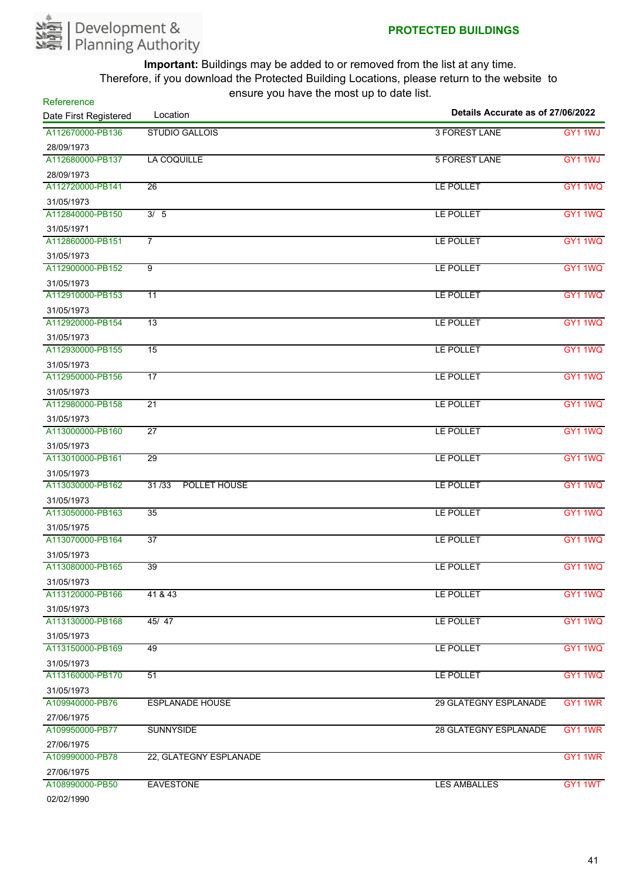

| A112670000-PB136<br><b>STUDIO GALLOIS</b><br>3 FOREST LANE<br>GY1 1WJ<br>28/09/1973<br>A112680000-PB137<br><b>5 FOREST LANE</b><br>LA COQUILLE<br>GY1 1WJ<br>28/09/1973<br>A112720000-PB141<br>$\overline{26}$<br>LE POLLET<br><b>GY1 1WQ</b><br>31/05/1973<br>A112840000-PB150<br>3/5<br>LE POLLET<br>31/05/1971<br>$\overline{7}$<br>A112860000-PB151<br>LE POLLET<br>31/05/1973<br>$\overline{9}$<br>A112900000-PB152<br>LE POLLET<br>GY1 1WQ<br>31/05/1973<br>A112910000-PB153<br>11<br>LE POLLET<br>31/05/1973<br>A112920000-PB154<br>13<br>LE POLLET<br>31/05/1973<br>A112930000-PB155<br>LE POLLET<br>GY1 1WQ<br>$\overline{15}$<br>31/05/1973<br>A112950000-PB156<br>$\overline{17}$<br>LE POLLET<br>31/05/1973<br>$\overline{21}$<br>A112980000-PB158<br>LE POLLET<br>31/05/1973<br>A113000000-PB160<br>$\overline{27}$<br>LE POLLET<br>GY1 1WQ<br>31/05/1973<br>A113010000-PB161<br>29<br>LE POLLET<br>GY1 1WQ<br>31/05/1973<br>A113030000-PB162<br>31/33<br>POLLET HOUSE<br>LE POLLET<br>31/05/1973<br>A113050000-PB163<br>GY1 1WQ<br>35<br>LE POLLET<br>31/05/1975<br>A113070000-PB164<br>$\overline{37}$<br>GY1 1WQ<br>LE POLLET<br>31/05/1973<br>A113080000-PB165<br>39<br>LE POLLET<br>31/05/1973<br>A113120000-PB166<br>41 & 43<br>LE POLLET<br>31/05/1973<br>A113130000-PB168<br>45/47<br>LE POLLET<br>31/05/1973<br>49<br>A113150000-PB169<br>LE POLLET<br>31/05/1973<br>A113160000-PB170<br>51<br>LE POLLET<br>31/05/1973<br>A109940000-PB76<br><b>ESPLANADE HOUSE</b><br><b>29 GLATEGNY ESPLANADE</b><br>27/06/1975<br>A109950000-PB77<br><b>SUNNYSIDE</b><br><b>28 GLATEGNY ESPLANADE</b><br>27/06/1975<br>A109990000-PB78<br>22, GLATEGNY ESPLANADE<br>27/06/1975<br>A108990000-PB50<br><b>EAVESTONE</b><br>LES AMBALLES<br>02/02/1990 | Refererence<br>Date First Registered | Details Accurate as of 27/06/2022<br>Location |  |  |  |
|--------------------------------------------------------------------------------------------------------------------------------------------------------------------------------------------------------------------------------------------------------------------------------------------------------------------------------------------------------------------------------------------------------------------------------------------------------------------------------------------------------------------------------------------------------------------------------------------------------------------------------------------------------------------------------------------------------------------------------------------------------------------------------------------------------------------------------------------------------------------------------------------------------------------------------------------------------------------------------------------------------------------------------------------------------------------------------------------------------------------------------------------------------------------------------------------------------------------------------------------------------------------------------------------------------------------------------------------------------------------------------------------------------------------------------------------------------------------------------------------------------------------------------------------------------------------------------------------------------------------------------------------------------------------------------------------------------------------------------------------------------------|--------------------------------------|-----------------------------------------------|--|--|--|
| GY1 1WQ<br>GY1 1WQ<br>GY1 1WQ<br>GY1 1WQ<br>GY1 1WQ<br>GY1 1WQ<br>GY1 1WQ<br>GY1 1WQ<br>GY1 1WQ<br>GY1 1WQ<br>GY1 1WQ<br>GY1 1WQ<br>GY1 1WR<br>GY1 1WR<br>GY1 1WR<br>GY1 1WT                                                                                                                                                                                                                                                                                                                                                                                                                                                                                                                                                                                                                                                                                                                                                                                                                                                                                                                                                                                                                                                                                                                                                                                                                                                                                                                                                                                                                                                                                                                                                                                 |                                      |                                               |  |  |  |
|                                                                                                                                                                                                                                                                                                                                                                                                                                                                                                                                                                                                                                                                                                                                                                                                                                                                                                                                                                                                                                                                                                                                                                                                                                                                                                                                                                                                                                                                                                                                                                                                                                                                                                                                                              |                                      |                                               |  |  |  |
|                                                                                                                                                                                                                                                                                                                                                                                                                                                                                                                                                                                                                                                                                                                                                                                                                                                                                                                                                                                                                                                                                                                                                                                                                                                                                                                                                                                                                                                                                                                                                                                                                                                                                                                                                              |                                      |                                               |  |  |  |
|                                                                                                                                                                                                                                                                                                                                                                                                                                                                                                                                                                                                                                                                                                                                                                                                                                                                                                                                                                                                                                                                                                                                                                                                                                                                                                                                                                                                                                                                                                                                                                                                                                                                                                                                                              |                                      |                                               |  |  |  |
|                                                                                                                                                                                                                                                                                                                                                                                                                                                                                                                                                                                                                                                                                                                                                                                                                                                                                                                                                                                                                                                                                                                                                                                                                                                                                                                                                                                                                                                                                                                                                                                                                                                                                                                                                              |                                      |                                               |  |  |  |
|                                                                                                                                                                                                                                                                                                                                                                                                                                                                                                                                                                                                                                                                                                                                                                                                                                                                                                                                                                                                                                                                                                                                                                                                                                                                                                                                                                                                                                                                                                                                                                                                                                                                                                                                                              |                                      |                                               |  |  |  |
|                                                                                                                                                                                                                                                                                                                                                                                                                                                                                                                                                                                                                                                                                                                                                                                                                                                                                                                                                                                                                                                                                                                                                                                                                                                                                                                                                                                                                                                                                                                                                                                                                                                                                                                                                              |                                      |                                               |  |  |  |
|                                                                                                                                                                                                                                                                                                                                                                                                                                                                                                                                                                                                                                                                                                                                                                                                                                                                                                                                                                                                                                                                                                                                                                                                                                                                                                                                                                                                                                                                                                                                                                                                                                                                                                                                                              |                                      |                                               |  |  |  |
|                                                                                                                                                                                                                                                                                                                                                                                                                                                                                                                                                                                                                                                                                                                                                                                                                                                                                                                                                                                                                                                                                                                                                                                                                                                                                                                                                                                                                                                                                                                                                                                                                                                                                                                                                              |                                      |                                               |  |  |  |
|                                                                                                                                                                                                                                                                                                                                                                                                                                                                                                                                                                                                                                                                                                                                                                                                                                                                                                                                                                                                                                                                                                                                                                                                                                                                                                                                                                                                                                                                                                                                                                                                                                                                                                                                                              |                                      |                                               |  |  |  |
|                                                                                                                                                                                                                                                                                                                                                                                                                                                                                                                                                                                                                                                                                                                                                                                                                                                                                                                                                                                                                                                                                                                                                                                                                                                                                                                                                                                                                                                                                                                                                                                                                                                                                                                                                              |                                      |                                               |  |  |  |
|                                                                                                                                                                                                                                                                                                                                                                                                                                                                                                                                                                                                                                                                                                                                                                                                                                                                                                                                                                                                                                                                                                                                                                                                                                                                                                                                                                                                                                                                                                                                                                                                                                                                                                                                                              |                                      |                                               |  |  |  |
|                                                                                                                                                                                                                                                                                                                                                                                                                                                                                                                                                                                                                                                                                                                                                                                                                                                                                                                                                                                                                                                                                                                                                                                                                                                                                                                                                                                                                                                                                                                                                                                                                                                                                                                                                              |                                      |                                               |  |  |  |
|                                                                                                                                                                                                                                                                                                                                                                                                                                                                                                                                                                                                                                                                                                                                                                                                                                                                                                                                                                                                                                                                                                                                                                                                                                                                                                                                                                                                                                                                                                                                                                                                                                                                                                                                                              |                                      |                                               |  |  |  |
|                                                                                                                                                                                                                                                                                                                                                                                                                                                                                                                                                                                                                                                                                                                                                                                                                                                                                                                                                                                                                                                                                                                                                                                                                                                                                                                                                                                                                                                                                                                                                                                                                                                                                                                                                              |                                      |                                               |  |  |  |
|                                                                                                                                                                                                                                                                                                                                                                                                                                                                                                                                                                                                                                                                                                                                                                                                                                                                                                                                                                                                                                                                                                                                                                                                                                                                                                                                                                                                                                                                                                                                                                                                                                                                                                                                                              |                                      |                                               |  |  |  |
|                                                                                                                                                                                                                                                                                                                                                                                                                                                                                                                                                                                                                                                                                                                                                                                                                                                                                                                                                                                                                                                                                                                                                                                                                                                                                                                                                                                                                                                                                                                                                                                                                                                                                                                                                              |                                      |                                               |  |  |  |
|                                                                                                                                                                                                                                                                                                                                                                                                                                                                                                                                                                                                                                                                                                                                                                                                                                                                                                                                                                                                                                                                                                                                                                                                                                                                                                                                                                                                                                                                                                                                                                                                                                                                                                                                                              |                                      |                                               |  |  |  |
|                                                                                                                                                                                                                                                                                                                                                                                                                                                                                                                                                                                                                                                                                                                                                                                                                                                                                                                                                                                                                                                                                                                                                                                                                                                                                                                                                                                                                                                                                                                                                                                                                                                                                                                                                              |                                      |                                               |  |  |  |
|                                                                                                                                                                                                                                                                                                                                                                                                                                                                                                                                                                                                                                                                                                                                                                                                                                                                                                                                                                                                                                                                                                                                                                                                                                                                                                                                                                                                                                                                                                                                                                                                                                                                                                                                                              |                                      |                                               |  |  |  |
|                                                                                                                                                                                                                                                                                                                                                                                                                                                                                                                                                                                                                                                                                                                                                                                                                                                                                                                                                                                                                                                                                                                                                                                                                                                                                                                                                                                                                                                                                                                                                                                                                                                                                                                                                              |                                      |                                               |  |  |  |
|                                                                                                                                                                                                                                                                                                                                                                                                                                                                                                                                                                                                                                                                                                                                                                                                                                                                                                                                                                                                                                                                                                                                                                                                                                                                                                                                                                                                                                                                                                                                                                                                                                                                                                                                                              |                                      |                                               |  |  |  |
|                                                                                                                                                                                                                                                                                                                                                                                                                                                                                                                                                                                                                                                                                                                                                                                                                                                                                                                                                                                                                                                                                                                                                                                                                                                                                                                                                                                                                                                                                                                                                                                                                                                                                                                                                              |                                      |                                               |  |  |  |
|                                                                                                                                                                                                                                                                                                                                                                                                                                                                                                                                                                                                                                                                                                                                                                                                                                                                                                                                                                                                                                                                                                                                                                                                                                                                                                                                                                                                                                                                                                                                                                                                                                                                                                                                                              |                                      |                                               |  |  |  |
|                                                                                                                                                                                                                                                                                                                                                                                                                                                                                                                                                                                                                                                                                                                                                                                                                                                                                                                                                                                                                                                                                                                                                                                                                                                                                                                                                                                                                                                                                                                                                                                                                                                                                                                                                              |                                      |                                               |  |  |  |
|                                                                                                                                                                                                                                                                                                                                                                                                                                                                                                                                                                                                                                                                                                                                                                                                                                                                                                                                                                                                                                                                                                                                                                                                                                                                                                                                                                                                                                                                                                                                                                                                                                                                                                                                                              |                                      |                                               |  |  |  |
|                                                                                                                                                                                                                                                                                                                                                                                                                                                                                                                                                                                                                                                                                                                                                                                                                                                                                                                                                                                                                                                                                                                                                                                                                                                                                                                                                                                                                                                                                                                                                                                                                                                                                                                                                              |                                      |                                               |  |  |  |
|                                                                                                                                                                                                                                                                                                                                                                                                                                                                                                                                                                                                                                                                                                                                                                                                                                                                                                                                                                                                                                                                                                                                                                                                                                                                                                                                                                                                                                                                                                                                                                                                                                                                                                                                                              |                                      |                                               |  |  |  |
|                                                                                                                                                                                                                                                                                                                                                                                                                                                                                                                                                                                                                                                                                                                                                                                                                                                                                                                                                                                                                                                                                                                                                                                                                                                                                                                                                                                                                                                                                                                                                                                                                                                                                                                                                              |                                      |                                               |  |  |  |
|                                                                                                                                                                                                                                                                                                                                                                                                                                                                                                                                                                                                                                                                                                                                                                                                                                                                                                                                                                                                                                                                                                                                                                                                                                                                                                                                                                                                                                                                                                                                                                                                                                                                                                                                                              |                                      |                                               |  |  |  |
|                                                                                                                                                                                                                                                                                                                                                                                                                                                                                                                                                                                                                                                                                                                                                                                                                                                                                                                                                                                                                                                                                                                                                                                                                                                                                                                                                                                                                                                                                                                                                                                                                                                                                                                                                              |                                      |                                               |  |  |  |
|                                                                                                                                                                                                                                                                                                                                                                                                                                                                                                                                                                                                                                                                                                                                                                                                                                                                                                                                                                                                                                                                                                                                                                                                                                                                                                                                                                                                                                                                                                                                                                                                                                                                                                                                                              |                                      |                                               |  |  |  |
|                                                                                                                                                                                                                                                                                                                                                                                                                                                                                                                                                                                                                                                                                                                                                                                                                                                                                                                                                                                                                                                                                                                                                                                                                                                                                                                                                                                                                                                                                                                                                                                                                                                                                                                                                              |                                      |                                               |  |  |  |
|                                                                                                                                                                                                                                                                                                                                                                                                                                                                                                                                                                                                                                                                                                                                                                                                                                                                                                                                                                                                                                                                                                                                                                                                                                                                                                                                                                                                                                                                                                                                                                                                                                                                                                                                                              |                                      |                                               |  |  |  |
|                                                                                                                                                                                                                                                                                                                                                                                                                                                                                                                                                                                                                                                                                                                                                                                                                                                                                                                                                                                                                                                                                                                                                                                                                                                                                                                                                                                                                                                                                                                                                                                                                                                                                                                                                              |                                      |                                               |  |  |  |
|                                                                                                                                                                                                                                                                                                                                                                                                                                                                                                                                                                                                                                                                                                                                                                                                                                                                                                                                                                                                                                                                                                                                                                                                                                                                                                                                                                                                                                                                                                                                                                                                                                                                                                                                                              |                                      |                                               |  |  |  |
|                                                                                                                                                                                                                                                                                                                                                                                                                                                                                                                                                                                                                                                                                                                                                                                                                                                                                                                                                                                                                                                                                                                                                                                                                                                                                                                                                                                                                                                                                                                                                                                                                                                                                                                                                              |                                      |                                               |  |  |  |
|                                                                                                                                                                                                                                                                                                                                                                                                                                                                                                                                                                                                                                                                                                                                                                                                                                                                                                                                                                                                                                                                                                                                                                                                                                                                                                                                                                                                                                                                                                                                                                                                                                                                                                                                                              |                                      |                                               |  |  |  |
|                                                                                                                                                                                                                                                                                                                                                                                                                                                                                                                                                                                                                                                                                                                                                                                                                                                                                                                                                                                                                                                                                                                                                                                                                                                                                                                                                                                                                                                                                                                                                                                                                                                                                                                                                              |                                      |                                               |  |  |  |
|                                                                                                                                                                                                                                                                                                                                                                                                                                                                                                                                                                                                                                                                                                                                                                                                                                                                                                                                                                                                                                                                                                                                                                                                                                                                                                                                                                                                                                                                                                                                                                                                                                                                                                                                                              |                                      |                                               |  |  |  |
|                                                                                                                                                                                                                                                                                                                                                                                                                                                                                                                                                                                                                                                                                                                                                                                                                                                                                                                                                                                                                                                                                                                                                                                                                                                                                                                                                                                                                                                                                                                                                                                                                                                                                                                                                              |                                      |                                               |  |  |  |
|                                                                                                                                                                                                                                                                                                                                                                                                                                                                                                                                                                                                                                                                                                                                                                                                                                                                                                                                                                                                                                                                                                                                                                                                                                                                                                                                                                                                                                                                                                                                                                                                                                                                                                                                                              |                                      |                                               |  |  |  |
|                                                                                                                                                                                                                                                                                                                                                                                                                                                                                                                                                                                                                                                                                                                                                                                                                                                                                                                                                                                                                                                                                                                                                                                                                                                                                                                                                                                                                                                                                                                                                                                                                                                                                                                                                              |                                      |                                               |  |  |  |
|                                                                                                                                                                                                                                                                                                                                                                                                                                                                                                                                                                                                                                                                                                                                                                                                                                                                                                                                                                                                                                                                                                                                                                                                                                                                                                                                                                                                                                                                                                                                                                                                                                                                                                                                                              |                                      |                                               |  |  |  |
|                                                                                                                                                                                                                                                                                                                                                                                                                                                                                                                                                                                                                                                                                                                                                                                                                                                                                                                                                                                                                                                                                                                                                                                                                                                                                                                                                                                                                                                                                                                                                                                                                                                                                                                                                              |                                      |                                               |  |  |  |
|                                                                                                                                                                                                                                                                                                                                                                                                                                                                                                                                                                                                                                                                                                                                                                                                                                                                                                                                                                                                                                                                                                                                                                                                                                                                                                                                                                                                                                                                                                                                                                                                                                                                                                                                                              |                                      |                                               |  |  |  |
|                                                                                                                                                                                                                                                                                                                                                                                                                                                                                                                                                                                                                                                                                                                                                                                                                                                                                                                                                                                                                                                                                                                                                                                                                                                                                                                                                                                                                                                                                                                                                                                                                                                                                                                                                              |                                      |                                               |  |  |  |
|                                                                                                                                                                                                                                                                                                                                                                                                                                                                                                                                                                                                                                                                                                                                                                                                                                                                                                                                                                                                                                                                                                                                                                                                                                                                                                                                                                                                                                                                                                                                                                                                                                                                                                                                                              |                                      |                                               |  |  |  |
|                                                                                                                                                                                                                                                                                                                                                                                                                                                                                                                                                                                                                                                                                                                                                                                                                                                                                                                                                                                                                                                                                                                                                                                                                                                                                                                                                                                                                                                                                                                                                                                                                                                                                                                                                              |                                      |                                               |  |  |  |
|                                                                                                                                                                                                                                                                                                                                                                                                                                                                                                                                                                                                                                                                                                                                                                                                                                                                                                                                                                                                                                                                                                                                                                                                                                                                                                                                                                                                                                                                                                                                                                                                                                                                                                                                                              |                                      |                                               |  |  |  |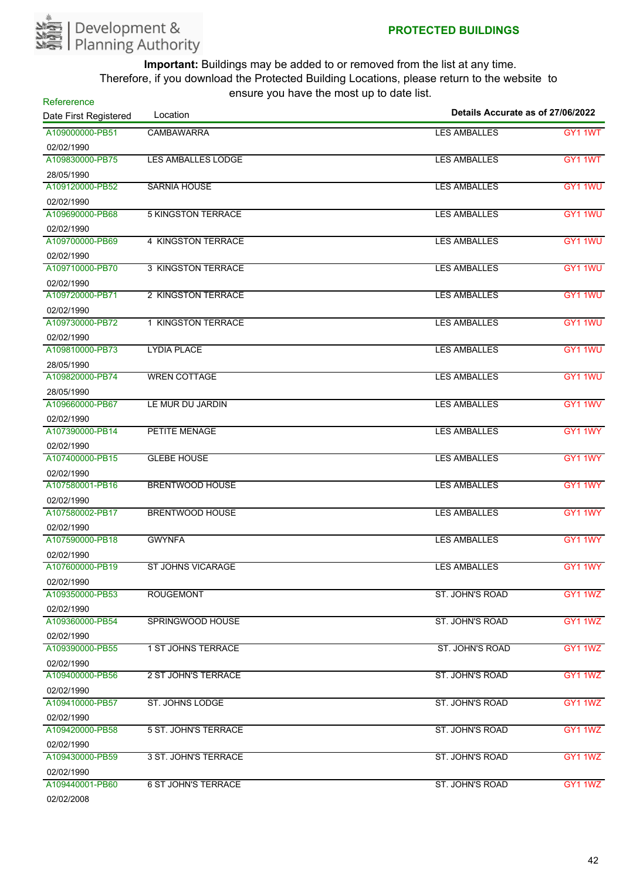

| Refererence<br>Date First Registered | Location                   | Details Accurate as of 27/06/2022 |         |
|--------------------------------------|----------------------------|-----------------------------------|---------|
| A109000000-PB51                      | <b>CAMBAWARRA</b>          | <b>LES AMBALLES</b>               | GY1 1WT |
| 02/02/1990                           |                            |                                   |         |
| A109830000-PB75                      | <b>LES AMBALLES LODGE</b>  | <b>LES AMBALLES</b>               | GY1 1WT |
| 28/05/1990                           |                            |                                   |         |
| A109120000-PB52                      | <b>SARNIA HOUSE</b>        | <b>LES AMBALLES</b>               | GY1 1WU |
| 02/02/1990                           |                            |                                   |         |
| A109690000-PB68                      | <b>5 KINGSTON TERRACE</b>  | <b>LES AMBALLES</b>               | GY1 1WU |
| 02/02/1990                           |                            |                                   |         |
| A109700000-PB69                      | 4 KINGSTON TERRACE         | <b>LES AMBALLES</b>               | GY1 1WU |
| 02/02/1990                           |                            |                                   |         |
| A109710000-PB70                      | <b>3 KINGSTON TERRACE</b>  | <b>LES AMBALLES</b>               | GY1 1WU |
| 02/02/1990                           |                            |                                   |         |
| A109720000-PB71                      | 2 KINGSTON TERRACE         | <b>LES AMBALLES</b>               | GY1 1WU |
| 02/02/1990                           |                            |                                   |         |
| A109730000-PB72                      | 1 KINGSTON TERRACE         | <b>LES AMBALLES</b>               | GY1 1WU |
| 02/02/1990                           |                            |                                   |         |
| A109810000-PB73                      | <b>LYDIA PLACE</b>         | <b>LES AMBALLES</b>               | GY1 1WU |
| 28/05/1990                           |                            |                                   |         |
| A109820000-PB74                      | <b>WREN COTTAGE</b>        | <b>LES AMBALLES</b>               | GY1 1WU |
| 28/05/1990                           |                            |                                   |         |
| A109660000-PB67                      | LE MUR DU JARDIN           | <b>LES AMBALLES</b>               | GY1 1WV |
| 02/02/1990                           |                            |                                   |         |
| A107390000-PB14                      | PETITE MENAGE              | <b>LES AMBALLES</b>               | GY1 1WY |
| 02/02/1990                           |                            |                                   |         |
| A107400000-PB15                      | <b>GLEBE HOUSE</b>         | <b>LES AMBALLES</b>               | GY1 1WY |
| 02/02/1990                           |                            |                                   |         |
| A107580001-PB16                      | <b>BRENTWOOD HOUSE</b>     | <b>LES AMBALLES</b>               | GY1 1WY |
| 02/02/1990                           |                            |                                   |         |
| A107580002-PB17                      | <b>BRENTWOOD HOUSE</b>     | <b>LES AMBALLES</b>               | GY1 1WY |
| 02/02/1990                           |                            |                                   |         |
| A107590000-PB18                      | <b>GWYNFA</b>              | <b>LES AMBALLES</b>               | GY1 1WY |
| 02/02/1990                           |                            |                                   |         |
| A107600000-PB19                      | <b>ST JOHNS VICARAGE</b>   | <b>LES AMBALLES</b>               | GY1 1WY |
| 02/02/1990                           |                            |                                   |         |
| A109350000-PB53                      | <b>ROUGEMONT</b>           | <b>ST. JOHN'S ROAD</b>            | GY1 1WZ |
| 02/02/1990                           |                            |                                   |         |
| A109360000-PB54                      | SPRINGWOOD HOUSE           | ST. JOHN'S ROAD                   | GY1 1WZ |
| 02/02/1990                           |                            |                                   |         |
| A109390000-PB55                      | <b>1 ST JOHNS TERRACE</b>  | ST. JOHN'S ROAD                   | GY1 1WZ |
| 02/02/1990                           |                            |                                   |         |
| A109400000-PB56                      | 2 ST JOHN'S TERRACE        | <b>ST. JOHN'S ROAD</b>            | GY1 1WZ |
| 02/02/1990                           |                            |                                   |         |
| A109410000-PB57                      | <b>ST. JOHNS LODGE</b>     | ST. JOHN'S ROAD                   | GY1 1WZ |
| 02/02/1990                           |                            |                                   |         |
| A109420000-PB58                      | 5 ST. JOHN'S TERRACE       | ST. JOHN'S ROAD                   | GY1 1WZ |
| 02/02/1990                           |                            |                                   |         |
| A109430000-PB59                      | 3 ST. JOHN'S TERRACE       | ST. JOHN'S ROAD                   | GY1 1WZ |
| 02/02/1990                           |                            |                                   |         |
| A109440001-PB60                      | <b>6 ST JOHN'S TERRACE</b> | ST. JOHN'S ROAD                   | GY1 1WZ |
| 02/02/2008                           |                            |                                   |         |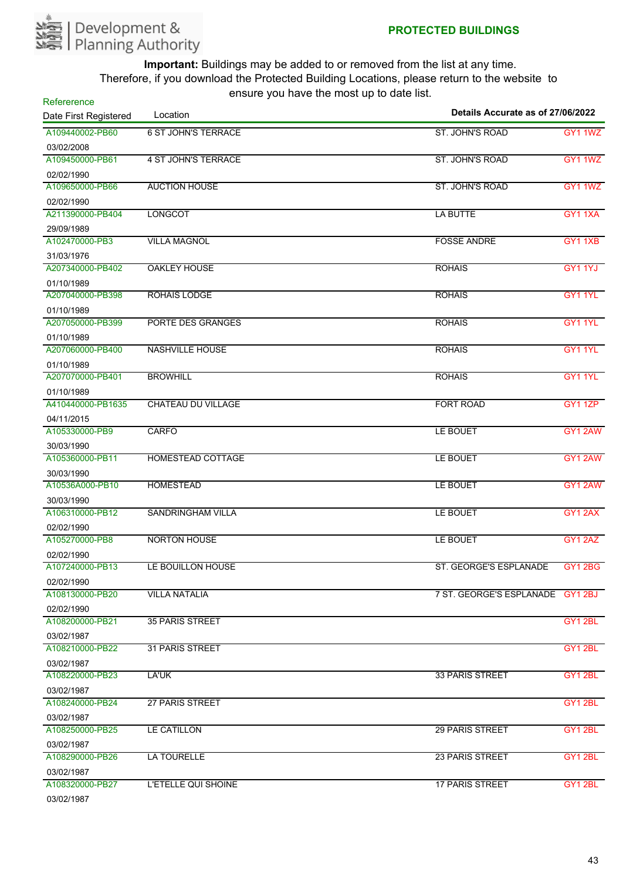

| Refererence<br>Date First Registered | $30.5$ , $30.10$ , $10.5$ , $11.5$ $30.5$<br>Location | Details Accurate as of 27/06/2022 |                |
|--------------------------------------|-------------------------------------------------------|-----------------------------------|----------------|
| A109440002-PB60                      | <b>6 ST JOHN'S TERRACE</b>                            | <b>ST. JOHN'S ROAD</b>            | <b>GY1 1WZ</b> |
| 03/02/2008                           |                                                       |                                   |                |
| A109450000-PB61                      | <b>4 ST JOHN'S TERRACE</b>                            | ST. JOHN'S ROAD                   | GY1 1WZ        |
| 02/02/1990                           |                                                       |                                   |                |
| A109650000-PB66                      | <b>AUCTION HOUSE</b>                                  | ST. JOHN'S ROAD                   | GY1 1WZ        |
| 02/02/1990                           |                                                       |                                   |                |
| A211390000-PB404                     | <b>LONGCOT</b>                                        | <b>LA BUTTE</b>                   | <b>GY11XA</b>  |
| 29/09/1989                           |                                                       |                                   |                |
| A102470000-PB3                       | <b>VILLA MAGNOL</b>                                   | <b>FOSSE ANDRE</b>                | GY11XB         |
| 31/03/1976                           |                                                       |                                   |                |
| A207340000-PB402                     | <b>OAKLEY HOUSE</b>                                   | <b>ROHAIS</b>                     | GY1 1YJ        |
| 01/10/1989                           |                                                       |                                   |                |
| A207040000-PB398                     | <b>ROHAIS LODGE</b>                                   | <b>ROHAIS</b>                     | <b>GY1 1YL</b> |
| 01/10/1989                           |                                                       |                                   |                |
| A207050000-PB399                     | PORTE DES GRANGES                                     | <b>ROHAIS</b>                     | GY1 1YL        |
| 01/10/1989                           |                                                       |                                   |                |
| A207060000-PB400                     | <b>NASHVILLE HOUSE</b>                                | <b>ROHAIS</b>                     | GY1 1YL        |
| 01/10/1989                           |                                                       |                                   |                |
| A207070000-PB401                     | <b>BROWHILL</b>                                       | <b>ROHAIS</b>                     | <b>GY1 1YL</b> |
| 01/10/1989                           |                                                       |                                   |                |
| A410440000-PB1635                    | <b>CHATEAU DU VILLAGE</b>                             | <b>FORT ROAD</b>                  | <b>GY1 1ZP</b> |
| 04/11/2015                           |                                                       |                                   |                |
| A105330000-PB9                       | <b>CARFO</b>                                          | LE BOUET                          | GY1 2AW        |
| 30/03/1990                           |                                                       |                                   |                |
| A105360000-PB11                      | <b>HOMESTEAD COTTAGE</b>                              | LE BOUET                          | GY1 2AW        |
| 30/03/1990                           |                                                       |                                   |                |
| A10536A000-PB10                      | <b>HOMESTEAD</b>                                      | LE BOUET                          | GY1 2AW        |
| 30/03/1990                           |                                                       |                                   |                |
| A106310000-PB12                      | <b>SANDRINGHAM VILLA</b>                              | LE BOUET                          | GY12AX         |
| 02/02/1990                           |                                                       |                                   |                |
| A105270000-PB8                       | <b>NORTON HOUSE</b>                                   | LE BOUET                          | GY1 2AZ        |
| 02/02/1990                           |                                                       |                                   |                |
| A107240000-PB13                      | LE BOUILLON HOUSE                                     | ST. GEORGE'S ESPLANADE            | GY12BG         |
| 02/02/1990                           |                                                       |                                   |                |
| A108130000-PB20                      | <b>VILLA NATALIA</b>                                  | 7 ST. GEORGE'S ESPLANADE GY1 2BJ  |                |
| 02/02/1990                           |                                                       |                                   |                |
| A108200000-PB21                      | <b>35 PARIS STREET</b>                                |                                   | GY1 2BL        |
| 03/02/1987                           |                                                       |                                   |                |
| A108210000-PB22                      | <b>31 PARIS STREET</b>                                |                                   | GY12BL         |
| 03/02/1987                           |                                                       |                                   |                |
| A108220000-PB23                      | LA'UK                                                 | <b>33 PARIS STREET</b>            | GY1 2BL        |
| 03/02/1987                           |                                                       |                                   |                |
| A108240000-PB24                      | <b>27 PARIS STREET</b>                                |                                   | GY1 2BL        |
| 03/02/1987                           |                                                       |                                   |                |
| A108250000-PB25                      | LE CATILLON                                           | 29 PARIS STREET                   | GY1 2BL        |
| 03/02/1987                           |                                                       |                                   |                |
| A108290000-PB26                      | <b>LA TOURELLE</b>                                    | <b>23 PARIS STREET</b>            | GY1 2BL        |
| 03/02/1987                           |                                                       |                                   |                |
| A108320000-PB27                      | L'ETELLE QUI SHOINE                                   | <b>17 PARIS STREET</b>            | GY12BL         |

03/02/1987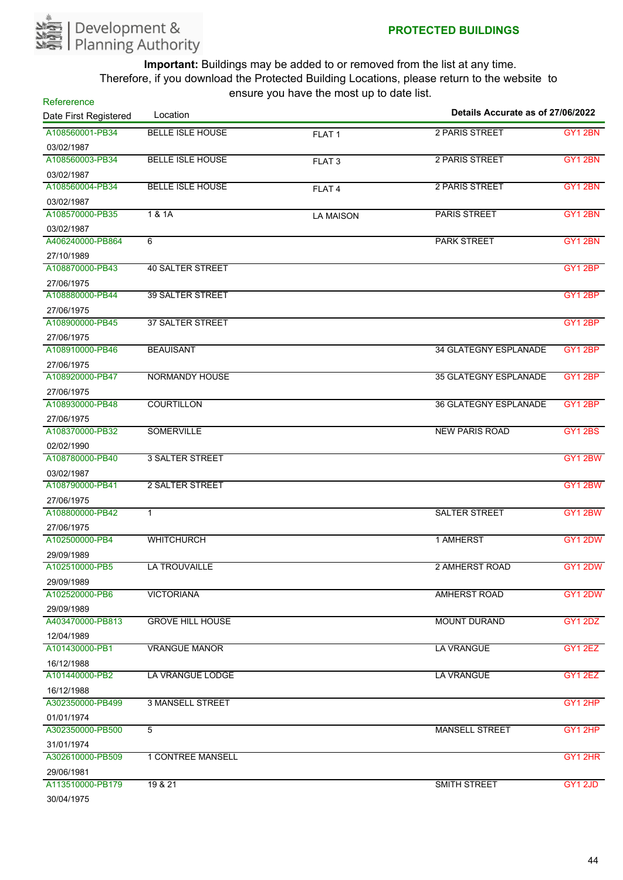

| Refererence                    |                          | $10.91$ $\sigma$ $1.91$ $\sigma$ $1.10$ $\sigma$ $1.10$ $\sigma$ $1.00$ | Details Accurate as of 27/06/2022 |                |
|--------------------------------|--------------------------|-------------------------------------------------------------------------|-----------------------------------|----------------|
| Date First Registered          | Location                 |                                                                         |                                   |                |
| A108560001-PB34                | <b>BELLE ISLE HOUSE</b>  | FLAT <sub>1</sub>                                                       | 2 PARIS STREET                    | GY12BN         |
| 03/02/1987                     |                          |                                                                         |                                   |                |
| A108560003-PB34                | <b>BELLE ISLE HOUSE</b>  | FLAT <sub>3</sub>                                                       | 2 PARIS STREET                    | GY12BN         |
| 03/02/1987                     |                          |                                                                         |                                   |                |
| A108560004-PB34                | <b>BELLE ISLE HOUSE</b>  | FLAT <sub>4</sub>                                                       | 2 PARIS STREET                    | GY12BN         |
| 03/02/1987                     |                          |                                                                         |                                   |                |
| A108570000-PB35                | 1 & 1A                   | <b>LA MAISON</b>                                                        | <b>PARIS STREET</b>               | GY12BN         |
| 03/02/1987                     |                          |                                                                         |                                   |                |
| A406240000-PB864               | 6                        |                                                                         | <b>PARK STREET</b>                | <b>GY1 2BN</b> |
| 27/10/1989                     |                          |                                                                         |                                   |                |
| A108870000-PB43                | <b>40 SALTER STREET</b>  |                                                                         |                                   | GY12BP         |
| 27/06/1975                     |                          |                                                                         |                                   |                |
| A108880000-PB44                | <b>39 SALTER STREET</b>  |                                                                         |                                   | GY1 2BP        |
| 27/06/1975                     |                          |                                                                         |                                   |                |
| A108900000-PB45                | <b>37 SALTER STREET</b>  |                                                                         |                                   | GY12BP         |
| 27/06/1975                     |                          |                                                                         |                                   |                |
| A108910000-PB46                | <b>BEAUISANT</b>         |                                                                         | <b>34 GLATEGNY ESPLANADE</b>      | GY1 2BP        |
| 27/06/1975                     |                          |                                                                         |                                   |                |
| A108920000-PB47                | <b>NORMANDY HOUSE</b>    |                                                                         | <b>35 GLATEGNY ESPLANADE</b>      | GY1 2BP        |
| 27/06/1975                     |                          |                                                                         |                                   |                |
| A108930000-PB48                | <b>COURTILLON</b>        |                                                                         | <b>36 GLATEGNY ESPLANADE</b>      | GY12BP         |
| 27/06/1975                     |                          |                                                                         |                                   |                |
| A108370000-PB32                | <b>SOMERVILLE</b>        |                                                                         | <b>NEW PARIS ROAD</b>             | <b>GY1 2BS</b> |
| 02/02/1990                     |                          |                                                                         |                                   |                |
| A108780000-PB40                | <b>3 SALTER STREET</b>   |                                                                         |                                   | GY12BW         |
| 03/02/1987                     |                          |                                                                         |                                   |                |
| A108790000-PB41                | 2 SALTER STREET          |                                                                         |                                   | GY12BW         |
| 27/06/1975                     |                          |                                                                         |                                   |                |
| A108800000-PB42                | $\mathbf{1}$             |                                                                         | <b>SALTER STREET</b>              | <b>GY1 2BW</b> |
| 27/06/1975                     |                          |                                                                         |                                   |                |
| A102500000-PB4                 | <b>WHITCHURCH</b>        |                                                                         | 1 AMHERST                         | GY1 2DW        |
| 29/09/1989                     |                          |                                                                         |                                   |                |
| A102510000-PB5                 | <b>LA TROUVAILLE</b>     |                                                                         | 2 AMHERST ROAD                    | GY1 2DW        |
| 29/09/1989                     |                          |                                                                         |                                   |                |
| A102520000-PB6                 | <b>VICTORIANA</b>        |                                                                         | <b>AMHERST ROAD</b>               | GY1 2DW        |
| 29/09/1989                     |                          |                                                                         |                                   |                |
| A403470000-PB813               | <b>GROVE HILL HOUSE</b>  |                                                                         | <b>MOUNT DURAND</b>               | GY1 2DZ        |
| 12/04/1989                     |                          |                                                                         |                                   |                |
| A101430000-PB1                 | <b>VRANGUE MANOR</b>     |                                                                         | <b>LA VRANGUE</b>                 | GY1 2EZ        |
| 16/12/1988                     |                          |                                                                         |                                   |                |
| A101440000-PB2                 | LA VRANGUE LODGE         |                                                                         | <b>LA VRANGUE</b>                 | GY1 2EZ        |
|                                |                          |                                                                         |                                   |                |
| 16/12/1988<br>A302350000-PB499 | <b>3 MANSELL STREET</b>  |                                                                         |                                   | GY12HP         |
|                                |                          |                                                                         |                                   |                |
| 01/01/1974<br>A302350000-PB500 | $\overline{5}$           |                                                                         | <b>MANSELL STREET</b>             | GY1 2HP        |
|                                |                          |                                                                         |                                   |                |
| 31/01/1974<br>A302610000-PB509 | <b>1 CONTREE MANSELL</b> |                                                                         |                                   | GY1 2HR        |
|                                |                          |                                                                         |                                   |                |
| 29/06/1981<br>A113510000-PB179 | 19 & 21                  |                                                                         | <b>SMITH STREET</b>               |                |
|                                |                          |                                                                         |                                   | GY1 2JD        |
| 30/04/1975                     |                          |                                                                         |                                   |                |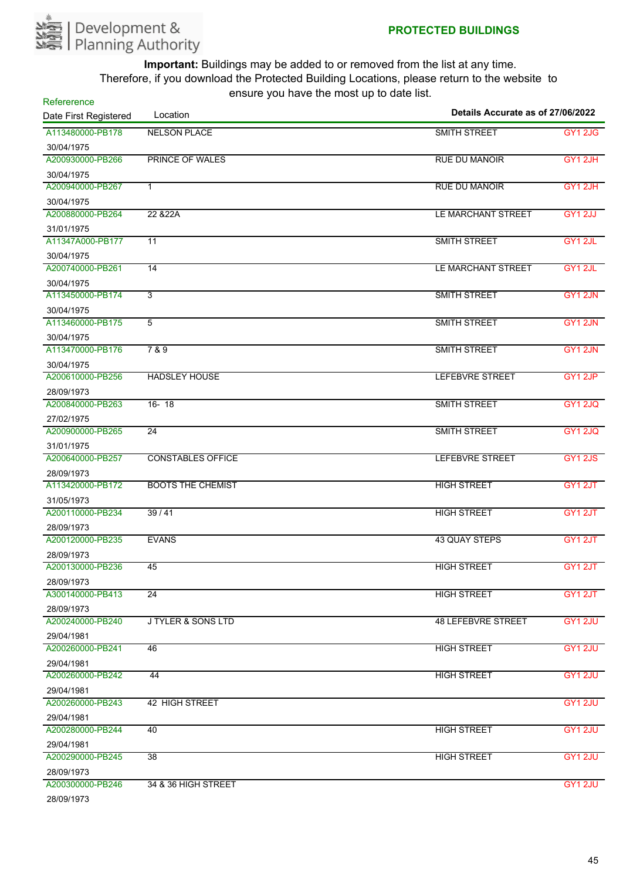

| Refererence<br>Date First Registered | $10.91$ $\sigma$ $1.91$ $\sigma$ $1.1$ $\sigma$ $1.1$ $\sigma$ $\sigma$ $\sigma$<br>Location | Details Accurate as of 27/06/2022 |                |
|--------------------------------------|----------------------------------------------------------------------------------------------|-----------------------------------|----------------|
| A113480000-PB178                     | <b>NELSON PLACE</b>                                                                          | <b>SMITH STREET</b>               | GY12JG         |
| 30/04/1975                           |                                                                                              |                                   |                |
| A200930000-PB266                     | <b>PRINCE OF WALES</b>                                                                       | <b>RUE DU MANOIR</b>              | GY1 2JH        |
| 30/04/1975                           |                                                                                              |                                   |                |
| A200940000-PB267                     | 1                                                                                            | <b>RUE DU MANOIR</b>              | GY1 2JH        |
| 30/04/1975                           |                                                                                              |                                   |                |
| A200880000-PB264                     | 22 & 22A                                                                                     | LE MARCHANT STREET                | <b>GY1 2JJ</b> |
| 31/01/1975                           |                                                                                              |                                   |                |
| A11347A000-PB177                     | 11                                                                                           | <b>SMITH STREET</b>               | GY1 2JL        |
| 30/04/1975                           |                                                                                              |                                   |                |
| A200740000-PB261                     | 14                                                                                           | LE MARCHANT STREET                | GY1 2JL        |
| 30/04/1975                           |                                                                                              |                                   |                |
| A113450000-PB174                     | $\overline{3}$                                                                               | <b>SMITH STREET</b>               | GY1 2JN        |
| 30/04/1975                           |                                                                                              |                                   |                |
| A113460000-PB175                     | 5                                                                                            | <b>SMITH STREET</b>               | GY1 2JN        |
| 30/04/1975                           |                                                                                              |                                   |                |
| A113470000-PB176                     | 7 & 9                                                                                        | <b>SMITH STREET</b>               | GY1 2JN        |
| 30/04/1975                           |                                                                                              |                                   |                |
| A200610000-PB256                     | <b>HADSLEY HOUSE</b>                                                                         | <b>LEFEBVRE STREET</b>            | GY1 2JP        |
| 28/09/1973                           |                                                                                              |                                   |                |
| A200840000-PB263                     | $16 - 18$                                                                                    | <b>SMITH STREET</b>               | <b>GY1 2JQ</b> |
| 27/02/1975                           |                                                                                              |                                   |                |
| A200900000-PB265                     | 24                                                                                           | <b>SMITH STREET</b>               | <b>GY1 2JQ</b> |
| 31/01/1975                           |                                                                                              |                                   |                |
| A200640000-PB257                     | <b>CONSTABLES OFFICE</b>                                                                     | <b>LEFEBVRE STREET</b>            | <b>GY1 2JS</b> |
| 28/09/1973                           |                                                                                              |                                   |                |
| A113420000-PB172                     | <b>BOOTS THE CHEMIST</b>                                                                     | <b>HIGH STREET</b>                | GY1 2JT        |
| 31/05/1973                           |                                                                                              |                                   |                |
| A200110000-PB234                     | 39/41                                                                                        | <b>HIGH STREET</b>                | GY1 2JT        |
| 28/09/1973                           |                                                                                              |                                   |                |
| A200120000-PB235                     | <b>EVANS</b>                                                                                 | <b>43 QUAY STEPS</b>              | GY1 2JT        |
| 28/09/1973                           |                                                                                              |                                   |                |
| A200130000-PB236                     | 45                                                                                           | <b>HIGH STREET</b>                | GY1 2JT        |
| 28/09/1973                           |                                                                                              |                                   |                |
| A300140000-PB413                     | $\overline{24}$                                                                              | <b>HIGH STREET</b>                | GY1 2JT        |
| 28/09/1973                           |                                                                                              |                                   |                |
| A200240000-PB240                     | <b>J TYLER &amp; SONS LTD</b>                                                                | <b>48 LEFEBVRE STREET</b>         | <b>GY1 2JU</b> |
| 29/04/1981                           |                                                                                              |                                   |                |
| A200260000-PB241                     | 46                                                                                           | <b>HIGH STREET</b>                | GY1 2JU        |
| 29/04/1981                           |                                                                                              |                                   |                |
| A200260000-PB242                     | 44                                                                                           | <b>HIGH STREET</b>                | GY1 2JU        |
| 29/04/1981                           |                                                                                              |                                   |                |
| A200260000-PB243                     | <b>42 HIGH STREET</b>                                                                        |                                   | <b>GY1 2JU</b> |
| 29/04/1981                           |                                                                                              |                                   |                |
| A200280000-PB244                     | 40                                                                                           | <b>HIGH STREET</b>                | GY1 2JU        |
| 29/04/1981                           |                                                                                              |                                   |                |
| A200290000-PB245                     | 38                                                                                           | <b>HIGH STREET</b>                | GY1 2JU        |
| 28/09/1973                           |                                                                                              |                                   |                |
| A200300000-PB246                     | 34 & 36 HIGH STREET                                                                          |                                   | <b>GY1 2JU</b> |
| 0000000070                           |                                                                                              |                                   |                |

28/09/1973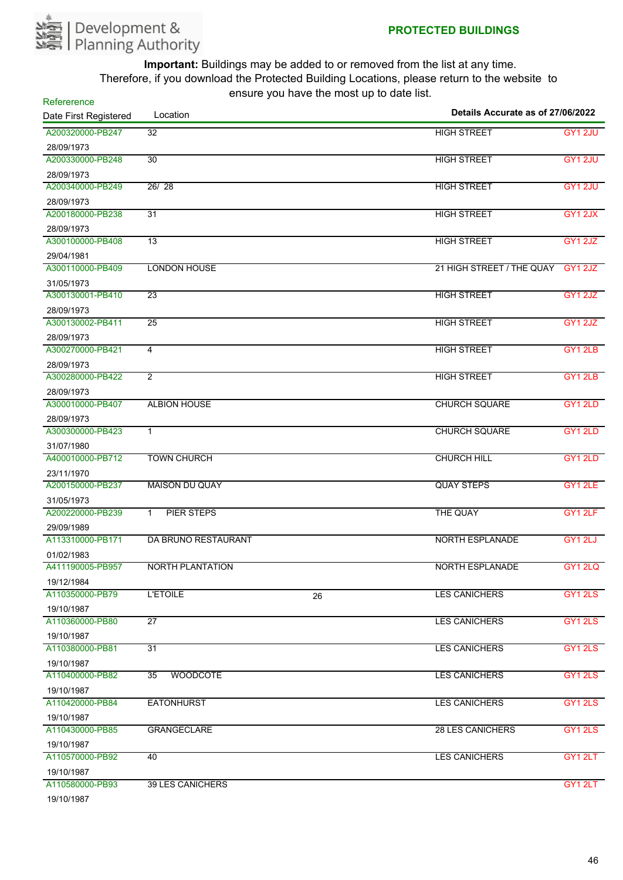

**Refererence** 

**Important:** Buildings may be added to or removed from the list at any time. Therefore, if you download the Protected Building Locations, please return to the website to ensure you have the most up to date list.

| Date First Registered | Location                   |    | Details Accurate as of 27/06/2022 |         |  |
|-----------------------|----------------------------|----|-----------------------------------|---------|--|
| A200320000-PB247      | 32                         |    | <b>HIGH STREET</b>                | GY1 2JU |  |
| 28/09/1973            |                            |    |                                   |         |  |
| A200330000-PB248      | 30                         |    | <b>HIGH STREET</b>                | GY1 2JU |  |
| 28/09/1973            |                            |    |                                   |         |  |
| A200340000-PB249      | 26/28                      |    | <b>HIGH STREET</b>                | GY1 2JU |  |
| 28/09/1973            |                            |    |                                   |         |  |
| A200180000-PB238      | $\overline{31}$            |    | <b>HIGH STREET</b>                | GY12JX  |  |
| 28/09/1973            |                            |    |                                   |         |  |
| A300100000-PB408      | 13                         |    | <b>HIGH STREET</b>                | GY1 2JZ |  |
| 29/04/1981            |                            |    |                                   |         |  |
| A300110000-PB409      | <b>LONDON HOUSE</b>        |    | 21 HIGH STREET / THE QUAY GY1 2JZ |         |  |
| 31/05/1973            |                            |    |                                   |         |  |
| A300130001-PB410      | $\overline{23}$            |    | <b>HIGH STREET</b>                | GY1 2JZ |  |
| 28/09/1973            |                            |    |                                   |         |  |
| A300130002-PB411      | $\overline{25}$            |    | <b>HIGH STREET</b>                | GY1 2JZ |  |
| 28/09/1973            |                            |    |                                   |         |  |
| A300270000-PB421      | $\overline{4}$             |    | <b>HIGH STREET</b>                | GY1 2LB |  |
| 28/09/1973            |                            |    |                                   |         |  |
| A300280000-PB422      | $\overline{2}$             |    | <b>HIGH STREET</b>                | GY1 2LB |  |
| 28/09/1973            |                            |    |                                   |         |  |
| A300010000-PB407      | <b>ALBION HOUSE</b>        |    | <b>CHURCH SQUARE</b>              | GY1 2LD |  |
| 28/09/1973            |                            |    |                                   |         |  |
| A300300000-PB423      | $\mathbf 1$                |    | <b>CHURCH SQUARE</b>              | GY1 2LD |  |
| 31/07/1980            |                            |    |                                   |         |  |
| A400010000-PB712      | <b>TOWN CHURCH</b>         |    | <b>CHURCH HILL</b>                | GY1 2LD |  |
| 23/11/1970            |                            |    |                                   |         |  |
| A200150000-PB237      | <b>MAISON DU QUAY</b>      |    | <b>QUAY STEPS</b>                 | GY1 2LE |  |
| 31/05/1973            |                            |    |                                   |         |  |
| A200220000-PB239      | PIER STEPS<br>$\mathbf{1}$ |    | THE QUAY                          | GY1 2LF |  |
| 29/09/1989            |                            |    |                                   |         |  |
| A113310000-PB171      | DA BRUNO RESTAURANT        |    | <b>NORTH ESPLANADE</b>            | GY1 2LJ |  |
| 01/02/1983            |                            |    |                                   |         |  |
| A411190005-PB957      | <b>NORTH PLANTATION</b>    |    | <b>NORTH ESPLANADE</b>            | GY1 2LQ |  |
| 19/12/1984            |                            |    |                                   |         |  |
| A110350000-PB79       | <b>L'ETOILE</b>            | 26 | <b>LES CANICHERS</b>              | GY1 2LS |  |
| 19/10/1987            |                            |    |                                   |         |  |
| A110360000-PB80       | 27                         |    | <b>LES CANICHERS</b>              | GY1 2LS |  |
| 19/10/1987            |                            |    |                                   |         |  |
| A110380000-PB81       | $\overline{31}$            |    | <b>LES CANICHERS</b>              | GY1 2LS |  |
| 19/10/1987            |                            |    |                                   |         |  |
| A110400000-PB82       | <b>WOODCOTE</b><br>35      |    | <b>LES CANICHERS</b>              | GY1 2LS |  |
| 19/10/1987            |                            |    |                                   |         |  |
| A110420000-PB84       | <b>EATONHURST</b>          |    | <b>LES CANICHERS</b>              | GY1 2LS |  |
| 19/10/1987            |                            |    |                                   |         |  |
| A110430000-PB85       | <b>GRANGECLARE</b>         |    | <b>28 LES CANICHERS</b>           | GY1 2LS |  |
| 19/10/1987            |                            |    |                                   |         |  |
| A110570000-PB92       | 40                         |    | <b>LES CANICHERS</b>              | GY1 2LT |  |
| 19/10/1987            |                            |    |                                   |         |  |
| A110580000-PB93       | <b>39 LES CANICHERS</b>    |    |                                   | GY1 2LT |  |

19/10/1987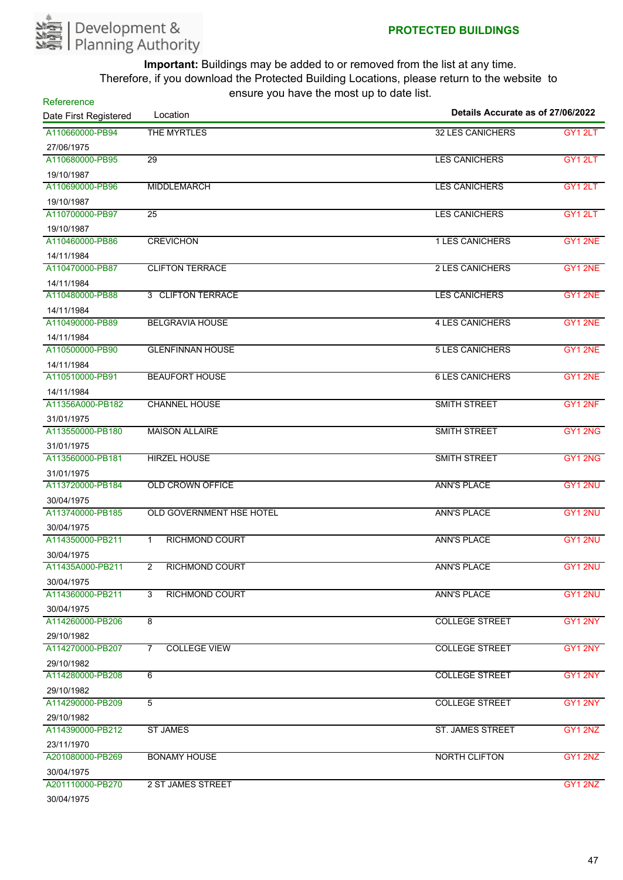

| Refererence           | 0110aro 70a 11avo 610 1110arap to aato 110t. | Details Accurate as of 27/06/2022 |         |
|-----------------------|----------------------------------------------|-----------------------------------|---------|
| Date First Registered | Location                                     |                                   |         |
| A110660000-PB94       | THE MYRTLES                                  | <b>32 LES CANICHERS</b>           | GY1 2LT |
| 27/06/1975            |                                              |                                   |         |
| A110680000-PB95       | $\overline{29}$                              | <b>LES CANICHERS</b>              | GY1 2LT |
| 19/10/1987            |                                              |                                   |         |
| A110690000-PB96       | <b>MIDDLEMARCH</b>                           | <b>LES CANICHERS</b>              | GY12LT  |
| 19/10/1987            |                                              |                                   |         |
| A110700000-PB97       | 25                                           | <b>LES CANICHERS</b>              | GY1 2LT |
| 19/10/1987            |                                              |                                   |         |
| A110460000-PB86       | <b>CREVICHON</b>                             | <b>1 LES CANICHERS</b>            | GY1 2NE |
| 14/11/1984            |                                              |                                   |         |
| A110470000-PB87       | <b>CLIFTON TERRACE</b>                       | <b>2 LES CANICHERS</b>            | GY1 2NE |
| 14/11/1984            |                                              |                                   |         |
| A110480000-PB88       | 3 CLIFTON TERRACE                            | <b>LES CANICHERS</b>              | GY1 2NE |
| 14/11/1984            |                                              |                                   |         |
| A110490000-PB89       | <b>BELGRAVIA HOUSE</b>                       | <b>4 LES CANICHERS</b>            | GY12NE  |
| 14/11/1984            |                                              |                                   |         |
| A110500000-PB90       | <b>GLENFINNAN HOUSE</b>                      | <b>5 LES CANICHERS</b>            | GY1 2NE |
| 14/11/1984            |                                              |                                   |         |
| A110510000-PB91       | <b>BEAUFORT HOUSE</b>                        | <b>6 LES CANICHERS</b>            | GY1 2NE |
| 14/11/1984            |                                              |                                   |         |
| A11356A000-PB182      | <b>CHANNEL HOUSE</b>                         | <b>SMITH STREET</b>               | GY1 2NF |
| 31/01/1975            |                                              |                                   |         |
| A113550000-PB180      | <b>MAISON ALLAIRE</b>                        | <b>SMITH STREET</b>               | GY1 2NG |
| 31/01/1975            |                                              |                                   |         |
| A113560000-PB181      | <b>HIRZEL HOUSE</b>                          | <b>SMITH STREET</b>               | GY1 2NG |
| 31/01/1975            |                                              |                                   |         |
| A113720000-PB184      | <b>OLD CROWN OFFICE</b>                      | <b>ANN'S PLACE</b>                | GY1 2NU |
| 30/04/1975            |                                              |                                   |         |
| A113740000-PB185      | OLD GOVERNMENT HSE HOTEL                     | <b>ANN'S PLACE</b>                | GY1 2NU |
| 30/04/1975            |                                              |                                   |         |
| A114350000-PB211      | <b>RICHMOND COURT</b><br>1                   | <b>ANN'S PLACE</b>                | GY1 2NU |
| 30/04/1975            |                                              |                                   |         |
| A11435A000-PB211      | <b>RICHMOND COURT</b><br>2.                  | <b>ANN'S PLACE</b>                | GY1 2NU |
| 30/04/1975            |                                              |                                   |         |
| A114360000-PB211      | <b>RICHMOND COURT</b><br>3                   | <b>ANN'S PLACE</b>                | GY1 2NU |
| 30/04/1975            |                                              |                                   |         |
| A114260000-PB206      | 8                                            | <b>COLLEGE STREET</b>             | GY1 2NY |
| 29/10/1982            |                                              |                                   |         |
| A114270000-PB207      | <b>COLLEGE VIEW</b><br>7                     | <b>COLLEGE STREET</b>             | GY1 2NY |
| 29/10/1982            |                                              |                                   |         |
| A114280000-PB208      | 6                                            | <b>COLLEGE STREET</b>             | GY1 2NY |
| 29/10/1982            |                                              |                                   |         |
| A114290000-PB209      | $\overline{5}$                               | <b>COLLEGE STREET</b>             | GY1 2NY |
| 29/10/1982            |                                              |                                   |         |
| A114390000-PB212      | <b>ST JAMES</b>                              | <b>ST. JAMES STREET</b>           | GY1 2NZ |
| 23/11/1970            |                                              |                                   |         |
| A201080000-PB269      | <b>BONAMY HOUSE</b>                          | <b>NORTH CLIFTON</b>              | GY1 2NZ |
| 30/04/1975            |                                              |                                   |         |
| A201110000-PB270      | 2 ST JAMES STREET                            |                                   | GY1 2NZ |
| 0010111077            |                                              |                                   |         |

30/04/1975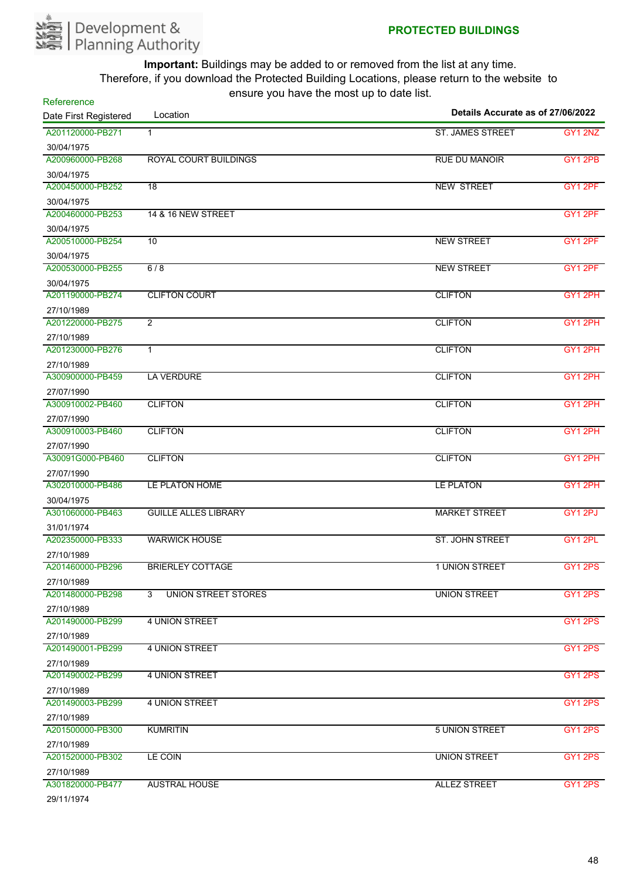

| Refererence<br>Date First Registered | Location                        | Details Accurate as of 27/06/2022 |                     |
|--------------------------------------|---------------------------------|-----------------------------------|---------------------|
| A201120000-PB271                     | $\mathbf{1}$                    | <b>ST. JAMES STREET</b>           | GY1 2NZ             |
|                                      |                                 |                                   |                     |
| 30/04/1975<br>A200960000-PB268       | <b>ROYAL COURT BUILDINGS</b>    | <b>RUE DU MANOIR</b>              | <b>GY1 2PB</b>      |
|                                      |                                 |                                   |                     |
| 30/04/1975<br>A200450000-PB252       | $\overline{18}$                 | <b>NEW STREET</b>                 | GY1 2PF             |
| 30/04/1975                           |                                 |                                   |                     |
| A200460000-PB253                     | 14 & 16 NEW STREET              |                                   | GY12PF              |
| 30/04/1975                           |                                 |                                   |                     |
| A200510000-PB254                     | 10                              | <b>NEW STREET</b>                 | GY1 2PF             |
| 30/04/1975                           |                                 |                                   |                     |
| A200530000-PB255                     | 6/8                             | <b>NEW STREET</b>                 | GY1 2PF             |
| 30/04/1975                           |                                 |                                   |                     |
| A201190000-PB274                     | <b>CLIFTON COURT</b>            | <b>CLIFTON</b>                    | GY1 2PH             |
| 27/10/1989                           |                                 |                                   |                     |
| A201220000-PB275                     | $\overline{2}$                  | <b>CLIFTON</b>                    | GY1 2PH             |
| 27/10/1989                           |                                 |                                   |                     |
| A201230000-PB276                     | $\mathbf{1}$                    | <b>CLIFTON</b>                    | GY12PH              |
| 27/10/1989                           |                                 |                                   |                     |
| A300900000-PB459                     | <b>LA VERDURE</b>               | <b>CLIFTON</b>                    | GY1 2PH             |
| 27/07/1990                           |                                 |                                   |                     |
| A300910002-PB460                     | <b>CLIFTON</b>                  | <b>CLIFTON</b>                    | GY12PH              |
| 27/07/1990                           |                                 |                                   |                     |
| A300910003-PB460                     | <b>CLIFTON</b>                  | <b>CLIFTON</b>                    | GY1 2PH             |
| 27/07/1990                           |                                 |                                   |                     |
| A30091G000-PB460                     | <b>CLIFTON</b>                  | <b>CLIFTON</b>                    | GY1 2PH             |
| 27/07/1990                           |                                 |                                   |                     |
| A302010000-PB486                     | LE PLATON HOME                  | <b>LE PLATON</b>                  | GY1 2PH             |
| 30/04/1975                           |                                 |                                   |                     |
| A301060000-PB463                     | <b>GUILLE ALLES LIBRARY</b>     | <b>MARKET STREET</b>              | GY1 2PJ             |
| 31/01/1974                           |                                 |                                   |                     |
| A202350000-PB333                     | <b>WARWICK HOUSE</b>            | ST. JOHN STREET                   | GY <sub>1</sub> 2PL |
| 27/10/1989                           |                                 |                                   |                     |
| A201460000-PB296                     | <b>BRIERLEY COTTAGE</b>         | 1 UNION STREET                    | GY12PS              |
| 27/10/1989                           |                                 |                                   |                     |
| A201480000-PB298                     | <b>UNION STREET STORES</b><br>3 | <b>UNION STREET</b>               | GY1 2PS             |
| 27/10/1989                           |                                 |                                   |                     |
| A201490000-PB299                     | <b>4 UNION STREET</b>           |                                   | <b>GY1 2PS</b>      |
| 27/10/1989                           |                                 |                                   |                     |
| A201490001-PB299                     | <b>4 UNION STREET</b>           |                                   | GY12PS              |
| 27/10/1989                           |                                 |                                   |                     |
| A201490002-PB299                     | <b>4 UNION STREET</b>           |                                   | GY1 2PS             |
| 27/10/1989                           |                                 |                                   |                     |
| A201490003-PB299                     | <b>4 UNION STREET</b>           |                                   | <b>GY1 2PS</b>      |
| 27/10/1989                           |                                 |                                   |                     |
| A201500000-PB300                     | <b>KUMRITIN</b>                 | <b>5 UNION STREET</b>             | GY1 2PS             |
| 27/10/1989                           |                                 |                                   |                     |
| A201520000-PB302                     | LE COIN                         | UNION STREET                      | <b>GY1 2PS</b>      |
| 27/10/1989                           |                                 |                                   |                     |
| A301820000-PB477                     | <b>AUSTRAL HOUSE</b>            | <b>ALLEZ STREET</b>               | GY1 2PS             |
|                                      |                                 |                                   |                     |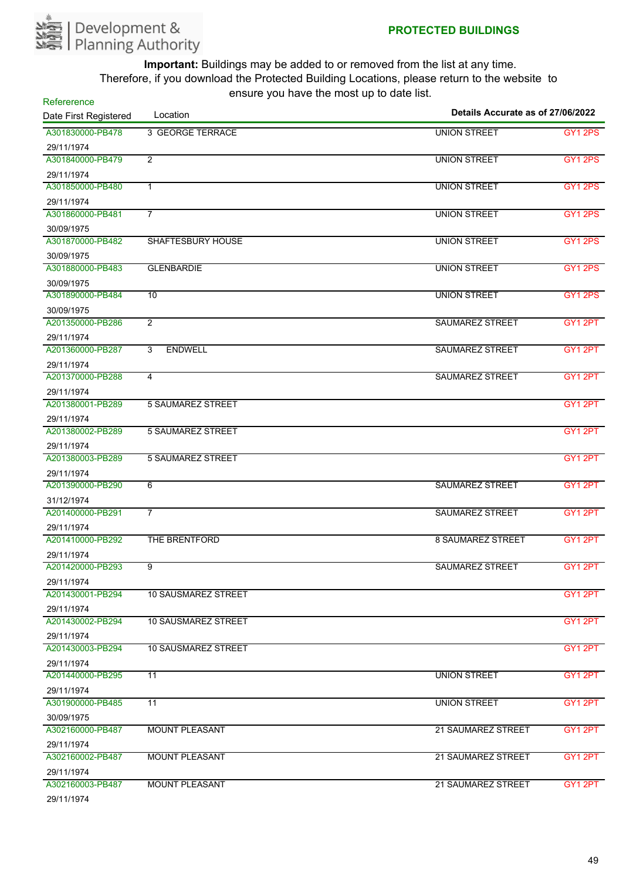

| Refererence           |                                  | Details Accurate as of 27/06/2022 |                     |  |
|-----------------------|----------------------------------|-----------------------------------|---------------------|--|
| Date First Registered | Location                         |                                   |                     |  |
| A301830000-PB478      | <b>3 GEORGE TERRACE</b>          | <b>UNION STREET</b>               | GY12PS              |  |
| 29/11/1974            |                                  |                                   |                     |  |
| A301840000-PB479      | $\overline{2}$                   | <b>UNION STREET</b>               | <b>GY1 2PS</b>      |  |
| 29/11/1974            |                                  |                                   |                     |  |
| A301850000-PB480      | $\mathbf{1}$                     | <b>UNION STREET</b>               | <b>GY1 2PS</b>      |  |
| 29/11/1974            |                                  |                                   |                     |  |
| A301860000-PB481      | $\overline{7}$                   | <b>UNION STREET</b>               | GY <sub>1</sub> 2PS |  |
| 30/09/1975            |                                  |                                   |                     |  |
| A301870000-PB482      | <b>SHAFTESBURY HOUSE</b>         | <b>UNION STREET</b>               | GY1 2PS             |  |
| 30/09/1975            |                                  |                                   |                     |  |
| A301880000-PB483      | <b>GLENBARDIE</b>                | <b>UNION STREET</b>               | GY <sub>1</sub> 2PS |  |
| 30/09/1975            |                                  |                                   |                     |  |
| A301890000-PB484      | 10                               | <b>UNION STREET</b>               | <b>GY1 2PS</b>      |  |
| 30/09/1975            |                                  |                                   |                     |  |
| A201350000-PB286      | $\overline{2}$                   | <b>SAUMAREZ STREET</b>            | GY1 2PT             |  |
| 29/11/1974            |                                  |                                   |                     |  |
| A201360000-PB287      | $\overline{3}$<br><b>ENDWELL</b> | <b>SAUMAREZ STREET</b>            | GY1 2PT             |  |
| 29/11/1974            |                                  |                                   |                     |  |
| A201370000-PB288      | 4                                | <b>SAUMAREZ STREET</b>            | GY1 2PT             |  |
| 29/11/1974            |                                  |                                   |                     |  |
| A201380001-PB289      | <b>5 SAUMAREZ STREET</b>         |                                   | GY1 2PT             |  |
| 29/11/1974            |                                  |                                   |                     |  |
| A201380002-PB289      | <b>5 SAUMAREZ STREET</b>         |                                   | GY12PT              |  |
| 29/11/1974            |                                  |                                   |                     |  |
| A201380003-PB289      | <b>5 SAUMAREZ STREET</b>         |                                   | GY1 2PT             |  |
| 29/11/1974            |                                  |                                   |                     |  |
| A201390000-PB290      | 6                                | <b>SAUMAREZ STREET</b>            | GY1 2PT             |  |
| 31/12/1974            |                                  |                                   |                     |  |
| A201400000-PB291      | $\overline{7}$                   | <b>SAUMAREZ STREET</b>            | GY1 2PT             |  |
| 29/11/1974            |                                  |                                   |                     |  |
| A201410000-PB292      | THE BRENTFORD                    | <b>8 SAUMAREZ STREET</b>          | GY12PT              |  |
| 29/11/1974            |                                  |                                   |                     |  |
| A201420000-PB293      | 9                                | SAUMAREZ STREET                   | GY1 2PT             |  |
| 29/11/1974            |                                  |                                   |                     |  |
| A201430001-PB294      | <b>10 SAUSMAREZ STREET</b>       |                                   | GY1 2PT             |  |
| 29/11/1974            |                                  |                                   |                     |  |
| A201430002-PB294      | <b>10 SAUSMAREZ STREET</b>       |                                   | GY1 2PT             |  |
| 29/11/1974            |                                  |                                   |                     |  |
| A201430003-PB294      | <b>10 SAUSMAREZ STREET</b>       |                                   | GY1 2PT             |  |
| 29/11/1974            |                                  |                                   |                     |  |
| A201440000-PB295      | 11                               | <b>UNION STREET</b>               | GY1 2PT             |  |
| 29/11/1974            |                                  |                                   |                     |  |
| A301900000-PB485      | $\overline{11}$                  | <b>UNION STREET</b>               | GY1 2PT             |  |
| 30/09/1975            |                                  |                                   |                     |  |
| A302160000-PB487      | <b>MOUNT PLEASANT</b>            | 21 SAUMAREZ STREET                | GY1 2PT             |  |
| 29/11/1974            |                                  |                                   |                     |  |
| A302160002-PB487      | <b>MOUNT PLEASANT</b>            | 21 SAUMAREZ STREET                | GY1 2PT             |  |
| 29/11/1974            |                                  |                                   |                     |  |
| A302160003-PB487      | <b>MOUNT PLEASANT</b>            | 21 SAUMAREZ STREET                | GY1 2PT             |  |
| 29/11/1974            |                                  |                                   |                     |  |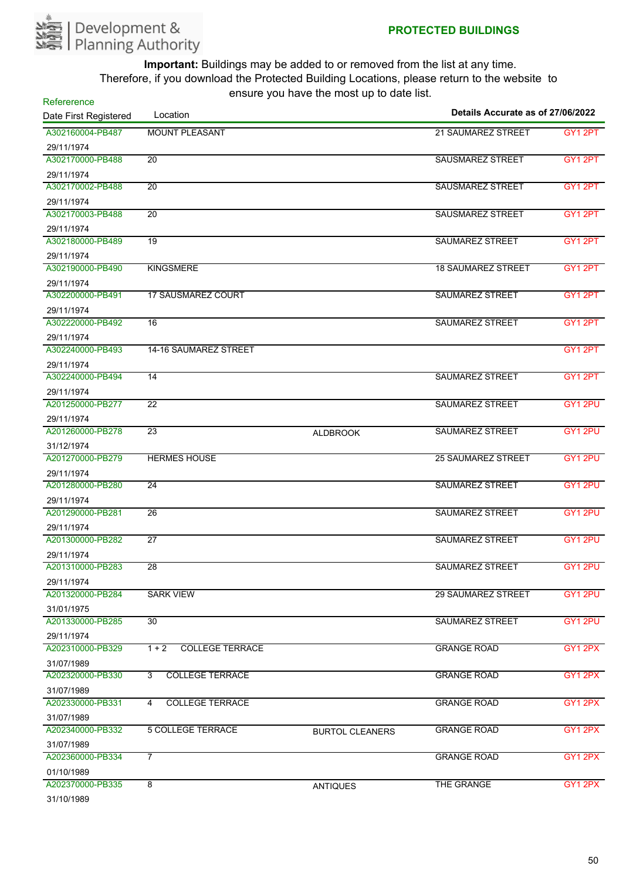

| Refererence<br>Location        |                                   | Details Accurate as of 27/06/2022 |                           |         |
|--------------------------------|-----------------------------------|-----------------------------------|---------------------------|---------|
| Date First Registered          |                                   |                                   |                           |         |
| A302160004-PB487               | <b>MOUNT PLEASANT</b>             |                                   | <b>21 SAUMAREZ STREET</b> | GY1 2PT |
| 29/11/1974                     |                                   |                                   |                           |         |
| A302170000-PB488               | $\overline{20}$                   |                                   | <b>SAUSMAREZ STREET</b>   | GY12PT  |
| 29/11/1974                     |                                   |                                   |                           |         |
| A302170002-PB488               | $\overline{20}$                   |                                   | <b>SAUSMAREZ STREET</b>   | GY1 2PT |
| 29/11/1974                     |                                   |                                   |                           |         |
| A302170003-PB488               | $\overline{20}$                   |                                   | <b>SAUSMAREZ STREET</b>   | GY12PT  |
| 29/11/1974                     |                                   |                                   |                           |         |
| A302180000-PB489               | 19                                |                                   | SAUMAREZ STREET           | GY1 2PT |
| 29/11/1974                     |                                   |                                   |                           |         |
| A302190000-PB490               | <b>KINGSMERE</b>                  |                                   | <b>18 SAUMAREZ STREET</b> | GY1 2PT |
| 29/11/1974                     |                                   |                                   |                           |         |
| A302200000-PB491               | <b>17 SAUSMAREZ COURT</b>         |                                   | <b>SAUMAREZ STREET</b>    | GY1 2PT |
| 29/11/1974<br>A302220000-PB492 | $\overline{16}$                   |                                   | <b>SAUMAREZ STREET</b>    |         |
|                                |                                   |                                   |                           | GY1 2PT |
| 29/11/1974<br>A302240000-PB493 | 14-16 SAUMAREZ STREET             |                                   |                           | GY12PT  |
|                                |                                   |                                   |                           |         |
| 29/11/1974<br>A302240000-PB494 | 14                                |                                   | <b>SAUMAREZ STREET</b>    | GY1 2PT |
|                                |                                   |                                   |                           |         |
| 29/11/1974<br>A201250000-PB277 | $\overline{22}$                   |                                   | <b>SAUMAREZ STREET</b>    | GY1 2PU |
|                                |                                   |                                   |                           |         |
| 29/11/1974<br>A201260000-PB278 | 23                                |                                   | SAUMAREZ STREET           | GY1 2PU |
|                                |                                   | <b>ALDBROOK</b>                   |                           |         |
| 31/12/1974<br>A201270000-PB279 | <b>HERMES HOUSE</b>               |                                   | <b>25 SAUMAREZ STREET</b> | GY12PU  |
|                                |                                   |                                   |                           |         |
| 29/11/1974<br>A201280000-PB280 | 24                                |                                   | <b>SAUMAREZ STREET</b>    | GY1 2PU |
|                                |                                   |                                   |                           |         |
| 29/11/1974<br>A201290000-PB281 | 26                                |                                   | <b>SAUMAREZ STREET</b>    | GY1 2PU |
| 29/11/1974                     |                                   |                                   |                           |         |
| A201300000-PB282               | 27                                |                                   | <b>SAUMAREZ STREET</b>    | GY1 2PU |
| 29/11/1974                     |                                   |                                   |                           |         |
| A201310000-PB283               | 28                                |                                   | <b>SAUMAREZ STREET</b>    | GY1 2PU |
| 29/11/1974                     |                                   |                                   |                           |         |
| A201320000-PB284               | <b>SARK VIEW</b>                  |                                   | <b>29 SAUMAREZ STREET</b> | GY1 2PU |
| 31/01/1975                     |                                   |                                   |                           |         |
| A201330000-PB285               | 30                                |                                   | SAUMAREZ STREET           | GY1 2PU |
| 29/11/1974                     |                                   |                                   |                           |         |
| A202310000-PB329               | $1 + 2$<br><b>COLLEGE TERRACE</b> |                                   | <b>GRANGE ROAD</b>        | GY12PX  |
| 31/07/1989                     |                                   |                                   |                           |         |
| A202320000-PB330               | <b>COLLEGE TERRACE</b><br>3       |                                   | <b>GRANGE ROAD</b>        | GY12PX  |
| 31/07/1989                     |                                   |                                   |                           |         |
| A202330000-PB331               | <b>COLLEGE TERRACE</b><br>4       |                                   | <b>GRANGE ROAD</b>        | GY12PX  |
| 31/07/1989                     |                                   |                                   |                           |         |
| A202340000-PB332               | <b>5 COLLEGE TERRACE</b>          | <b>BURTOL CLEANERS</b>            | <b>GRANGE ROAD</b>        | GY1 2PX |
| 31/07/1989                     |                                   |                                   |                           |         |
| A202360000-PB334               | $\overline{7}$                    |                                   | <b>GRANGE ROAD</b>        | GY1 2PX |
| 01/10/1989                     |                                   |                                   |                           |         |
| A202370000-PB335               | $\overline{8}$                    | <b>ANTIQUES</b>                   | THE GRANGE                | GY12PX  |
| 31/10/1989                     |                                   |                                   |                           |         |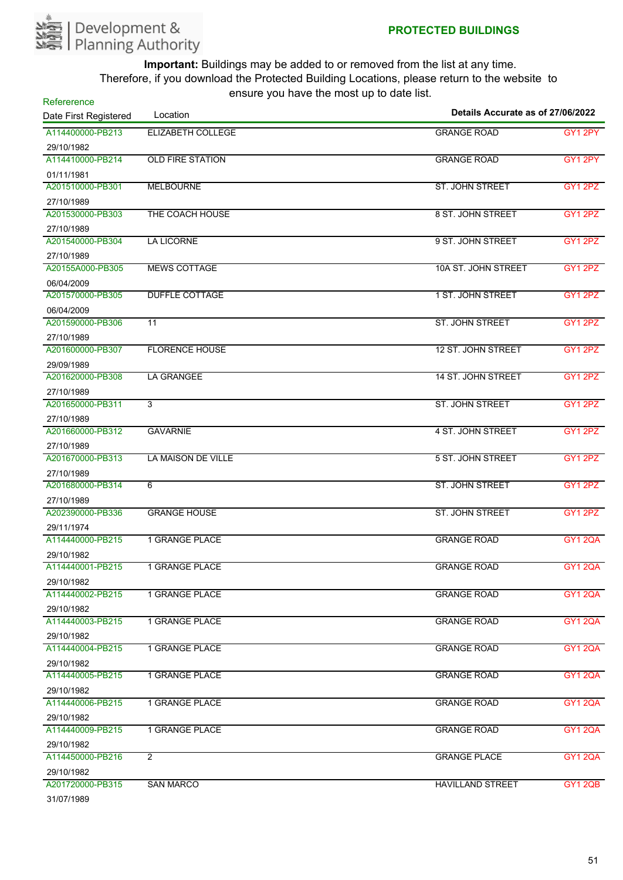

| Refererence<br>Location<br>Date First Registered |                           | Details Accurate as of 27/06/2022 |                |  |
|--------------------------------------------------|---------------------------|-----------------------------------|----------------|--|
| A114400000-PB213                                 |                           |                                   |                |  |
|                                                  | ELIZABETH COLLEGE         | <b>GRANGE ROAD</b>                | GY1 2PY        |  |
| 29/10/1982<br>A114410000-PB214                   | <b>OLD FIRE STATION</b>   | <b>GRANGE ROAD</b>                | GY12PY         |  |
|                                                  |                           |                                   |                |  |
| 01/11/1981<br>A201510000-PB301                   | <b>MELBOURNE</b>          | <b>ST. JOHN STREET</b>            | GY1 2PZ        |  |
| 27/10/1989                                       |                           |                                   |                |  |
| A201530000-PB303                                 | THE COACH HOUSE           | 8 ST. JOHN STREET                 | GY1 2PZ        |  |
| 27/10/1989                                       |                           |                                   |                |  |
| A201540000-PB304                                 | <b>LA LICORNE</b>         | 9 ST. JOHN STREET                 | <b>GY1 2PZ</b> |  |
| 27/10/1989                                       |                           |                                   |                |  |
| A20155A000-PB305                                 | <b>MEWS COTTAGE</b>       | 10A ST. JOHN STREET               | GY1 2PZ        |  |
| 06/04/2009                                       |                           |                                   |                |  |
| A201570000-PB305                                 | <b>DUFFLE COTTAGE</b>     | 1 ST. JOHN STREET                 | GY1 2PZ        |  |
| 06/04/2009                                       |                           |                                   |                |  |
| A201590000-PB306                                 | $\overline{11}$           | <b>ST. JOHN STREET</b>            | GY12PZ         |  |
| 27/10/1989                                       |                           |                                   |                |  |
| A201600000-PB307                                 | <b>FLORENCE HOUSE</b>     | 12 ST. JOHN STREET                | GY12PZ         |  |
| 29/09/1989                                       |                           |                                   |                |  |
| A201620000-PB308                                 | <b>LA GRANGEE</b>         | 14 ST. JOHN STREET                | GY1 2PZ        |  |
| 27/10/1989                                       |                           |                                   |                |  |
| A201650000-PB311                                 | 3                         | <b>ST. JOHN STREET</b>            | <b>GY1 2PZ</b> |  |
| 27/10/1989                                       |                           |                                   |                |  |
| A201660000-PB312                                 | <b>GAVARNIE</b>           | 4 ST. JOHN STREET                 | GY1 2PZ        |  |
| 27/10/1989                                       |                           |                                   |                |  |
| A201670000-PB313                                 | <b>LA MAISON DE VILLE</b> | 5 ST. JOHN STREET                 | GY12PZ         |  |
| 27/10/1989                                       |                           |                                   |                |  |
| A201680000-PB314                                 | 6                         | ST. JOHN STREET                   | GY1 2PZ        |  |
| 27/10/1989                                       |                           |                                   |                |  |
| A202390000-PB336                                 | <b>GRANGE HOUSE</b>       | ST. JOHN STREET                   | GY1 2PZ        |  |
| 29/11/1974                                       |                           |                                   |                |  |
| A114440000-PB215                                 | <b>1 GRANGE PLACE</b>     | <b>GRANGE ROAD</b>                | <b>GY1 2QA</b> |  |
| 29/10/1982                                       |                           |                                   |                |  |
| A114440001-PB215                                 | 1 GRANGE PLACE            | <b>GRANGE ROAD</b>                | <b>GY1 2QA</b> |  |
| 29/10/1982                                       |                           |                                   |                |  |
| A114440002-PB215                                 | 1 GRANGE PLACE            | <b>GRANGE ROAD</b>                | GY1 2QA        |  |
| 29/10/1982                                       |                           |                                   |                |  |
| A114440003-PB215                                 | 1 GRANGE PLACE            | <b>GRANGE ROAD</b>                | <b>GY1 2QA</b> |  |
| 29/10/1982                                       |                           |                                   |                |  |
| A114440004-PB215                                 | 1 GRANGE PLACE            | <b>GRANGE ROAD</b>                | GY1 2QA        |  |
| 29/10/1982                                       |                           |                                   |                |  |
| A114440005-PB215                                 | <b>1 GRANGE PLACE</b>     | <b>GRANGE ROAD</b>                | <b>GY1 2QA</b> |  |
| 29/10/1982                                       |                           |                                   |                |  |
| A114440006-PB215                                 | <b>1 GRANGE PLACE</b>     | <b>GRANGE ROAD</b>                | <b>GY1 2QA</b> |  |
| 29/10/1982                                       |                           |                                   |                |  |
| A114440009-PB215                                 | 1 GRANGE PLACE            | <b>GRANGE ROAD</b>                | GY1 2QA        |  |
| 29/10/1982                                       |                           |                                   |                |  |
| A114450000-PB216                                 | $\overline{2}$            | <b>GRANGE PLACE</b>               | <b>GY1 2QA</b> |  |
| 29/10/1982                                       |                           |                                   |                |  |
| A201720000-PB315                                 | <b>SAN MARCO</b>          | <b>HAVILLAND STREET</b>           | <b>GY1 2QB</b> |  |
| 31/07/1989                                       |                           |                                   |                |  |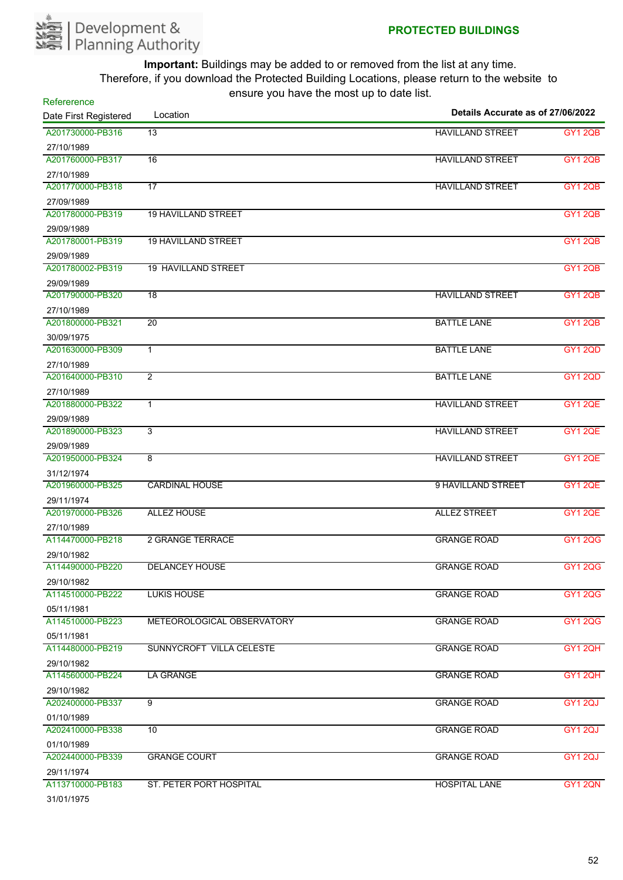

| Refererence<br>Details Accurate as of 27/06/2022<br>Location |                            |                         |                |
|--------------------------------------------------------------|----------------------------|-------------------------|----------------|
| Date First Registered                                        |                            |                         |                |
| A201730000-PB316                                             | 13                         | <b>HAVILLAND STREET</b> | <b>GY1 2QB</b> |
| 27/10/1989                                                   |                            |                         |                |
| A201760000-PB317                                             | 16                         | <b>HAVILLAND STREET</b> | <b>GY1 2QB</b> |
| 27/10/1989                                                   |                            |                         |                |
| A201770000-PB318                                             | 17                         | <b>HAVILLAND STREET</b> | <b>GY1 2QB</b> |
| 27/09/1989<br>A201780000-PB319                               | <b>19 HAVILLAND STREET</b> |                         | <b>GY1 2QB</b> |
|                                                              |                            |                         |                |
| 29/09/1989<br>A201780001-PB319                               | <b>19 HAVILLAND STREET</b> |                         | GY1 2QB        |
|                                                              |                            |                         |                |
| 29/09/1989<br>A201780002-PB319                               | <b>19 HAVILLAND STREET</b> |                         | <b>GY1 2QB</b> |
|                                                              |                            |                         |                |
| 29/09/1989<br>A201790000-PB320                               | 18                         | <b>HAVILLAND STREET</b> | <b>GY1 2QB</b> |
|                                                              |                            |                         |                |
| 27/10/1989<br>A201800000-PB321                               | $\overline{20}$            | <b>BATTLE LANE</b>      | <b>GY1 2QB</b> |
|                                                              |                            |                         |                |
| 30/09/1975<br>A201630000-PB309                               | $\overline{1}$             | <b>BATTLE LANE</b>      | <b>GY1 2QD</b> |
|                                                              |                            |                         |                |
| 27/10/1989<br>A201640000-PB310                               | 2                          | <b>BATTLE LANE</b>      | <b>GY1 2QD</b> |
|                                                              |                            |                         |                |
| 27/10/1989<br>A201880000-PB322                               | $\mathbf{1}$               | <b>HAVILLAND STREET</b> | <b>GY1 2QE</b> |
|                                                              |                            |                         |                |
| 29/09/1989<br>A201890000-PB323                               | 3                          | <b>HAVILLAND STREET</b> | <b>GY1 2QE</b> |
| 29/09/1989                                                   |                            |                         |                |
| A201950000-PB324                                             | 8                          | <b>HAVILLAND STREET</b> | <b>GY1 2QE</b> |
| 31/12/1974                                                   |                            |                         |                |
| A201960000-PB325                                             | <b>CARDINAL HOUSE</b>      | 9 HAVILLAND STREET      | GY1 2QE        |
| 29/11/1974                                                   |                            |                         |                |
| A201970000-PB326                                             | <b>ALLEZ HOUSE</b>         | <b>ALLEZ STREET</b>     | <b>GY1 2QE</b> |
| 27/10/1989                                                   |                            |                         |                |
| A114470000-PB218                                             | <b>2 GRANGE TERRACE</b>    | <b>GRANGE ROAD</b>      | <b>GY1 2QG</b> |
| 29/10/1982                                                   |                            |                         |                |
| A114490000-PB220                                             | <b>DELANCEY HOUSE</b>      | <b>GRANGE ROAD</b>      | <b>GY1 2QG</b> |
| 29/10/1982                                                   |                            |                         |                |
| A114510000-PB222                                             | <b>LUKIS HOUSE</b>         | <b>GRANGE ROAD</b>      | <b>GY1 2QG</b> |
| 05/11/1981                                                   |                            |                         |                |
| A114510000-PB223                                             | METEOROLOGICAL OBSERVATORY | <b>GRANGE ROAD</b>      | <b>GY1 2QG</b> |
| 05/11/1981                                                   |                            |                         |                |
| A114480000-PB219                                             | SUNNYCROFT VILLA CELESTE   | <b>GRANGE ROAD</b>      | GY1 2QH        |
| 29/10/1982                                                   |                            |                         |                |
| A114560000-PB224                                             | <b>LA GRANGE</b>           | <b>GRANGE ROAD</b>      | <b>GY1 2QH</b> |
| 29/10/1982                                                   |                            |                         |                |
| A202400000-PB337                                             | 9                          | <b>GRANGE ROAD</b>      | GY1 2QJ        |
| 01/10/1989                                                   |                            |                         |                |
| A202410000-PB338                                             | 10                         | <b>GRANGE ROAD</b>      | GY1 2QJ        |
| 01/10/1989                                                   |                            |                         |                |
| A202440000-PB339                                             | <b>GRANGE COURT</b>        | <b>GRANGE ROAD</b>      | GY1 2QJ        |
| 29/11/1974                                                   |                            |                         |                |
| A113710000-PB183                                             | ST. PETER PORT HOSPITAL    | <b>HOSPITAL LANE</b>    | GY1 2QN        |
| 31/01/1975                                                   |                            |                         |                |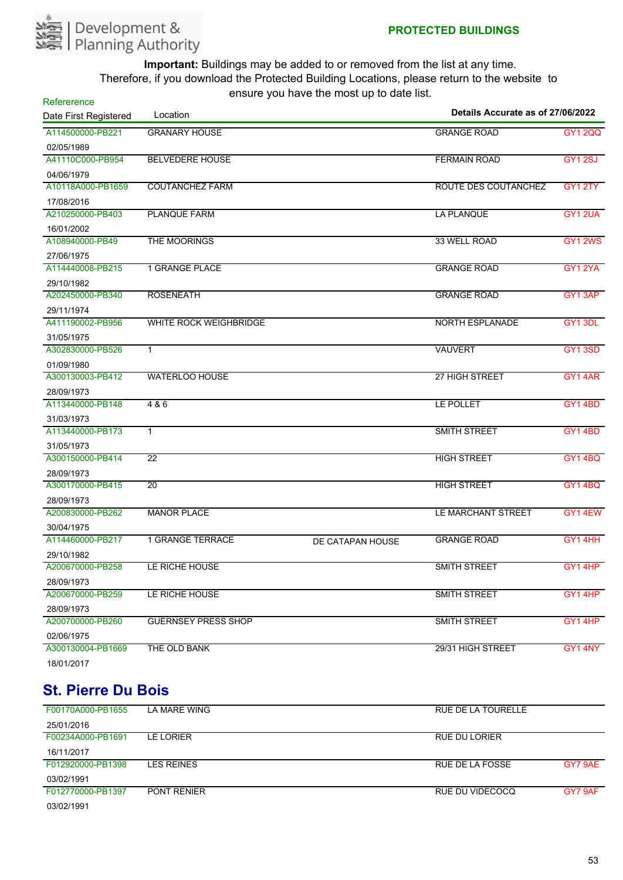

| Refererence           |                               | $10.91$ $\sigma$ $1.91$ $\sigma$ $1.1$ $\sigma$ $1.1$ $\sigma$ $\sigma$ $\sigma$ |                                   |                |
|-----------------------|-------------------------------|----------------------------------------------------------------------------------|-----------------------------------|----------------|
| Date First Registered | Location                      |                                                                                  | Details Accurate as of 27/06/2022 |                |
| A114500000-PB221      | <b>GRANARY HOUSE</b>          |                                                                                  | <b>GRANGE ROAD</b>                | <b>GY1 2QQ</b> |
| 02/05/1989            |                               |                                                                                  |                                   |                |
| A41110C000-PB954      | <b>BELVEDERE HOUSE</b>        |                                                                                  | <b>FERMAIN ROAD</b>               | <b>GY1 2SJ</b> |
| 04/06/1979            |                               |                                                                                  |                                   |                |
| A10118A000-PB1659     | <b>COUTANCHEZ FARM</b>        |                                                                                  | ROUTE DES COUTANCHEZ              | GY1 2TY        |
| 17/08/2016            |                               |                                                                                  |                                   |                |
| A210250000-PB403      | <b>PLANQUE FARM</b>           |                                                                                  | <b>LA PLANQUE</b>                 | <b>GY1 2UA</b> |
| 16/01/2002            |                               |                                                                                  |                                   |                |
| A108940000-PB49       | <b>THE MOORINGS</b>           |                                                                                  | 33 WELL ROAD                      | <b>GY1 2WS</b> |
| 27/06/1975            |                               |                                                                                  |                                   |                |
| A114440008-PB215      | <b>1 GRANGE PLACE</b>         |                                                                                  | <b>GRANGE ROAD</b>                | <b>GY1 2YA</b> |
| 29/10/1982            |                               |                                                                                  |                                   |                |
| A202450000-PB340      | <b>ROSENEATH</b>              |                                                                                  | <b>GRANGE ROAD</b>                | GY13AP         |
| 29/11/1974            |                               |                                                                                  |                                   |                |
| A411190002-PB956      | <b>WHITE ROCK WEIGHBRIDGE</b> |                                                                                  | <b>NORTH ESPLANADE</b>            | GY1 3DL        |
| 31/05/1975            |                               |                                                                                  |                                   |                |
| A302830000-PB526      | $\mathbf{1}$                  |                                                                                  | <b>VAUVERT</b>                    | <b>GY1 3SD</b> |
| 01/09/1980            |                               |                                                                                  |                                   |                |
| A300130003-PB412      | <b>WATERLOO HOUSE</b>         |                                                                                  | 27 HIGH STREET                    | GY14AR         |
| 28/09/1973            |                               |                                                                                  |                                   |                |
| A113440000-PB148      | 486                           |                                                                                  | LE POLLET                         | GY14BD         |
| 31/03/1973            |                               |                                                                                  |                                   |                |
| A113440000-PB173      | $\mathbf{1}$                  |                                                                                  | <b>SMITH STREET</b>               | <b>GY14BD</b>  |
| 31/05/1973            |                               |                                                                                  |                                   |                |
| A300150000-PB414      | $\overline{22}$               |                                                                                  | <b>HIGH STREET</b>                | <b>GY14BQ</b>  |
| 28/09/1973            |                               |                                                                                  |                                   |                |
| A300170000-PB415      | $\overline{20}$               |                                                                                  | <b>HIGH STREET</b>                | <b>GY14BQ</b>  |
| 28/09/1973            |                               |                                                                                  |                                   |                |
| A200830000-PB262      | <b>MANOR PLACE</b>            |                                                                                  | LE MARCHANT STREET                | GY14EW         |
| 30/04/1975            |                               |                                                                                  |                                   |                |
| A114460000-PB217      | <b>1 GRANGE TERRACE</b>       | DE CATAPAN HOUSE                                                                 | <b>GRANGE ROAD</b>                | GY14HH         |
| 29/10/1982            |                               |                                                                                  |                                   |                |
| A200670000-PB258      | LE RICHE HOUSE                |                                                                                  | <b>SMITH STREET</b>               | GY14HP         |
| 28/09/1973            |                               |                                                                                  |                                   |                |
| A200670000-PB259      | LE RICHE HOUSE                |                                                                                  | <b>SMITH STREET</b>               | GY14HP         |
| 28/09/1973            |                               |                                                                                  |                                   |                |
| A200700000-PB260      | <b>GUERNSEY PRESS SHOP</b>    |                                                                                  | SMITH STREET                      | GY14HP         |
| 02/06/1975            |                               |                                                                                  |                                   |                |
| A300130004-PB1669     | THE OLD BANK                  |                                                                                  | 29/31 HIGH STREET                 | GY1 4NY        |
| 18/01/2017            |                               |                                                                                  |                                   |                |

# **St. Pierre Du Bois**

| F00170A000-PB1655 | LA MARE WING       | RUE DE LA TOURELLE |         |
|-------------------|--------------------|--------------------|---------|
| 25/01/2016        |                    |                    |         |
| F00234A000-PB1691 | LE LORIER          | RUE DU LORIER      |         |
| 16/11/2017        |                    |                    |         |
| F012920000-PB1398 | <b>IFS REINES</b>  | RUE DE LA FOSSE    | GY7 9AE |
| 03/02/1991        |                    |                    |         |
| F012770000-PB1397 | <b>PONT RENIER</b> | RUE DU VIDECOCQ    | GY7 9AF |
| 03/02/1991        |                    |                    |         |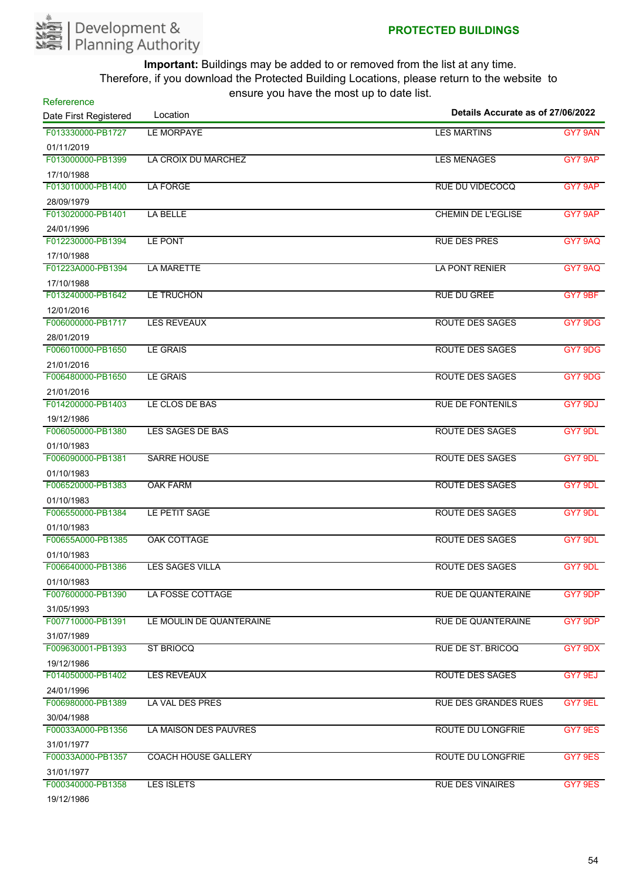

| Refererence                     |                            |                                   |         |
|---------------------------------|----------------------------|-----------------------------------|---------|
| Date First Registered           | Location                   | Details Accurate as of 27/06/2022 |         |
| F013330000-PB1727               | <b>LE MORPAYE</b>          | <b>LES MARTINS</b>                | GY7 9AN |
| 01/11/2019                      |                            |                                   |         |
| F013000000-PB1399               | LA CROIX DU MARCHEZ        | <b>LES MENAGES</b>                | GY7 9AP |
| 17/10/1988                      |                            |                                   |         |
| F013010000-PB1400               | LA FORGE                   | RUE DU VIDECOCQ                   | GY7 9AP |
| 28/09/1979                      |                            |                                   |         |
| F013020000-PB1401               | LA BELLE                   | <b>CHEMIN DE L'EGLISE</b>         | GY7 9AP |
| 24/01/1996                      |                            |                                   |         |
| F012230000-PB1394               | LE PONT                    | <b>RUE DES PRES</b>               | GY7 9AQ |
| 17/10/1988                      |                            |                                   |         |
| F01223A000-PB1394               | <b>LA MARETTE</b>          | <b>LA PONT RENIER</b>             | GY7 9AQ |
| 17/10/1988                      |                            |                                   |         |
| F013240000-PB1642               | LE TRUCHON                 | <b>RUE DU GREE</b>                | GY7 9BF |
| 12/01/2016                      |                            |                                   |         |
| F006000000-PB1717               | <b>LES REVEAUX</b>         | <b>ROUTE DES SAGES</b>            | GY7 9DG |
| 28/01/2019                      |                            |                                   |         |
| F006010000-PB1650               | <b>LE GRAIS</b>            | ROUTE DES SAGES                   | GY7 9DG |
| 21/01/2016                      |                            |                                   |         |
| F006480000-PB1650               | <b>LE GRAIS</b>            | ROUTE DES SAGES                   | GY7 9DG |
| 21/01/2016                      |                            |                                   |         |
| F014200000-PB1403               | LE CLOS DE BAS             | <b>RUE DE FONTENILS</b>           | GY7 9DJ |
| 19/12/1986                      |                            |                                   |         |
| F006050000-PB1380               | LES SAGES DE BAS           | ROUTE DES SAGES                   | GY7 9DL |
| 01/10/1983                      |                            |                                   |         |
| F006090000-PB1381               | <b>SARRE HOUSE</b>         | ROUTE DES SAGES                   | GY7 9DL |
| 01/10/1983                      |                            |                                   |         |
| F006520000-PB1383               | <b>OAK FARM</b>            | ROUTE DES SAGES                   | GY7 9DL |
| 01/10/1983                      |                            |                                   |         |
| F006550000-PB1384               | LE PETIT SAGE              | <b>ROUTE DES SAGES</b>            | GY7 9DL |
| 01/10/1983                      |                            |                                   |         |
| F00655A000-PB1385               | OAK COTTAGE                | <b>ROUTE DES SAGES</b>            | GY7 9DL |
| 01/10/1983                      |                            |                                   |         |
| F006640000-PB1386               | <b>LES SAGES VILLA</b>     | ROUTE DES SAGES                   | GY7 9DL |
| 01/10/1983                      |                            |                                   |         |
| F007600000-PB1390               | LA FOSSE COTTAGE           | <b>RUE DE QUANTERAINE</b>         | GY7 9DP |
| 31/05/1993                      |                            |                                   |         |
| F007710000-PB1391               | LE MOULIN DE QUANTERAINE   | <b>RUE DE QUANTERAINE</b>         | GY7 9DP |
| 31/07/1989                      |                            |                                   |         |
| F009630001-PB1393               | <b>ST BRIOCQ</b>           | <b>RUE DE ST. BRICOQ</b>          | GY7 9DX |
| 19/12/1986                      |                            |                                   |         |
| F014050000-PB1402               | <b>LES REVEAUX</b>         | <b>ROUTE DES SAGES</b>            | GY7 9EJ |
| 24/01/1996                      | LA VAL DES PRES            |                                   |         |
| F006980000-PB1389               |                            | <b>RUE DES GRANDES RUES</b>       | GY7 9EL |
| 30/04/1988                      |                            |                                   |         |
| F00033A000-PB1356               | LA MAISON DES PAUVRES      | <b>ROUTE DU LONGFRIE</b>          | GY7 9ES |
| 31/01/1977                      |                            |                                   |         |
| F00033A000-PB1357               | <b>COACH HOUSE GALLERY</b> | ROUTE DU LONGFRIE                 | GY7 9ES |
| 31/01/1977<br>F000340000-PB1358 | LES ISLETS                 | <b>RUE DES VINAIRES</b>           | GY7 9ES |
| 101121000                       |                            |                                   |         |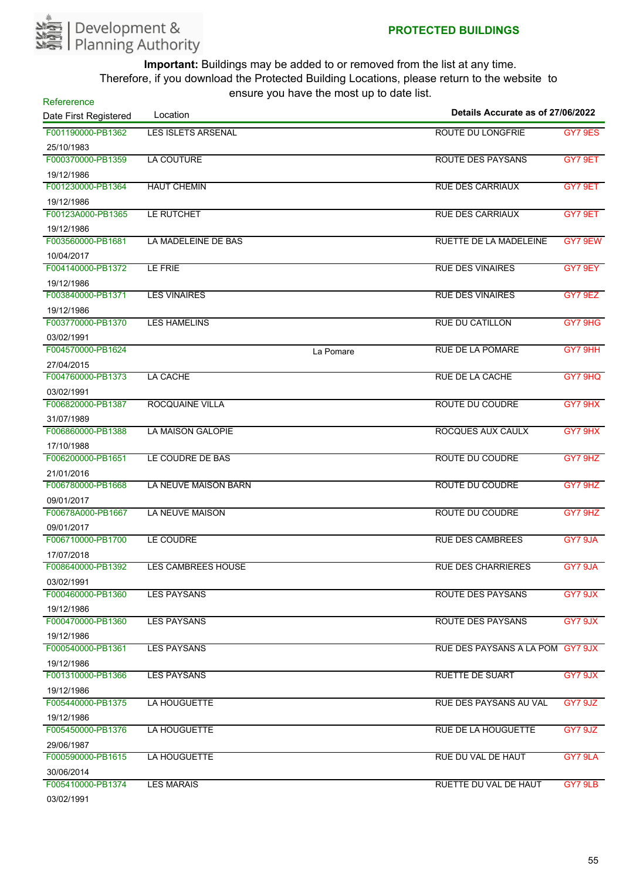

| Refererence                     |                             |           | Details Accurate as of 27/06/2022 |                |
|---------------------------------|-----------------------------|-----------|-----------------------------------|----------------|
| Date First Registered           | Location                    |           |                                   |                |
| F001190000-PB1362               | <b>LES ISLETS ARSENAL</b>   |           | <b>ROUTE DU LONGFRIE</b>          | <b>GY7 9ES</b> |
| 25/10/1983                      |                             |           |                                   |                |
| F000370000-PB1359               | <b>LA COUTURE</b>           |           | ROUTE DES PAYSANS                 | GY7 9ET        |
| 19/12/1986                      |                             |           |                                   |                |
| F001230000-PB1364               | <b>HAUT CHEMIN</b>          |           | <b>RUE DES CARRIAUX</b>           | GY7 9ET        |
| 19/12/1986                      |                             |           |                                   |                |
| F00123A000-PB1365               | LE RUTCHET                  |           | <b>RUE DES CARRIAUX</b>           | GY7 9ET        |
| 19/12/1986                      |                             |           |                                   |                |
| F003560000-PB1681               | LA MADELEINE DE BAS         |           | <b>RUETTE DE LA MADELEINE</b>     | GY7 9EW        |
| 10/04/2017                      |                             |           |                                   |                |
| F004140000-PB1372               | LE FRIE                     |           | <b>RUE DES VINAIRES</b>           | GY7 9EY        |
| 19/12/1986                      |                             |           |                                   |                |
| F003840000-PB1371               | <b>LES VINAIRES</b>         |           | <b>RUE DES VINAIRES</b>           | GY7 9EZ        |
| 19/12/1986                      |                             |           |                                   |                |
| F003770000-PB1370               | <b>LES HAMELINS</b>         |           | <b>RUE DU CATILLON</b>            | GY7 9HG        |
| 03/02/1991                      |                             |           |                                   |                |
| F004570000-PB1624               |                             | La Pomare | <b>RUE DE LA POMARE</b>           | GY7 9HH        |
| 27/04/2015                      |                             |           |                                   |                |
| F004760000-PB1373               | LA CACHE                    |           | RUE DE LA CACHE                   | GY7 9HQ        |
| 03/02/1991                      |                             |           |                                   |                |
| F006820000-PB1387               | ROCQUAINE VILLA             |           | <b>ROUTE DU COUDRE</b>            | GY7 9HX        |
| 31/07/1989                      |                             |           |                                   |                |
| F006860000-PB1388               | LA MAISON GALOPIE           |           | ROCQUES AUX CAULX                 | GY7 9HX        |
| 17/10/1988                      |                             |           |                                   |                |
| F006200000-PB1651               | LE COUDRE DE BAS            |           | ROUTE DU COUDRE                   | GY7 9HZ        |
| 21/01/2016                      |                             |           |                                   |                |
| F006780000-PB1668               | <b>LA NEUVE MAISON BARN</b> |           | ROUTE DU COUDRE                   | GY7 9HZ        |
| 09/01/2017                      |                             |           |                                   |                |
| F00678A000-PB1667               | <b>LA NEUVE MAISON</b>      |           | <b>ROUTE DU COUDRE</b>            | GY7 9HZ        |
| 09/01/2017<br>F006710000-PB1700 | LE COUDRE                   |           | <b>RUE DES CAMBREES</b>           | GY7 9JA        |
|                                 |                             |           |                                   |                |
| 17/07/2018<br>F008640000-PB1392 | <b>LES CAMBREES HOUSE</b>   |           | <b>RUE DES CHARRIERES</b>         | GY7 9JA        |
|                                 |                             |           |                                   |                |
| 03/02/1991<br>F000460000-PB1360 | <b>LES PAYSANS</b>          |           | <b>ROUTE DES PAYSANS</b>          | GY7 9JX        |
|                                 |                             |           |                                   |                |
| 19/12/1986<br>F000470000-PB1360 | <b>LES PAYSANS</b>          |           | ROUTE DES PAYSANS                 | GY7 9JX        |
|                                 |                             |           |                                   |                |
| 19/12/1986<br>F000540000-PB1361 | <b>LES PAYSANS</b>          |           | RUE DES PAYSANS A LA POM GY7 9JX  |                |
| 19/12/1986                      |                             |           |                                   |                |
| F001310000-PB1366               | <b>LES PAYSANS</b>          |           | <b>RUETTE DE SUART</b>            | GY7 9JX        |
| 19/12/1986                      |                             |           |                                   |                |
| F005440000-PB1375               | LA HOUGUETTE                |           | <b>RUE DES PAYSANS AU VAL</b>     | GY7 9JZ        |
| 19/12/1986                      |                             |           |                                   |                |
| F005450000-PB1376               | LA HOUGUETTE                |           | <b>RUE DE LA HOUGUETTE</b>        | GY7 9JZ        |
| 29/06/1987                      |                             |           |                                   |                |
| F000590000-PB1615               | LA HOUGUETTE                |           | RUE DU VAL DE HAUT                | GY7 9LA        |
| 30/06/2014                      |                             |           |                                   |                |
| F005410000-PB1374               | <b>LES MARAIS</b>           |           | RUETTE DU VAL DE HAUT             | GY7 9LB        |
| 03/02/1991                      |                             |           |                                   |                |
|                                 |                             |           |                                   |                |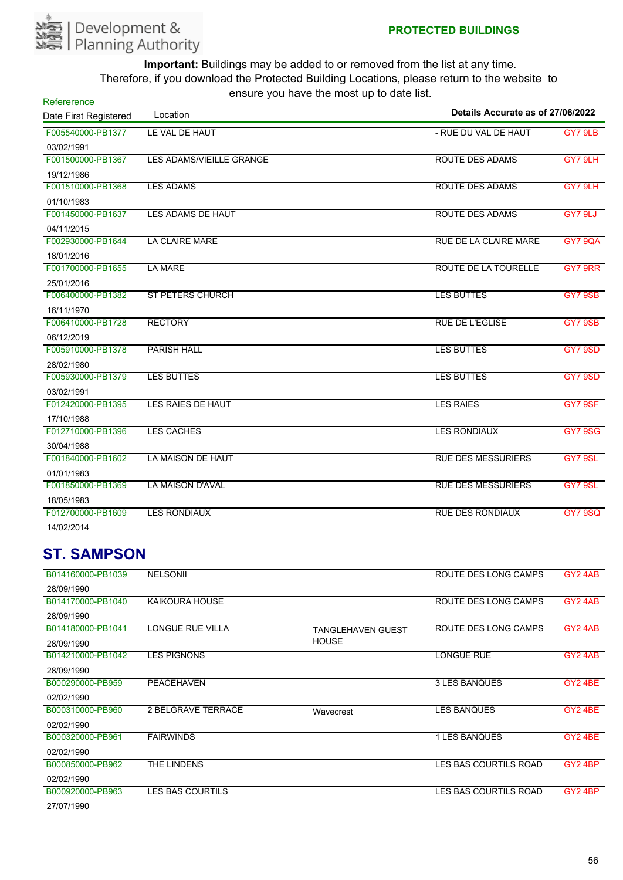

| Refererence           | $10010$ $70011010$ $110010000$  |                                   |                |
|-----------------------|---------------------------------|-----------------------------------|----------------|
| Date First Registered | Location                        | Details Accurate as of 27/06/2022 |                |
| F005540000-PB1377     | LE VAL DE HAUT                  | - RUE DU VAL DE HAUT              | GY7 9LB        |
| 03/02/1991            |                                 |                                   |                |
| F001500000-PB1367     | <b>LES ADAMS/VIEILLE GRANGE</b> | <b>ROUTE DES ADAMS</b>            | GY7 9LH        |
| 19/12/1986            |                                 |                                   |                |
| F001510000-PB1368     | <b>LES ADAMS</b>                | <b>ROUTE DES ADAMS</b>            | GY7 9LH        |
| 01/10/1983            |                                 |                                   |                |
| F001450000-PB1637     | LES ADAMS DE HAUT               | <b>ROUTE DES ADAMS</b>            | GY7 9LJ        |
| 04/11/2015            |                                 |                                   |                |
| F002930000-PB1644     | <b>LA CLAIRE MARE</b>           | <b>RUE DE LA CLAIRE MARE</b>      | <b>GY7 9QA</b> |
| 18/01/2016            |                                 |                                   |                |
| F001700000-PB1655     | <b>LA MARE</b>                  | ROUTE DE LA TOURELLE              | GY7 9RR        |
| 25/01/2016            |                                 |                                   |                |
| F006400000-PB1382     | <b>ST PETERS CHURCH</b>         | <b>LES BUTTES</b>                 | <b>GY7 9SB</b> |
| 16/11/1970            |                                 |                                   |                |
| F006410000-PB1728     | <b>RECTORY</b>                  | <b>RUE DE L'EGLISE</b>            | <b>GY7 9SB</b> |
| 06/12/2019            |                                 |                                   |                |
| F005910000-PB1378     | <b>PARISH HALL</b>              | <b>LES BUTTES</b>                 | GY7 9SD        |
| 28/02/1980            |                                 |                                   |                |
| F005930000-PB1379     | <b>LES BUTTES</b>               | <b>LES BUTTES</b>                 | GY7 9SD        |
| 03/02/1991            |                                 |                                   |                |
| F012420000-PB1395     | LES RAIES DE HAUT               | <b>LES RAIES</b>                  | GY7 9SF        |
| 17/10/1988            |                                 |                                   |                |
| F012710000-PB1396     | <b>LES CACHES</b>               | <b>LES RONDIAUX</b>               | <b>GY7 9SG</b> |
| 30/04/1988            |                                 |                                   |                |
| F001840000-PB1602     | LA MAISON DE HAUT               | <b>RUE DES MESSURIERS</b>         | GY7 9SL        |
| 01/01/1983            |                                 |                                   |                |
| F001850000-PB1369     | <b>LA MAISON D'AVAL</b>         | <b>RUE DES MESSURIERS</b>         | GY7 9SL        |
| 18/05/1983            |                                 |                                   |                |
| F012700000-PB1609     | <b>LES RONDIAUX</b>             | <b>RUE DES RONDIAUX</b>           | <b>GY7 9SQ</b> |
| 14/02/2014            |                                 |                                   |                |

## **ST. SAMPSON**

| B014160000-PB1039 | <b>NELSONII</b>         |                          | ROUTE DES LONG CAMPS  | GY <sub>2</sub> 4AB |
|-------------------|-------------------------|--------------------------|-----------------------|---------------------|
| 28/09/1990        |                         |                          |                       |                     |
| B014170000-PB1040 | <b>KAIKOURA HOUSE</b>   |                          | ROUTE DES LONG CAMPS  | GY <sub>2</sub> 4AB |
| 28/09/1990        |                         |                          |                       |                     |
| B014180000-PB1041 | LONGUE RUE VILLA        | <b>TANGLEHAVEN GUEST</b> | ROUTE DES LONG CAMPS  | GY <sub>2</sub> 4AB |
| 28/09/1990        |                         | <b>HOUSE</b>             |                       |                     |
| B014210000-PB1042 | <b>LES PIGNONS</b>      |                          | <b>LONGUE RUE</b>     | GY <sub>2</sub> 4AB |
| 28/09/1990        |                         |                          |                       |                     |
| B000290000-PB959  | <b>PEACEHAVEN</b>       |                          | <b>3 LES BANQUES</b>  | GY24BE              |
| 02/02/1990        |                         |                          |                       |                     |
| B000310000-PB960  | 2 BELGRAVE TERRACE      | Wavecrest                | <b>LES BANQUES</b>    | GY24BE              |
| 02/02/1990        |                         |                          |                       |                     |
| B000320000-PB961  | <b>FAIRWINDS</b>        |                          | 1 LES BANQUES         | GY2 4BE             |
| 02/02/1990        |                         |                          |                       |                     |
| B000850000-PB962  | THE LINDENS             |                          | LES BAS COURTILS ROAD | GY <sub>2</sub> 4BP |
| 02/02/1990        |                         |                          |                       |                     |
| B000920000-PB963  | <b>LES BAS COURTILS</b> |                          | LES BAS COURTILS ROAD | GY24BP              |
| 27/07/1990        |                         |                          |                       |                     |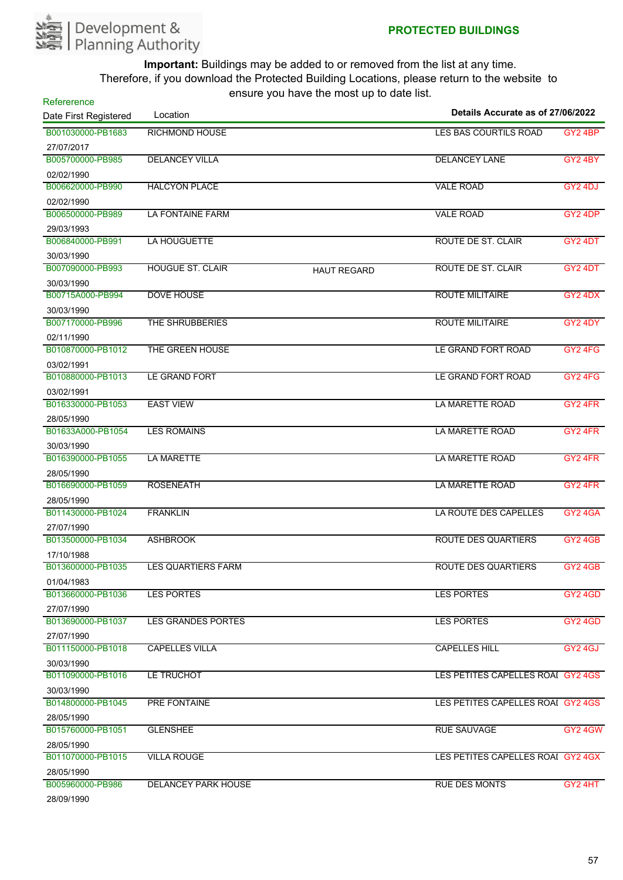

| Refererence           | Location                   | $30.5$ , $30.5$ , $10.5$ , $11.5$ $30.5$ | Details Accurate as of 27/06/2022 |                                 |
|-----------------------|----------------------------|------------------------------------------|-----------------------------------|---------------------------------|
| Date First Registered |                            |                                          |                                   |                                 |
| B001030000-PB1683     | <b>RICHMOND HOUSE</b>      |                                          | LES BAS COURTILS ROAD             | GY2 4BP                         |
| 27/07/2017            |                            |                                          |                                   |                                 |
| B005700000-PB985      | <b>DELANCEY VILLA</b>      |                                          | <b>DELANCEY LANE</b>              | <b>GY2 4BY</b>                  |
| 02/02/1990            |                            |                                          |                                   |                                 |
| B006620000-PB990      | <b>HALCYON PLACE</b>       |                                          | <b>VALE ROAD</b>                  | GY2 4DJ                         |
| 02/02/1990            |                            |                                          |                                   |                                 |
| B006500000-PB989      | <b>LA FONTAINE FARM</b>    |                                          | <b>VALE ROAD</b>                  | GY <sub>2</sub> 4DP             |
| 29/03/1993            |                            |                                          |                                   |                                 |
| B006840000-PB991      | LA HOUGUETTE               |                                          | ROUTE DE ST. CLAIR                | GY2 4DT                         |
| 30/03/1990            |                            |                                          |                                   |                                 |
| B007090000-PB993      | <b>HOUGUE ST. CLAIR</b>    | <b>HAUT REGARD</b>                       | ROUTE DE ST. CLAIR                | GY2 4DT                         |
| 30/03/1990            |                            |                                          |                                   |                                 |
| B00715A000-PB994      | <b>DOVE HOUSE</b>          |                                          | <b>ROUTE MILITAIRE</b>            | GY2 4DX                         |
| 30/03/1990            |                            |                                          |                                   |                                 |
| B007170000-PB996      | THE SHRUBBERIES            |                                          | <b>ROUTE MILITAIRE</b>            | GY2 4DY                         |
| 02/11/1990            |                            |                                          |                                   |                                 |
| B010870000-PB1012     | THE GREEN HOUSE            |                                          | LE GRAND FORT ROAD                | GY <sub>2</sub> 4F <sub>G</sub> |
| 03/02/1991            |                            |                                          |                                   |                                 |
| B010880000-PB1013     | LE GRAND FORT              |                                          | LE GRAND FORT ROAD                | GY2 4FG                         |
| 03/02/1991            |                            |                                          |                                   |                                 |
| B016330000-PB1053     | <b>EAST VIEW</b>           |                                          | LA MARETTE ROAD                   | GY2 4FR                         |
| 28/05/1990            |                            |                                          |                                   |                                 |
| B01633A000-PB1054     | <b>LES ROMAINS</b>         |                                          | <b>LA MARETTE ROAD</b>            | GY <sub>2</sub> 4FR             |
| 30/03/1990            |                            |                                          |                                   |                                 |
| B016390000-PB1055     | <b>LA MARETTE</b>          |                                          | LA MARETTE ROAD                   | GY2 4FR                         |
| 28/05/1990            |                            |                                          |                                   |                                 |
| B016690000-PB1059     | <b>ROSENEATH</b>           |                                          | LA MARETTE ROAD                   | GY2 4FR                         |
| 28/05/1990            |                            |                                          |                                   |                                 |
| B011430000-PB1024     | <b>FRANKLIN</b>            |                                          | LA ROUTE DES CAPELLES             | GY <sub>2</sub> 4GA             |
| 27/07/1990            |                            |                                          |                                   |                                 |
| B013500000-PB1034     | <b>ASHBROOK</b>            |                                          | <b>ROUTE DES QUARTIERS</b>        | <b>GY2 4GB</b>                  |
| 17/10/1988            |                            |                                          |                                   |                                 |
| B013600000-PB1035     | <b>LES QUARTIERS FARM</b>  |                                          | <b>ROUTE DES QUARTIERS</b>        | <b>GY2 4GB</b>                  |
| 01/04/1983            |                            |                                          |                                   |                                 |
| B013660000-PB1036     | <b>LES PORTES</b>          |                                          | <b>LES PORTES</b>                 | GY2 4GD                         |
| 27/07/1990            |                            |                                          |                                   |                                 |
| B013690000-PB1037     | <b>LES GRANDES PORTES</b>  |                                          | <b>LES PORTES</b>                 | GY2 4GD                         |
| 27/07/1990            |                            |                                          |                                   |                                 |
| B011150000-PB1018     | <b>CAPELLES VILLA</b>      |                                          | <b>CAPELLES HILL</b>              | GY24GJ                          |
| 30/03/1990            |                            |                                          |                                   |                                 |
| B011090000-PB1016     | LE TRUCHOT                 |                                          | LES PETITES CAPELLES ROAL GY2 4GS |                                 |
| 30/03/1990            |                            |                                          |                                   |                                 |
| B014800000-PB1045     | <b>PRE FONTAINE</b>        |                                          | LES PETITES CAPELLES ROAI GY2 4GS |                                 |
| 28/05/1990            |                            |                                          |                                   |                                 |
| B015760000-PB1051     | <b>GLENSHEE</b>            |                                          | <b>RUE SAUVAGE</b>                | GY2 4GW                         |
| 28/05/1990            |                            |                                          |                                   |                                 |
| B011070000-PB1015     | <b>VILLA ROUGE</b>         |                                          | LES PETITES CAPELLES ROAI GY2 4GX |                                 |
| 28/05/1990            |                            |                                          |                                   |                                 |
| B005960000-PB986      | <b>DELANCEY PARK HOUSE</b> |                                          | <b>RUE DES MONTS</b>              | GY2 4HT                         |
| 28/09/1990            |                            |                                          |                                   |                                 |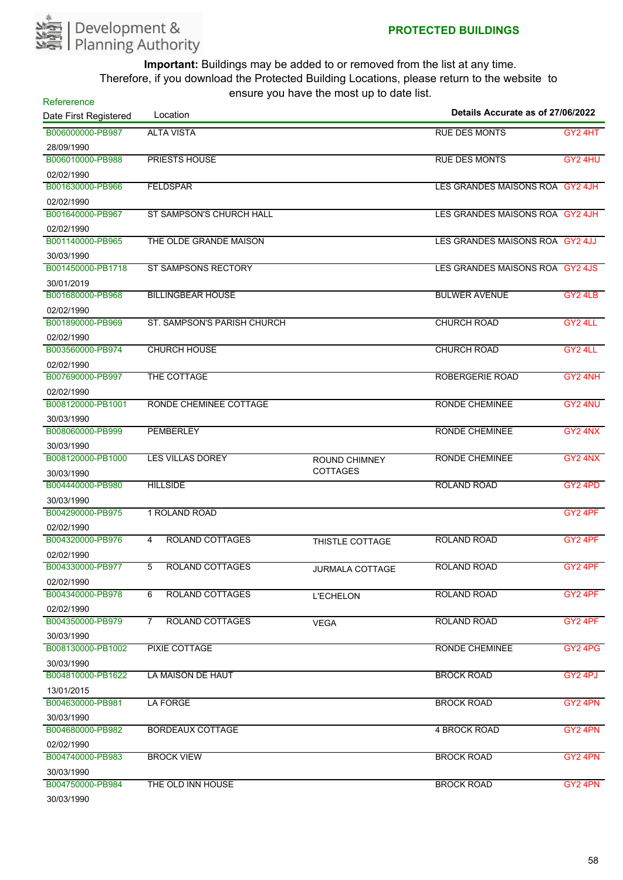

| Refererence           |                                          |                        |                                   |                     |
|-----------------------|------------------------------------------|------------------------|-----------------------------------|---------------------|
| Date First Registered | Location                                 |                        | Details Accurate as of 27/06/2022 |                     |
| B006000000-PB987      | <b>ALTA VISTA</b>                        |                        | <b>RUE DES MONTS</b>              | GY <sub>2</sub> 4HT |
| 28/09/1990            |                                          |                        |                                   |                     |
| B006010000-PB988      | <b>PRIESTS HOUSE</b>                     |                        | <b>RUE DES MONTS</b>              | GY2 4HU             |
| 02/02/1990            |                                          |                        |                                   |                     |
| B001630000-PB966      | <b>FELDSPAR</b>                          |                        | LES GRANDES MAISONS ROA GY2 4JH   |                     |
| 02/02/1990            |                                          |                        |                                   |                     |
| B001640000-PB967      | ST SAMPSON'S CHURCH HALL                 |                        | LES GRANDES MAISONS ROA GY2 4JH   |                     |
| 02/02/1990            |                                          |                        |                                   |                     |
| B001140000-PB965      | THE OLDE GRANDE MAISON                   |                        | LES GRANDES MAISONS ROA GY2 4JJ   |                     |
| 30/03/1990            |                                          |                        |                                   |                     |
| B001450000-PB1718     | ST SAMPSONS RECTORY                      |                        | LES GRANDES MAISONS ROA GY2 4JS   |                     |
| 30/01/2019            |                                          |                        |                                   |                     |
| B001680000-PB968      | <b>BILLINGBEAR HOUSE</b>                 |                        | <b>BULWER AVENUE</b>              | GY24LB              |
| 02/02/1990            |                                          |                        |                                   |                     |
| B001890000-PB969      | ST. SAMPSON'S PARISH CHURCH              |                        | <b>CHURCH ROAD</b>                | GY2 4LL             |
| 02/02/1990            |                                          |                        |                                   |                     |
| B003560000-PB974      | <b>CHURCH HOUSE</b>                      |                        | <b>CHURCH ROAD</b>                | GY2 4LL             |
| 02/02/1990            |                                          |                        |                                   |                     |
| B007690000-PB997      | THE COTTAGE                              |                        | ROBERGERIE ROAD                   | GY2 4NH             |
| 02/02/1990            |                                          |                        |                                   |                     |
| B008120000-PB1001     | RONDE CHEMINEE COTTAGE                   |                        | RONDE CHEMINEE                    | GY2 4NU             |
| 30/03/1990            |                                          |                        |                                   |                     |
| B008060000-PB999      | <b>PEMBERLEY</b>                         |                        | RONDE CHEMINEE                    | GY2 4NX             |
| 30/03/1990            |                                          |                        |                                   |                     |
| B008120000-PB1000     | <b>LES VILLAS DOREY</b>                  | <b>ROUND CHIMNEY</b>   | RONDE CHEMINEE                    | GY2 4NX             |
| 30/03/1990            |                                          | <b>COTTAGES</b>        |                                   |                     |
| B004440000-PB980      | <b>HILLSIDE</b>                          |                        | <b>ROLAND ROAD</b>                | GY2 4PD             |
| 30/03/1990            |                                          |                        |                                   |                     |
| B004290000-PB975      | 1 ROLAND ROAD                            |                        |                                   | GY2 4PF             |
| 02/02/1990            |                                          |                        |                                   |                     |
| B004320000-PB976      | <b>ROLAND COTTAGES</b><br>4              | THISTLE COTTAGE        | <b>ROLAND ROAD</b>                | GY2 4PF             |
| 02/02/1990            |                                          |                        |                                   |                     |
| B004330000-PB977      | <b>ROLAND COTTAGES</b>                   | <b>JURMALA COTTAGE</b> | <b>ROLAND ROAD</b>                | GY2 4PF             |
| 02/02/1990            |                                          |                        |                                   |                     |
| B004340000-PB978      | <b>ROLAND COTTAGES</b><br>6              | <b>L'ECHELON</b>       | <b>ROLAND ROAD</b>                | GY2 4PF             |
| 02/02/1990            |                                          |                        |                                   |                     |
| B004350000-PB979      | $\overline{7}$<br><b>ROLAND COTTAGES</b> | <b>VEGA</b>            | ROLAND ROAD                       | GY <sub>2</sub> 4PF |
| 30/03/1990            |                                          |                        |                                   |                     |
| B008130000-PB1002     | PIXIE COTTAGE                            |                        | <b>RONDE CHEMINEE</b>             | GY2 4PG             |
| 30/03/1990            |                                          |                        |                                   |                     |
| B004810000-PB1622     | LA MAISON DE HAUT                        |                        | <b>BROCK ROAD</b>                 | GY2 4PJ             |
| 13/01/2015            |                                          |                        |                                   |                     |
| B004630000-PB981      | LA FORGE                                 |                        | <b>BROCK ROAD</b>                 | GY <sub>2</sub> 4PN |
| 30/03/1990            |                                          |                        |                                   |                     |
| B004680000-PB982      | <b>BORDEAUX COTTAGE</b>                  |                        | 4 BROCK ROAD                      | GY <sub>2</sub> 4PN |
| 02/02/1990            |                                          |                        |                                   |                     |
| B004740000-PB983      | <b>BROCK VIEW</b>                        |                        | <b>BROCK ROAD</b>                 | GY2 4PN             |
| 30/03/1990            |                                          |                        |                                   |                     |
| B004750000-PB984      | THE OLD INN HOUSE                        |                        | <b>BROCK ROAD</b>                 | GY2 4PN             |
| 30/03/1990            |                                          |                        |                                   |                     |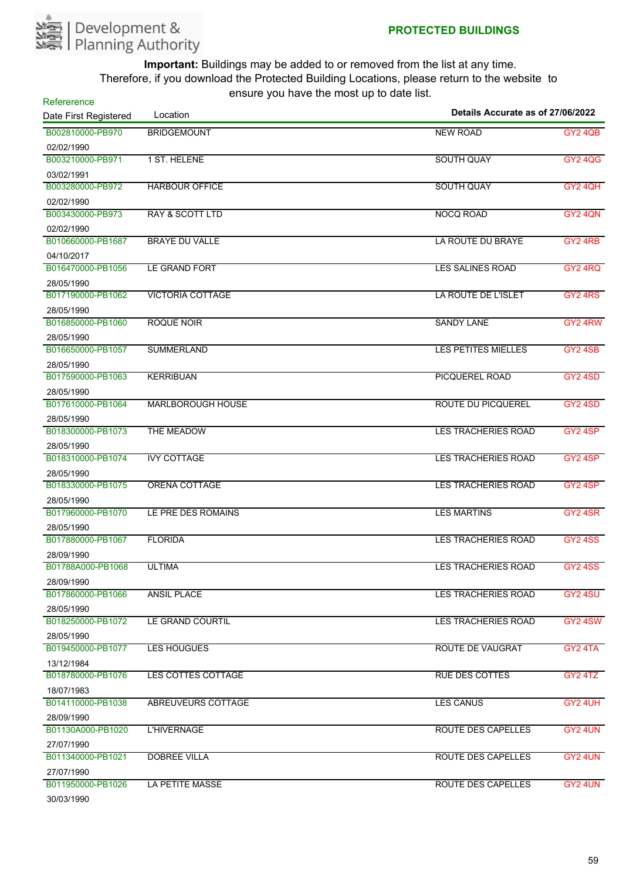

| Refererence<br>Date First Registered | Location                   | Details Accurate as of 27/06/2022 |                     |
|--------------------------------------|----------------------------|-----------------------------------|---------------------|
| B002810000-PB970                     | <b>BRIDGEMOUNT</b>         | <b>NEW ROAD</b>                   | <b>GY2 4QB</b>      |
| 02/02/1990                           |                            |                                   |                     |
| B003210000-PB971                     | 1 ST. HELENE               | <b>SOUTH QUAY</b>                 | <b>GY2 4QG</b>      |
| 03/02/1991                           |                            |                                   |                     |
| B003280000-PB972                     | <b>HARBOUR OFFICE</b>      | <b>SOUTH QUAY</b>                 | GY2 4QH             |
| 02/02/1990                           |                            |                                   |                     |
| B003430000-PB973                     | <b>RAY &amp; SCOTT LTD</b> | <b>NOCQ ROAD</b>                  | GY2 4QN             |
| 02/02/1990                           |                            |                                   |                     |
| B010660000-PB1687                    | <b>BRAYE DU VALLE</b>      | LA ROUTE DU BRAYE                 | GY <sub>2</sub> 4RB |
| 04/10/2017                           |                            |                                   |                     |
| B016470000-PB1056                    | LE GRAND FORT              | <b>LES SALINES ROAD</b>           | GY <sub>2</sub> 4RQ |
| 28/05/1990                           |                            |                                   |                     |
| B017190000-PB1062                    | <b>VICTORIA COTTAGE</b>    | LA ROUTE DE L'ISLET               | <b>GY2 4RS</b>      |
| 28/05/1990                           |                            |                                   |                     |
| B016850000-PB1060                    | <b>ROQUE NOIR</b>          | <b>SANDY LANE</b>                 | GY2 4RW             |
| 28/05/1990                           |                            |                                   |                     |
| B016650000-PB1057                    | <b>SUMMERLAND</b>          | LES PETITES MIELLES               | <b>GY2 4SB</b>      |
| 28/05/1990                           |                            |                                   |                     |
| B017590000-PB1063                    | <b>KERRIBUAN</b>           | <b>PICQUEREL ROAD</b>             | GY24SD              |
| 28/05/1990                           |                            |                                   |                     |
| B017610000-PB1064                    | <b>MARLBOROUGH HOUSE</b>   | <b>ROUTE DU PICQUEREL</b>         | GY <sub>2</sub> 4SD |
| 28/05/1990                           |                            |                                   |                     |
| B018300000-PB1073                    | THE MEADOW                 | <b>LES TRACHERIES ROAD</b>        | GY24SP              |
| 28/05/1990                           |                            |                                   |                     |
| B018310000-PB1074                    | <b>IVY COTTAGE</b>         | <b>LES TRACHERIES ROAD</b>        | GY <sub>2</sub> 4SP |
| 28/05/1990                           |                            |                                   |                     |
| B018330000-PB1075                    | ORENA COTTAGE              | LES TRACHERIES ROAD               | GY2 4SP             |
| 28/05/1990                           |                            |                                   |                     |
| B017960000-PB1070                    | LE PRE DES ROMAINS         | <b>LES MARTINS</b>                | GY24SR              |
| 28/05/1990                           |                            |                                   |                     |
| B017880000-PB1067                    | <b>FLORIDA</b>             | <b>LES TRACHERIES ROAD</b>        | <b>GY24SS</b>       |
| 28/09/1990                           |                            |                                   |                     |
| B01788A000-PB1068                    | <b>ULTIMA</b>              | <b>LES TRACHERIES ROAD</b>        | <b>GY2 4SS</b>      |
| 28/09/1990                           |                            |                                   |                     |
| B017860000-PB1066                    | <b>ANSIL PLACE</b>         | <b>LES TRACHERIES ROAD</b>        | GY2 4SU             |
| 28/05/1990                           |                            |                                   |                     |
| B018250000-PB1072                    | LE GRAND COURTIL           | <b>LES TRACHERIES ROAD</b>        | <b>GY2 4SW</b>      |
| 28/05/1990                           |                            |                                   |                     |
| B019450000-PB1077                    | <b>LES HOUGUES</b>         | ROUTE DE VAUGRAT                  | GY2 4TA             |
| 13/12/1984                           |                            |                                   |                     |
| B018780000-PB1076                    | LES COTTES COTTAGE         | <b>RUE DES COTTES</b>             | GY2 4TZ             |
| 18/07/1983                           |                            |                                   |                     |
| B014110000-PB1038                    | ABREUVEURS COTTAGE         | <b>LES CANUS</b>                  | GY2 4UH             |
| 28/09/1990                           |                            |                                   |                     |
| B01130A000-PB1020                    | <b>L'HIVERNAGE</b>         | ROUTE DES CAPELLES                | GY2 4UN             |
| 27/07/1990                           |                            |                                   |                     |
| B011340000-PB1021                    | <b>DOBREE VILLA</b>        | ROUTE DES CAPELLES                | <b>GY2 4UN</b>      |
| 27/07/1990                           |                            |                                   |                     |
| B011950000-PB1026                    | LA PETITE MASSE            | ROUTE DES CAPELLES                | GY2 4UN             |
| 30/03/1990                           |                            |                                   |                     |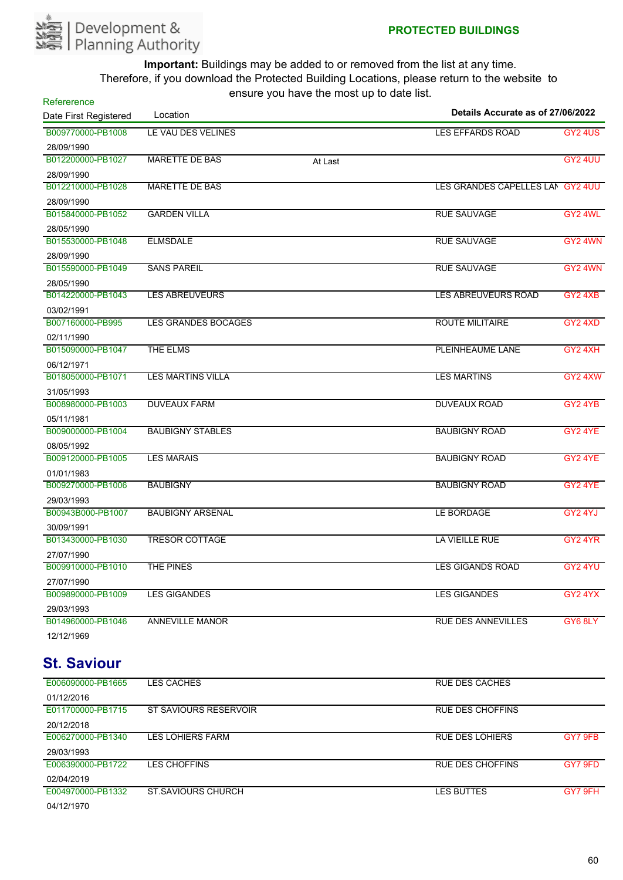

| Refererence           |                            |         |                                   |                     |
|-----------------------|----------------------------|---------|-----------------------------------|---------------------|
| Date First Registered | Location                   |         | Details Accurate as of 27/06/2022 |                     |
| B009770000-PB1008     | LE VAU DES VELINES         |         | <b>LES EFFARDS ROAD</b>           | <b>GY2 4US</b>      |
| 28/09/1990            |                            |         |                                   |                     |
| B012200000-PB1027     | <b>MARETTE DE BAS</b>      | At Last |                                   | GY2 4UU             |
| 28/09/1990            |                            |         |                                   |                     |
| B012210000-PB1028     | <b>MARETTE DE BAS</b>      |         | LES GRANDES CAPELLES LAN GY2 4UU  |                     |
| 28/09/1990            |                            |         |                                   |                     |
| B015840000-PB1052     | <b>GARDEN VILLA</b>        |         | <b>RUE SAUVAGE</b>                | GY2 4WL             |
| 28/05/1990            |                            |         |                                   |                     |
| B015530000-PB1048     | <b>ELMSDALE</b>            |         | <b>RUE SAUVAGE</b>                | GY2 4WN             |
| 28/09/1990            |                            |         |                                   |                     |
| B015590000-PB1049     | <b>SANS PAREIL</b>         |         | <b>RUE SAUVAGE</b>                | GY2 4WN             |
| 28/05/1990            |                            |         |                                   |                     |
| B014220000-PB1043     | <b>LES ABREUVEURS</b>      |         | <b>LES ABREUVEURS ROAD</b>        | GY24XB              |
| 03/02/1991            |                            |         |                                   |                     |
| B007160000-PB995      | <b>LES GRANDES BOCAGES</b> |         | <b>ROUTE MILITAIRE</b>            | GY <sub>2</sub> 4XD |
| 02/11/1990            |                            |         |                                   |                     |
| B015090000-PB1047     | <b>THE ELMS</b>            |         | <b>PLEINHEAUME LANE</b>           | GY2 4XH             |
| 06/12/1971            |                            |         |                                   |                     |
| B018050000-PB1071     | <b>LES MARTINS VILLA</b>   |         | <b>LES MARTINS</b>                | GY2 4XW             |
| 31/05/1993            |                            |         |                                   |                     |
| B008980000-PB1003     | <b>DUVEAUX FARM</b>        |         | <b>DUVEAUX ROAD</b>               | GY <sub>2</sub> 4YB |
| 05/11/1981            |                            |         |                                   |                     |
| B009000000-PB1004     | <b>BAUBIGNY STABLES</b>    |         | <b>BAUBIGNY ROAD</b>              | GY2 4YE             |
| 08/05/1992            |                            |         |                                   |                     |
| B009120000-PB1005     | <b>LES MARAIS</b>          |         | <b>BAUBIGNY ROAD</b>              | GY2 4YE             |
| 01/01/1983            |                            |         |                                   |                     |
| B009270000-PB1006     | <b>BAUBIGNY</b>            |         | <b>BAUBIGNY ROAD</b>              | GY2 4YE             |
| 29/03/1993            |                            |         |                                   |                     |
| B00943B000-PB1007     | <b>BAUBIGNY ARSENAL</b>    |         | LE BORDAGE                        | GY2 4YJ             |
| 30/09/1991            |                            |         |                                   |                     |
| B013430000-PB1030     | <b>TRESOR COTTAGE</b>      |         | <b>LA VIEILLE RUE</b>             | GY2 4YR             |
| 27/07/1990            |                            |         |                                   |                     |
| B009910000-PB1010     | <b>THE PINES</b>           |         | <b>LES GIGANDS ROAD</b>           | GY2 4YU             |
| 27/07/1990            |                            |         |                                   |                     |
| B009890000-PB1009     | <b>LES GIGANDES</b>        |         | <b>LES GIGANDES</b>               | GY24YX              |
| 29/03/1993            |                            |         |                                   |                     |
| B014960000-PB1046     | <b>ANNEVILLE MANOR</b>     |         | <b>RUE DES ANNEVILLES</b>         | GY6 8LY             |
| 12/12/1969            |                            |         |                                   |                     |

#### **St. Saviour**

| E006090000-PB1665 | <b>LES CACHES</b>         | <b>RUE DES CACHES</b>  |         |
|-------------------|---------------------------|------------------------|---------|
| 01/12/2016        |                           |                        |         |
| E011700000-PB1715 | ST SAVIOURS RESERVOIR     | RUE DES CHOFFINS       |         |
| 20/12/2018        |                           |                        |         |
| E006270000-PB1340 | <b>LES LOHIERS FARM</b>   | <b>RUE DES LOHIERS</b> | GY7 9FB |
| 29/03/1993        |                           |                        |         |
| E006390000-PB1722 | <b>LES CHOFFINS</b>       | RUE DES CHOFFINS       | GY7 9FD |
| 02/04/2019        |                           |                        |         |
| E004970000-PB1332 | <b>ST SAVIOURS CHURCH</b> | LES BUTTES             | GY7 9FH |
| 04/12/1970        |                           |                        |         |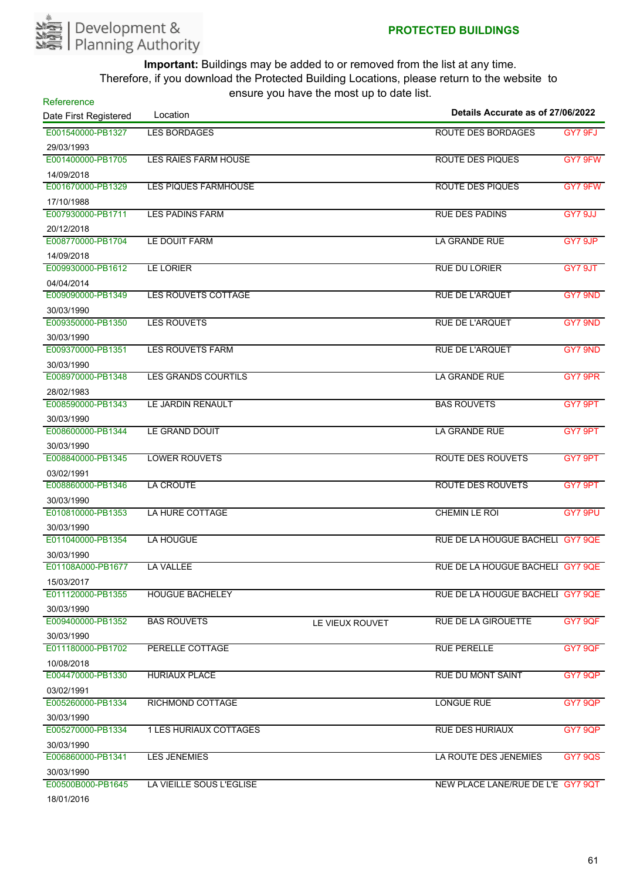

| Refererence                     | Location                      |                 | Details Accurate as of 27/06/2022 |                |
|---------------------------------|-------------------------------|-----------------|-----------------------------------|----------------|
| Date First Registered           |                               |                 |                                   |                |
| E001540000-PB1327               | <b>LES BORDAGES</b>           |                 | <b>ROUTE DES BORDAGES</b>         | GY7 9FJ        |
| 29/03/1993                      |                               |                 |                                   |                |
| E001400000-PB1705               | <b>LES RAIES FARM HOUSE</b>   |                 | <b>ROUTE DES PIQUES</b>           | GY7 9FW        |
| 14/09/2018                      |                               |                 |                                   |                |
| E001670000-PB1329               | <b>LES PIQUES FARMHOUSE</b>   |                 | <b>ROUTE DES PIQUES</b>           | GY7 9FW        |
| 17/10/1988                      |                               |                 |                                   |                |
| E007930000-PB1711               | <b>LES PADINS FARM</b>        |                 | <b>RUE DES PADINS</b>             | GY7 9JJ        |
| 20/12/2018                      |                               |                 |                                   |                |
| E008770000-PB1704               | LE DOUIT FARM                 |                 | <b>LA GRANDE RUE</b>              | GY7 9JP        |
| 14/09/2018                      |                               |                 |                                   |                |
| E009930000-PB1612               | LE LORIER                     |                 | <b>RUE DU LORIER</b>              | GY7 9JT        |
| 04/04/2014                      |                               |                 |                                   |                |
| E009090000-PB1349               | <b>LES ROUVETS COTTAGE</b>    |                 | <b>RUE DE L'ARQUET</b>            | GY7 9ND        |
| 30/03/1990                      |                               |                 | <b>RUE DE L'ARQUET</b>            |                |
| E009350000-PB1350               | <b>LES ROUVETS</b>            |                 |                                   | GY7 9ND        |
| 30/03/1990<br>E009370000-PB1351 | <b>LES ROUVETS FARM</b>       |                 | <b>RUE DE L'ARQUET</b>            |                |
|                                 |                               |                 |                                   | GY7 9ND        |
| 30/03/1990                      |                               |                 | <b>LA GRANDE RUE</b>              |                |
| E008970000-PB1348               | <b>LES GRANDS COURTILS</b>    |                 |                                   | GY7 9PR        |
| 28/02/1983<br>E008590000-PB1343 | LE JARDIN RENAULT             |                 | <b>BAS ROUVETS</b>                | GY7 9PT        |
|                                 |                               |                 |                                   |                |
| 30/03/1990<br>E008600000-PB1344 | LE GRAND DOUIT                |                 | LA GRANDE RUE                     | GY7 9PT        |
|                                 |                               |                 |                                   |                |
| 30/03/1990<br>E008840000-PB1345 | <b>LOWER ROUVETS</b>          |                 | <b>ROUTE DES ROUVETS</b>          | GY7 9PT        |
| 03/02/1991                      |                               |                 |                                   |                |
| E008860000-PB1346               | LA CROUTE                     |                 | ROUTE DES ROUVETS                 | GY7 9PT        |
| 30/03/1990                      |                               |                 |                                   |                |
| E010810000-PB1353               | LA HURE COTTAGE               |                 | <b>CHEMIN LE ROI</b>              | GY7 9PU        |
| 30/03/1990                      |                               |                 |                                   |                |
| E011040000-PB1354               | <b>LA HOUGUE</b>              |                 | RUE DE LA HOUGUE BACHELI GY7 9QE  |                |
| 30/03/1990                      |                               |                 |                                   |                |
| E01108A000-PB1677               | <b>LA VALLEE</b>              |                 | RUE DE LA HOUGUE BACHELI GY7 9QE  |                |
| 15/03/2017                      |                               |                 |                                   |                |
| E011120000-PB1355               | <b>HOUGUE BACHELEY</b>        |                 | RUE DE LA HOUGUE BACHELI GY7 9QE  |                |
| 30/03/1990                      |                               |                 |                                   |                |
| E009400000-PB1352               | <b>BAS ROUVETS</b>            | LE VIEUX ROUVET | <b>RUE DE LA GIROUETTE</b>        | <b>GY7 9QF</b> |
| 30/03/1990                      |                               |                 |                                   |                |
| E011180000-PB1702               | PERELLE COTTAGE               |                 | <b>RUE PERELLE</b>                | GY7 9QF        |
| 10/08/2018                      |                               |                 |                                   |                |
| E004470000-PB1330               | <b>HURIAUX PLACE</b>          |                 | <b>RUE DU MONT SAINT</b>          | GY7 9QP        |
| 03/02/1991                      |                               |                 |                                   |                |
| E005260000-PB1334               | RICHMOND COTTAGE              |                 | <b>LONGUE RUE</b>                 | GY7 9QP        |
| 30/03/1990                      |                               |                 |                                   |                |
| E005270000-PB1334               | <b>1 LES HURIAUX COTTAGES</b> |                 | <b>RUE DES HURIAUX</b>            | GY7 9QP        |
| 30/03/1990                      |                               |                 |                                   |                |
| E006860000-PB1341               | LES JENEMIES                  |                 | LA ROUTE DES JENEMIES             | <b>GY7 9QS</b> |
| 30/03/1990                      |                               |                 |                                   |                |
| E00500B000-PB1645               | LA VIEILLE SOUS L'EGLISE      |                 | NEW PLACE LANE/RUE DE L'E GY7 9QT |                |
| 101010010                       |                               |                 |                                   |                |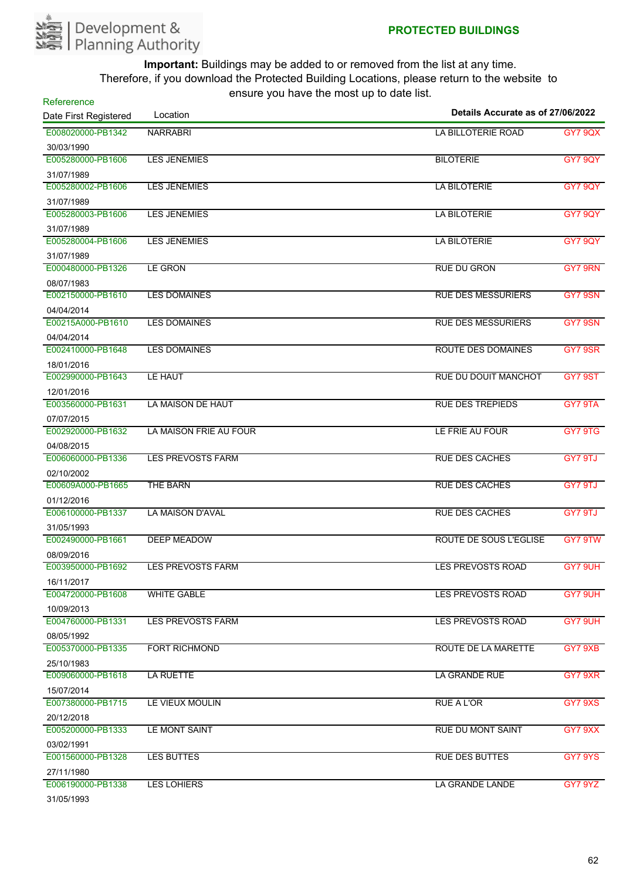

| Refererence                     | $3.31 < 7.32 < 0.13 < 0.14 < 0.15 < 0.16 < 0.17 < 0.18 < 0.19 < 0.11 < 0.11 < 0.11 < 0.11 < 0.11 < 0.11 < 0.11 < 0.11 < 0.11 < 0.1<$<br>Location | Details Accurate as of 27/06/2022 |                |
|---------------------------------|--------------------------------------------------------------------------------------------------------------------------------------------------|-----------------------------------|----------------|
| Date First Registered           |                                                                                                                                                  |                                   |                |
| E008020000-PB1342               | <b>NARRABRI</b>                                                                                                                                  | <b>LA BILLOTERIE ROAD</b>         | <b>GY7 9QX</b> |
| 30/03/1990                      |                                                                                                                                                  |                                   |                |
| E005280000-PB1606               | <b>LES JENEMIES</b>                                                                                                                              | <b>BILOTERIE</b>                  | GY7 9QY        |
| 31/07/1989                      |                                                                                                                                                  |                                   |                |
| E005280002-PB1606               | <b>LES JENEMIES</b>                                                                                                                              | <b>LA BILOTERIE</b>               | GY7 9QY        |
| 31/07/1989<br>E005280003-PB1606 | <b>LES JENEMIES</b>                                                                                                                              | <b>LA BILOTERIE</b>               | <b>GY7 9QY</b> |
|                                 |                                                                                                                                                  |                                   |                |
| 31/07/1989<br>E005280004-PB1606 | <b>LES JENEMIES</b>                                                                                                                              | <b>LA BILOTERIE</b>               | <b>GY7 9QY</b> |
|                                 |                                                                                                                                                  |                                   |                |
| 31/07/1989<br>E000480000-PB1326 | <b>LE GRON</b>                                                                                                                                   | <b>RUE DU GRON</b>                | GY7 9RN        |
| 08/07/1983                      |                                                                                                                                                  |                                   |                |
| E002150000-PB1610               | <b>LES DOMAINES</b>                                                                                                                              | <b>RUE DES MESSURIERS</b>         | GY7 9SN        |
| 04/04/2014                      |                                                                                                                                                  |                                   |                |
| E00215A000-PB1610               | <b>LES DOMAINES</b>                                                                                                                              | <b>RUE DES MESSURIERS</b>         | GY7 9SN        |
| 04/04/2014                      |                                                                                                                                                  |                                   |                |
| E002410000-PB1648               | <b>LES DOMAINES</b>                                                                                                                              | <b>ROUTE DES DOMAINES</b>         | GY7 9SR        |
| 18/01/2016                      |                                                                                                                                                  |                                   |                |
| E002990000-PB1643               | LE HAUT                                                                                                                                          | RUE DU DOUIT MANCHOT              | GY7 9ST        |
| 12/01/2016                      |                                                                                                                                                  |                                   |                |
| E003560000-PB1631               | LA MAISON DE HAUT                                                                                                                                | <b>RUE DES TREPIEDS</b>           | GY7 9TA        |
| 07/07/2015                      |                                                                                                                                                  |                                   |                |
| E002920000-PB1632               | LA MAISON FRIE AU FOUR                                                                                                                           | LE FRIE AU FOUR                   | GY7 9TG        |
| 04/08/2015                      |                                                                                                                                                  |                                   |                |
| E006060000-PB1336               | <b>LES PREVOSTS FARM</b>                                                                                                                         | <b>RUE DES CACHES</b>             | GY7 9TJ        |
| 02/10/2002                      |                                                                                                                                                  |                                   |                |
| E00609A000-PB1665               | THE BARN                                                                                                                                         | <b>RUE DES CACHES</b>             | GY7 9TJ        |
| 01/12/2016                      |                                                                                                                                                  |                                   |                |
| E006100000-PB1337               | <b>LA MAISON D'AVAL</b>                                                                                                                          | <b>RUE DES CACHES</b>             | GY7 9TJ        |
| 31/05/1993                      |                                                                                                                                                  |                                   |                |
| E002490000-PB1661               | <b>DEEP MEADOW</b>                                                                                                                               | <b>ROUTE DE SOUS L'EGLISE</b>     | GY7 9TW        |
| 08/09/2016                      |                                                                                                                                                  |                                   |                |
| E003950000-PB1692               | <b>LES PREVOSTS FARM</b>                                                                                                                         | <b>LES PREVOSTS ROAD</b>          | GY7 9UH        |
| 16/11/2017                      |                                                                                                                                                  |                                   |                |
| E004720000-PB1608               | <b>WHITE GABLE</b>                                                                                                                               | <b>LES PREVOSTS ROAD</b>          | GY7 9UH        |
| 10/09/2013                      |                                                                                                                                                  |                                   |                |
| E004760000-PB1331               | <b>LES PREVOSTS FARM</b>                                                                                                                         | LES PREVOSTS ROAD                 | GY7 9UH        |
| 08/05/1992                      |                                                                                                                                                  |                                   |                |
| E005370000-PB1335               | <b>FORT RICHMOND</b>                                                                                                                             | ROUTE DE LA MARETTE               | GY7 9XB        |
| 25/10/1983                      |                                                                                                                                                  |                                   |                |
| E009060000-PB1618               | <b>LA RUETTE</b>                                                                                                                                 | <b>LA GRANDE RUE</b>              | GY7 9XR        |
| 15/07/2014                      |                                                                                                                                                  |                                   |                |
| E007380000-PB1715               | LE VIEUX MOULIN                                                                                                                                  | <b>RUE A L'OR</b>                 | GY7 9XS        |
| 20/12/2018                      |                                                                                                                                                  |                                   |                |
| E005200000-PB1333               | LE MONT SAINT                                                                                                                                    | <b>RUE DU MONT SAINT</b>          | GY7 9XX        |
| 03/02/1991                      |                                                                                                                                                  |                                   |                |
| E001560000-PB1328               | <b>LES BUTTES</b>                                                                                                                                | <b>RUE DES BUTTES</b>             | GY7 9YS        |
| 27/11/1980                      |                                                                                                                                                  |                                   |                |
| E006190000-PB1338               | <b>LES LOHIERS</b>                                                                                                                               | LA GRANDE LANDE                   | GY7 9YZ        |
| <b>24/0E/1002</b>               |                                                                                                                                                  |                                   |                |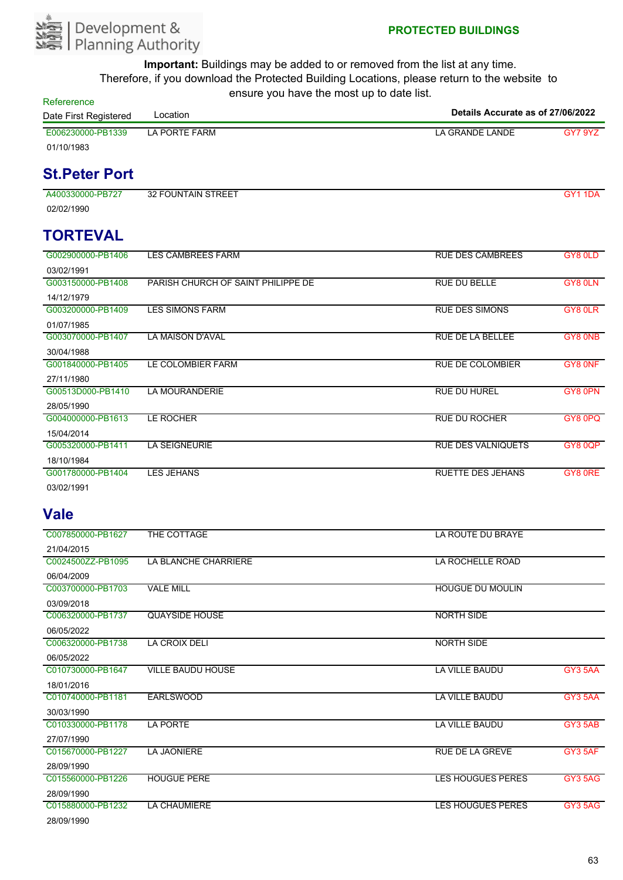

| Refererence           |               |  |                                   |         |
|-----------------------|---------------|--|-----------------------------------|---------|
| Date First Registered | Location      |  | Details Accurate as of 27/06/2022 |         |
| E006230000-PB1339     | LA PORTE FARM |  | LA GRANDE LANDE                   | GY7 9YZ |
| 01/10/1983            |               |  |                                   |         |

### **St.Peter Port**

A400330000-PB727 32 FOUNTAIN STREET GY1 1DA 02/02/1990

# **TORTEVAL**

| G002900000-PB1406 | <b>LES CAMBREES FARM</b>           | <b>RUE DES CAMBREES</b>   | GY8 0LD |
|-------------------|------------------------------------|---------------------------|---------|
| 03/02/1991        |                                    |                           |         |
| G003150000-PB1408 | PARISH CHURCH OF SAINT PHILIPPE DE | <b>RUE DU BELLE</b>       | GY8 0LN |
| 14/12/1979        |                                    |                           |         |
| G003200000-PB1409 | LES SIMONS FARM                    | <b>RUE DES SIMONS</b>     | GY8 0LR |
| 01/07/1985        |                                    |                           |         |
| G003070000-PB1407 | LA MAISON D'AVAL                   | <b>RUE DE LA BELLEE</b>   | GY8 ONB |
| 30/04/1988        |                                    |                           |         |
| G001840000-PB1405 | LE COLOMBIER FARM                  | <b>RUE DE COLOMBIER</b>   | GY8 ONF |
| 27/11/1980        |                                    |                           |         |
| G00513D000-PB1410 | <b>LA MOURANDERIE</b>              | <b>RUE DU HUREL</b>       | GY8 0PN |
| 28/05/1990        |                                    |                           |         |
| G004000000-PB1613 | LE ROCHER                          | <b>RUE DU ROCHER</b>      | GY80PQ  |
| 15/04/2014        |                                    |                           |         |
| G005320000-PB1411 | <b>LA SEIGNEURIE</b>               | <b>RUE DES VALNIQUETS</b> | GY80QP  |
| 18/10/1984        |                                    |                           |         |
| G001780000-PB1404 | LES JEHANS                         | <b>RUETTE DES JEHANS</b>  | GY8 ORE |
| 03/02/1991        |                                    |                           |         |

#### **Vale**

| C007850000-PB1627 | THE COTTAGE              | LA ROUTE DU BRAYE        |                |
|-------------------|--------------------------|--------------------------|----------------|
| 21/04/2015        |                          |                          |                |
| C0024500ZZ-PB1095 | LA BLANCHE CHARRIERE     | LA ROCHELLE ROAD         |                |
| 06/04/2009        |                          |                          |                |
| C003700000-PB1703 | <b>VALE MILL</b>         | <b>HOUGUE DU MOULIN</b>  |                |
| 03/09/2018        |                          |                          |                |
| C006320000-PB1737 | <b>QUAYSIDE HOUSE</b>    | <b>NORTH SIDE</b>        |                |
| 06/05/2022        |                          |                          |                |
| C006320000-PB1738 | <b>LA CROIX DELI</b>     | <b>NORTH SIDE</b>        |                |
| 06/05/2022        |                          |                          |                |
| C010730000-PB1647 | <b>VILLE BAUDU HOUSE</b> | <b>LA VILLE BAUDU</b>    | GY3 5AA        |
| 18/01/2016        |                          |                          |                |
| C010740000-PB1181 | <b>EARLSWOOD</b>         | <b>LA VILLE BAUDU</b>    | GY3 5AA        |
| 30/03/1990        |                          |                          |                |
| C010330000-PB1178 | <b>LA PORTE</b>          | <b>LA VILLE BAUDU</b>    | GY3 5AB        |
| 27/07/1990        |                          |                          |                |
| C015670000-PB1227 | <b>LA JAONIERE</b>       | <b>RUE DE LA GREVE</b>   | GY3 5AF        |
| 28/09/1990        |                          |                          |                |
| C015560000-PB1226 | <b>HOUGUE PERE</b>       | <b>LES HOUGUES PERES</b> | <b>GY3 5AG</b> |
| 28/09/1990        |                          |                          |                |
| C015880000-PB1232 | <b>LA CHAUMIERE</b>      | <b>LES HOUGUES PERES</b> | GY3 5AG        |
| 28/09/1990        |                          |                          |                |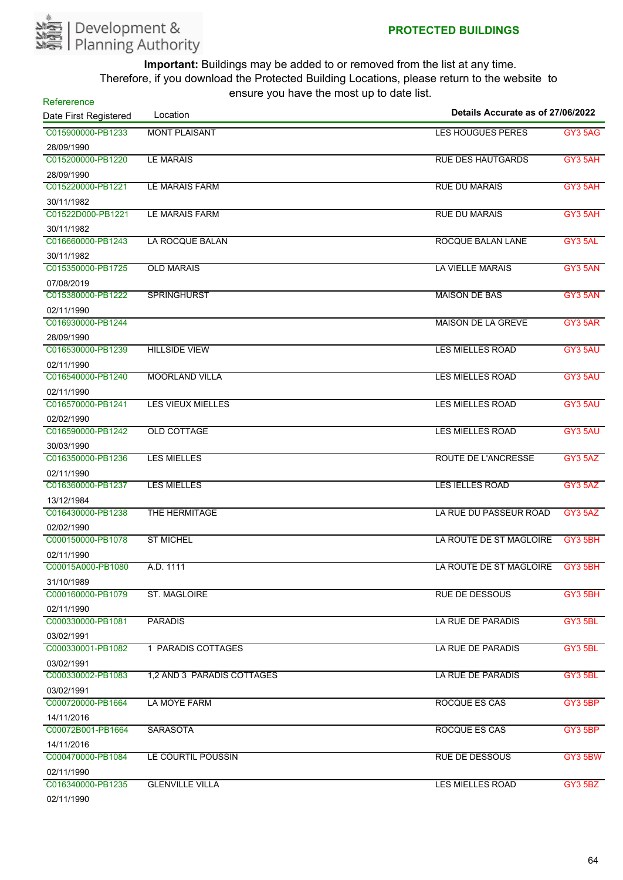

| Refererence                     | $10.91$ $\sigma$ $1.91$ $\sigma$ $1.1$ $\sigma$ $1.1$ $\sigma$ $\sigma$ $\sigma$<br>Location | Details Accurate as of 27/06/2022 |                |
|---------------------------------|----------------------------------------------------------------------------------------------|-----------------------------------|----------------|
| Date First Registered           |                                                                                              |                                   |                |
| C015900000-PB1233               | <b>MONT PLAISANT</b>                                                                         | <b>LES HOUGUES PERES</b>          | <b>GY3 5AG</b> |
| 28/09/1990                      |                                                                                              |                                   |                |
| C015200000-PB1220               | <b>LE MARAIS</b>                                                                             | <b>RUE DES HAUTGARDS</b>          | GY3 5AH        |
| 28/09/1990                      |                                                                                              |                                   |                |
| C015220000-PB1221               | <b>LE MARAIS FARM</b>                                                                        | <b>RUE DU MARAIS</b>              | GY3 5AH        |
| 30/11/1982<br>C01522D000-PB1221 | <b>LE MARAIS FARM</b>                                                                        | <b>RUE DU MARAIS</b>              | GY3 5AH        |
|                                 |                                                                                              |                                   |                |
| 30/11/1982<br>C016660000-PB1243 | <b>LA ROCQUE BALAN</b>                                                                       | ROCQUE BALAN LANE                 | GY3 5AL        |
|                                 |                                                                                              |                                   |                |
| 30/11/1982<br>C015350000-PB1725 | <b>OLD MARAIS</b>                                                                            | <b>LA VIELLE MARAIS</b>           | GY3 5AN        |
|                                 |                                                                                              |                                   |                |
| 07/08/2019<br>C015380000-PB1222 | <b>SPRINGHURST</b>                                                                           | <b>MAISON DE BAS</b>              | GY3 5AN        |
|                                 |                                                                                              |                                   |                |
| 02/11/1990<br>C016930000-PB1244 |                                                                                              | <b>MAISON DE LA GREVE</b>         | GY3 5AR        |
| 28/09/1990                      |                                                                                              |                                   |                |
| C016530000-PB1239               | <b>HILLSIDE VIEW</b>                                                                         | <b>LES MIELLES ROAD</b>           | GY3 5AU        |
| 02/11/1990                      |                                                                                              |                                   |                |
| C016540000-PB1240               | <b>MOORLAND VILLA</b>                                                                        | <b>LES MIELLES ROAD</b>           | GY3 5AU        |
|                                 |                                                                                              |                                   |                |
| 02/11/1990<br>C016570000-PB1241 | <b>LES VIEUX MIELLES</b>                                                                     | <b>LES MIELLES ROAD</b>           | GY3 5AU        |
| 02/02/1990                      |                                                                                              |                                   |                |
| C016590000-PB1242               | <b>OLD COTTAGE</b>                                                                           | <b>LES MIELLES ROAD</b>           | GY3 5AU        |
| 30/03/1990                      |                                                                                              |                                   |                |
| C016350000-PB1236               | <b>LES MIELLES</b>                                                                           | <b>ROUTE DE L'ANCRESSE</b>        | GY3 5AZ        |
| 02/11/1990                      |                                                                                              |                                   |                |
| C016360000-PB1237               | <b>LES MIELLES</b>                                                                           | <b>LES IELLES ROAD</b>            | GY3 5AZ        |
| 13/12/1984                      |                                                                                              |                                   |                |
| C016430000-PB1238               | THE HERMITAGE                                                                                | LA RUE DU PASSEUR ROAD            | <b>GY3 5AZ</b> |
| 02/02/1990                      |                                                                                              |                                   |                |
| C000150000-PB1078               | <b>ST MICHEL</b>                                                                             | LA ROUTE DE ST MAGLOIRE           | GY3 5BH        |
| 02/11/1990                      |                                                                                              |                                   |                |
| C00015A000-PB1080               | A.D. 1111                                                                                    | LA ROUTE DE ST MAGLOIRE GY3 5BH   |                |
| 31/10/1989                      |                                                                                              |                                   |                |
| C000160000-PB1079               | <b>ST. MAGLOIRE</b>                                                                          | <b>RUE DE DESSOUS</b>             | GY3 5BH        |
| 02/11/1990                      |                                                                                              |                                   |                |
| C000330000-PB1081               | <b>PARADIS</b>                                                                               | LA RUE DE PARADIS                 | GY3 5BL        |
| 03/02/1991                      |                                                                                              |                                   |                |
| C000330001-PB1082               | 1 PARADIS COTTAGES                                                                           | LA RUE DE PARADIS                 | GY3 5BL        |
| 03/02/1991                      |                                                                                              |                                   |                |
| C000330002-PB1083               | 1,2 AND 3 PARADIS COTTAGES                                                                   | LA RUE DE PARADIS                 | GY3 5BL        |
| 03/02/1991                      |                                                                                              |                                   |                |
| C000720000-PB1664               | LA MOYE FARM                                                                                 | ROCQUE ES CAS                     | GY3 5BP        |
| 14/11/2016                      |                                                                                              |                                   |                |
| C00072B001-PB1664               | <b>SARASOTA</b>                                                                              | ROCQUE ES CAS                     | GY3 5BP        |
| 14/11/2016                      |                                                                                              |                                   |                |
| C000470000-PB1084               | LE COURTIL POUSSIN                                                                           | <b>RUE DE DESSOUS</b>             | GY3 5BW        |
| 02/11/1990                      |                                                                                              |                                   |                |
| C016340000-PB1235               | <b>GLENVILLE VILLA</b>                                                                       | <b>LES MIELLES ROAD</b>           | GY3 5BZ        |
| 02/11/1990                      |                                                                                              |                                   |                |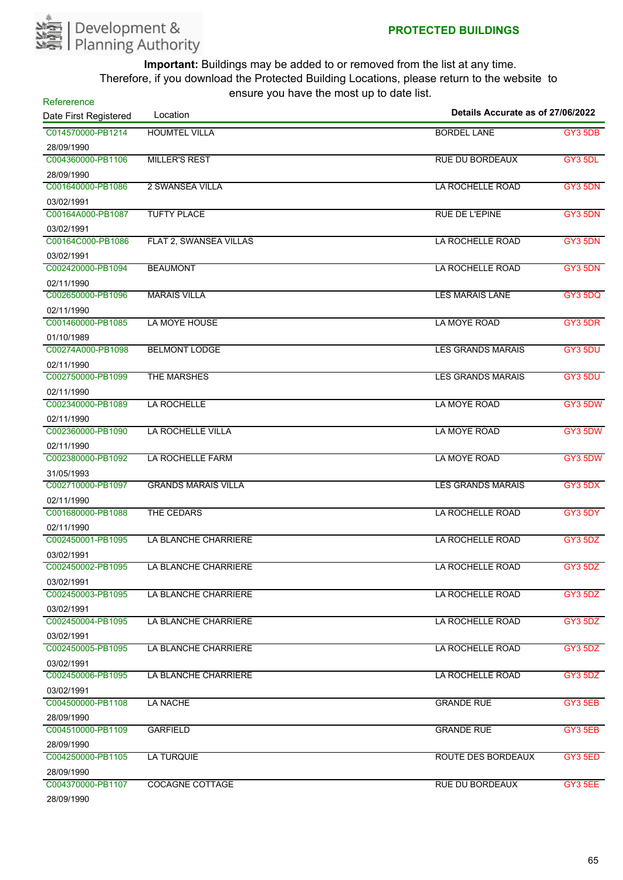

| Refererence<br>Date First Registered | $10010$ $70011000$ and $110000$ $\mu$<br>Location | Details Accurate as of 27/06/2022 |         |
|--------------------------------------|---------------------------------------------------|-----------------------------------|---------|
| C014570000-PB1214                    |                                                   |                                   | GY3 5DB |
|                                      | <b>HOUMTEL VILLA</b>                              | <b>BORDEL LANE</b>                |         |
| 28/09/1990<br>C004360000-PB1106      | <b>MILLER'S REST</b>                              | <b>RUE DU BORDEAUX</b>            | GY3 5DL |
|                                      |                                                   |                                   |         |
| 28/09/1990<br>C001640000-PB1086      | 2 SWANSEA VILLA                                   | LA ROCHELLE ROAD                  | GY3 5DN |
| 03/02/1991                           |                                                   |                                   |         |
| C00164A000-PB1087                    | <b>TUFTY PLACE</b>                                | <b>RUE DE L'EPINE</b>             | GY3 5DN |
| 03/02/1991                           |                                                   |                                   |         |
| C00164C000-PB1086                    | FLAT 2, SWANSEA VILLAS                            | LA ROCHELLE ROAD                  | GY3 5DN |
| 03/02/1991                           |                                                   |                                   |         |
| C002420000-PB1094                    | <b>BEAUMONT</b>                                   | LA ROCHELLE ROAD                  | GY3 5DN |
| 02/11/1990                           |                                                   |                                   |         |
| C002650000-PB1096                    | <b>MARAIS VILLA</b>                               | <b>LES MARAIS LANE</b>            | GY3 5DQ |
| 02/11/1990                           |                                                   |                                   |         |
| C001460000-PB1085                    | <b>LA MOYE HOUSE</b>                              | LA MOYE ROAD                      | GY3 5DR |
| 01/10/1989                           |                                                   |                                   |         |
| C00274A000-PB1098                    | <b>BELMONT LODGE</b>                              | <b>LES GRANDS MARAIS</b>          | GY3 5DU |
| 02/11/1990                           |                                                   |                                   |         |
| C002750000-PB1099                    | <b>THE MARSHES</b>                                | <b>LES GRANDS MARAIS</b>          | GY3 5DU |
| 02/11/1990                           |                                                   |                                   |         |
| C002340000-PB1089                    | LA ROCHELLE                                       | LA MOYE ROAD                      | GY3 5DW |
| 02/11/1990                           |                                                   |                                   |         |
| C002360000-PB1090                    | <b>LA ROCHELLE VILLA</b>                          | LA MOYE ROAD                      | GY3 5DW |
| 02/11/1990                           |                                                   |                                   |         |
| C002380000-PB1092                    | <b>LA ROCHELLE FARM</b>                           | LA MOYE ROAD                      | GY3 5DW |
| 31/05/1993                           |                                                   |                                   |         |
| C002710000-PB1097                    | <b>GRANDS MARAIS VILLA</b>                        | <b>LES GRANDS MARAIS</b>          | GY3 5DX |
| 02/11/1990                           |                                                   |                                   |         |
| C001680000-PB1088                    | THE CEDARS                                        | LA ROCHELLE ROAD                  | GY3 5DY |
| 02/11/1990                           |                                                   |                                   |         |
| C002450001-PB1095                    | LA BLANCHE CHARRIERE                              | LA ROCHELLE ROAD                  | GY3 5DZ |
| 03/02/1991                           |                                                   |                                   |         |
| C002450002-PB1095                    | LA BLANCHE CHARRIERE                              | LA ROCHELLE ROAD                  | GY3 5DZ |
| 03/02/1991                           |                                                   |                                   |         |
| C002450003-PB1095                    | LA BLANCHE CHARRIERE                              | LA ROCHELLE ROAD                  | GY3 5DZ |
| 03/02/1991                           |                                                   |                                   |         |
| C002450004-PB1095                    | LA BLANCHE CHARRIERE                              | LA ROCHELLE ROAD                  | GY3 5DZ |
| 03/02/1991                           |                                                   |                                   |         |
| C002450005-PB1095                    | LA BLANCHE CHARRIERE                              | LA ROCHELLE ROAD                  | GY3 5DZ |
| 03/02/1991                           |                                                   |                                   |         |
| C002450006-PB1095                    | LA BLANCHE CHARRIERE                              | LA ROCHELLE ROAD                  | GY3 5DZ |
| 03/02/1991                           |                                                   |                                   |         |
| C004500000-PB1108                    | <b>LA NACHE</b>                                   | <b>GRANDE RUE</b>                 | GY3 5EB |
| 28/09/1990                           |                                                   |                                   |         |
| C004510000-PB1109                    | <b>GARFIELD</b>                                   | <b>GRANDE RUE</b>                 | GY3 5EB |
| 28/09/1990<br>C004250000-PB1105      | <b>LA TURQUIE</b>                                 | ROUTE DES BORDEAUX                | GY3 5ED |
|                                      |                                                   |                                   |         |
| 28/09/1990<br>C004370000-PB1107      | <b>COCAGNE COTTAGE</b>                            | <b>RUE DU BORDEAUX</b>            | GY3 5EE |
|                                      |                                                   |                                   |         |
| 28/09/1990                           |                                                   |                                   |         |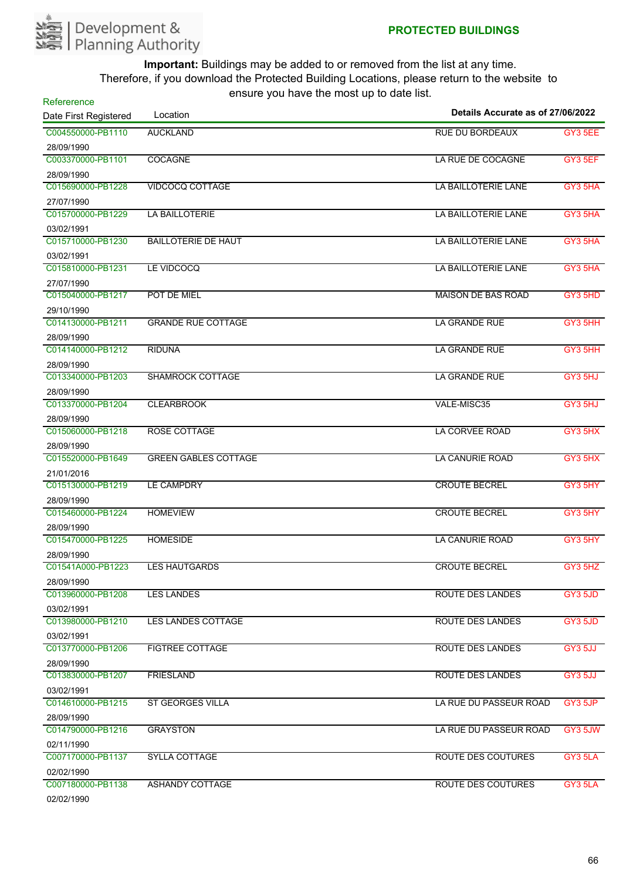

| Refererence           |                             |                                   |         |
|-----------------------|-----------------------------|-----------------------------------|---------|
| Date First Registered | Location                    | Details Accurate as of 27/06/2022 |         |
| C004550000-PB1110     | <b>AUCKLAND</b>             | <b>RUE DU BORDEAUX</b>            | GY3 5EE |
| 28/09/1990            |                             |                                   |         |
| C003370000-PB1101     | <b>COCAGNE</b>              | LA RUE DE COCAGNE                 | GY3 5EF |
| 28/09/1990            |                             |                                   |         |
| C015690000-PB1228     | <b>VIDCOCQ COTTAGE</b>      | LA BAILLOTERIE LANE               | GY3 5HA |
| 27/07/1990            |                             |                                   |         |
| C015700000-PB1229     | LA BAILLOTERIE              | LA BAILLOTERIE LANE               | GY3 5HA |
| 03/02/1991            |                             |                                   |         |
| C015710000-PB1230     | <b>BAILLOTERIE DE HAUT</b>  | LA BAILLOTERIE LANE               | GY3 5HA |
| 03/02/1991            |                             |                                   |         |
| C015810000-PB1231     | LE VIDCOCQ                  | LA BAILLOTERIE LANE               | GY3 5HA |
| 27/07/1990            |                             |                                   |         |
| C015040000-PB1217     | POT DE MIEL                 | <b>MAISON DE BAS ROAD</b>         | GY3 5HD |
| 29/10/1990            |                             |                                   |         |
| C014130000-PB1211     | <b>GRANDE RUE COTTAGE</b>   | <b>LA GRANDE RUE</b>              | GY3 5HH |
| 28/09/1990            |                             |                                   |         |
| C014140000-PB1212     | <b>RIDUNA</b>               | <b>LA GRANDE RUE</b>              | GY3 5HH |
| 28/09/1990            |                             |                                   |         |
| C013340000-PB1203     | <b>SHAMROCK COTTAGE</b>     | <b>LA GRANDE RUE</b>              | GY3 5HJ |
| 28/09/1990            |                             |                                   |         |
| C013370000-PB1204     | <b>CLEARBROOK</b>           | VALE-MISC35                       | GY3 5HJ |
| 28/09/1990            |                             |                                   |         |
| C015060000-PB1218     | ROSE COTTAGE                | LA CORVEE ROAD                    | GY3 5HX |
| 28/09/1990            |                             |                                   |         |
| C015520000-PB1649     | <b>GREEN GABLES COTTAGE</b> | LA CANURIE ROAD                   | GY3 5HX |
| 21/01/2016            |                             |                                   |         |
| C015130000-PB1219     | LE CAMPDRY                  | <b>CROUTE BECREL</b>              | GY3 5HY |
| 28/09/1990            |                             |                                   |         |
| C015460000-PB1224     | <b>HOMEVIEW</b>             | <b>CROUTE BECREL</b>              | GY3 5HY |
| 28/09/1990            |                             |                                   |         |
| C015470000-PB1225     | <b>HOMESIDE</b>             | <b>LA CANURIE ROAD</b>            | GY3 5HY |
| 28/09/1990            |                             |                                   |         |
| C01541A000-PB1223     | <b>LES HAUTGARDS</b>        | <b>CROUTE BECREL</b>              | GY3 5HZ |
| 28/09/1990            |                             |                                   |         |
| C013960000-PB1208     | <b>LES LANDES</b>           | <b>ROUTE DES LANDES</b>           | GY3 5JD |
| 03/02/1991            |                             |                                   |         |
| C013980000-PB1210     | <b>LES LANDES COTTAGE</b>   | ROUTE DES LANDES                  | GY3 5JD |
| 03/02/1991            |                             |                                   |         |
| C013770000-PB1206     | <b>FIGTREE COTTAGE</b>      | <b>ROUTE DES LANDES</b>           | GY3 5JJ |
| 28/09/1990            |                             |                                   |         |
| C013830000-PB1207     | <b>FRIESLAND</b>            | <b>ROUTE DES LANDES</b>           | GY3 5JJ |
| 03/02/1991            |                             |                                   |         |
| C014610000-PB1215     | <b>ST GEORGES VILLA</b>     | LA RUE DU PASSEUR ROAD            | GY3 5JP |
| 28/09/1990            |                             |                                   |         |
| C014790000-PB1216     | <b>GRAYSTON</b>             | LA RUE DU PASSEUR ROAD            | GY3 5JW |
| 02/11/1990            |                             |                                   |         |
| C007170000-PB1137     | <b>SYLLA COTTAGE</b>        | ROUTE DES COUTURES                | GY3 5LA |
| 02/02/1990            |                             |                                   |         |
| C007180000-PB1138     | <b>ASHANDY COTTAGE</b>      | <b>ROUTE DES COUTURES</b>         | GY3 5LA |
| 02/02/1990            |                             |                                   |         |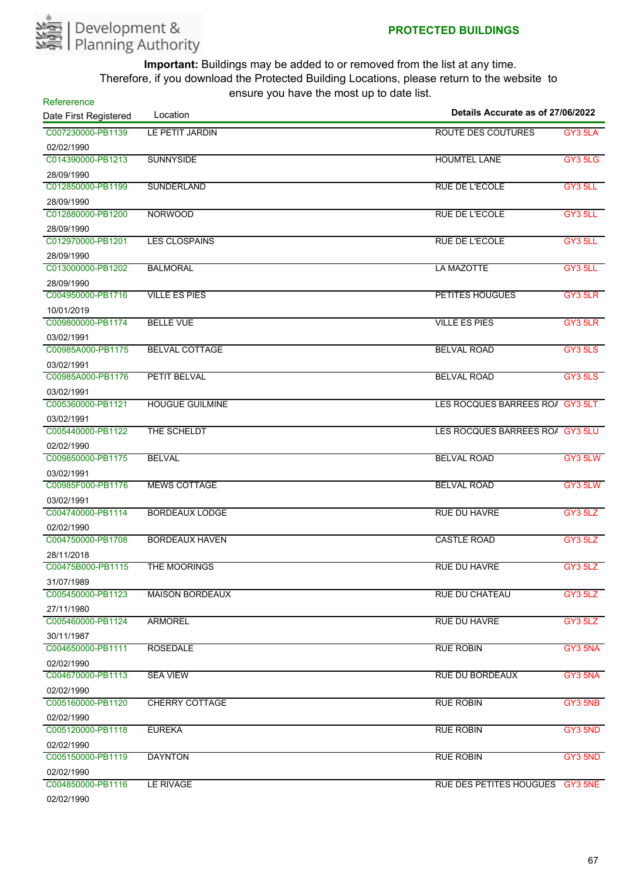

| Refererence           | $10010$ $70011010$ $1100100$ $1000$ | Details Accurate as of 27/06/2022 |         |
|-----------------------|-------------------------------------|-----------------------------------|---------|
| Date First Registered | Location                            |                                   |         |
| C007230000-PB1139     | LE PETIT JARDIN                     | ROUTE DES COUTURES                | GY3 5LA |
| 02/02/1990            |                                     |                                   |         |
| C014390000-PB1213     | <b>SUNNYSIDE</b>                    | <b>HOUMTEL LANE</b>               | GY3 5LG |
| 28/09/1990            |                                     |                                   |         |
| C012850000-PB1199     | <b>SUNDERLAND</b>                   | <b>RUE DE L'ECOLE</b>             | GY3 5LL |
| 28/09/1990            |                                     |                                   |         |
| C012880000-PB1200     | <b>NORWOOD</b>                      | <b>RUE DE L'ECOLE</b>             | GY3 5LL |
| 28/09/1990            |                                     |                                   |         |
| C012970000-PB1201     | <b>LES CLOSPAINS</b>                | <b>RUE DE L'ECOLE</b>             | GY3 5LL |
| 28/09/1990            |                                     |                                   |         |
| C013000000-PB1202     | <b>BALMORAL</b>                     | <b>LA MAZOTTE</b>                 | GY3 5LL |
| 28/09/1990            |                                     |                                   |         |
| C004950000-PB1716     | <b>VILLE ES PIES</b>                | <b>PETITES HOUGUES</b>            | GY3 5LR |
| 10/01/2019            |                                     |                                   |         |
| C009800000-PB1174     | <b>BELLE VUE</b>                    | <b>VILLE ES PIES</b>              | GY3 5LR |
| 03/02/1991            |                                     |                                   |         |
| C00985A000-PB1175     | <b>BELVAL COTTAGE</b>               | <b>BELVAL ROAD</b>                | GY3 5LS |
| 03/02/1991            |                                     |                                   |         |
| C00985A000-PB1176     | <b>PETIT BELVAL</b>                 | <b>BELVAL ROAD</b>                | GY3 5LS |
| 03/02/1991            |                                     |                                   |         |
| C005360000-PB1121     | <b>HOUGUE GUILMINE</b>              | LES ROCQUES BARREES RO/ GY3 5LT   |         |
| 03/02/1991            |                                     |                                   |         |
| C005440000-PB1122     | THE SCHELDT                         | LES ROCQUES BARREES ROA GY3 5LU   |         |
| 02/02/1990            |                                     |                                   |         |
| C009850000-PB1175     | <b>BELVAL</b>                       | <b>BELVAL ROAD</b>                | GY3 5LW |
| 03/02/1991            |                                     |                                   |         |
| C00985F000-PB1176     | <b>MEWS COTTAGE</b>                 | <b>BELVAL ROAD</b>                | GY3 5LW |
| 03/02/1991            |                                     |                                   |         |
| C004740000-PB1114     | <b>BORDEAUX LODGE</b>               | <b>RUE DU HAVRE</b>               | GY3 5LZ |
| 02/02/1990            |                                     |                                   |         |
| C004750000-PB1708     | <b>BORDEAUX HAVEN</b>               | <b>CASTLE ROAD</b>                | GY3 5LZ |
| 28/11/2018            |                                     |                                   |         |
| C00475B000-PB1115     | <b>THE MOORINGS</b>                 | <b>RUE DU HAVRE</b>               | GY3 5LZ |
| 31/07/1989            |                                     |                                   |         |
| C005450000-PB1123     | <b>MAISON BORDEAUX</b>              | <b>RUE DU CHATEAU</b>             | GY3 5LZ |
| 27/11/1980            |                                     |                                   |         |
| C005460000-PB1124     | <b>ARMOREL</b>                      | RUE DU HAVRE                      | GY3 5LZ |
| 30/11/1987            |                                     |                                   |         |
| C004650000-PB1111     | <b>ROSEDALE</b>                     | <b>RUE ROBIN</b>                  | GY3 5NA |
| 02/02/1990            |                                     |                                   |         |
| C004670000-PB1113     | <b>SEA VIEW</b>                     | <b>RUE DU BORDEAUX</b>            | GY3 5NA |
| 02/02/1990            |                                     |                                   |         |
| C005160000-PB1120     | <b>CHERRY COTTAGE</b>               | <b>RUE ROBIN</b>                  | GY3 5NB |
| 02/02/1990            |                                     |                                   |         |
| C005120000-PB1118     | <b>EUREKA</b>                       | <b>RUE ROBIN</b>                  | GY3 5ND |
| 02/02/1990            |                                     |                                   |         |
| C005150000-PB1119     | <b>DAYNTON</b>                      | <b>RUE ROBIN</b>                  | GY3 5ND |
| 02/02/1990            |                                     |                                   |         |
| C004850000-PB1116     | LE RIVAGE                           | RUE DES PETITES HOUGUES GY3 5NE   |         |
| 02/02/1990            |                                     |                                   |         |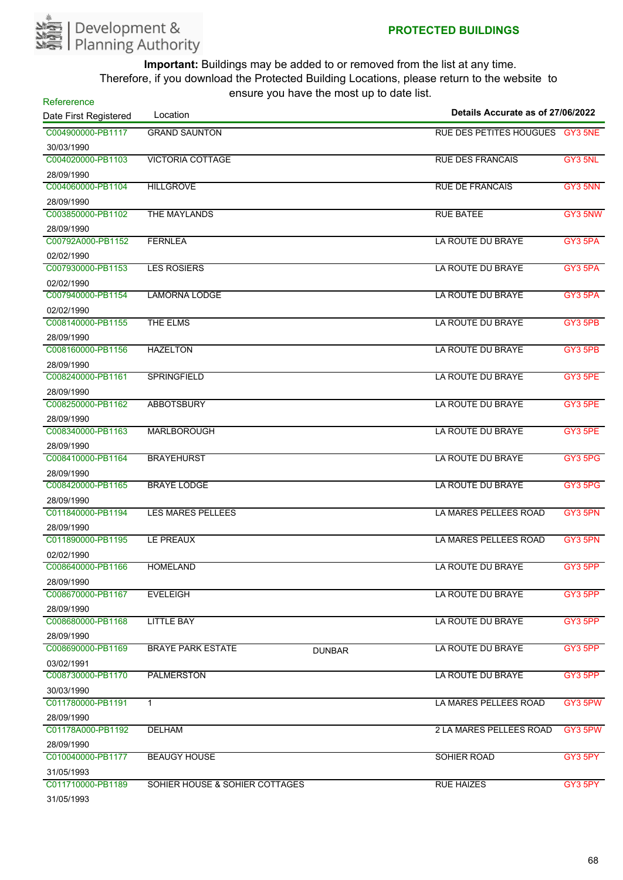

| Refererence<br>Date First Registered | Location                       |               | Details Accurate as of 27/06/2022 |         |
|--------------------------------------|--------------------------------|---------------|-----------------------------------|---------|
|                                      |                                |               |                                   |         |
| C004900000-PB1117                    | <b>GRAND SAUNTON</b>           |               | RUE DES PETITES HOUGUES GY3 5NE   |         |
| 30/03/1990<br>C004020000-PB1103      | <b>VICTORIA COTTAGE</b>        |               | <b>RUE DES FRANCAIS</b>           | GY3 5NL |
|                                      |                                |               |                                   |         |
| 28/09/1990<br>C004060000-PB1104      | <b>HILLGROVE</b>               |               | <b>RUE DE FRANCAIS</b>            | GY3 5NN |
|                                      |                                |               |                                   |         |
| 28/09/1990<br>C003850000-PB1102      | THE MAYLANDS                   |               | <b>RUE BATEE</b>                  | GY3 5NW |
| 28/09/1990                           |                                |               |                                   |         |
| C00792A000-PB1152                    | <b>FERNLEA</b>                 |               | LA ROUTE DU BRAYE                 | GY3 5PA |
| 02/02/1990                           |                                |               |                                   |         |
| C007930000-PB1153                    | <b>LES ROSIERS</b>             |               | LA ROUTE DU BRAYE                 | GY3 5PA |
| 02/02/1990                           |                                |               |                                   |         |
| C007940000-PB1154                    | <b>LAMORNA LODGE</b>           |               | LA ROUTE DU BRAYE                 | GY3 5PA |
| 02/02/1990                           |                                |               |                                   |         |
| C008140000-PB1155                    | THE ELMS                       |               | LA ROUTE DU BRAYE                 | GY3 5PB |
| 28/09/1990                           |                                |               |                                   |         |
| C008160000-PB1156                    | <b>HAZELTON</b>                |               | LA ROUTE DU BRAYE                 | GY3 5PB |
| 28/09/1990                           |                                |               |                                   |         |
| C008240000-PB1161                    | <b>SPRINGFIELD</b>             |               | LA ROUTE DU BRAYE                 | GY3 5PE |
| 28/09/1990                           |                                |               |                                   |         |
| C008250000-PB1162                    | <b>ABBOTSBURY</b>              |               | LA ROUTE DU BRAYE                 | GY3 5PE |
| 28/09/1990                           |                                |               |                                   |         |
| C008340000-PB1163                    | <b>MARLBOROUGH</b>             |               | LA ROUTE DU BRAYE                 | GY3 5PE |
| 28/09/1990                           |                                |               |                                   |         |
| C008410000-PB1164                    | <b>BRAYEHURST</b>              |               | LA ROUTE DU BRAYE                 | GY3 5PG |
| 28/09/1990                           |                                |               |                                   |         |
| C008420000-PB1165                    | <b>BRAYE LODGE</b>             |               | LA ROUTE DU BRAYE                 | GY3 5PG |
| 28/09/1990                           |                                |               |                                   |         |
| C011840000-PB1194                    | <b>LES MARES PELLEES</b>       |               | LA MARES PELLEES ROAD             | GY3 5PN |
| 28/09/1990                           |                                |               |                                   |         |
| C011890000-PB1195                    | LE PREAUX                      |               | LA MARES PELLEES ROAD             | GY3 5PN |
| 02/02/1990                           |                                |               |                                   |         |
| C008640000-PB1166                    | <b>HOMELAND</b>                |               | LA ROUTE DU BRAYE                 | GY3 5PP |
| 28/09/1990                           |                                |               |                                   |         |
| C008670000-PB1167                    | <b>EVELEIGH</b>                |               | LA ROUTE DU BRAYE                 | GY3 5PP |
| 28/09/1990                           |                                |               |                                   |         |
| C008680000-PB1168                    | <b>LITTLE BAY</b>              |               | LA ROUTE DU BRAYE                 | GY3 5PP |
| 28/09/1990                           |                                |               |                                   |         |
| C008690000-PB1169                    | <b>BRAYE PARK ESTATE</b>       | <b>DUNBAR</b> | LA ROUTE DU BRAYE                 | GY3 5PP |
| 03/02/1991                           |                                |               |                                   |         |
| C008730000-PB1170                    | <b>PALMERSTON</b>              |               | LA ROUTE DU BRAYE                 | GY3 5PP |
| 30/03/1990                           |                                |               |                                   |         |
| C011780000-PB1191                    | $\mathbf{1}$                   |               | LA MARES PELLEES ROAD             | GY3 5PW |
| 28/09/1990                           |                                |               |                                   |         |
| C01178A000-PB1192                    | <b>DELHAM</b>                  |               | 2 LA MARES PELLEES ROAD           | GY3 5PW |
| 28/09/1990                           |                                |               |                                   |         |
| C010040000-PB1177                    | <b>BEAUGY HOUSE</b>            |               | SOHIER ROAD                       | GY3 5PY |
| 31/05/1993                           |                                |               |                                   |         |
| C011710000-PB1189                    | SOHIER HOUSE & SOHIER COTTAGES |               | <b>RUE HAIZES</b>                 | GY3 5PY |
| 31/05/1993                           |                                |               |                                   |         |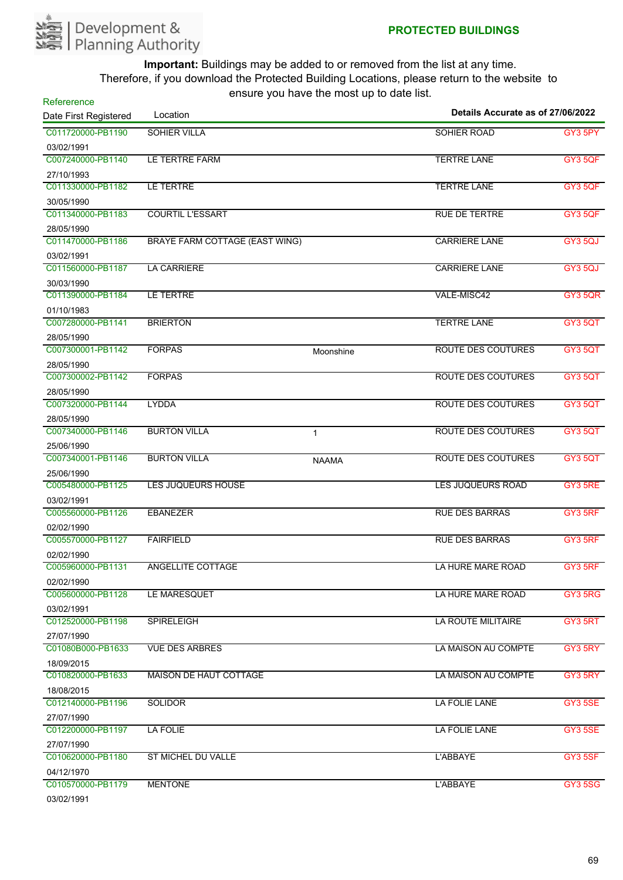

| <b>SOHIER VILLA</b><br>SOHIER ROAD<br>03/02/1991<br>C007240000-PB1140<br>LE TERTRE FARM<br><b>TERTRE LANE</b><br>27/10/1993<br>LE TERTRE<br><b>TERTRE LANE</b><br>GY3 5QF<br>30/05/1990<br><b>COURTIL L'ESSART</b><br><b>RUE DE TERTRE</b><br>28/05/1990<br><b>BRAYE FARM COTTAGE (EAST WING)</b><br><b>CARRIERE LANE</b><br><b>GY3 5QJ</b><br>03/02/1991<br><b>LA CARRIERE</b><br><b>CARRIERE LANE</b><br>GY3 5QJ<br>30/03/1990<br>LE TERTRE<br>VALE-MISC42<br>01/10/1983<br><b>TERTRE LANE</b><br><b>BRIERTON</b><br>28/05/1990<br><b>ROUTE DES COUTURES</b><br><b>FORPAS</b><br>Moonshine<br>28/05/1990<br><b>ROUTE DES COUTURES</b><br><b>FORPAS</b><br>28/05/1990<br><b>LYDDA</b><br><b>ROUTE DES COUTURES</b><br>28/05/1990<br><b>BURTON VILLA</b><br><b>ROUTE DES COUTURES</b><br>$\mathbf{1}$<br>25/06/1990<br><b>BURTON VILLA</b><br><b>ROUTE DES COUTURES</b><br>GY3 5QT<br><b>NAAMA</b><br>25/06/1990<br>LES JUQUEURS HOUSE<br>GY3 5RE<br>LES JUQUEURS ROAD<br>03/02/1991<br><b>EBANEZER</b><br><b>RUE DES BARRAS</b><br>GY3 5RF<br>02/02/1990<br><b>FAIRFIELD</b><br><b>RUE DES BARRAS</b><br>GY3 5RF<br>02/02/1990<br><b>ANGELLITE COTTAGE</b><br>LA HURE MARE ROAD<br>GY3 5RF<br>02/02/1990<br>LE MARESQUET<br>LA HURE MARE ROAD<br>GY3 5RG<br>03/02/1991<br><b>SPIRELEIGH</b><br>LA ROUTE MILITAIRE<br>27/07/1990<br><b>VUE DES ARBRES</b><br>LA MAISON AU COMPTE<br>18/09/2015<br><b>MAISON DE HAUT COTTAGE</b><br>LA MAISON AU COMPTE<br>18/08/2015<br><b>SOLIDOR</b><br>LA FOLIE LANE<br>GY3 5SE<br>27/07/1990<br>LA FOLIE LANE<br>LA FOLIE<br>GY3 5SE<br>27/07/1990<br>ST MICHEL DU VALLE<br>L'ABBAYE<br>04/12/1970<br><b>MENTONE</b><br>L'ABBAYE | Refererence           |          | $30.3$ , $30.4$ , $10.3$ , $10.5$ , $11.5$ $30.5$ $10.5$ | Details Accurate as of 27/06/2022 |  |
|----------------------------------------------------------------------------------------------------------------------------------------------------------------------------------------------------------------------------------------------------------------------------------------------------------------------------------------------------------------------------------------------------------------------------------------------------------------------------------------------------------------------------------------------------------------------------------------------------------------------------------------------------------------------------------------------------------------------------------------------------------------------------------------------------------------------------------------------------------------------------------------------------------------------------------------------------------------------------------------------------------------------------------------------------------------------------------------------------------------------------------------------------------------------------------------------------------------------------------------------------------------------------------------------------------------------------------------------------------------------------------------------------------------------------------------------------------------------------------------------------------------------------------------------------------------------------------------------------------------------------------------------------------------------|-----------------------|----------|----------------------------------------------------------|-----------------------------------|--|
| GY3 5PY<br>GY3 5QF<br>GY3 5QF<br><b>GY3 5QR</b><br><b>GY3 5QT</b><br><b>GY3 5QT</b><br>GY3 5QT<br>GY3 5QT<br>GY3 5QT<br>GY3 5RT<br>GY3 5RY<br>GY3 5RY<br>GY3 5SF<br><b>GY3 5SG</b>                                                                                                                                                                                                                                                                                                                                                                                                                                                                                                                                                                                                                                                                                                                                                                                                                                                                                                                                                                                                                                                                                                                                                                                                                                                                                                                                                                                                                                                                                   | Date First Registered | Location |                                                          |                                   |  |
|                                                                                                                                                                                                                                                                                                                                                                                                                                                                                                                                                                                                                                                                                                                                                                                                                                                                                                                                                                                                                                                                                                                                                                                                                                                                                                                                                                                                                                                                                                                                                                                                                                                                      | C011720000-PB1190     |          |                                                          |                                   |  |
|                                                                                                                                                                                                                                                                                                                                                                                                                                                                                                                                                                                                                                                                                                                                                                                                                                                                                                                                                                                                                                                                                                                                                                                                                                                                                                                                                                                                                                                                                                                                                                                                                                                                      |                       |          |                                                          |                                   |  |
|                                                                                                                                                                                                                                                                                                                                                                                                                                                                                                                                                                                                                                                                                                                                                                                                                                                                                                                                                                                                                                                                                                                                                                                                                                                                                                                                                                                                                                                                                                                                                                                                                                                                      |                       |          |                                                          |                                   |  |
|                                                                                                                                                                                                                                                                                                                                                                                                                                                                                                                                                                                                                                                                                                                                                                                                                                                                                                                                                                                                                                                                                                                                                                                                                                                                                                                                                                                                                                                                                                                                                                                                                                                                      |                       |          |                                                          |                                   |  |
|                                                                                                                                                                                                                                                                                                                                                                                                                                                                                                                                                                                                                                                                                                                                                                                                                                                                                                                                                                                                                                                                                                                                                                                                                                                                                                                                                                                                                                                                                                                                                                                                                                                                      | C011330000-PB1182     |          |                                                          |                                   |  |
|                                                                                                                                                                                                                                                                                                                                                                                                                                                                                                                                                                                                                                                                                                                                                                                                                                                                                                                                                                                                                                                                                                                                                                                                                                                                                                                                                                                                                                                                                                                                                                                                                                                                      |                       |          |                                                          |                                   |  |
|                                                                                                                                                                                                                                                                                                                                                                                                                                                                                                                                                                                                                                                                                                                                                                                                                                                                                                                                                                                                                                                                                                                                                                                                                                                                                                                                                                                                                                                                                                                                                                                                                                                                      | C011340000-PB1183     |          |                                                          |                                   |  |
|                                                                                                                                                                                                                                                                                                                                                                                                                                                                                                                                                                                                                                                                                                                                                                                                                                                                                                                                                                                                                                                                                                                                                                                                                                                                                                                                                                                                                                                                                                                                                                                                                                                                      |                       |          |                                                          |                                   |  |
|                                                                                                                                                                                                                                                                                                                                                                                                                                                                                                                                                                                                                                                                                                                                                                                                                                                                                                                                                                                                                                                                                                                                                                                                                                                                                                                                                                                                                                                                                                                                                                                                                                                                      | C011470000-PB1186     |          |                                                          |                                   |  |
|                                                                                                                                                                                                                                                                                                                                                                                                                                                                                                                                                                                                                                                                                                                                                                                                                                                                                                                                                                                                                                                                                                                                                                                                                                                                                                                                                                                                                                                                                                                                                                                                                                                                      |                       |          |                                                          |                                   |  |
|                                                                                                                                                                                                                                                                                                                                                                                                                                                                                                                                                                                                                                                                                                                                                                                                                                                                                                                                                                                                                                                                                                                                                                                                                                                                                                                                                                                                                                                                                                                                                                                                                                                                      | C011560000-PB1187     |          |                                                          |                                   |  |
|                                                                                                                                                                                                                                                                                                                                                                                                                                                                                                                                                                                                                                                                                                                                                                                                                                                                                                                                                                                                                                                                                                                                                                                                                                                                                                                                                                                                                                                                                                                                                                                                                                                                      |                       |          |                                                          |                                   |  |
|                                                                                                                                                                                                                                                                                                                                                                                                                                                                                                                                                                                                                                                                                                                                                                                                                                                                                                                                                                                                                                                                                                                                                                                                                                                                                                                                                                                                                                                                                                                                                                                                                                                                      | C011390000-PB1184     |          |                                                          |                                   |  |
|                                                                                                                                                                                                                                                                                                                                                                                                                                                                                                                                                                                                                                                                                                                                                                                                                                                                                                                                                                                                                                                                                                                                                                                                                                                                                                                                                                                                                                                                                                                                                                                                                                                                      |                       |          |                                                          |                                   |  |
|                                                                                                                                                                                                                                                                                                                                                                                                                                                                                                                                                                                                                                                                                                                                                                                                                                                                                                                                                                                                                                                                                                                                                                                                                                                                                                                                                                                                                                                                                                                                                                                                                                                                      | C007280000-PB1141     |          |                                                          |                                   |  |
|                                                                                                                                                                                                                                                                                                                                                                                                                                                                                                                                                                                                                                                                                                                                                                                                                                                                                                                                                                                                                                                                                                                                                                                                                                                                                                                                                                                                                                                                                                                                                                                                                                                                      |                       |          |                                                          |                                   |  |
|                                                                                                                                                                                                                                                                                                                                                                                                                                                                                                                                                                                                                                                                                                                                                                                                                                                                                                                                                                                                                                                                                                                                                                                                                                                                                                                                                                                                                                                                                                                                                                                                                                                                      | C007300001-PB1142     |          |                                                          |                                   |  |
|                                                                                                                                                                                                                                                                                                                                                                                                                                                                                                                                                                                                                                                                                                                                                                                                                                                                                                                                                                                                                                                                                                                                                                                                                                                                                                                                                                                                                                                                                                                                                                                                                                                                      |                       |          |                                                          |                                   |  |
|                                                                                                                                                                                                                                                                                                                                                                                                                                                                                                                                                                                                                                                                                                                                                                                                                                                                                                                                                                                                                                                                                                                                                                                                                                                                                                                                                                                                                                                                                                                                                                                                                                                                      | C007300002-PB1142     |          |                                                          |                                   |  |
|                                                                                                                                                                                                                                                                                                                                                                                                                                                                                                                                                                                                                                                                                                                                                                                                                                                                                                                                                                                                                                                                                                                                                                                                                                                                                                                                                                                                                                                                                                                                                                                                                                                                      |                       |          |                                                          |                                   |  |
|                                                                                                                                                                                                                                                                                                                                                                                                                                                                                                                                                                                                                                                                                                                                                                                                                                                                                                                                                                                                                                                                                                                                                                                                                                                                                                                                                                                                                                                                                                                                                                                                                                                                      | C007320000-PB1144     |          |                                                          |                                   |  |
|                                                                                                                                                                                                                                                                                                                                                                                                                                                                                                                                                                                                                                                                                                                                                                                                                                                                                                                                                                                                                                                                                                                                                                                                                                                                                                                                                                                                                                                                                                                                                                                                                                                                      |                       |          |                                                          |                                   |  |
|                                                                                                                                                                                                                                                                                                                                                                                                                                                                                                                                                                                                                                                                                                                                                                                                                                                                                                                                                                                                                                                                                                                                                                                                                                                                                                                                                                                                                                                                                                                                                                                                                                                                      | C007340000-PB1146     |          |                                                          |                                   |  |
|                                                                                                                                                                                                                                                                                                                                                                                                                                                                                                                                                                                                                                                                                                                                                                                                                                                                                                                                                                                                                                                                                                                                                                                                                                                                                                                                                                                                                                                                                                                                                                                                                                                                      |                       |          |                                                          |                                   |  |
|                                                                                                                                                                                                                                                                                                                                                                                                                                                                                                                                                                                                                                                                                                                                                                                                                                                                                                                                                                                                                                                                                                                                                                                                                                                                                                                                                                                                                                                                                                                                                                                                                                                                      | C007340001-PB1146     |          |                                                          |                                   |  |
|                                                                                                                                                                                                                                                                                                                                                                                                                                                                                                                                                                                                                                                                                                                                                                                                                                                                                                                                                                                                                                                                                                                                                                                                                                                                                                                                                                                                                                                                                                                                                                                                                                                                      |                       |          |                                                          |                                   |  |
|                                                                                                                                                                                                                                                                                                                                                                                                                                                                                                                                                                                                                                                                                                                                                                                                                                                                                                                                                                                                                                                                                                                                                                                                                                                                                                                                                                                                                                                                                                                                                                                                                                                                      | C005480000-PB1125     |          |                                                          |                                   |  |
|                                                                                                                                                                                                                                                                                                                                                                                                                                                                                                                                                                                                                                                                                                                                                                                                                                                                                                                                                                                                                                                                                                                                                                                                                                                                                                                                                                                                                                                                                                                                                                                                                                                                      |                       |          |                                                          |                                   |  |
|                                                                                                                                                                                                                                                                                                                                                                                                                                                                                                                                                                                                                                                                                                                                                                                                                                                                                                                                                                                                                                                                                                                                                                                                                                                                                                                                                                                                                                                                                                                                                                                                                                                                      | C005560000-PB1126     |          |                                                          |                                   |  |
|                                                                                                                                                                                                                                                                                                                                                                                                                                                                                                                                                                                                                                                                                                                                                                                                                                                                                                                                                                                                                                                                                                                                                                                                                                                                                                                                                                                                                                                                                                                                                                                                                                                                      |                       |          |                                                          |                                   |  |
|                                                                                                                                                                                                                                                                                                                                                                                                                                                                                                                                                                                                                                                                                                                                                                                                                                                                                                                                                                                                                                                                                                                                                                                                                                                                                                                                                                                                                                                                                                                                                                                                                                                                      | C005570000-PB1127     |          |                                                          |                                   |  |
|                                                                                                                                                                                                                                                                                                                                                                                                                                                                                                                                                                                                                                                                                                                                                                                                                                                                                                                                                                                                                                                                                                                                                                                                                                                                                                                                                                                                                                                                                                                                                                                                                                                                      |                       |          |                                                          |                                   |  |
|                                                                                                                                                                                                                                                                                                                                                                                                                                                                                                                                                                                                                                                                                                                                                                                                                                                                                                                                                                                                                                                                                                                                                                                                                                                                                                                                                                                                                                                                                                                                                                                                                                                                      | C005960000-PB1131     |          |                                                          |                                   |  |
|                                                                                                                                                                                                                                                                                                                                                                                                                                                                                                                                                                                                                                                                                                                                                                                                                                                                                                                                                                                                                                                                                                                                                                                                                                                                                                                                                                                                                                                                                                                                                                                                                                                                      |                       |          |                                                          |                                   |  |
|                                                                                                                                                                                                                                                                                                                                                                                                                                                                                                                                                                                                                                                                                                                                                                                                                                                                                                                                                                                                                                                                                                                                                                                                                                                                                                                                                                                                                                                                                                                                                                                                                                                                      | C005600000-PB1128     |          |                                                          |                                   |  |
|                                                                                                                                                                                                                                                                                                                                                                                                                                                                                                                                                                                                                                                                                                                                                                                                                                                                                                                                                                                                                                                                                                                                                                                                                                                                                                                                                                                                                                                                                                                                                                                                                                                                      |                       |          |                                                          |                                   |  |
|                                                                                                                                                                                                                                                                                                                                                                                                                                                                                                                                                                                                                                                                                                                                                                                                                                                                                                                                                                                                                                                                                                                                                                                                                                                                                                                                                                                                                                                                                                                                                                                                                                                                      | C012520000-PB1198     |          |                                                          |                                   |  |
|                                                                                                                                                                                                                                                                                                                                                                                                                                                                                                                                                                                                                                                                                                                                                                                                                                                                                                                                                                                                                                                                                                                                                                                                                                                                                                                                                                                                                                                                                                                                                                                                                                                                      |                       |          |                                                          |                                   |  |
|                                                                                                                                                                                                                                                                                                                                                                                                                                                                                                                                                                                                                                                                                                                                                                                                                                                                                                                                                                                                                                                                                                                                                                                                                                                                                                                                                                                                                                                                                                                                                                                                                                                                      | C01080B000-PB1633     |          |                                                          |                                   |  |
|                                                                                                                                                                                                                                                                                                                                                                                                                                                                                                                                                                                                                                                                                                                                                                                                                                                                                                                                                                                                                                                                                                                                                                                                                                                                                                                                                                                                                                                                                                                                                                                                                                                                      |                       |          |                                                          |                                   |  |
|                                                                                                                                                                                                                                                                                                                                                                                                                                                                                                                                                                                                                                                                                                                                                                                                                                                                                                                                                                                                                                                                                                                                                                                                                                                                                                                                                                                                                                                                                                                                                                                                                                                                      | C010820000-PB1633     |          |                                                          |                                   |  |
|                                                                                                                                                                                                                                                                                                                                                                                                                                                                                                                                                                                                                                                                                                                                                                                                                                                                                                                                                                                                                                                                                                                                                                                                                                                                                                                                                                                                                                                                                                                                                                                                                                                                      |                       |          |                                                          |                                   |  |
|                                                                                                                                                                                                                                                                                                                                                                                                                                                                                                                                                                                                                                                                                                                                                                                                                                                                                                                                                                                                                                                                                                                                                                                                                                                                                                                                                                                                                                                                                                                                                                                                                                                                      | C012140000-PB1196     |          |                                                          |                                   |  |
|                                                                                                                                                                                                                                                                                                                                                                                                                                                                                                                                                                                                                                                                                                                                                                                                                                                                                                                                                                                                                                                                                                                                                                                                                                                                                                                                                                                                                                                                                                                                                                                                                                                                      |                       |          |                                                          |                                   |  |
|                                                                                                                                                                                                                                                                                                                                                                                                                                                                                                                                                                                                                                                                                                                                                                                                                                                                                                                                                                                                                                                                                                                                                                                                                                                                                                                                                                                                                                                                                                                                                                                                                                                                      | C012200000-PB1197     |          |                                                          |                                   |  |
|                                                                                                                                                                                                                                                                                                                                                                                                                                                                                                                                                                                                                                                                                                                                                                                                                                                                                                                                                                                                                                                                                                                                                                                                                                                                                                                                                                                                                                                                                                                                                                                                                                                                      |                       |          |                                                          |                                   |  |
|                                                                                                                                                                                                                                                                                                                                                                                                                                                                                                                                                                                                                                                                                                                                                                                                                                                                                                                                                                                                                                                                                                                                                                                                                                                                                                                                                                                                                                                                                                                                                                                                                                                                      | C010620000-PB1180     |          |                                                          |                                   |  |
|                                                                                                                                                                                                                                                                                                                                                                                                                                                                                                                                                                                                                                                                                                                                                                                                                                                                                                                                                                                                                                                                                                                                                                                                                                                                                                                                                                                                                                                                                                                                                                                                                                                                      |                       |          |                                                          |                                   |  |
|                                                                                                                                                                                                                                                                                                                                                                                                                                                                                                                                                                                                                                                                                                                                                                                                                                                                                                                                                                                                                                                                                                                                                                                                                                                                                                                                                                                                                                                                                                                                                                                                                                                                      | C010570000-PB1179     |          |                                                          |                                   |  |
| 03/02/1991                                                                                                                                                                                                                                                                                                                                                                                                                                                                                                                                                                                                                                                                                                                                                                                                                                                                                                                                                                                                                                                                                                                                                                                                                                                                                                                                                                                                                                                                                                                                                                                                                                                           |                       |          |                                                          |                                   |  |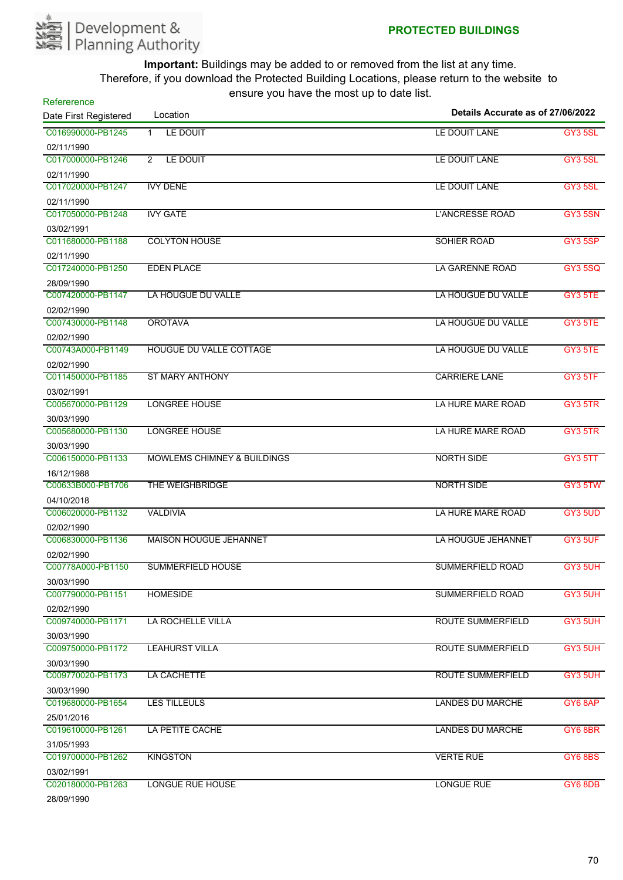

| Refererence           | $10010$ $70011010$ $11001000$ $0000$   | Details Accurate as of 27/06/2022 |                |
|-----------------------|----------------------------------------|-----------------------------------|----------------|
| Date First Registered | Location                               |                                   |                |
| C016990000-PB1245     | LE DOUIT<br>$\mathbf{1}$               | LE DOUIT LANE                     | GY3 5SL        |
| 02/11/1990            |                                        |                                   |                |
| C017000000-PB1246     | LE DOUIT<br>$\overline{2}$             | LE DOUIT LANE                     | <b>GY3 5SL</b> |
| 02/11/1990            |                                        |                                   |                |
| C017020000-PB1247     | <b>IVY DENE</b>                        | LE DOUIT LANE                     | <b>GY3 5SL</b> |
| 02/11/1990            |                                        |                                   |                |
| C017050000-PB1248     | <b>IVY GATE</b>                        | <b>L'ANCRESSE ROAD</b>            | GY3 5SN        |
| 03/02/1991            |                                        |                                   |                |
| C011680000-PB1188     | <b>COLYTON HOUSE</b>                   | SOHIER ROAD                       | GY3 5SP        |
| 02/11/1990            |                                        |                                   |                |
| C017240000-PB1250     | <b>EDEN PLACE</b>                      | <b>LA GARENNE ROAD</b>            | <b>GY3 5SQ</b> |
| 28/09/1990            |                                        |                                   |                |
| C007420000-PB1147     | LA HOUGUE DU VALLE                     | LA HOUGUE DU VALLE                | GY3 5TE        |
| 02/02/1990            |                                        |                                   |                |
| C007430000-PB1148     | <b>OROTAVA</b>                         | LA HOUGUE DU VALLE                | GY3 5TE        |
| 02/02/1990            |                                        |                                   |                |
| C00743A000-PB1149     | HOUGUE DU VALLE COTTAGE                | LA HOUGUE DU VALLE                | GY3 5TE        |
| 02/02/1990            |                                        |                                   |                |
| C011450000-PB1185     | <b>ST MARY ANTHONY</b>                 | <b>CARRIERE LANE</b>              | GY3 5TF        |
| 03/02/1991            |                                        |                                   |                |
| C005670000-PB1129     | <b>LONGREE HOUSE</b>                   | LA HURE MARE ROAD                 | GY3 5TR        |
| 30/03/1990            |                                        |                                   |                |
| C005680000-PB1130     | <b>LONGREE HOUSE</b>                   | LA HURE MARE ROAD                 | GY3 5TR        |
| 30/03/1990            |                                        |                                   |                |
| C006150000-PB1133     | <b>MOWLEMS CHIMNEY &amp; BUILDINGS</b> | <b>NORTH SIDE</b>                 | GY3 5TT        |
| 16/12/1988            |                                        |                                   |                |
| C00633B000-PB1706     | THE WEIGHBRIDGE                        | <b>NORTH SIDE</b>                 | GY3 5TW        |
| 04/10/2018            |                                        |                                   |                |
| C006020000-PB1132     | <b>VALDIVIA</b>                        | LA HURE MARE ROAD                 | GY3 5UD        |
| 02/02/1990            |                                        |                                   |                |
| C006830000-PB1136     | <b>MAISON HOUGUE JEHANNET</b>          | LA HOUGUE JEHANNET                | GY3 5UF        |
| 02/02/1990            |                                        |                                   |                |
| C00778A000-PB1150     | <b>SUMMERFIELD HOUSE</b>               | <b>SUMMERFIELD ROAD</b>           | GY3 5UH        |
| 30/03/1990            |                                        |                                   |                |
| C007790000-PB1151     | <b>HOMESIDE</b>                        | <b>SUMMERFIELD ROAD</b>           | GY3 5UH        |
| 02/02/1990            |                                        |                                   |                |
| C009740000-PB1171     | LA ROCHELLE VILLA                      | <b>ROUTE SUMMERFIELD</b>          | GY3 5UH        |
| 30/03/1990            |                                        |                                   |                |
| C009750000-PB1172     | <b>LEAHURST VILLA</b>                  | ROUTE SUMMERFIELD                 | GY3 5UH        |
| 30/03/1990            |                                        |                                   |                |
| C009770020-PB1173     | LA CACHETTE                            | <b>ROUTE SUMMERFIELD</b>          | GY3 5UH        |
| 30/03/1990            |                                        |                                   |                |
| C019680000-PB1654     | <b>LES TILLEULS</b>                    | <b>LANDES DU MARCHE</b>           | GY6 8AP        |
| 25/01/2016            |                                        |                                   |                |
| C019610000-PB1261     | LA PETITE CACHE                        | <b>LANDES DU MARCHE</b>           | GY6 8BR        |
| 31/05/1993            |                                        |                                   |                |
| C019700000-PB1262     | <b>KINGSTON</b>                        | <b>VERTE RUE</b>                  | <b>GY6 8BS</b> |
| 03/02/1991            |                                        |                                   |                |
| C020180000-PB1263     | <b>LONGUE RUE HOUSE</b>                | <b>LONGUE RUE</b>                 | GY6 8DB        |
| 20/00/1000            |                                        |                                   |                |

28/09/1990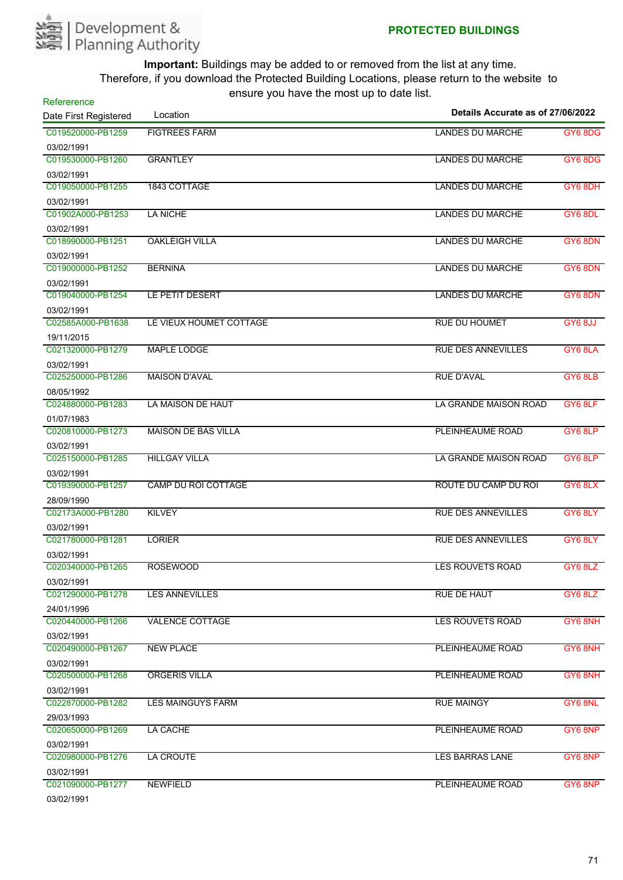

| Details Accurate as of 27/06/2022<br>C019520000-PB1259<br><b>FIGTREES FARM</b><br><b>LANDES DU MARCHE</b><br>GY6 8DG<br>03/02/1991<br>C019530000-PB1260<br><b>GRANTLEY</b><br><b>LANDES DU MARCHE</b><br><b>GY6 8DG</b><br>03/02/1991<br>C019050000-PB1255<br>1843 COTTAGE<br><b>LANDES DU MARCHE</b><br>GY6 8DH<br>03/02/1991<br>C01902A000-PB1253<br>LA NICHE<br><b>LANDES DU MARCHE</b><br>GY6 8DL<br>03/02/1991<br>C018990000-PB1251<br><b>OAKLEIGH VILLA</b><br>LANDES DU MARCHE<br>GY6 8DN<br>03/02/1991<br>C019000000-PB1252<br><b>BERNINA</b><br><b>LANDES DU MARCHE</b><br>GY6 8DN<br>03/02/1991<br>C019040000-PB1254<br>LE PETIT DESERT<br><b>LANDES DU MARCHE</b><br>GY6 8DN<br>03/02/1991<br>C02585A000-PB1638<br>LE VIEUX HOUMET COTTAGE<br><b>RUE DU HOUMET</b><br>GY6 8JJ<br>19/11/2015<br>C021320000-PB1279<br><b>MAPLE LODGE</b><br><b>RUE DES ANNEVILLES</b><br>GY6 8LA<br>03/02/1991<br><b>MAISON D'AVAL</b><br>C025250000-PB1286<br><b>RUE D'AVAL</b><br>GY6 8LB<br>08/05/1992<br>C024880000-PB1283<br>LA MAISON DE HAUT<br>LA GRANDE MAISON ROAD<br>GY6 8LF<br>01/07/1983<br>C020810000-PB1273<br><b>MAISON DE BAS VILLA</b><br>PLEINHEAUME ROAD<br>GY6 8LP<br>03/02/1991<br><b>HILLGAY VILLA</b><br>C025150000-PB1285<br>LA GRANDE MAISON ROAD<br>GY6 8LP<br>03/02/1991<br>C019390000-PB1257<br><b>CAMP DU ROI COTTAGE</b><br>ROUTE DU CAMP DU ROI<br>GY6 8LX<br>28/09/1990<br>C02173A000-PB1280<br><b>KILVEY</b><br><b>RUE DES ANNEVILLES</b><br>GY6 8LY<br>03/02/1991<br>C021780000-PB1281<br><b>LORIER</b><br><b>RUE DES ANNEVILLES</b><br>GY6 8LY<br>03/02/1991<br>C020340000-PB1265<br><b>ROSEWOOD</b><br><b>LES ROUVETS ROAD</b><br>GY6 8LZ<br>03/02/1991<br>C021290000-PB1278<br><b>LES ANNEVILLES</b><br><b>RUE DE HAUT</b><br>GY6 8LZ<br>24/01/1996<br>GY6 8NH<br>C020440000-PB1266<br><b>VALENCE COTTAGE</b><br><b>LES ROUVETS ROAD</b><br>03/02/1991<br>C020490000-PB1267<br><b>NEW PLACE</b><br>PLEINHEAUME ROAD<br>GY6 8NH<br>03/02/1991<br>C020500000-PB1268<br><b>ORGERIS VILLA</b><br>PLEINHEAUME ROAD<br>GY6 8NH<br>03/02/1991<br>C022870000-PB1282<br><b>LES MAINGUYS FARM</b><br><b>RUE MAINGY</b><br>GY6 8NL<br>29/03/1993<br>C020650000-PB1269<br>LA CACHE<br>PLEINHEAUME ROAD<br>GY6 8NP<br>03/02/1991<br>C020980000-PB1276<br>LA CROUTE<br><b>LES BARRAS LANE</b><br>GY6 8NP<br>03/02/1991<br>C021090000-PB1277<br><b>NEWFIELD</b><br>PLEINHEAUME ROAD<br>GY6 8NP<br>03/02/1991 | Refererence           |          |  |
|------------------------------------------------------------------------------------------------------------------------------------------------------------------------------------------------------------------------------------------------------------------------------------------------------------------------------------------------------------------------------------------------------------------------------------------------------------------------------------------------------------------------------------------------------------------------------------------------------------------------------------------------------------------------------------------------------------------------------------------------------------------------------------------------------------------------------------------------------------------------------------------------------------------------------------------------------------------------------------------------------------------------------------------------------------------------------------------------------------------------------------------------------------------------------------------------------------------------------------------------------------------------------------------------------------------------------------------------------------------------------------------------------------------------------------------------------------------------------------------------------------------------------------------------------------------------------------------------------------------------------------------------------------------------------------------------------------------------------------------------------------------------------------------------------------------------------------------------------------------------------------------------------------------------------------------------------------------------------------------------------------------------------------------------------------------------------------------------------------------------------------------------------------------------------------------------------------------------------------------------------------------------------------------------------------------------------------------------------------------------------------------------------------------------------|-----------------------|----------|--|
|                                                                                                                                                                                                                                                                                                                                                                                                                                                                                                                                                                                                                                                                                                                                                                                                                                                                                                                                                                                                                                                                                                                                                                                                                                                                                                                                                                                                                                                                                                                                                                                                                                                                                                                                                                                                                                                                                                                                                                                                                                                                                                                                                                                                                                                                                                                                                                                                                              | Date First Registered | Location |  |
|                                                                                                                                                                                                                                                                                                                                                                                                                                                                                                                                                                                                                                                                                                                                                                                                                                                                                                                                                                                                                                                                                                                                                                                                                                                                                                                                                                                                                                                                                                                                                                                                                                                                                                                                                                                                                                                                                                                                                                                                                                                                                                                                                                                                                                                                                                                                                                                                                              |                       |          |  |
|                                                                                                                                                                                                                                                                                                                                                                                                                                                                                                                                                                                                                                                                                                                                                                                                                                                                                                                                                                                                                                                                                                                                                                                                                                                                                                                                                                                                                                                                                                                                                                                                                                                                                                                                                                                                                                                                                                                                                                                                                                                                                                                                                                                                                                                                                                                                                                                                                              |                       |          |  |
|                                                                                                                                                                                                                                                                                                                                                                                                                                                                                                                                                                                                                                                                                                                                                                                                                                                                                                                                                                                                                                                                                                                                                                                                                                                                                                                                                                                                                                                                                                                                                                                                                                                                                                                                                                                                                                                                                                                                                                                                                                                                                                                                                                                                                                                                                                                                                                                                                              |                       |          |  |
|                                                                                                                                                                                                                                                                                                                                                                                                                                                                                                                                                                                                                                                                                                                                                                                                                                                                                                                                                                                                                                                                                                                                                                                                                                                                                                                                                                                                                                                                                                                                                                                                                                                                                                                                                                                                                                                                                                                                                                                                                                                                                                                                                                                                                                                                                                                                                                                                                              |                       |          |  |
|                                                                                                                                                                                                                                                                                                                                                                                                                                                                                                                                                                                                                                                                                                                                                                                                                                                                                                                                                                                                                                                                                                                                                                                                                                                                                                                                                                                                                                                                                                                                                                                                                                                                                                                                                                                                                                                                                                                                                                                                                                                                                                                                                                                                                                                                                                                                                                                                                              |                       |          |  |
|                                                                                                                                                                                                                                                                                                                                                                                                                                                                                                                                                                                                                                                                                                                                                                                                                                                                                                                                                                                                                                                                                                                                                                                                                                                                                                                                                                                                                                                                                                                                                                                                                                                                                                                                                                                                                                                                                                                                                                                                                                                                                                                                                                                                                                                                                                                                                                                                                              |                       |          |  |
|                                                                                                                                                                                                                                                                                                                                                                                                                                                                                                                                                                                                                                                                                                                                                                                                                                                                                                                                                                                                                                                                                                                                                                                                                                                                                                                                                                                                                                                                                                                                                                                                                                                                                                                                                                                                                                                                                                                                                                                                                                                                                                                                                                                                                                                                                                                                                                                                                              |                       |          |  |
|                                                                                                                                                                                                                                                                                                                                                                                                                                                                                                                                                                                                                                                                                                                                                                                                                                                                                                                                                                                                                                                                                                                                                                                                                                                                                                                                                                                                                                                                                                                                                                                                                                                                                                                                                                                                                                                                                                                                                                                                                                                                                                                                                                                                                                                                                                                                                                                                                              |                       |          |  |
|                                                                                                                                                                                                                                                                                                                                                                                                                                                                                                                                                                                                                                                                                                                                                                                                                                                                                                                                                                                                                                                                                                                                                                                                                                                                                                                                                                                                                                                                                                                                                                                                                                                                                                                                                                                                                                                                                                                                                                                                                                                                                                                                                                                                                                                                                                                                                                                                                              |                       |          |  |
|                                                                                                                                                                                                                                                                                                                                                                                                                                                                                                                                                                                                                                                                                                                                                                                                                                                                                                                                                                                                                                                                                                                                                                                                                                                                                                                                                                                                                                                                                                                                                                                                                                                                                                                                                                                                                                                                                                                                                                                                                                                                                                                                                                                                                                                                                                                                                                                                                              |                       |          |  |
|                                                                                                                                                                                                                                                                                                                                                                                                                                                                                                                                                                                                                                                                                                                                                                                                                                                                                                                                                                                                                                                                                                                                                                                                                                                                                                                                                                                                                                                                                                                                                                                                                                                                                                                                                                                                                                                                                                                                                                                                                                                                                                                                                                                                                                                                                                                                                                                                                              |                       |          |  |
|                                                                                                                                                                                                                                                                                                                                                                                                                                                                                                                                                                                                                                                                                                                                                                                                                                                                                                                                                                                                                                                                                                                                                                                                                                                                                                                                                                                                                                                                                                                                                                                                                                                                                                                                                                                                                                                                                                                                                                                                                                                                                                                                                                                                                                                                                                                                                                                                                              |                       |          |  |
|                                                                                                                                                                                                                                                                                                                                                                                                                                                                                                                                                                                                                                                                                                                                                                                                                                                                                                                                                                                                                                                                                                                                                                                                                                                                                                                                                                                                                                                                                                                                                                                                                                                                                                                                                                                                                                                                                                                                                                                                                                                                                                                                                                                                                                                                                                                                                                                                                              |                       |          |  |
|                                                                                                                                                                                                                                                                                                                                                                                                                                                                                                                                                                                                                                                                                                                                                                                                                                                                                                                                                                                                                                                                                                                                                                                                                                                                                                                                                                                                                                                                                                                                                                                                                                                                                                                                                                                                                                                                                                                                                                                                                                                                                                                                                                                                                                                                                                                                                                                                                              |                       |          |  |
|                                                                                                                                                                                                                                                                                                                                                                                                                                                                                                                                                                                                                                                                                                                                                                                                                                                                                                                                                                                                                                                                                                                                                                                                                                                                                                                                                                                                                                                                                                                                                                                                                                                                                                                                                                                                                                                                                                                                                                                                                                                                                                                                                                                                                                                                                                                                                                                                                              |                       |          |  |
|                                                                                                                                                                                                                                                                                                                                                                                                                                                                                                                                                                                                                                                                                                                                                                                                                                                                                                                                                                                                                                                                                                                                                                                                                                                                                                                                                                                                                                                                                                                                                                                                                                                                                                                                                                                                                                                                                                                                                                                                                                                                                                                                                                                                                                                                                                                                                                                                                              |                       |          |  |
|                                                                                                                                                                                                                                                                                                                                                                                                                                                                                                                                                                                                                                                                                                                                                                                                                                                                                                                                                                                                                                                                                                                                                                                                                                                                                                                                                                                                                                                                                                                                                                                                                                                                                                                                                                                                                                                                                                                                                                                                                                                                                                                                                                                                                                                                                                                                                                                                                              |                       |          |  |
|                                                                                                                                                                                                                                                                                                                                                                                                                                                                                                                                                                                                                                                                                                                                                                                                                                                                                                                                                                                                                                                                                                                                                                                                                                                                                                                                                                                                                                                                                                                                                                                                                                                                                                                                                                                                                                                                                                                                                                                                                                                                                                                                                                                                                                                                                                                                                                                                                              |                       |          |  |
|                                                                                                                                                                                                                                                                                                                                                                                                                                                                                                                                                                                                                                                                                                                                                                                                                                                                                                                                                                                                                                                                                                                                                                                                                                                                                                                                                                                                                                                                                                                                                                                                                                                                                                                                                                                                                                                                                                                                                                                                                                                                                                                                                                                                                                                                                                                                                                                                                              |                       |          |  |
|                                                                                                                                                                                                                                                                                                                                                                                                                                                                                                                                                                                                                                                                                                                                                                                                                                                                                                                                                                                                                                                                                                                                                                                                                                                                                                                                                                                                                                                                                                                                                                                                                                                                                                                                                                                                                                                                                                                                                                                                                                                                                                                                                                                                                                                                                                                                                                                                                              |                       |          |  |
|                                                                                                                                                                                                                                                                                                                                                                                                                                                                                                                                                                                                                                                                                                                                                                                                                                                                                                                                                                                                                                                                                                                                                                                                                                                                                                                                                                                                                                                                                                                                                                                                                                                                                                                                                                                                                                                                                                                                                                                                                                                                                                                                                                                                                                                                                                                                                                                                                              |                       |          |  |
|                                                                                                                                                                                                                                                                                                                                                                                                                                                                                                                                                                                                                                                                                                                                                                                                                                                                                                                                                                                                                                                                                                                                                                                                                                                                                                                                                                                                                                                                                                                                                                                                                                                                                                                                                                                                                                                                                                                                                                                                                                                                                                                                                                                                                                                                                                                                                                                                                              |                       |          |  |
|                                                                                                                                                                                                                                                                                                                                                                                                                                                                                                                                                                                                                                                                                                                                                                                                                                                                                                                                                                                                                                                                                                                                                                                                                                                                                                                                                                                                                                                                                                                                                                                                                                                                                                                                                                                                                                                                                                                                                                                                                                                                                                                                                                                                                                                                                                                                                                                                                              |                       |          |  |
|                                                                                                                                                                                                                                                                                                                                                                                                                                                                                                                                                                                                                                                                                                                                                                                                                                                                                                                                                                                                                                                                                                                                                                                                                                                                                                                                                                                                                                                                                                                                                                                                                                                                                                                                                                                                                                                                                                                                                                                                                                                                                                                                                                                                                                                                                                                                                                                                                              |                       |          |  |
|                                                                                                                                                                                                                                                                                                                                                                                                                                                                                                                                                                                                                                                                                                                                                                                                                                                                                                                                                                                                                                                                                                                                                                                                                                                                                                                                                                                                                                                                                                                                                                                                                                                                                                                                                                                                                                                                                                                                                                                                                                                                                                                                                                                                                                                                                                                                                                                                                              |                       |          |  |
|                                                                                                                                                                                                                                                                                                                                                                                                                                                                                                                                                                                                                                                                                                                                                                                                                                                                                                                                                                                                                                                                                                                                                                                                                                                                                                                                                                                                                                                                                                                                                                                                                                                                                                                                                                                                                                                                                                                                                                                                                                                                                                                                                                                                                                                                                                                                                                                                                              |                       |          |  |
|                                                                                                                                                                                                                                                                                                                                                                                                                                                                                                                                                                                                                                                                                                                                                                                                                                                                                                                                                                                                                                                                                                                                                                                                                                                                                                                                                                                                                                                                                                                                                                                                                                                                                                                                                                                                                                                                                                                                                                                                                                                                                                                                                                                                                                                                                                                                                                                                                              |                       |          |  |
|                                                                                                                                                                                                                                                                                                                                                                                                                                                                                                                                                                                                                                                                                                                                                                                                                                                                                                                                                                                                                                                                                                                                                                                                                                                                                                                                                                                                                                                                                                                                                                                                                                                                                                                                                                                                                                                                                                                                                                                                                                                                                                                                                                                                                                                                                                                                                                                                                              |                       |          |  |
|                                                                                                                                                                                                                                                                                                                                                                                                                                                                                                                                                                                                                                                                                                                                                                                                                                                                                                                                                                                                                                                                                                                                                                                                                                                                                                                                                                                                                                                                                                                                                                                                                                                                                                                                                                                                                                                                                                                                                                                                                                                                                                                                                                                                                                                                                                                                                                                                                              |                       |          |  |
|                                                                                                                                                                                                                                                                                                                                                                                                                                                                                                                                                                                                                                                                                                                                                                                                                                                                                                                                                                                                                                                                                                                                                                                                                                                                                                                                                                                                                                                                                                                                                                                                                                                                                                                                                                                                                                                                                                                                                                                                                                                                                                                                                                                                                                                                                                                                                                                                                              |                       |          |  |
|                                                                                                                                                                                                                                                                                                                                                                                                                                                                                                                                                                                                                                                                                                                                                                                                                                                                                                                                                                                                                                                                                                                                                                                                                                                                                                                                                                                                                                                                                                                                                                                                                                                                                                                                                                                                                                                                                                                                                                                                                                                                                                                                                                                                                                                                                                                                                                                                                              |                       |          |  |
|                                                                                                                                                                                                                                                                                                                                                                                                                                                                                                                                                                                                                                                                                                                                                                                                                                                                                                                                                                                                                                                                                                                                                                                                                                                                                                                                                                                                                                                                                                                                                                                                                                                                                                                                                                                                                                                                                                                                                                                                                                                                                                                                                                                                                                                                                                                                                                                                                              |                       |          |  |
|                                                                                                                                                                                                                                                                                                                                                                                                                                                                                                                                                                                                                                                                                                                                                                                                                                                                                                                                                                                                                                                                                                                                                                                                                                                                                                                                                                                                                                                                                                                                                                                                                                                                                                                                                                                                                                                                                                                                                                                                                                                                                                                                                                                                                                                                                                                                                                                                                              |                       |          |  |
|                                                                                                                                                                                                                                                                                                                                                                                                                                                                                                                                                                                                                                                                                                                                                                                                                                                                                                                                                                                                                                                                                                                                                                                                                                                                                                                                                                                                                                                                                                                                                                                                                                                                                                                                                                                                                                                                                                                                                                                                                                                                                                                                                                                                                                                                                                                                                                                                                              |                       |          |  |
|                                                                                                                                                                                                                                                                                                                                                                                                                                                                                                                                                                                                                                                                                                                                                                                                                                                                                                                                                                                                                                                                                                                                                                                                                                                                                                                                                                                                                                                                                                                                                                                                                                                                                                                                                                                                                                                                                                                                                                                                                                                                                                                                                                                                                                                                                                                                                                                                                              |                       |          |  |
|                                                                                                                                                                                                                                                                                                                                                                                                                                                                                                                                                                                                                                                                                                                                                                                                                                                                                                                                                                                                                                                                                                                                                                                                                                                                                                                                                                                                                                                                                                                                                                                                                                                                                                                                                                                                                                                                                                                                                                                                                                                                                                                                                                                                                                                                                                                                                                                                                              |                       |          |  |
|                                                                                                                                                                                                                                                                                                                                                                                                                                                                                                                                                                                                                                                                                                                                                                                                                                                                                                                                                                                                                                                                                                                                                                                                                                                                                                                                                                                                                                                                                                                                                                                                                                                                                                                                                                                                                                                                                                                                                                                                                                                                                                                                                                                                                                                                                                                                                                                                                              |                       |          |  |
|                                                                                                                                                                                                                                                                                                                                                                                                                                                                                                                                                                                                                                                                                                                                                                                                                                                                                                                                                                                                                                                                                                                                                                                                                                                                                                                                                                                                                                                                                                                                                                                                                                                                                                                                                                                                                                                                                                                                                                                                                                                                                                                                                                                                                                                                                                                                                                                                                              |                       |          |  |
|                                                                                                                                                                                                                                                                                                                                                                                                                                                                                                                                                                                                                                                                                                                                                                                                                                                                                                                                                                                                                                                                                                                                                                                                                                                                                                                                                                                                                                                                                                                                                                                                                                                                                                                                                                                                                                                                                                                                                                                                                                                                                                                                                                                                                                                                                                                                                                                                                              |                       |          |  |
|                                                                                                                                                                                                                                                                                                                                                                                                                                                                                                                                                                                                                                                                                                                                                                                                                                                                                                                                                                                                                                                                                                                                                                                                                                                                                                                                                                                                                                                                                                                                                                                                                                                                                                                                                                                                                                                                                                                                                                                                                                                                                                                                                                                                                                                                                                                                                                                                                              |                       |          |  |
|                                                                                                                                                                                                                                                                                                                                                                                                                                                                                                                                                                                                                                                                                                                                                                                                                                                                                                                                                                                                                                                                                                                                                                                                                                                                                                                                                                                                                                                                                                                                                                                                                                                                                                                                                                                                                                                                                                                                                                                                                                                                                                                                                                                                                                                                                                                                                                                                                              |                       |          |  |
|                                                                                                                                                                                                                                                                                                                                                                                                                                                                                                                                                                                                                                                                                                                                                                                                                                                                                                                                                                                                                                                                                                                                                                                                                                                                                                                                                                                                                                                                                                                                                                                                                                                                                                                                                                                                                                                                                                                                                                                                                                                                                                                                                                                                                                                                                                                                                                                                                              |                       |          |  |
|                                                                                                                                                                                                                                                                                                                                                                                                                                                                                                                                                                                                                                                                                                                                                                                                                                                                                                                                                                                                                                                                                                                                                                                                                                                                                                                                                                                                                                                                                                                                                                                                                                                                                                                                                                                                                                                                                                                                                                                                                                                                                                                                                                                                                                                                                                                                                                                                                              |                       |          |  |
|                                                                                                                                                                                                                                                                                                                                                                                                                                                                                                                                                                                                                                                                                                                                                                                                                                                                                                                                                                                                                                                                                                                                                                                                                                                                                                                                                                                                                                                                                                                                                                                                                                                                                                                                                                                                                                                                                                                                                                                                                                                                                                                                                                                                                                                                                                                                                                                                                              |                       |          |  |
|                                                                                                                                                                                                                                                                                                                                                                                                                                                                                                                                                                                                                                                                                                                                                                                                                                                                                                                                                                                                                                                                                                                                                                                                                                                                                                                                                                                                                                                                                                                                                                                                                                                                                                                                                                                                                                                                                                                                                                                                                                                                                                                                                                                                                                                                                                                                                                                                                              |                       |          |  |
|                                                                                                                                                                                                                                                                                                                                                                                                                                                                                                                                                                                                                                                                                                                                                                                                                                                                                                                                                                                                                                                                                                                                                                                                                                                                                                                                                                                                                                                                                                                                                                                                                                                                                                                                                                                                                                                                                                                                                                                                                                                                                                                                                                                                                                                                                                                                                                                                                              |                       |          |  |
|                                                                                                                                                                                                                                                                                                                                                                                                                                                                                                                                                                                                                                                                                                                                                                                                                                                                                                                                                                                                                                                                                                                                                                                                                                                                                                                                                                                                                                                                                                                                                                                                                                                                                                                                                                                                                                                                                                                                                                                                                                                                                                                                                                                                                                                                                                                                                                                                                              |                       |          |  |
|                                                                                                                                                                                                                                                                                                                                                                                                                                                                                                                                                                                                                                                                                                                                                                                                                                                                                                                                                                                                                                                                                                                                                                                                                                                                                                                                                                                                                                                                                                                                                                                                                                                                                                                                                                                                                                                                                                                                                                                                                                                                                                                                                                                                                                                                                                                                                                                                                              |                       |          |  |
|                                                                                                                                                                                                                                                                                                                                                                                                                                                                                                                                                                                                                                                                                                                                                                                                                                                                                                                                                                                                                                                                                                                                                                                                                                                                                                                                                                                                                                                                                                                                                                                                                                                                                                                                                                                                                                                                                                                                                                                                                                                                                                                                                                                                                                                                                                                                                                                                                              |                       |          |  |
|                                                                                                                                                                                                                                                                                                                                                                                                                                                                                                                                                                                                                                                                                                                                                                                                                                                                                                                                                                                                                                                                                                                                                                                                                                                                                                                                                                                                                                                                                                                                                                                                                                                                                                                                                                                                                                                                                                                                                                                                                                                                                                                                                                                                                                                                                                                                                                                                                              |                       |          |  |